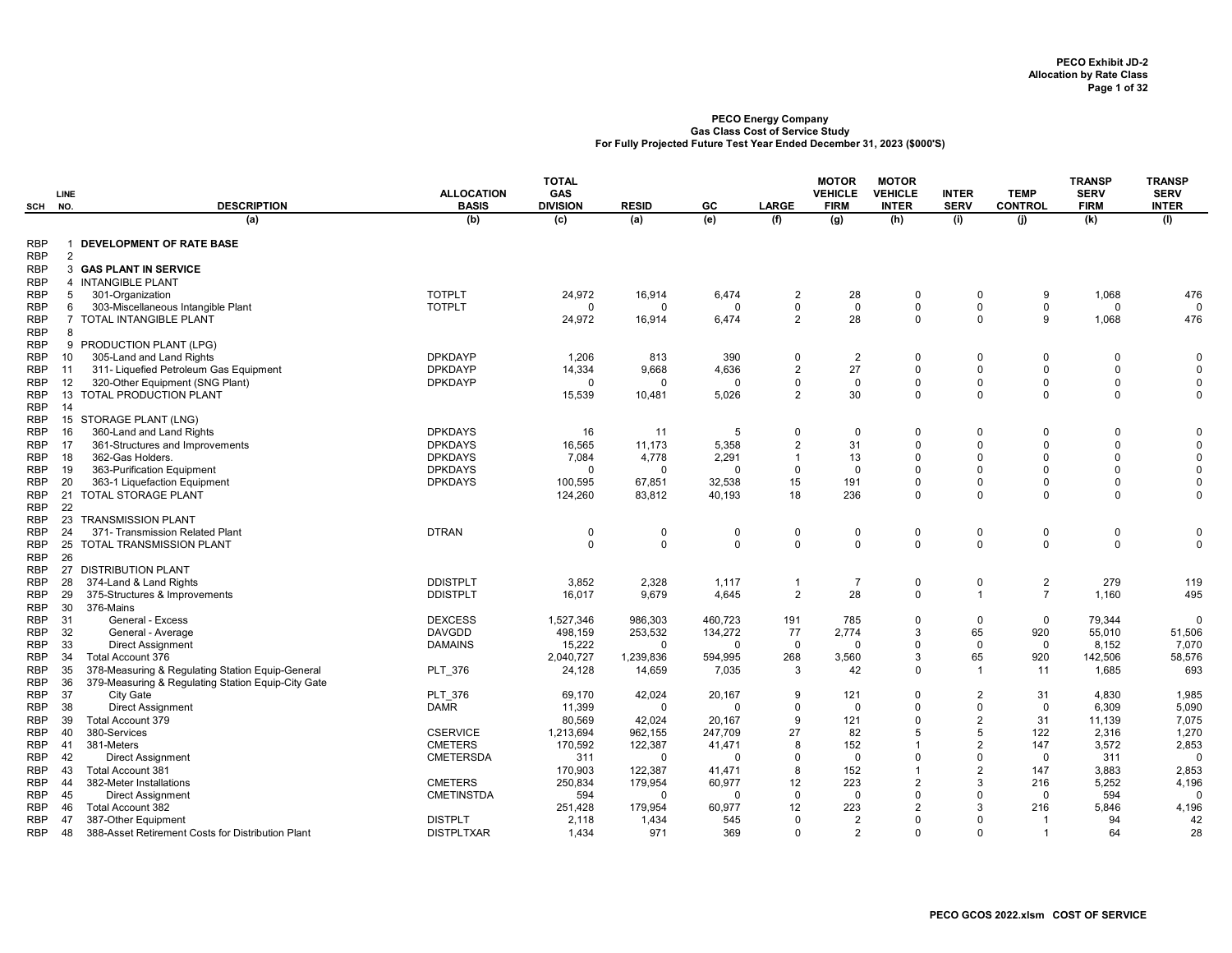|                          | <b>LINE</b>   |                                                     | <b>ALLOCATION</b>                | <b>TOTAL</b><br><b>GAS</b> |                     |                    |                                  | <b>MOTOR</b><br><b>VEHICLE</b> | <b>MOTOR</b><br><b>VEHICLE</b> | <b>INTER</b>               | <b>TEMP</b>           | <b>TRANSP</b><br><b>SERV</b> | <b>TRANSP</b><br><b>SERV</b> |
|--------------------------|---------------|-----------------------------------------------------|----------------------------------|----------------------------|---------------------|--------------------|----------------------------------|--------------------------------|--------------------------------|----------------------------|-----------------------|------------------------------|------------------------------|
| SCH                      | NO.           | <b>DESCRIPTION</b><br>(a)                           | <b>BASIS</b><br>(b)              | <b>DIVISION</b><br>(c)     | <b>RESID</b><br>(a) | GC<br>(e)          | <b>LARGE</b><br>(f)              | <b>FIRM</b><br>(g)             | <b>INTER</b><br>(h)            | <b>SERV</b><br>(i)         | <b>CONTROL</b><br>(i) | <b>FIRM</b><br>(k)           | <b>INTER</b><br>(1)          |
|                          |               |                                                     |                                  |                            |                     |                    |                                  |                                |                                |                            |                       |                              |                              |
| <b>RBP</b><br><b>RBP</b> | $\mathcal{P}$ | <b>DEVELOPMENT OF RATE BASE</b>                     |                                  |                            |                     |                    |                                  |                                |                                |                            |                       |                              |                              |
| <b>RBP</b>               |               | <b>3 GAS PLANT IN SERVICE</b>                       |                                  |                            |                     |                    |                                  |                                |                                |                            |                       |                              |                              |
| <b>RBP</b>               |               | 4 INTANGIBLE PLANT                                  |                                  |                            |                     |                    |                                  |                                |                                |                            |                       |                              |                              |
| <b>RBP</b>               | 5             | 301-Organization                                    | <b>TOTPLT</b>                    | 24,972                     | 16,914              | 6,474              | $\overline{2}$                   | 28                             | $\Omega$                       | $\mathbf 0$                | 9                     | 1,068                        | 476                          |
| <b>RBP</b>               | 6             | 303-Miscellaneous Intangible Plant                  | <b>TOTPLT</b>                    | $\Omega$                   | $\Omega$            | $\Omega$           | $\mathbf 0$                      | $\Omega$                       | $\mathbf 0$                    | $\mathbf 0$                | $\mathbf 0$           | $\Omega$                     | $\Omega$                     |
| <b>RBP</b><br><b>RBP</b> | 8             | 7 TOTAL INTANGIBLE PLANT                            |                                  | 24,972                     | 16,914              | 6,474              | $\overline{2}$                   | 28                             | $\mathbf 0$                    | $\Omega$                   | 9                     | 1,068                        | 476                          |
| <b>RBP</b>               | 9             | PRODUCTION PLANT (LPG)                              |                                  |                            |                     |                    |                                  |                                |                                |                            |                       |                              |                              |
| <b>RBP</b>               | 10            | 305-Land and Land Rights                            | <b>DPKDAYP</b>                   | 1,206                      | 813                 | 390                | $\overline{0}$                   | $\overline{2}$                 | $\Omega$                       | $\mathbf 0$                | $\Omega$              | $\Omega$                     | $\mathbf 0$                  |
| <b>RBP</b>               | 11            | 311- Liquefied Petroleum Gas Equipment              | <b>DPKDAYP</b>                   | 14,334                     | 9,668               | 4,636              | $\overline{2}$                   | 27                             | $\Omega$                       | $\Omega$                   | $\Omega$              | $\Omega$                     | $\Omega$                     |
| <b>RBP</b>               | 12            | 320-Other Equipment (SNG Plant)                     | <b>DPKDAYP</b>                   | $\Omega$                   | $\Omega$            | $\Omega$           | $\Omega$                         | $\Omega$                       | $\Omega$                       | $\Omega$                   | $\Omega$              | $\Omega$                     | $\mathbf 0$                  |
| <b>RBP</b>               | 13            | <b>TOTAL PRODUCTION PLANT</b>                       |                                  | 15,539                     | 10,481              | 5,026              | $\overline{2}$                   | 30                             | $\Omega$                       | $\Omega$                   | $\Omega$              | $\Omega$                     | $\Omega$                     |
| <b>RBP</b>               | -14           |                                                     |                                  |                            |                     |                    |                                  |                                |                                |                            |                       |                              |                              |
| <b>RBP</b>               | 15            | STORAGE PLANT (LNG)                                 |                                  |                            |                     |                    |                                  |                                |                                |                            |                       |                              |                              |
| <b>RBP</b>               | 16            | 360-Land and Land Rights                            | <b>DPKDAYS</b>                   | 16                         | 11                  | 5                  | $\overline{0}$                   | $\Omega$                       | $\Omega$<br>$\Omega$           | $\mathbf 0$<br>$\Omega$    | $\Omega$<br>$\Omega$  | $\Omega$<br>$\Omega$         | 0<br>$\Omega$                |
| <b>RBP</b><br><b>RBP</b> | -17<br>18     | 361-Structures and Improvements<br>362-Gas Holders. | <b>DPKDAYS</b><br><b>DPKDAYS</b> | 16,565<br>7,084            | 11,173<br>4,778     | 5,358<br>2,291     | $\overline{2}$<br>$\overline{1}$ | 31<br>13                       | $\Omega$                       | $\Omega$                   | $\Omega$              | $\Omega$                     | $\Omega$                     |
| RBP                      | 19            | 363-Purification Equipment                          | <b>DPKDAYS</b>                   | $\Omega$                   | $\Omega$            | $\Omega$           | $\mathbf 0$                      | $\Omega$                       | $\Omega$                       | $\Omega$                   | $\Omega$              | $\Omega$                     | $\Omega$                     |
| RBP                      | 20            | 363-1 Liquefaction Equipment                        | <b>DPKDAYS</b>                   | 100,595                    | 67,851              | 32,538             | 15                               | 191                            | $\Omega$                       | $\mathbf 0$                | $\Omega$              | $\Omega$                     | $\mathbf 0$                  |
| <b>RBP</b>               | 21            | TOTAL STORAGE PLANT                                 |                                  | 124,260                    | 83,812              | 40,193             | 18                               | 236                            | $\mathbf 0$                    | $\Omega$                   | $\Omega$              | $\Omega$                     | $\mathbf 0$                  |
| <b>RBP</b>               | 22            |                                                     |                                  |                            |                     |                    |                                  |                                |                                |                            |                       |                              |                              |
| <b>RBP</b>               | 23            | <b>TRANSMISSION PLANT</b>                           |                                  |                            |                     |                    |                                  |                                |                                |                            |                       |                              |                              |
| <b>RBP</b>               | 24            | 371- Transmission Related Plant                     | <b>DTRAN</b>                     | $\mathbf 0$                | $\Omega$            | $\mathbf 0$        | $\mathbf 0$                      | 0                              | 0                              | $\mathbf 0$                | $\Omega$              | $\Omega$                     | 0                            |
| <b>RBP</b>               | 25            | <b>TOTAL TRANSMISSION PLANT</b>                     |                                  | $\mathbf 0$                | $\mathbf 0$         | $\Omega$           | $\mathbf 0$                      | $\mathbf 0$                    | $\mathbf 0$                    | $\Omega$                   | $\Omega$              | $\Omega$                     | $\mathbf 0$                  |
| <b>RBP</b>               | 26            |                                                     |                                  |                            |                     |                    |                                  |                                |                                |                            |                       |                              |                              |
| <b>RBP</b><br>RBP        | 27<br>28      | <b>DISTRIBUTION PLANT</b><br>374-Land & Land Rights | <b>DDISTPLT</b>                  | 3,852                      | 2,328               | 1,117              | -1                               | $\overline{7}$                 | 0                              | $\mathbf 0$                | $\overline{2}$        | 279                          | 119                          |
| <b>RBP</b>               | 29            | 375-Structures & Improvements                       | <b>DDISTPLT</b>                  | 16,017                     | 9,679               | 4,645              | $\overline{2}$                   | 28                             | $\mathbf 0$                    | $\overline{1}$             | $\overline{7}$        | 1,160                        | 495                          |
| <b>RBP</b>               | 30            | 376-Mains                                           |                                  |                            |                     |                    |                                  |                                |                                |                            |                       |                              |                              |
| <b>RBP</b>               | 31            | General - Excess                                    | <b>DEXCESS</b>                   | 1,527,346                  | 986,303             | 460,723            | 191                              | 785                            | $\Omega$                       | $\mathbf 0$                | $\mathbf 0$           | 79,344                       | $\Omega$                     |
| <b>RBP</b>               | 32            | General - Average                                   | <b>DAVGDD</b>                    | 498,159                    | 253,532             | 134,272            | 77                               | 2,774                          | 3                              | 65                         | 920                   | 55,010                       | 51,506                       |
| RBP                      | 33            | <b>Direct Assignment</b>                            | <b>DAMAINS</b>                   | 15,222                     | $\mathbf 0$         | $\Omega$           | $\mathbf 0$                      | $\Omega$                       | $\Omega$                       | $\mathbf{0}$               | $\Omega$              | 8,152                        | 7,070                        |
| RBP                      | 34            | Total Account 376                                   |                                  | 2,040,727                  | 1,239,836           | 594,995            | 268                              | 3,560                          | 3                              | 65                         | 920                   | 142,506                      | 58,576                       |
| <b>RBP</b>               | 35            | 378-Measuring & Regulating Station Equip-General    | PLT_376                          | 24,128                     | 14,659              | 7,035              | 3                                | 42                             | $\Omega$                       | $\overline{1}$             | 11                    | 1,685                        | 693                          |
| <b>RBP</b>               | 36            | 379-Measuring & Regulating Station Equip-City Gate  |                                  |                            |                     |                    |                                  |                                |                                |                            |                       |                              |                              |
| <b>RBP</b><br>RBP        | 37<br>38      | City Gate<br><b>Direct Assignment</b>               | PLT 376<br><b>DAMR</b>           | 69,170<br>11,399           | 42,024<br>$\Omega$  | 20,167<br>$\Omega$ | 9<br>$\mathbf 0$                 | 121<br>$\Omega$                | $\Omega$<br>$\Omega$           | $\overline{2}$<br>$\Omega$ | 31<br>0               | 4,830<br>6,309               | 1,985<br>5,090               |
| <b>RBP</b>               | 39            | Total Account 379                                   |                                  | 80,569                     | 42,024              | 20,167             | 9                                | 121                            | $\Omega$                       | $\overline{2}$             | 31                    | 11,139                       | 7,075                        |
| <b>RBP</b>               | 40            | 380-Services                                        | <b>CSERVICE</b>                  | 1,213,694                  | 962,155             | 247,709            | 27                               | 82                             | 5                              | 5                          | 122                   | 2,316                        | 1,270                        |
| <b>RBP</b>               | 41            | 381-Meters                                          | <b>CMETERS</b>                   | 170,592                    | 122,387             | 41,471             | 8                                | 152                            |                                | $\overline{2}$             | 147                   | 3,572                        | 2,853                        |
| <b>RBP</b>               | 42            | <b>Direct Assignment</b>                            | <b>CMETERSDA</b>                 | 311                        | $\Omega$            | $\Omega$           | $\Omega$                         | $\Omega$                       | $\Omega$                       | $\Omega$                   | $\Omega$              | 311                          | $\Omega$                     |
| RBP                      | 43            | Total Account 381                                   |                                  | 170,903                    | 122,387             | 41,471             | 8                                | 152                            | 1                              | $\overline{2}$             | 147                   | 3,883                        | 2,853                        |
| <b>RBP</b>               | 44            | 382-Meter Installations                             | <b>CMETERS</b>                   | 250,834                    | 179,954             | 60,977             | 12                               | 223                            | $\overline{2}$                 | 3                          | 216                   | 5,252                        | 4,196                        |
| <b>RBP</b>               | 45            | <b>Direct Assignment</b>                            | <b>CMETINSTDA</b>                | 594                        | $\Omega$            | $\Omega$           | $\mathbf 0$                      | 0                              | $\Omega$                       | $\Omega$                   | $\Omega$              | 594                          | $\Omega$                     |
| <b>RBP</b>               | 46            | <b>Total Account 382</b>                            |                                  | 251,428                    | 179,954             | 60,977             | 12                               | 223                            | $\overline{2}$                 | 3                          | 216                   | 5,846                        | 4,196                        |
| RBP                      | 47            | 387-Other Equipment                                 | <b>DISTPLT</b>                   | 2,118                      | 1,434               | 545                | $\Omega$                         | 2                              | $\Omega$                       | $\Omega$                   |                       | 94                           | 42                           |
| <b>RBP</b>               | 48            | 388-Asset Retirement Costs for Distribution Plant   | <b>DISTPLTXAR</b>                | 1,434                      | 971                 | 369                | $\Omega$                         | 2                              | $\Omega$                       | $\Omega$                   | $\overline{1}$        | 64                           | 28                           |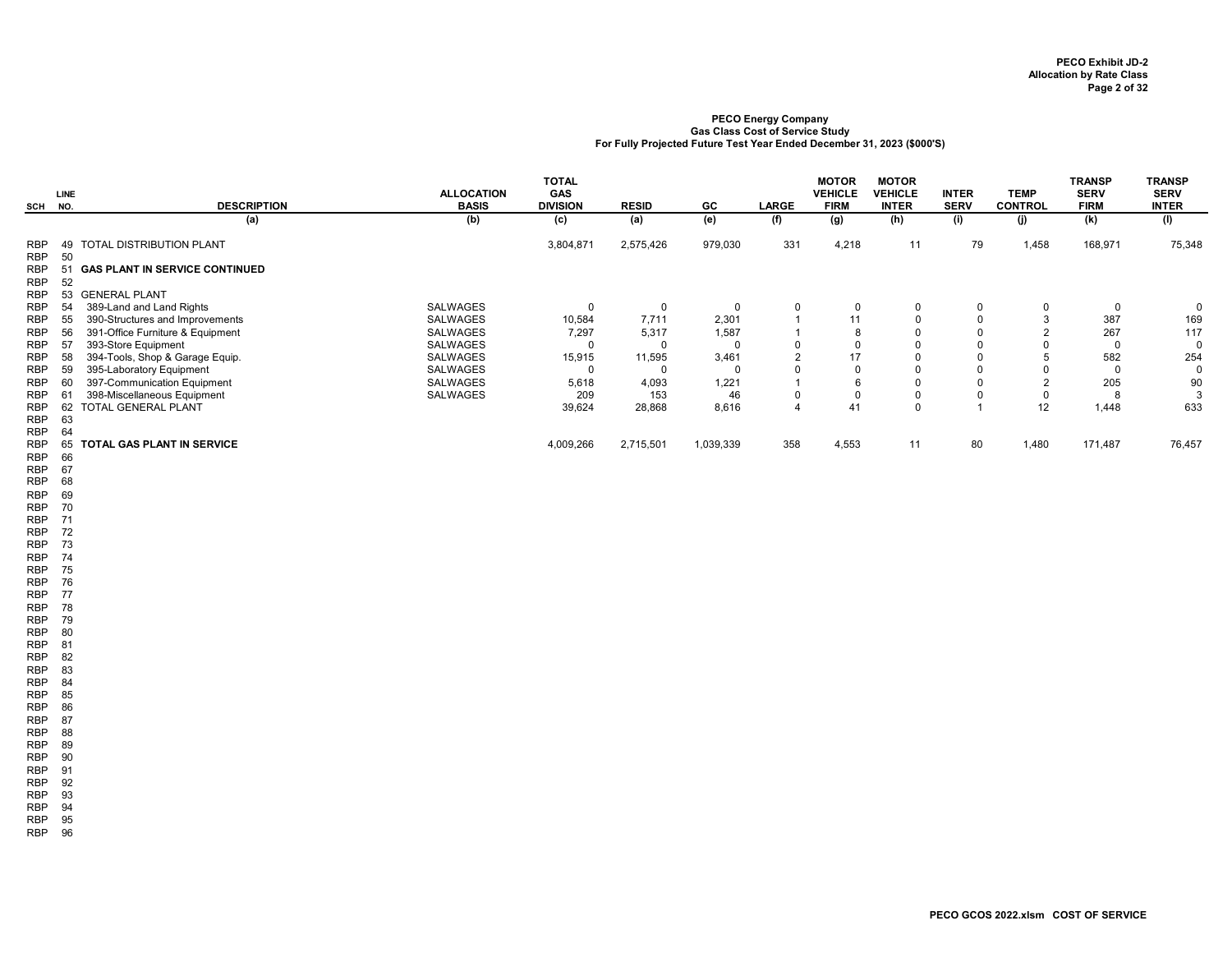|                          |          |                                       |                                   | <b>TOTAL</b>                  |              |           |                | <b>MOTOR</b>                  | <b>MOTOR</b>            |                             |                               | <b>TRANSP</b>              | <b>TRANSP</b>               |
|--------------------------|----------|---------------------------------------|-----------------------------------|-------------------------------|--------------|-----------|----------------|-------------------------------|-------------------------|-----------------------------|-------------------------------|----------------------------|-----------------------------|
| SCH NO.                  | LINE     | <b>DESCRIPTION</b>                    | <b>ALLOCATION</b><br><b>BASIS</b> | <b>GAS</b><br><b>DIVISION</b> | <b>RESID</b> | GC        | <b>LARGE</b>   | <b>VEHICLE</b><br><b>FIRM</b> | VEHICLE<br><b>INTER</b> | <b>INTER</b><br><b>SERV</b> | <b>TEMP</b><br><b>CONTROL</b> | <b>SERV</b><br><b>FIRM</b> | <b>SERV</b><br><b>INTER</b> |
|                          |          | (a)                                   | (b)                               | (c)                           | (a)          | (e)       | (f)            | (g)                           | (h)                     | (i)                         | (i)                           | (k)                        | (1)                         |
| <b>RBP</b><br><b>RBP</b> | 49<br>50 | <b>TOTAL DISTRIBUTION PLANT</b>       |                                   | 3,804,871                     | 2,575,426    | 979,030   | 331            | 4,218                         | 11                      | 79                          | 1,458                         | 168,971                    | 75,348                      |
| <b>RBP</b><br><b>RBP</b> | 51<br>52 | <b>GAS PLANT IN SERVICE CONTINUED</b> |                                   |                               |              |           |                |                               |                         |                             |                               |                            |                             |
| <b>RBP</b>               | 53       | <b>GENERAL PLANT</b>                  |                                   |                               |              |           |                |                               |                         |                             |                               |                            |                             |
| <b>RBP</b>               | 54       | 389-Land and Land Rights              | <b>SALWAGES</b>                   | $\mathbf 0$                   | 0            |           | 0              | 0                             | 0                       | 0                           | 0                             |                            | $\Omega$                    |
| <b>RBP</b>               | 55       | 390-Structures and Improvements       | <b>SALWAGES</b>                   | 10,584                        | 7,711        | 2,301     |                | 11                            |                         | 0                           | 3                             | 387                        | 169                         |
| <b>RBP</b>               | 56       | 391-Office Furniture & Equipment      | SALWAGES                          | 7,297                         | 5,317        | 1,587     |                | 8                             |                         | $\Omega$                    | $\overline{2}$                | 267                        | 117                         |
| <b>RBP</b>               | 57       | 393-Store Equipment                   | SALWAGES                          | -0                            | 0            |           | $\Omega$       | $\mathbf 0$                   |                         | 0                           |                               |                            | $\Omega$                    |
| <b>RBP</b>               | 58       | 394-Tools, Shop & Garage Equip.       | SALWAGES                          | 15,915                        | 11,595       | 3,461     | $\overline{2}$ | 17                            |                         | $\mathbf 0$                 | 5                             | 582                        | 254                         |
| <b>RBP</b>               | 59       | 395-Laboratory Equipment              | SALWAGES                          | $\Omega$                      | 0            |           | $\Omega$       | $\mathbf 0$                   |                         | $\mathbf 0$                 | $\Omega$                      |                            | $\Omega$                    |
| <b>RBP</b>               | 60       | 397-Communication Equipment           | <b>SALWAGES</b>                   | 5,618                         | 4,093        | 1,221     |                | 6                             |                         | $\mathbf 0$                 | 2                             | 205                        | 90                          |
| <b>RBP</b>               | 6'       | 398-Miscellaneous Equipment           | SALWAGES                          | 209                           | 153          | 46        | 0              | $\mathsf 0$                   |                         | $\mathbf 0$                 | $\mathbf 0$                   |                            | 3                           |
| <b>RBP</b>               | 62       | TOTAL GENERAL PLANT                   |                                   | 39,624                        | 28,868       | 8,616     | 4              | 41                            | $\mathbf 0$             |                             | 12                            | 1,448                      | 633                         |
| <b>RBP</b>               | 63       |                                       |                                   |                               |              |           |                |                               |                         |                             |                               |                            |                             |
| <b>RBP</b>               | 64       |                                       |                                   |                               |              |           |                |                               |                         |                             |                               |                            |                             |
| <b>RBP</b>               | 65       | <b>TOTAL GAS PLANT IN SERVICE</b>     |                                   | 4,009,266                     | 2,715,501    | 1,039,339 | 358            | 4,553                         | 11                      | 80                          | 1,480                         | 171,487                    | 76,457                      |
| <b>RBP</b>               | 66       |                                       |                                   |                               |              |           |                |                               |                         |                             |                               |                            |                             |
| <b>RBP</b>               | 67       |                                       |                                   |                               |              |           |                |                               |                         |                             |                               |                            |                             |
| <b>RBP</b>               | 68       |                                       |                                   |                               |              |           |                |                               |                         |                             |                               |                            |                             |
| <b>RBP</b>               | 69       |                                       |                                   |                               |              |           |                |                               |                         |                             |                               |                            |                             |

RBP 70

RBP 71

RBP 72 RBP 73

RBP 74

RBP 75 RBP 76

RBP 77

RBP 78 RBP 79

RBP 80 RBP 81 RBP 82

RBP 83 RBP 84

RBP 85

RBP 86 RBP 87

RBP 88

RBP 89 RBP 90

RBP 91

RBP 92 RBP 93

RBP 94

RBP 95

RBP 96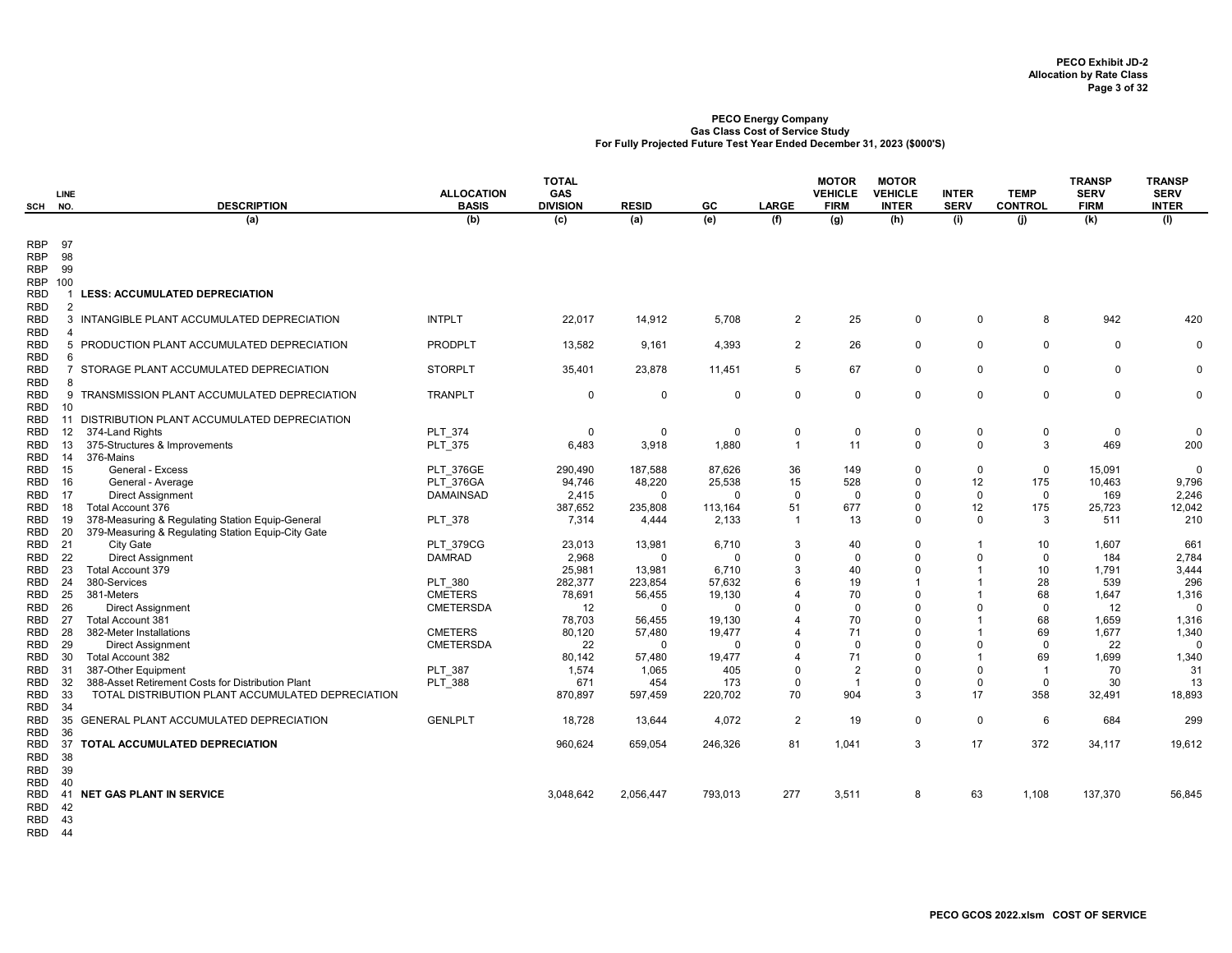| SCH                          | <b>LINE</b><br>NO. | <b>DESCRIPTION</b>                                                       | <b>ALLOCATION</b><br><b>BASIS</b>    | <b>TOTAL</b><br><b>GAS</b><br><b>DIVISION</b> | <b>RESID</b>      | GC               | <b>LARGE</b>            | <b>MOTOR</b><br><b>VEHICLE</b><br><b>FIRM</b> | <b>MOTOR</b><br><b>VEHICLE</b><br><b>INTER</b> | <b>INTER</b><br><b>SERV</b> | <b>TEMP</b><br><b>CONTROL</b> | <b>TRANSP</b><br><b>SERV</b><br><b>FIRM</b> | <b>TRANSP</b><br><b>SERV</b><br><b>INTER</b> |
|------------------------------|--------------------|--------------------------------------------------------------------------|--------------------------------------|-----------------------------------------------|-------------------|------------------|-------------------------|-----------------------------------------------|------------------------------------------------|-----------------------------|-------------------------------|---------------------------------------------|----------------------------------------------|
|                              |                    | (a)                                                                      | (b)                                  | (c)                                           | (a)               | (e)              | (f)                     | (g)                                           | (h)                                            | (i)                         | (i)                           | (k)                                         | (1)                                          |
|                              |                    |                                                                          |                                      |                                               |                   |                  |                         |                                               |                                                |                             |                               |                                             |                                              |
| RBP                          | 97                 |                                                                          |                                      |                                               |                   |                  |                         |                                               |                                                |                             |                               |                                             |                                              |
| <b>RBP</b>                   | 98                 |                                                                          |                                      |                                               |                   |                  |                         |                                               |                                                |                             |                               |                                             |                                              |
| <b>RBP</b>                   | 99                 |                                                                          |                                      |                                               |                   |                  |                         |                                               |                                                |                             |                               |                                             |                                              |
| <b>RBP 100</b><br><b>RBD</b> |                    | <b>LESS: ACCUMULATED DEPRECIATION</b>                                    |                                      |                                               |                   |                  |                         |                                               |                                                |                             |                               |                                             |                                              |
| RBD                          | 2                  |                                                                          |                                      |                                               |                   |                  |                         |                                               |                                                |                             |                               |                                             |                                              |
| RBD                          | $\mathbf{3}$       | INTANGIBLE PLANT ACCUMULATED DEPRECIATION                                | <b>INTPLT</b>                        | 22,017                                        | 14,912            | 5,708            | $\overline{2}$          | 25                                            | 0                                              | $\mathbf 0$                 | 8                             | 942                                         | 420                                          |
| <b>RBD</b>                   | $\overline{4}$     |                                                                          |                                      |                                               |                   |                  |                         |                                               |                                                |                             |                               |                                             |                                              |
| <b>RBD</b>                   |                    | 5 PRODUCTION PLANT ACCUMULATED DEPRECIATION                              | <b>PRODPLT</b>                       | 13,582                                        | 9,161             | 4,393            | $\overline{2}$          | 26                                            | $\mathbf 0$                                    | $\mathbf 0$                 | $\mathbf 0$                   | $\Omega$                                    | $\Omega$                                     |
| <b>RBD</b>                   | 6                  |                                                                          |                                      |                                               |                   |                  |                         |                                               |                                                |                             |                               |                                             |                                              |
| <b>RBD</b>                   |                    | 7 STORAGE PLANT ACCUMULATED DEPRECIATION                                 | <b>STORPLT</b>                       | 35,401                                        | 23,878            | 11.451           | 5                       | 67                                            | $\mathbf 0$                                    | $\mathbf 0$                 | $\mathbf 0$                   | $\Omega$                                    | $\Omega$                                     |
| RBD                          | 8                  |                                                                          |                                      |                                               |                   |                  |                         |                                               |                                                |                             |                               |                                             |                                              |
| RBD                          |                    | 9 TRANSMISSION PLANT ACCUMULATED DEPRECIATION                            | <b>TRANPLT</b>                       | $\mathbf 0$                                   | $\mathbf 0$       | 0                | $\mathbf 0$             | $\mathbf 0$                                   | $\mathbf 0$                                    | $\mathbf 0$                 | $\mathbf 0$                   | $\mathbf 0$                                 | $\mathbf 0$                                  |
| RBD                          | 10                 |                                                                          |                                      |                                               |                   |                  |                         |                                               |                                                |                             |                               |                                             |                                              |
| RBD                          | 11                 | DISTRIBUTION PLANT ACCUMULATED DEPRECIATION                              |                                      |                                               |                   |                  |                         |                                               |                                                |                             |                               |                                             |                                              |
| RBD                          | 12                 | 374-Land Rights                                                          | PLT 374                              | $\mathbf 0$                                   | $\Omega$          | 0                | 0                       | 0                                             | $\mathsf 0$                                    | $\mathbf 0$                 | $\mathsf 0$                   | $\mathbf 0$                                 | $\Omega$                                     |
| RBD                          | 13                 | 375-Structures & Improvements                                            | PLT_375                              | 6,483                                         | 3,918             | 1,880            | $\overline{1}$          | 11                                            | $\mathbf 0$                                    | $\Omega$                    | 3                             | 469                                         | 200                                          |
| RBD                          | 14                 | 376-Mains                                                                |                                      |                                               |                   |                  |                         |                                               | $\mathbf 0$                                    | $\mathbf 0$                 | $\mathbf 0$                   |                                             | $\Omega$                                     |
| RBD<br>RBD                   | 15<br>16           | General - Excess<br>General - Average                                    | <b>PLT 376GE</b><br><b>PLT 376GA</b> | 290,490<br>94,746                             | 187,588<br>48,220 | 87,626<br>25,538 | 36<br>15                | 149<br>528                                    | $\mathbf 0$                                    | 12                          | 175                           | 15,091<br>10,463                            | 9,796                                        |
| RBD                          | 17                 | <b>Direct Assignment</b>                                                 | <b>DAMAINSAD</b>                     | 2,415                                         | $\Omega$          | $\Omega$         | $\mathbf 0$             | $\mathbf 0$                                   | $\mathbf 0$                                    | $\mathbf 0$                 | $\mathbf 0$                   | 169                                         | 2,246                                        |
| RBD                          | 18                 | Total Account 376                                                        |                                      | 387,652                                       | 235,808           | 113,164          | 51                      | 677                                           | $\mathsf 0$                                    | 12                          | 175                           | 25,723                                      | 12,042                                       |
| RBD                          | 19                 | 378-Measuring & Regulating Station Equip-General                         | <b>PLT 378</b>                       | 7,314                                         | 4,444             | 2,133            | $\overline{1}$          | 13                                            | $\Omega$                                       | $\Omega$                    | 3                             | 511                                         | 210                                          |
| RBD                          | 20                 | 379-Measuring & Regulating Station Equip-City Gate                       |                                      |                                               |                   |                  |                         |                                               |                                                |                             |                               |                                             |                                              |
| RBD                          | - 21               | <b>City Gate</b>                                                         | PLT_379CG                            | 23,013                                        | 13,981            | 6,710            | 3                       | 40                                            | $\Omega$                                       | $\mathbf{1}$                | 10                            | 1,607                                       | 661                                          |
| RBD                          | 22                 | <b>Direct Assignment</b>                                                 | <b>DAMRAD</b>                        | 2,968                                         | $\Omega$          | $\Omega$         | $\Omega$                | $\mathbf 0$                                   | $\Omega$                                       | $\Omega$                    | $\mathbf 0$                   | 184                                         | 2,784                                        |
| RBD                          | 23                 | <b>Total Account 379</b>                                                 |                                      | 25,981                                        | 13,981            | 6,710            | 3                       | 40                                            | $\Omega$                                       | $\mathbf{1}$                | 10                            | 1,791                                       | 3,444                                        |
| RBD                          | 24                 | 380-Services                                                             | <b>PLT 380</b>                       | 282,377                                       | 223,854           | 57,632           | 6                       | 19                                            |                                                | $\mathbf{1}$                | 28                            | 539                                         | 296                                          |
| RBD                          | 25                 | 381-Meters                                                               | <b>CMETERS</b>                       | 78,691                                        | 56,455            | 19,130           | 4                       | 70                                            | $\Omega$                                       | $\overline{1}$              | 68                            | 1,647                                       | 1,316                                        |
| RBD                          | 26                 | <b>Direct Assignment</b>                                                 | <b>CMETERSDA</b>                     | 12                                            | $\mathbf 0$       | $\Omega$         | $\Omega$                | $\mathbf 0$                                   | $\Omega$                                       | $\Omega$                    | $\mathbf 0$                   | 12                                          | $\mathbf{0}$                                 |
| RBD                          | 27                 | <b>Total Account 381</b>                                                 |                                      | 78,703                                        | 56,455            | 19,130           | 4                       | 70                                            | $\Omega$                                       | $\mathbf{1}$                | 68                            | 1,659                                       | 1,316                                        |
| RBD                          | 28                 | 382-Meter Installations                                                  | <b>CMETERS</b>                       | 80,120                                        | 57,480            | 19,477           | 4                       | 71                                            | $\Omega$                                       | $\mathbf{1}$                | 69                            | 1,677                                       | 1,340                                        |
| RBD                          | 29                 | <b>Direct Assignment</b>                                                 | <b>CMETERSDA</b>                     | 22                                            | $\Omega$          | $\Omega$         | $\Omega$                | 0                                             | $\Omega$                                       | $\Omega$                    | $\mathbf 0$                   | 22                                          | $\Omega$                                     |
| RBD                          | 30                 | Total Account 382                                                        |                                      | 80,142                                        | 57,480            | 19,477           | 4                       | 71                                            | $\Omega$<br>$\Omega$                           | $\overline{1}$<br>$\Omega$  | 69                            | 1,699                                       | 1,340                                        |
| RBD<br>RBD                   | 31<br>32           | 387-Other Equipment<br>388-Asset Retirement Costs for Distribution Plant | PLT 387<br><b>PLT 388</b>            | 1,574<br>671                                  | 1,065<br>454      | 405<br>173       | $\Omega$<br>$\mathbf 0$ | $\overline{2}$<br>$\mathbf{1}$                | $\Omega$                                       | $\mathbf 0$                 | $\overline{1}$<br>$\mathbf 0$ | 70<br>30                                    | 31<br>13                                     |
| RBD                          | 33                 | TOTAL DISTRIBUTION PLANT ACCUMULATED DEPRECIATION                        |                                      | 870,897                                       | 597,459           | 220,702          | 70                      | 904                                           | 3                                              | 17                          | 358                           | 32,491                                      | 18,893                                       |
| RBD                          | 34                 |                                                                          |                                      |                                               |                   |                  |                         |                                               |                                                |                             |                               |                                             |                                              |
| RBD                          | 35                 | <b>GENERAL PLANT ACCUMULATED DEPRECIATION</b>                            | <b>GENLPLT</b>                       | 18,728                                        | 13,644            | 4,072            | $\overline{2}$          | 19                                            | $\mathbf 0$                                    | $\mathbf 0$                 | 6                             | 684                                         | 299                                          |
| RBD                          | 36                 |                                                                          |                                      |                                               |                   |                  |                         |                                               |                                                |                             |                               |                                             |                                              |
| RBD                          | 37                 | TOTAL ACCUMULATED DEPRECIATION                                           |                                      | 960,624                                       | 659,054           | 246,326          | 81                      | 1,041                                         | 3                                              | 17                          | 372                           | 34,117                                      | 19,612                                       |
| RBD                          | 38                 |                                                                          |                                      |                                               |                   |                  |                         |                                               |                                                |                             |                               |                                             |                                              |
| RBD                          | 39                 |                                                                          |                                      |                                               |                   |                  |                         |                                               |                                                |                             |                               |                                             |                                              |
| RBD                          | 40                 |                                                                          |                                      |                                               |                   |                  |                         |                                               |                                                |                             |                               |                                             |                                              |
| <b>RBD</b>                   | 41                 | <b>NET GAS PLANT IN SERVICE</b>                                          |                                      | 3,048,642                                     | 2,056,447         | 793,013          | 277                     | 3,511                                         | 8                                              | 63                          | 1,108                         | 137,370                                     | 56,845                                       |
| RBD                          | 42                 |                                                                          |                                      |                                               |                   |                  |                         |                                               |                                                |                             |                               |                                             |                                              |

RBD 43

RBD 44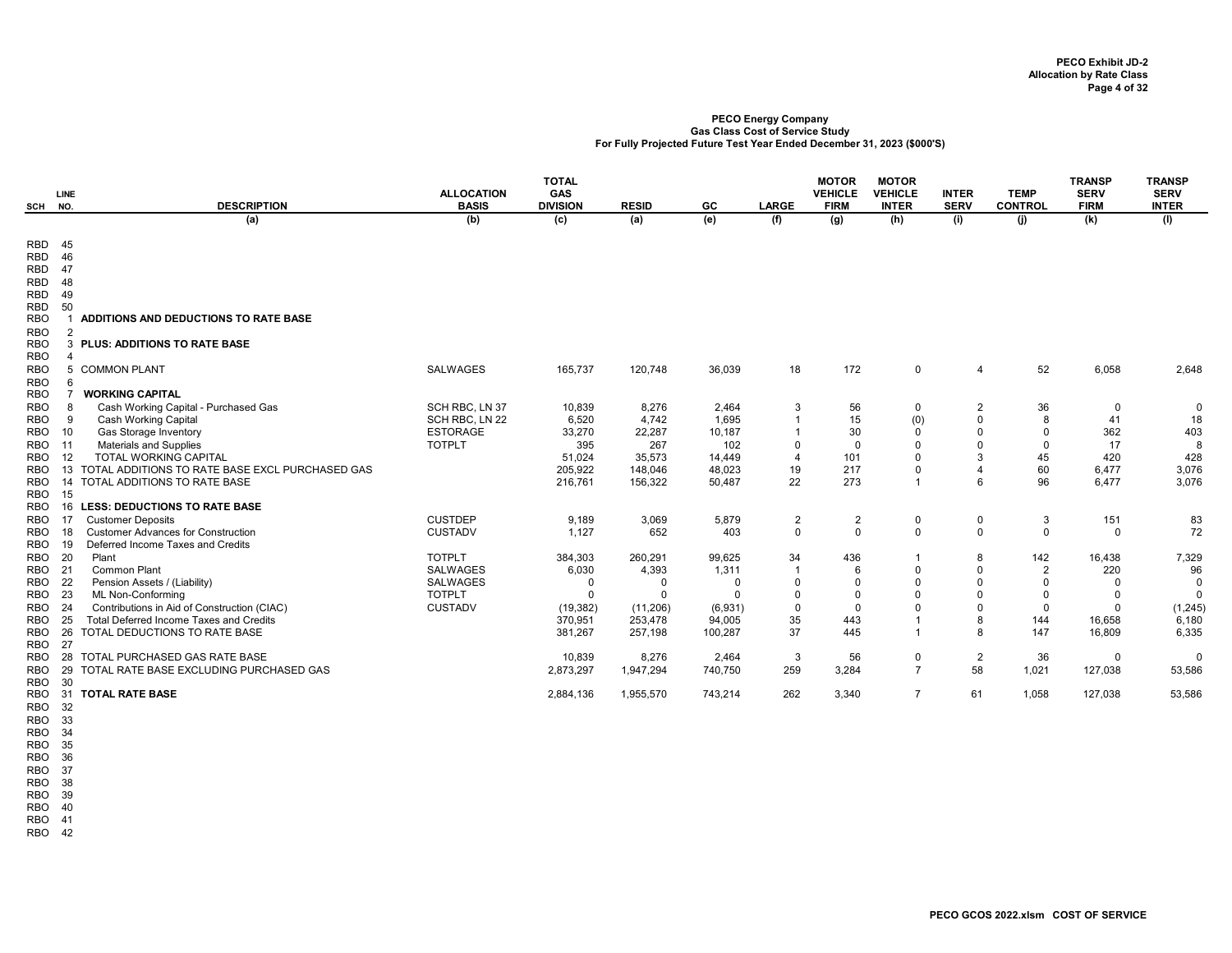| SCH                      | <b>LINE</b><br>NO. | <b>DESCRIPTION</b>                              | <b>ALLOCATION</b><br><b>BASIS</b> | <b>TOTAL</b><br><b>GAS</b><br><b>DIVISION</b> | <b>RESID</b>     | GC              | <b>LARGE</b>         | <b>MOTOR</b><br><b>VEHICLE</b><br><b>FIRM</b> | <b>MOTOR</b><br><b>VEHICLE</b><br><b>INTER</b> | <b>INTER</b><br><b>SERV</b>   | <b>TEMP</b><br><b>CONTROL</b> | <b>TRANSP</b><br><b>SERV</b><br><b>FIRM</b> | <b>TRANSP</b><br><b>SERV</b><br><b>INTER</b> |
|--------------------------|--------------------|-------------------------------------------------|-----------------------------------|-----------------------------------------------|------------------|-----------------|----------------------|-----------------------------------------------|------------------------------------------------|-------------------------------|-------------------------------|---------------------------------------------|----------------------------------------------|
|                          |                    | (a)                                             | (b)                               | (c)                                           | (a)              | (e)             | (f)                  | (g)                                           | (h)                                            | (i)                           | (i)                           | (k)                                         | (1)                                          |
|                          |                    |                                                 |                                   |                                               |                  |                 |                      |                                               |                                                |                               |                               |                                             |                                              |
| <b>RBD</b><br><b>RBD</b> | - 45<br>46         |                                                 |                                   |                                               |                  |                 |                      |                                               |                                                |                               |                               |                                             |                                              |
| <b>RBD</b>               | 47                 |                                                 |                                   |                                               |                  |                 |                      |                                               |                                                |                               |                               |                                             |                                              |
| <b>RBD</b>               | 48                 |                                                 |                                   |                                               |                  |                 |                      |                                               |                                                |                               |                               |                                             |                                              |
| RBD                      | 49                 |                                                 |                                   |                                               |                  |                 |                      |                                               |                                                |                               |                               |                                             |                                              |
| <b>RBD</b>               | 50                 |                                                 |                                   |                                               |                  |                 |                      |                                               |                                                |                               |                               |                                             |                                              |
| <b>RBO</b>               |                    | ADDITIONS AND DEDUCTIONS TO RATE BASE           |                                   |                                               |                  |                 |                      |                                               |                                                |                               |                               |                                             |                                              |
| <b>RBO</b>               | $\mathcal{P}$      |                                                 |                                   |                                               |                  |                 |                      |                                               |                                                |                               |                               |                                             |                                              |
| <b>RBO</b>               | 3                  | <b>PLUS: ADDITIONS TO RATE BASE</b>             |                                   |                                               |                  |                 |                      |                                               |                                                |                               |                               |                                             |                                              |
| <b>RBO</b>               |                    |                                                 |                                   |                                               |                  |                 |                      |                                               |                                                |                               |                               |                                             |                                              |
| <b>RBO</b>               |                    | 5 COMMON PLANT                                  | <b>SALWAGES</b>                   | 165,737                                       | 120,748          | 36,039          | 18                   | 172                                           | $\mathbf 0$                                    | $\overline{4}$                | 52                            | 6,058                                       | 2,648                                        |
| <b>RBO</b>               | 6                  | <b>WORKING CAPITAL</b>                          |                                   |                                               |                  |                 |                      |                                               |                                                |                               |                               |                                             |                                              |
| <b>RBO</b><br><b>RBO</b> |                    | Cash Working Capital - Purchased Gas            | SCH RBC, LN 37                    | 10,839                                        | 8,276            | 2,464           |                      |                                               |                                                |                               |                               |                                             |                                              |
| <b>RBO</b>               |                    | <b>Cash Working Capital</b>                     | SCH RBC, LN 22                    | 6,520                                         | 4,742            | 1,695           | 3                    | 56<br>15                                      | 0<br>(0)                                       | $\overline{2}$<br>$\mathbf 0$ | 36<br>8                       | $\mathbf 0$<br>41                           | 0<br>18                                      |
| RBO                      | 10                 | Gas Storage Inventory                           | <b>ESTORAGE</b>                   | 33,270                                        | 22,287           | 10,187          | $\overline{1}$       | 30                                            | $\mathbf 0$                                    | $\mathbf 0$                   | $\mathbf 0$                   | 362                                         | 403                                          |
| <b>RBO</b>               | 11                 | <b>Materials and Supplies</b>                   | <b>TOTPLT</b>                     | 395                                           | 267              | 102             | $\Omega$             | $\mathbf 0$                                   | $\Omega$                                       | $\Omega$                      | $\Omega$                      | 17                                          | 8                                            |
| RBO                      | -12                | <b>TOTAL WORKING CAPITAL</b>                    |                                   | 51,024                                        | 35,573           | 14,449          | $\overline{4}$       | 101                                           | $\Omega$                                       | 3                             | 45                            | 420                                         | 428                                          |
| RBO                      | 13                 | TOTAL ADDITIONS TO RATE BASE EXCL PURCHASED GAS |                                   | 205,922                                       | 148,046          | 48,023          | 19                   | 217                                           | $\Omega$                                       | $\overline{4}$                | 60                            | 6,477                                       | 3,076                                        |
| RBO                      | 14                 | TOTAL ADDITIONS TO RATE BASE                    |                                   | 216,761                                       | 156,322          | 50,487          | 22                   | 273                                           | $\mathbf{1}$                                   | 6                             | 96                            | 6,477                                       | 3,076                                        |
| <b>RBO</b>               | 15                 |                                                 |                                   |                                               |                  |                 |                      |                                               |                                                |                               |                               |                                             |                                              |
| <b>RBO</b>               | 16                 | <b>LESS: DEDUCTIONS TO RATE BASE</b>            |                                   |                                               |                  |                 |                      |                                               |                                                |                               |                               |                                             |                                              |
| RBO                      | -17                | <b>Customer Deposits</b>                        | <b>CUSTDEP</b>                    | 9,189                                         | 3,069            | 5,879           | $\overline{2}$       | $\overline{2}$                                | 0                                              | 0                             | 3                             | 151                                         | 83                                           |
| RBO                      | 18                 | <b>Customer Advances for Construction</b>       | <b>CUSTADV</b>                    | 1,127                                         | 652              | 403             | $\mathbf 0$          | $\mathbf 0$                                   | $\Omega$                                       | $\mathbf 0$                   | $\mathbf 0$                   | $\mathbf 0$                                 | 72                                           |
| <b>RBO</b>               | 19<br>- 20         | Deferred Income Taxes and Credits<br>Plant      | <b>TOTPLT</b>                     |                                               |                  |                 |                      | 436                                           | $\mathbf{1}$                                   |                               | 142                           |                                             |                                              |
| RBO<br>RBO               | 21                 | Common Plant                                    | <b>SALWAGES</b>                   | 384,303<br>6,030                              | 260,291<br>4,393 | 99,625<br>1,311 | 34<br>$\overline{1}$ | 6                                             | $\Omega$                                       | 8<br>$\mathbf 0$              | $\overline{2}$                | 16,438<br>220                               | 7,329<br>96                                  |
| <b>RBO</b>               | - 22               | Pension Assets / (Liability)                    | <b>SALWAGES</b>                   | $\mathbf 0$                                   | $\Omega$         | $\Omega$        | $\mathbf 0$          | $\mathbf 0$                                   | $\Omega$                                       | $\Omega$                      | $\Omega$                      | $\Omega$                                    | 0                                            |
| <b>RBO</b>               | - 23               | ML Non-Conforming                               | <b>TOTPLT</b>                     | $\Omega$                                      | $\Omega$         | $\Omega$        | $\Omega$             | $\Omega$                                      | $\Omega$                                       | $\Omega$                      | $\mathbf 0$                   | $\Omega$                                    | $\Omega$                                     |
| <b>RBO</b>               | 24                 | Contributions in Aid of Construction (CIAC)     | <b>CUSTADV</b>                    | (19, 382)                                     | (11, 206)        | (6,931)         | $\mathbf 0$          | $\mathbf 0$                                   | $\Omega$                                       | $\Omega$                      | $\mathbf 0$                   | $\Omega$                                    | (1, 245)                                     |
| RBO                      | 25                 | <b>Total Deferred Income Taxes and Credits</b>  |                                   | 370,951                                       | 253,478          | 94,005          | 35                   | 443                                           | $\overline{1}$                                 | 8                             | 144                           | 16,658                                      | 6,180                                        |
| <b>RBO</b>               | 26                 | TOTAL DEDUCTIONS TO RATE BASE                   |                                   | 381.267                                       | 257,198          | 100,287         | 37                   | 445                                           | $\mathbf{1}$                                   | 8                             | 147                           | 16,809                                      | 6,335                                        |
| <b>RBO</b>               | 27                 |                                                 |                                   |                                               |                  |                 |                      |                                               |                                                |                               |                               |                                             |                                              |
| RBO                      | -28                | TOTAL PURCHASED GAS RATE BASE                   |                                   | 10,839                                        | 8,276            | 2,464           | 3                    | 56                                            | $\mathbf 0$                                    | $\overline{2}$                | 36                            | $\mathbf 0$                                 | $\mathbf 0$                                  |
| RBO                      | 29                 | TOTAL RATE BASE EXCLUDING PURCHASED GAS         |                                   | 2,873,297                                     | 1,947,294        | 740,750         | 259                  | 3,284                                         | $\overline{7}$                                 | 58                            | 1,021                         | 127,038                                     | 53,586                                       |
| <b>RBO</b>               | 30                 |                                                 |                                   |                                               |                  |                 |                      |                                               |                                                |                               |                               |                                             |                                              |
| <b>RBO</b>               | 31                 | <b>TOTAL RATE BASE</b>                          |                                   | 2,884,136                                     | 1,955,570        | 743,214         | 262                  | 3,340                                         | $\overline{7}$                                 | 61                            | 1,058                         | 127,038                                     | 53,586                                       |
| <b>RBO</b>               | 32                 |                                                 |                                   |                                               |                  |                 |                      |                                               |                                                |                               |                               |                                             |                                              |

RBO 33

RBO 34

RBO 35 RBO 36

RBO 37

RBO 38 RBO 39

RBO 40

RBO 41

RBO 42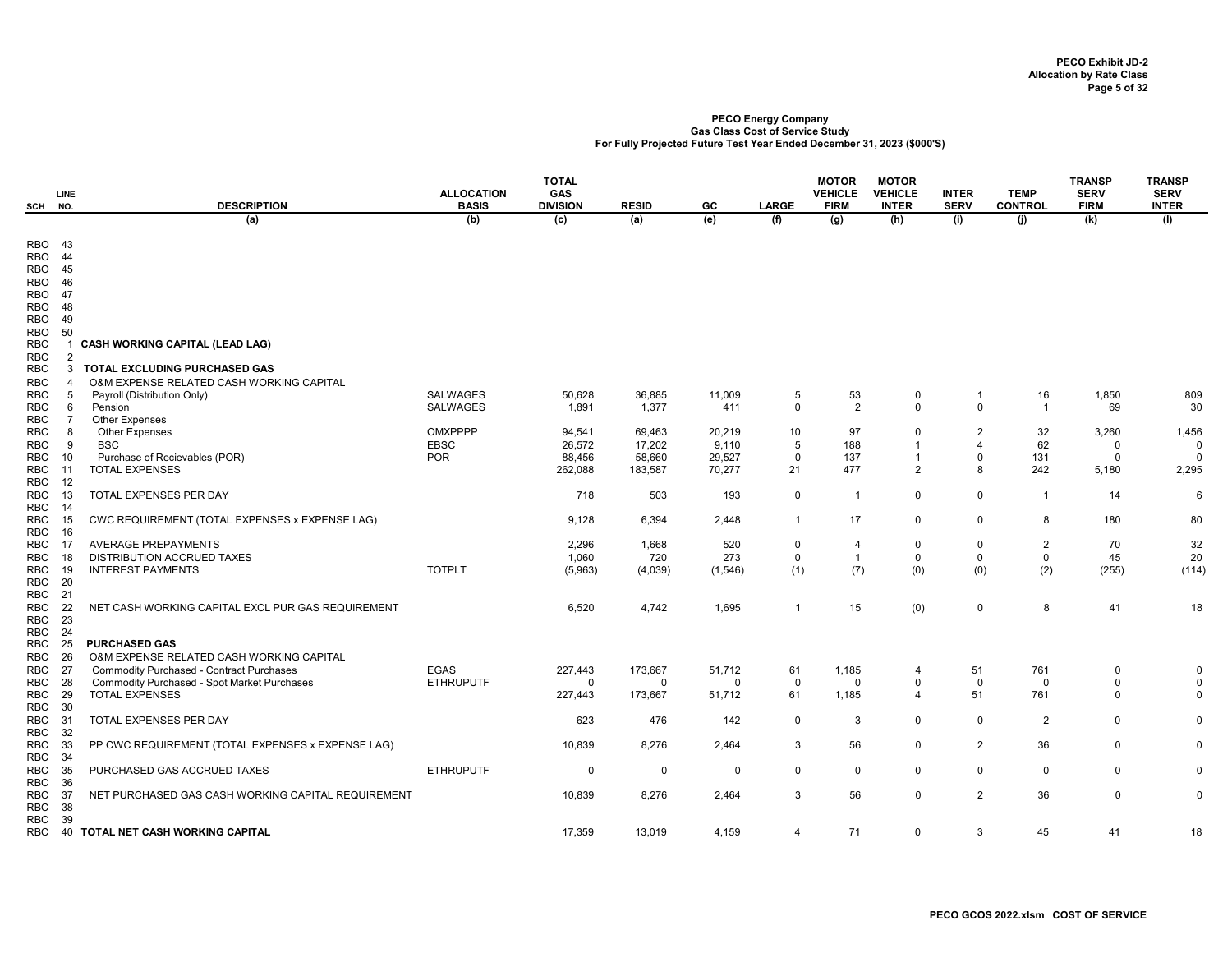| SCH                                    | LINE<br>NO.         | <b>DESCRIPTION</b>                                 | <b>ALLOCATION</b><br><b>BASIS</b> | <b>TOTAL</b><br>GAS<br><b>DIVISION</b> | <b>RESID</b> | GC          | LARGE        | <b>MOTOR</b><br><b>VEHICLE</b><br><b>FIRM</b> | <b>MOTOR</b><br><b>VEHICLE</b><br><b>INTER</b> | <b>INTER</b><br><b>SERV</b> | <b>TEMP</b><br><b>CONTROL</b> | <b>TRANSP</b><br><b>SERV</b><br><b>FIRM</b> | <b>TRANSP</b><br><b>SERV</b><br><b>INTER</b> |
|----------------------------------------|---------------------|----------------------------------------------------|-----------------------------------|----------------------------------------|--------------|-------------|--------------|-----------------------------------------------|------------------------------------------------|-----------------------------|-------------------------------|---------------------------------------------|----------------------------------------------|
|                                        |                     | (a)                                                | (b)                               | (c)                                    | (a)          | (e)         | (f)          | (g)                                           | (h)                                            | (i)                         | (i)                           | (k)                                         | (1)                                          |
| <b>RBO 43</b><br>RBO 44                |                     |                                                    |                                   |                                        |              |             |              |                                               |                                                |                             |                               |                                             |                                              |
| <b>RBO</b> 45<br><b>RBO</b> 46         |                     |                                                    |                                   |                                        |              |             |              |                                               |                                                |                             |                               |                                             |                                              |
| <b>RBO 47</b><br>RBO 48                |                     |                                                    |                                   |                                        |              |             |              |                                               |                                                |                             |                               |                                             |                                              |
| RBO                                    | 49                  |                                                    |                                   |                                        |              |             |              |                                               |                                                |                             |                               |                                             |                                              |
| RBO                                    | 50                  |                                                    |                                   |                                        |              |             |              |                                               |                                                |                             |                               |                                             |                                              |
| <b>RBC</b>                             |                     | <b>CASH WORKING CAPITAL (LEAD LAG)</b>             |                                   |                                        |              |             |              |                                               |                                                |                             |                               |                                             |                                              |
| RBC<br><b>RBC</b>                      | $\overline{2}$<br>3 | <b>TOTAL EXCLUDING PURCHASED GAS</b>               |                                   |                                        |              |             |              |                                               |                                                |                             |                               |                                             |                                              |
| <b>RBC</b>                             | Δ                   | O&M EXPENSE RELATED CASH WORKING CAPITAL           |                                   |                                        |              |             |              |                                               |                                                |                             |                               |                                             |                                              |
| RBC                                    | 5                   | Payroll (Distribution Only)                        | SALWAGES                          | 50,628                                 | 36,885       | 11,009      | 5            | 53                                            | 0                                              | -1                          | 16                            | 1,850                                       | 809                                          |
| <b>RBC</b><br><b>RBC</b>               | 6<br>$\overline{7}$ | Pension<br>Other Expenses                          | <b>SALWAGES</b>                   | 1,891                                  | 1,377        | 411         | 0            | 2                                             | $\mathbf 0$                                    | $\mathsf 0$                 | $\overline{1}$                | 69                                          | 30                                           |
| <b>RBC</b>                             | 8                   | <b>Other Expenses</b>                              | OMXPPPP                           | 94,541                                 | 69,463       | 20,219      | 10           | 97                                            | $\mathbf 0$                                    | $\overline{2}$              | 32                            | 3,260                                       | 1,456                                        |
| RBC                                    | 9                   | <b>BSC</b>                                         | <b>EBSC</b>                       | 26,572                                 | 17,202       | 9,110       | 5            | 188                                           | $\overline{\mathbf{1}}$                        | 4                           | 62                            | 0                                           | $\Omega$                                     |
| RBC                                    | 10                  | Purchase of Recievables (POR)                      | <b>POR</b>                        | 88,456                                 | 58,660       | 29,527      | $\mathbf 0$  | 137                                           | $\mathbf{1}$                                   | $\Omega$                    | 131                           | $\mathbf 0$                                 | $\Omega$                                     |
| <b>RBC</b><br><b>RBC</b>               | -11<br>12           | <b>TOTAL EXPENSES</b>                              |                                   | 262,088                                | 183,587      | 70,277      | 21           | 477                                           | $\overline{2}$                                 | 8                           | 242                           | 5,180                                       | 2,295                                        |
| <b>RBC</b><br><b>RBC</b>               | 13<br>14            | TOTAL EXPENSES PER DAY                             |                                   | 718                                    | 503          | 193         | 0            | $\overline{1}$                                | $\mathbf 0$                                    | $\mathsf 0$                 | $\overline{1}$                | 14                                          | 6                                            |
| RBC<br><b>RBC</b>                      | 15<br>16            | CWC REQUIREMENT (TOTAL EXPENSES x EXPENSE LAG)     |                                   | 9,128                                  | 6,394        | 2,448       |              | 17                                            | $\mathbf 0$                                    | 0                           | 8                             | 180                                         | 80                                           |
| <b>RBC</b>                             | -17                 | <b>AVERAGE PREPAYMENTS</b>                         |                                   | 2,296                                  | 1,668        | 520         | 0            | 4                                             | $\mathbf 0$                                    | $\mathbf 0$                 | $\overline{2}$                | 70                                          | 32                                           |
| <b>RBC</b>                             | -18                 | <b>DISTRIBUTION ACCRUED TAXES</b>                  |                                   | 1,060                                  | 720          | 273         | $\mathbf 0$  | $\overline{1}$                                | 0                                              | $\mathbf 0$                 | 0                             | 45                                          | 20                                           |
| <b>RBC</b><br><b>RBC</b><br><b>RBC</b> | 19<br>20<br>21      | <b>INTEREST PAYMENTS</b>                           | <b>TOTPLT</b>                     | (5,963)                                | (4,039)      | (1, 546)    | (1)          | (7)                                           | (0)                                            | (0)                         | (2)                           | (255)                                       | (114)                                        |
| <b>RBC</b><br><b>RBC</b>               | 22<br>23            | NET CASH WORKING CAPITAL EXCL PUR GAS REQUIREMENT  |                                   | 6,520                                  | 4,742        | 1,695       | $\mathbf{1}$ | 15                                            | (0)                                            | $\mathsf 0$                 | 8                             | 41                                          | 18                                           |
| <b>RBC</b><br>RBC                      | -24<br>25           | <b>PURCHASED GAS</b>                               |                                   |                                        |              |             |              |                                               |                                                |                             |                               |                                             |                                              |
| <b>RBC</b>                             | 26                  | O&M EXPENSE RELATED CASH WORKING CAPITAL           |                                   |                                        |              |             |              |                                               |                                                |                             |                               |                                             |                                              |
| RBC                                    | 27                  | Commodity Purchased - Contract Purchases           | EGAS                              | 227,443                                | 173,667      | 51,712      | 61           | 1,185                                         | 4                                              | 51                          | 761                           | $\mathbf 0$                                 | $\mathbf 0$                                  |
| <b>RBC</b>                             | -28                 | Commodity Purchased - Spot Market Purchases        | <b>ETHRUPUTF</b>                  | $\Omega$                               | 0            | $\mathbf 0$ | $\mathbf 0$  | $\Omega$                                      | $\mathbf 0$                                    | $\mathbf 0$                 | 0                             | $\Omega$                                    | $\Omega$                                     |
| <b>RBC</b><br><b>RBC</b>               | 29<br>30            | <b>TOTAL EXPENSES</b>                              |                                   | 227,443                                | 173,667      | 51,712      | 61           | 1,185                                         | 4                                              | 51                          | 761                           | $\Omega$                                    | $\Omega$                                     |
| <b>RBC</b><br><b>RBC</b>               | 31<br>32            | TOTAL EXPENSES PER DAY                             |                                   | 623                                    | 476          | 142         | 0            | 3                                             | 0                                              | $\mathsf 0$                 | $\overline{2}$                | $\mathbf 0$                                 | $\Omega$                                     |
| <b>RBC</b><br>RBC                      | 33<br>34            | PP CWC REQUIREMENT (TOTAL EXPENSES x EXPENSE LAG)  |                                   | 10,839                                 | 8,276        | 2,464       | 3            | 56                                            | $\mathbf 0$                                    | 2                           | 36                            | 0                                           | $\Omega$                                     |
| <b>RBC</b><br><b>RBC</b>               | 35<br>36            | PURCHASED GAS ACCRUED TAXES                        | <b>ETHRUPUTF</b>                  | $\mathbf 0$                            | 0            | $\mathbf 0$ | $\Omega$     | 0                                             | $\mathbf 0$                                    | $\mathbf 0$                 | $\Omega$                      | $\mathbf 0$                                 | $\Omega$                                     |
| <b>RBC</b><br><b>RBC</b><br><b>RBC</b> | 37<br>38<br>39      | NET PURCHASED GAS CASH WORKING CAPITAL REQUIREMENT |                                   | 10,839                                 | 8,276        | 2,464       | 3            | 56                                            | $\pmb{0}$                                      | $\overline{c}$              | 36                            | 0                                           | $\mathbf 0$                                  |
| RBC                                    | 40                  | TOTAL NET CASH WORKING CAPITAL                     |                                   | 17,359                                 | 13,019       | 4,159       | 4            | 71                                            | 0                                              | 3                           | 45                            | 41                                          | 18                                           |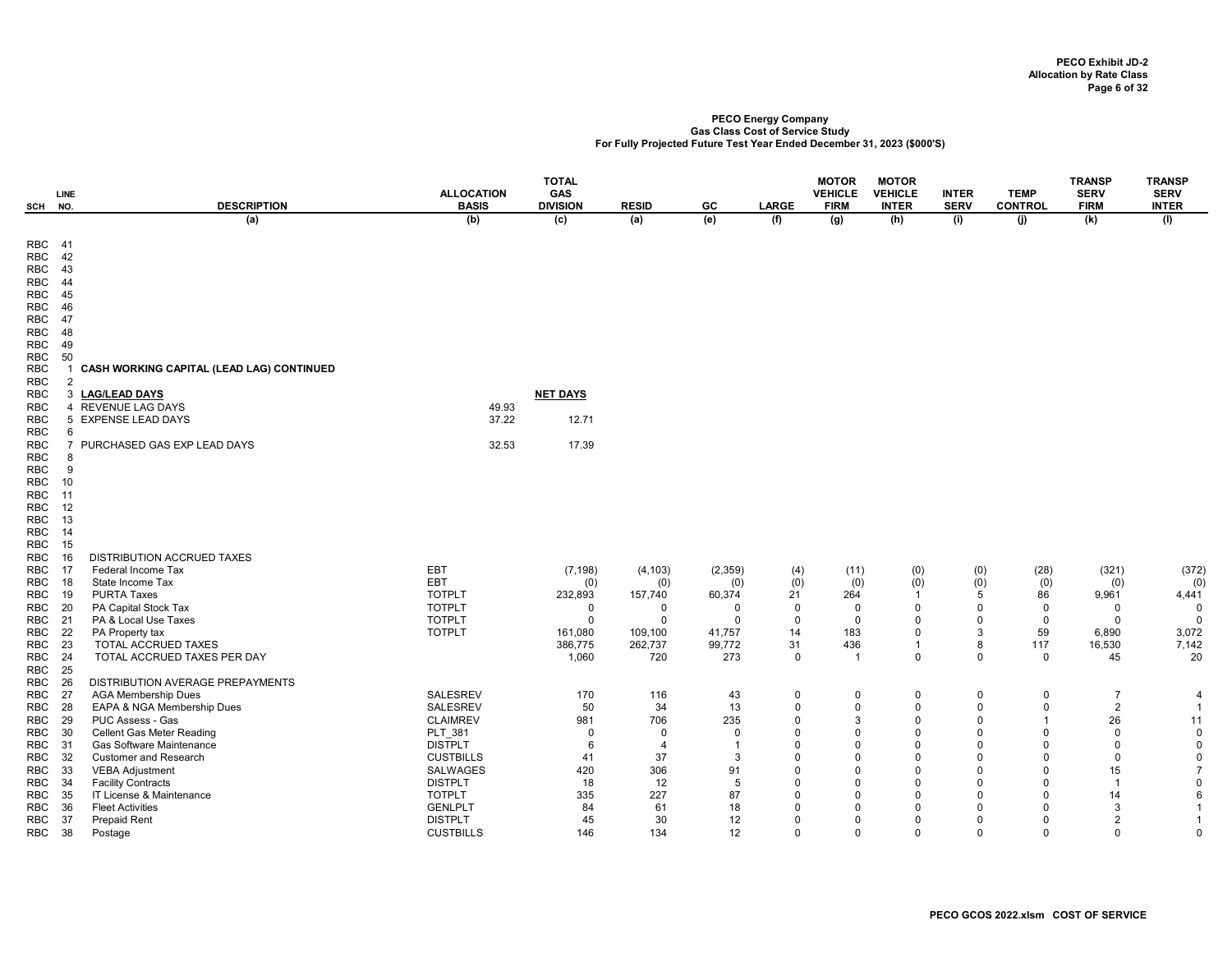| SCH                      | <b>LINE</b><br>NO. | <b>DESCRIPTION</b>                                             | <b>ALLOCATION</b><br><b>BASIS</b> | <b>TOTAL</b><br>GAS<br><b>DIVISION</b> | <b>RESID</b>        | GC                 | <b>LARGE</b>         | <b>MOTOR</b><br><b>VEHICLE</b><br><b>FIRM</b> | <b>MOTOR</b><br><b>VEHICLE</b><br><b>INTER</b> | <b>INTER</b><br><b>SERV</b> | <b>TEMP</b><br><b>CONTROL</b> | <b>TRANSP</b><br><b>SERV</b><br><b>FIRM</b> | <b>TRANSP</b><br><b>SERV</b><br><b>INTER</b> |
|--------------------------|--------------------|----------------------------------------------------------------|-----------------------------------|----------------------------------------|---------------------|--------------------|----------------------|-----------------------------------------------|------------------------------------------------|-----------------------------|-------------------------------|---------------------------------------------|----------------------------------------------|
|                          |                    | (a)                                                            | (b)                               | $\overline{c}$                         | (a)                 | (e)                | (f)                  | (g)                                           | (h)                                            | (i)                         | (j)                           | (k)                                         | (1)                                          |
| RBC 41                   |                    |                                                                |                                   |                                        |                     |                    |                      |                                               |                                                |                             |                               |                                             |                                              |
| RBC<br>RBC               | 42<br>43           |                                                                |                                   |                                        |                     |                    |                      |                                               |                                                |                             |                               |                                             |                                              |
| <b>RBC</b>               | 44                 |                                                                |                                   |                                        |                     |                    |                      |                                               |                                                |                             |                               |                                             |                                              |
| <b>RBC</b>               | 45                 |                                                                |                                   |                                        |                     |                    |                      |                                               |                                                |                             |                               |                                             |                                              |
| RBC                      | 46                 |                                                                |                                   |                                        |                     |                    |                      |                                               |                                                |                             |                               |                                             |                                              |
| RBC                      | -47                |                                                                |                                   |                                        |                     |                    |                      |                                               |                                                |                             |                               |                                             |                                              |
| <b>RBC</b>               | 48<br>49           |                                                                |                                   |                                        |                     |                    |                      |                                               |                                                |                             |                               |                                             |                                              |
| RBC<br><b>RBC</b>        | 50                 |                                                                |                                   |                                        |                     |                    |                      |                                               |                                                |                             |                               |                                             |                                              |
| <b>RBC</b>               |                    | CASH WORKING CAPITAL (LEAD LAG) CONTINUED                      |                                   |                                        |                     |                    |                      |                                               |                                                |                             |                               |                                             |                                              |
| <b>RBC</b>               | $\overline{2}$     |                                                                |                                   |                                        |                     |                    |                      |                                               |                                                |                             |                               |                                             |                                              |
| <b>RBC</b>               | 3                  | <b>LAG/LEAD DAYS</b>                                           |                                   | <b>NET DAYS</b>                        |                     |                    |                      |                                               |                                                |                             |                               |                                             |                                              |
| <b>RBC</b>               | 4                  | <b>REVENUE LAG DAYS</b>                                        | 49.93                             |                                        |                     |                    |                      |                                               |                                                |                             |                               |                                             |                                              |
| <b>RBC</b>               | 5<br>6             | <b>EXPENSE LEAD DAYS</b>                                       | 37.22                             | 12.71                                  |                     |                    |                      |                                               |                                                |                             |                               |                                             |                                              |
| <b>RBC</b><br><b>RBC</b> | $\overline{7}$     | PURCHASED GAS EXP LEAD DAYS                                    | 32.53                             | 17.39                                  |                     |                    |                      |                                               |                                                |                             |                               |                                             |                                              |
| RBC                      | 8                  |                                                                |                                   |                                        |                     |                    |                      |                                               |                                                |                             |                               |                                             |                                              |
| <b>RBC</b>               | 9                  |                                                                |                                   |                                        |                     |                    |                      |                                               |                                                |                             |                               |                                             |                                              |
| <b>RBC</b>               | 10                 |                                                                |                                   |                                        |                     |                    |                      |                                               |                                                |                             |                               |                                             |                                              |
| <b>RBC</b>               | 11                 |                                                                |                                   |                                        |                     |                    |                      |                                               |                                                |                             |                               |                                             |                                              |
| <b>RBC</b>               | 12<br>13           |                                                                |                                   |                                        |                     |                    |                      |                                               |                                                |                             |                               |                                             |                                              |
| <b>RBC</b><br><b>RBC</b> | 14                 |                                                                |                                   |                                        |                     |                    |                      |                                               |                                                |                             |                               |                                             |                                              |
| <b>RBC</b>               | 15                 |                                                                |                                   |                                        |                     |                    |                      |                                               |                                                |                             |                               |                                             |                                              |
| <b>RBC</b>               | 16                 | DISTRIBUTION ACCRUED TAXES                                     |                                   |                                        |                     |                    |                      |                                               |                                                |                             |                               |                                             |                                              |
| <b>RBC</b>               | -17                | Federal Income Tax                                             | EBT                               | (7, 198)                               | (4, 103)            | (2, 359)           | (4)                  | (11)                                          | (0)                                            | (0)                         | (28)                          | (321)                                       | (372)                                        |
| RBC                      | 18                 | State Income Tax                                               | EBT                               | (0)                                    | (0)                 | (0)                | (0)                  | (0)                                           | (0)                                            | (0)                         | (0)                           | (0)                                         | (0)                                          |
| <b>RBC</b>               | 19<br>-20          | <b>PURTA Taxes</b>                                             | <b>TOTPLT</b><br><b>TOTPLT</b>    | 232,893<br>$\mathbf 0$                 | 157,740<br>$\Omega$ | 60,374<br>$\Omega$ | 21<br>$\mathbf 0$    | 264<br>$\mathbf 0$                            | $\mathbf{1}$<br>$\mathbf 0$                    | 5<br>$\Omega$               | 86                            | 9,961                                       | 4,441<br>$\mathbf 0$                         |
| RBC<br><b>RBC</b>        | 21                 | PA Capital Stock Tax<br>PA & Local Use Taxes                   | <b>TOTPLT</b>                     | $\Omega$                               | $\Omega$            | $\Omega$           | $\mathbf 0$          | $\mathbf 0$                                   | $\Omega$                                       | $\Omega$                    | $\mathbf 0$<br>$\mathbf 0$    | $\mathbf 0$<br>$\Omega$                     | $\Omega$                                     |
| RBC                      | 22                 | PA Property tax                                                | <b>TOTPLT</b>                     | 161,080                                | 109,100             | 41,757             | 14                   | 183                                           | $\Omega$                                       | 3                           | 59                            | 6,890                                       | 3,072                                        |
| RBC                      | 23                 | TOTAL ACCRUED TAXES                                            |                                   | 386,775                                | 262,737             | 99,772             | 31                   | 436                                           | $\mathbf{1}$                                   | 8                           | 117                           | 16,530                                      | 7,142                                        |
| <b>RBC</b>               | 24                 | TOTAL ACCRUED TAXES PER DAY                                    |                                   | 1,060                                  | 720                 | 273                | $\mathbf 0$          | $\overline{1}$                                | $\mathbf 0$                                    | $\mathbf 0$                 | $\mathbf 0$                   | 45                                          | 20                                           |
| <b>RBC</b>               | 25                 |                                                                |                                   |                                        |                     |                    |                      |                                               |                                                |                             |                               |                                             |                                              |
| <b>RBC</b><br>RBC        | 26<br>-27          | DISTRIBUTION AVERAGE PREPAYMENTS<br><b>AGA Membership Dues</b> | <b>SALESREV</b>                   | 170                                    | 116                 |                    | $\mathbf 0$          | 0                                             | $\Omega$                                       | $\Omega$                    | $\mathbf 0$                   | $\overline{7}$                              |                                              |
| RBC                      | 28                 | EAPA & NGA Membership Dues                                     | <b>SALESREV</b>                   | 50                                     | 34                  | 43<br>13           | $\Omega$             | $\mathbf 0$                                   | $\Omega$                                       | $\Omega$                    | $\mathbf 0$                   | $\overline{2}$                              | 4<br>$\overline{1}$                          |
| <b>RBC</b>               | 29                 | PUC Assess - Gas                                               | <b>CLAIMREV</b>                   | 981                                    | 706                 | 235                | $\Omega$             | 3                                             | $\Omega$                                       | $\Omega$                    | $\mathbf 1$                   | 26                                          | 11                                           |
| RBC                      | 30                 | <b>Cellent Gas Meter Reading</b>                               | PLT_381                           | $\mathbf 0$                            | $\Omega$            | $\Omega$           | $\Omega$             | $\Omega$                                      | $\Omega$                                       | $\Omega$                    | $\mathbf 0$                   | $\mathbf 0$                                 | 0                                            |
| RBC                      | 31                 | Gas Software Maintenance                                       | <b>DISTPLT</b>                    | 6                                      | $\overline{4}$      | -1                 | $\Omega$             | 0                                             | $\Omega$                                       | $\Omega$                    | $\mathbf 0$                   | $\Omega$                                    | $\mathbf 0$                                  |
| RBC                      | -32                | <b>Customer and Research</b>                                   | <b>CUSTBILLS</b>                  | 41                                     | 37                  | 3                  | $\Omega$             | $\Omega$                                      | $\Omega$                                       | $\Omega$                    | $\Omega$                      | $\Omega$                                    | $\mathbf 0$                                  |
| RBC                      | 33                 | <b>VEBA Adjustment</b>                                         | <b>SALWAGES</b><br><b>DISTPLT</b> | 420                                    | 306                 | 91<br>5            | $\Omega$<br>$\Omega$ | $\Omega$<br>$\mathbf 0$                       | $\Omega$<br>$\Omega$                           | $\Omega$<br>$\Omega$        | $\Omega$<br>$\Omega$          | 15                                          | $\overline{7}$<br>$\mathbf 0$                |
| <b>RBC</b><br>RBC        | 34<br>35           | <b>Facility Contracts</b><br>IT License & Maintenance          | <b>TOTPLT</b>                     | 18<br>335                              | 12<br>227           | 87                 | $\Omega$             | $\Omega$                                      | $\Omega$                                       | $\Omega$                    | 0                             | 14                                          | 6                                            |
| RBC                      | -36                | <b>Fleet Activities</b>                                        | <b>GENLPLT</b>                    | 84                                     | 61                  | 18                 | $\Omega$             | 0                                             | $\Omega$                                       | $\Omega$                    | $\Omega$                      | 3                                           | $\mathbf{1}$                                 |
| RBC                      | - 37               | <b>Prepaid Rent</b>                                            | <b>DISTPLT</b>                    | 45                                     | 30                  | 12                 | $\Omega$             | $\Omega$                                      | $\Omega$                                       | $\Omega$                    | $\Omega$                      | $\overline{2}$                              | $\overline{1}$                               |
| RBC 38                   |                    | Postage                                                        | <b>CUSTBILLS</b>                  | 146                                    | 134                 | 12                 | $\mathbf 0$          | $\mathbf 0$                                   | $\mathbf 0$                                    | $\Omega$                    | $\mathbf 0$                   | $\mathbf 0$                                 | $\mathbf 0$                                  |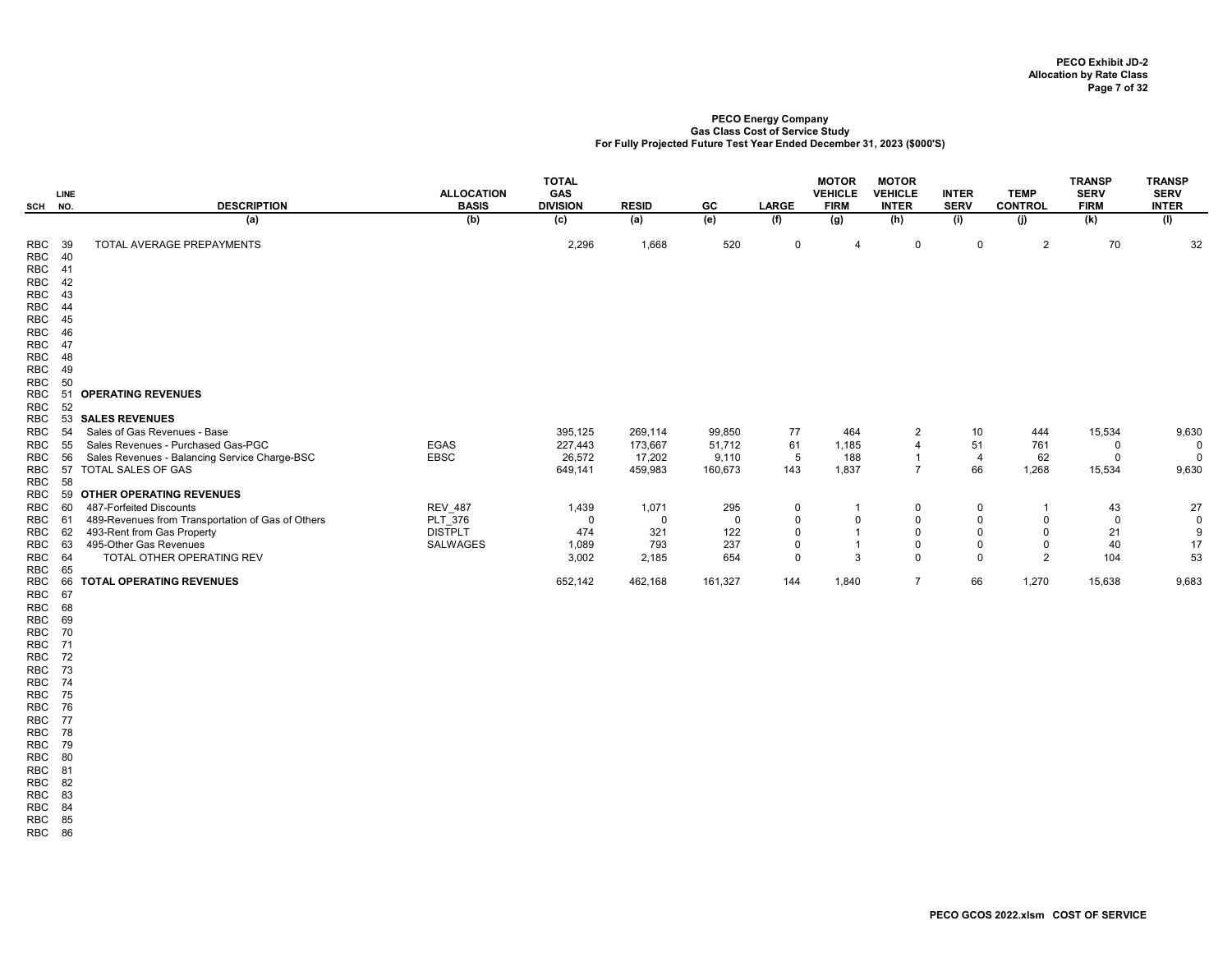| SCH                                    | <b>LINE</b><br>NO.  | <b>DESCRIPTION</b>                                | <b>ALLOCATION</b><br><b>BASIS</b> | <b>TOTAL</b><br>GAS<br><b>DIVISION</b> | <b>RESID</b> | GC          | <b>LARGE</b> | <b>MOTOR</b><br><b>VEHICLE</b><br><b>FIRM</b> | <b>MOTOR</b><br><b>VEHICLE</b><br><b>INTER</b> | <b>INTER</b><br><b>SERV</b> | <b>TEMP</b><br><b>CONTROL</b> | <b>TRANSP</b><br><b>SERV</b><br><b>FIRM</b> | <b>TRANSP</b><br><b>SERV</b><br><b>INTER</b> |
|----------------------------------------|---------------------|---------------------------------------------------|-----------------------------------|----------------------------------------|--------------|-------------|--------------|-----------------------------------------------|------------------------------------------------|-----------------------------|-------------------------------|---------------------------------------------|----------------------------------------------|
|                                        |                     | (a)                                               | (b)                               | (c)                                    | (a)          | (e)         | (f)          | (g)                                           | (h)                                            | (i)                         | (i)                           | (k)                                         | (1)                                          |
| <b>RBC</b><br><b>RBC</b><br><b>RBC</b> | - 39<br>40<br>$-41$ | TOTAL AVERAGE PREPAYMENTS                         |                                   | 2,296                                  | 1,668        | 520         | 0            | 4                                             | $\mathbf 0$                                    | 0                           | 2                             | 70                                          | 32                                           |
| <b>RBC</b>                             | 42                  |                                                   |                                   |                                        |              |             |              |                                               |                                                |                             |                               |                                             |                                              |
| <b>RBC</b>                             | 43                  |                                                   |                                   |                                        |              |             |              |                                               |                                                |                             |                               |                                             |                                              |
| <b>RBC</b>                             | 44                  |                                                   |                                   |                                        |              |             |              |                                               |                                                |                             |                               |                                             |                                              |
| <b>RBC</b>                             | 45                  |                                                   |                                   |                                        |              |             |              |                                               |                                                |                             |                               |                                             |                                              |
| <b>RBC</b>                             | 46                  |                                                   |                                   |                                        |              |             |              |                                               |                                                |                             |                               |                                             |                                              |
| <b>RBC</b><br><b>RBC</b>               | 47<br>48            |                                                   |                                   |                                        |              |             |              |                                               |                                                |                             |                               |                                             |                                              |
| <b>RBC</b>                             | 49                  |                                                   |                                   |                                        |              |             |              |                                               |                                                |                             |                               |                                             |                                              |
| <b>RBC</b>                             | 50                  |                                                   |                                   |                                        |              |             |              |                                               |                                                |                             |                               |                                             |                                              |
| <b>RBC</b>                             | 51                  | <b>OPERATING REVENUES</b>                         |                                   |                                        |              |             |              |                                               |                                                |                             |                               |                                             |                                              |
| <b>RBC</b><br><b>RBC</b>               | 52<br>53            | <b>SALES REVENUES</b>                             |                                   |                                        |              |             |              |                                               |                                                |                             |                               |                                             |                                              |
| <b>RBC</b>                             | 54                  | Sales of Gas Revenues - Base                      |                                   | 395,125                                | 269,114      | 99,850      | 77           | 464                                           | $\overline{2}$                                 | 10                          | 444                           | 15,534                                      | 9,630                                        |
| <b>RBC</b>                             | 55                  | Sales Revenues - Purchased Gas-PGC                | <b>EGAS</b>                       | 227,443                                | 173,667      | 51,712      | 61           | 1,185                                         | 4                                              | 51                          | 761                           | 0                                           | $\mathbf{0}$                                 |
| <b>RBC</b>                             | 56                  | Sales Revenues - Balancing Service Charge-BSC     | <b>EBSC</b>                       | 26,572                                 | 17,202       | 9,110       | 5            | 188                                           | -1                                             | $\overline{4}$              | 62                            | $\Omega$                                    | $\Omega$                                     |
| <b>RBC</b>                             | 57                  | TOTAL SALES OF GAS                                |                                   | 649,141                                | 459,983      | 160,673     | 143          | 1,837                                         | $\overline{7}$                                 | 66                          | 1,268                         | 15,534                                      | 9,630                                        |
| <b>RBC</b><br><b>RBC</b>               | 58<br>59            | <b>OTHER OPERATING REVENUES</b>                   |                                   |                                        |              |             |              |                                               |                                                |                             |                               |                                             |                                              |
| <b>RBC</b>                             | 60                  | 487-Forfeited Discounts                           | <b>REV_487</b>                    | 1,439                                  | 1,071        | 295         | 0            |                                               | 0                                              | 0                           |                               | 43                                          | 27                                           |
| <b>RBC</b>                             | 61                  | 489-Revenues from Transportation of Gas of Others | PLT 376                           | $\mathbf 0$                            | $\Omega$     | $\mathbf 0$ | $\mathbf 0$  | $\mathbf 0$                                   | $\mathbf 0$                                    | $\mathsf 0$                 | 0                             | $\Omega$                                    | $\mathsf 0$                                  |
| <b>RBC</b>                             | 62                  | 493-Rent from Gas Property                        | <b>DISTPLT</b>                    | 474                                    | 321          | 122         | $\Omega$     |                                               | $\mathbf 0$                                    | $\Omega$                    | $\Omega$                      | 21                                          | 9                                            |
| <b>RBC</b>                             | 63                  | 495-Other Gas Revenues                            | <b>SALWAGES</b>                   | 1,089                                  | 793          | 237         | $\mathbf 0$  |                                               | $\mathbf 0$                                    | $\mathbf 0$                 | $\mathbf 0$                   | 40                                          | 17                                           |
| <b>RBC</b>                             | 64                  | TOTAL OTHER OPERATING REV                         |                                   | 3,002                                  | 2,185        | 654         | $\Omega$     | 3                                             | $\mathbf 0$                                    | $\Omega$                    | $\overline{2}$                | 104                                         | 53                                           |
| <b>RBC</b>                             | 65                  |                                                   |                                   |                                        |              |             |              |                                               |                                                |                             |                               |                                             |                                              |
| <b>RBC</b>                             | 66<br>67            | <b>TOTAL OPERATING REVENUES</b>                   |                                   | 652,142                                | 462,168      | 161,327     | 144          | 1,840                                         | $\overline{7}$                                 | 66                          | 1,270                         | 15,638                                      | 9,683                                        |
| <b>RBC</b><br><b>RBC</b>               | 68                  |                                                   |                                   |                                        |              |             |              |                                               |                                                |                             |                               |                                             |                                              |
| <b>RBC</b>                             | 69                  |                                                   |                                   |                                        |              |             |              |                                               |                                                |                             |                               |                                             |                                              |
| <b>RBC</b>                             | 70                  |                                                   |                                   |                                        |              |             |              |                                               |                                                |                             |                               |                                             |                                              |
| RBC                                    | 71                  |                                                   |                                   |                                        |              |             |              |                                               |                                                |                             |                               |                                             |                                              |

RBC 74 RBC 75 RBC 76 RBC 77 RBC 78

RBC 72 RBC 73

RBC 79 RBC 80

RBC 81 RBC 82

RBC 83

RBC 84 RBC 85

RBC 86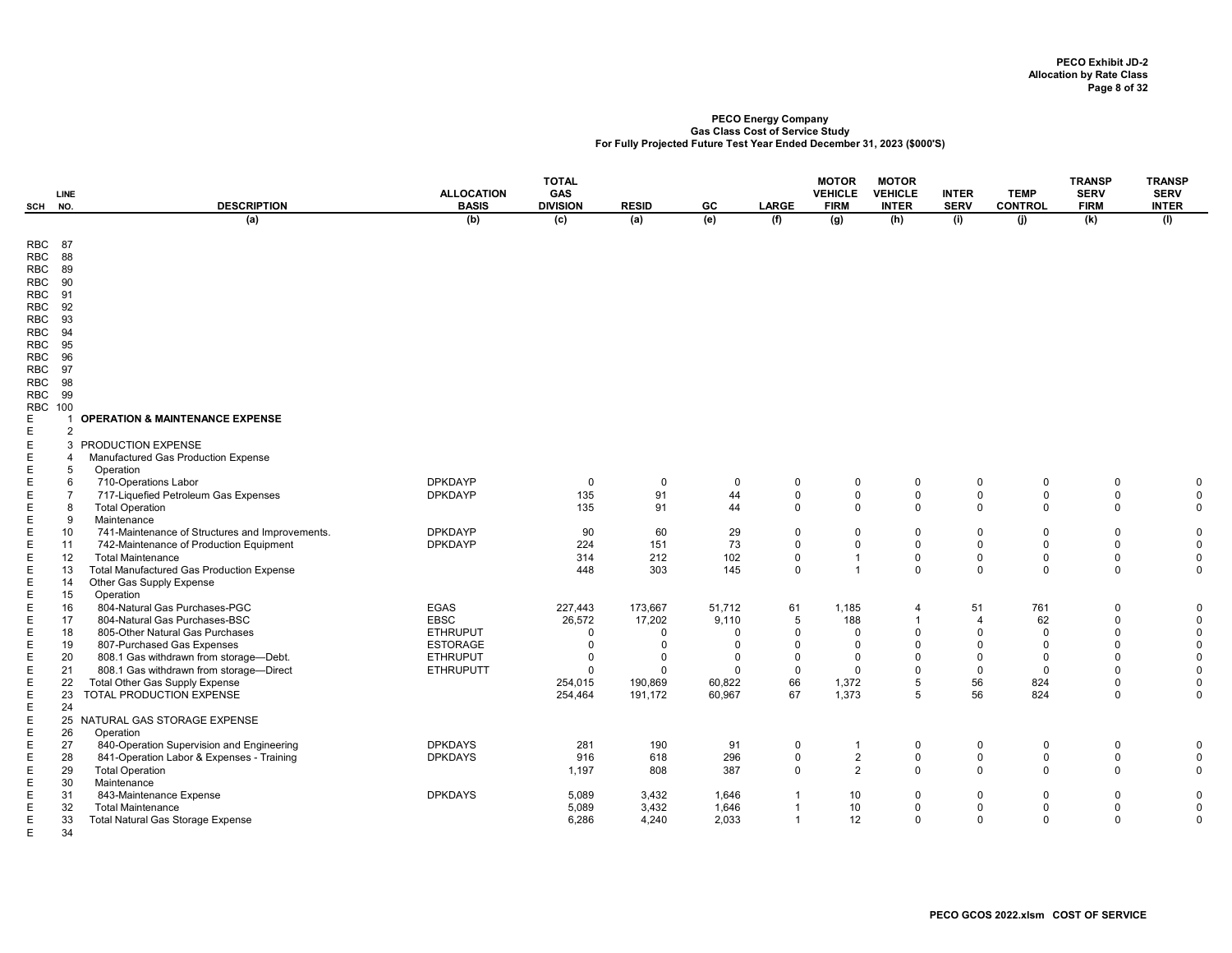|                                                                                                | LINE                                                |                                                                     | <b>ALLOCATION</b>                  | <b>TOTAL</b><br>GAS     |                      |                         |                         | <b>MOTOR</b><br><b>VEHICLE</b>   | <b>MOTOR</b><br><b>VEHICLE</b> | <b>INTER</b>            | <b>TEMP</b>             | <b>TRANSP</b><br><b>SERV</b> | <b>TRANSP</b><br><b>SERV</b> |
|------------------------------------------------------------------------------------------------|-----------------------------------------------------|---------------------------------------------------------------------|------------------------------------|-------------------------|----------------------|-------------------------|-------------------------|----------------------------------|--------------------------------|-------------------------|-------------------------|------------------------------|------------------------------|
| SCH                                                                                            | NO.                                                 | <b>DESCRIPTION</b>                                                  | <b>BASIS</b>                       | <b>DIVISION</b>         | <b>RESID</b>         | GC.                     | <b>LARGE</b>            | <b>FIRM</b>                      | <b>INTER</b>                   | <b>SERV</b>             | <b>CONTROL</b>          | <b>FIRM</b>                  | <b>INTER</b>                 |
|                                                                                                |                                                     | (a)                                                                 | (b)                                | $\overline{c}$          | (a)                  | (e)                     | (f)                     | $\overline{g}$                   | (h)                            | (i)                     | (i)                     | (k)                          | (1)                          |
| RBC<br>RBC<br><b>RBC</b><br>RBC<br><b>RBC</b><br><b>RBC</b><br><b>RBC</b><br><b>RBC</b><br>RBC | -87<br>88<br>89<br>90<br>91<br>92<br>93<br>94<br>95 |                                                                     |                                    |                         |                      |                         |                         |                                  |                                |                         |                         |                              |                              |
| RBC<br><b>RBC</b><br><b>RBC</b><br>RBC                                                         | 96<br>97<br>98<br>99                                |                                                                     |                                    |                         |                      |                         |                         |                                  |                                |                         |                         |                              |                              |
| <b>RBC 100</b>                                                                                 |                                                     |                                                                     |                                    |                         |                      |                         |                         |                                  |                                |                         |                         |                              |                              |
| E<br>E                                                                                         | 1<br>2                                              | <b>OPERATION &amp; MAINTENANCE EXPENSE</b>                          |                                    |                         |                      |                         |                         |                                  |                                |                         |                         |                              |                              |
| E                                                                                              |                                                     | 3 PRODUCTION EXPENSE                                                |                                    |                         |                      |                         |                         |                                  |                                |                         |                         |                              |                              |
| E                                                                                              | 4                                                   | Manufactured Gas Production Expense                                 |                                    |                         |                      |                         |                         |                                  |                                |                         |                         |                              |                              |
| E                                                                                              | 5                                                   | Operation                                                           |                                    |                         |                      |                         |                         |                                  |                                |                         |                         |                              |                              |
| Е                                                                                              | 6                                                   | 710-Operations Labor                                                | <b>DPKDAYP</b>                     | 0                       | $\mathbf 0$          | 0                       | $\mathbf 0$             | 0                                | $\mathbf 0$                    | $\mathbf 0$             | $\mathbf 0$             | $\mathbf 0$                  | $\mathbf 0$                  |
| E                                                                                              | $\overline{7}$                                      | 717-Liquefied Petroleum Gas Expenses                                | <b>DPKDAYP</b>                     | 135                     | 91                   | 44                      | $\mathbf 0$<br>$\Omega$ | $\mathbf 0$<br>$\Omega$          | $\mathbf 0$                    | $\mathbf 0$             | 0                       | 0                            | $\Omega$                     |
| E<br>E                                                                                         | 8<br>9                                              | <b>Total Operation</b><br>Maintenance                               |                                    | 135                     | 91                   | 44                      |                         |                                  | $\mathbf 0$                    | $\mathbf 0$             | $\mathbf 0$             | $\mathbf{0}$                 | $\mathbf 0$                  |
| E                                                                                              | 10                                                  | 741-Maintenance of Structures and Improvements.                     | <b>DPKDAYP</b>                     | 90                      | 60                   | 29                      | $\Omega$                | $\Omega$                         | $\mathbf 0$                    | $\mathbf 0$             | $\Omega$                | $\Omega$                     | $\Omega$                     |
| E                                                                                              | 11                                                  | 742-Maintenance of Production Equipment                             | <b>DPKDAYP</b>                     | 224                     | 151                  | 73                      | $\Omega$                | $\mathbf 0$                      | $\mathbf 0$                    | $\Omega$                | 0                       | $\mathbf 0$                  | $\mathbf 0$                  |
| E                                                                                              | 12                                                  | <b>Total Maintenance</b>                                            |                                    | 314                     | 212                  | 102                     | $\mathbf 0$             | $\overline{1}$                   | $\mathbf 0$                    | $\mathbf 0$             | 0                       | $\Omega$                     | $\Omega$                     |
| Е                                                                                              | 13                                                  | <b>Total Manufactured Gas Production Expense</b>                    |                                    | 448                     | 303                  | 145                     | $\Omega$                | $\overline{1}$                   | $\mathbf 0$                    | $\mathbf{0}$            | $\mathbf 0$             | $\Omega$                     | $\mathbf 0$                  |
| Е                                                                                              | 14                                                  | Other Gas Supply Expense                                            |                                    |                         |                      |                         |                         |                                  |                                |                         |                         |                              |                              |
| Е                                                                                              | 15                                                  | Operation                                                           |                                    |                         |                      |                         |                         |                                  |                                |                         |                         |                              |                              |
| Ε                                                                                              | 16                                                  | 804-Natural Gas Purchases-PGC                                       | <b>EGAS</b>                        | 227,443                 | 173,667              | 51,712                  | 61                      | 1,185                            | $\overline{4}$                 | 51                      | 761                     | $\mathbf 0$                  | $\mathbf 0$                  |
| E                                                                                              | 17                                                  | 804-Natural Gas Purchases-BSC                                       | <b>EBSC</b>                        | 26,572                  | 17,202               | 9,110                   | 5                       | 188                              | $\overline{1}$                 | $\overline{4}$          | 62                      | 0                            | $\Omega$                     |
| E<br>E                                                                                         | 18<br>19                                            | 805-Other Natural Gas Purchases<br>807-Purchased Gas Expenses       | <b>ETHRUPUT</b><br><b>ESTORAGE</b> | $\mathbf 0$<br>$\Omega$ | $\Omega$<br>$\Omega$ | $\Omega$<br>$\mathbf 0$ | $\Omega$<br>$\Omega$    | $\Omega$<br>$\Omega$             | $\Omega$<br>$\Omega$           | $\Omega$<br>$\Omega$    | $\mathbf 0$<br>0        | $\Omega$<br>$\Omega$         | $\Omega$<br>$\Omega$         |
| E                                                                                              | 20                                                  | 808.1 Gas withdrawn from storage-Debt.                              | <b>ETHRUPUT</b>                    | $\Omega$                | $\Omega$             | $\Omega$                | $\Omega$                | $\Omega$                         | $\mathbf 0$                    | $\Omega$                | $\Omega$                | $\Omega$                     | $\Omega$                     |
| E                                                                                              | 21                                                  | 808.1 Gas withdrawn from storage-Direct                             | <b>ETHRUPUTT</b>                   | $\mathbf 0$             | $\Omega$             | $\Omega$                | $\mathbf 0$             | $\Omega$                         | $\mathbf 0$                    | $\mathbf 0$             | $\Omega$                | $\Omega$                     | $\Omega$                     |
| E                                                                                              | 22                                                  | Total Other Gas Supply Expense                                      |                                    | 254,015                 | 190,869              | 60,822                  | 66                      | 1,372                            | 5                              | 56                      | 824                     | $\Omega$                     | $\Omega$                     |
| E                                                                                              | 23                                                  | TOTAL PRODUCTION EXPENSE                                            |                                    | 254,464                 | 191,172              | 60,967                  | 67                      | 1,373                            | 5                              | 56                      | 824                     | $\mathbf 0$                  | $\Omega$                     |
| Е                                                                                              | 24                                                  |                                                                     |                                    |                         |                      |                         |                         |                                  |                                |                         |                         |                              |                              |
| E                                                                                              |                                                     | 25 NATURAL GAS STORAGE EXPENSE                                      |                                    |                         |                      |                         |                         |                                  |                                |                         |                         |                              |                              |
| E                                                                                              | 26                                                  | Operation                                                           |                                    |                         |                      |                         |                         |                                  |                                |                         |                         |                              |                              |
| E                                                                                              | 27                                                  | 840-Operation Supervision and Engineering                           | <b>DPKDAYS</b>                     | 281                     | 190                  | 91                      | $\mathbf 0$             | $\overline{1}$                   | $\mathbf 0$                    | $\mathbf 0$             | $\mathbf 0$             | $\mathbf 0$                  | $\Omega$                     |
| E<br>Е                                                                                         | 28<br>29                                            | 841-Operation Labor & Expenses - Training<br><b>Total Operation</b> | <b>DPKDAYS</b>                     | 916<br>1,197            | 618<br>808           | 296<br>387              | $\mathbf 0$<br>$\Omega$ | $\overline{2}$<br>$\overline{2}$ | $\mathbf 0$<br>$\Omega$        | $\mathbf 0$<br>$\Omega$ | $\mathbf 0$<br>$\Omega$ | $\Omega$<br>$\Omega$         | $\mathbf 0$<br>$\Omega$      |
| E                                                                                              | 30                                                  | Maintenance                                                         |                                    |                         |                      |                         |                         |                                  |                                |                         |                         |                              |                              |
| E                                                                                              | 31                                                  | 843-Maintenance Expense                                             | <b>DPKDAYS</b>                     | 5,089                   | 3,432                | 1,646                   |                         | 10                               | $\Omega$                       | $\Omega$                | $\Omega$                | $\Omega$                     | $\mathbf 0$                  |
| E                                                                                              | 32                                                  | <b>Total Maintenance</b>                                            |                                    | 5,089                   | 3,432                | 1,646                   |                         | 10                               | $\mathbf 0$                    | $\mathbf 0$             | $\Omega$                | $\Omega$                     | $\mathbf 0$                  |
| E                                                                                              | 33                                                  | <b>Total Natural Gas Storage Expense</b>                            |                                    | 6,286                   | 4,240                | 2,033                   |                         | 12                               | $\mathbf 0$                    | $\Omega$                | 0                       | $\mathbf 0$                  | $\Omega$                     |
| E                                                                                              | 34                                                  |                                                                     |                                    |                         |                      |                         |                         |                                  |                                |                         |                         |                              |                              |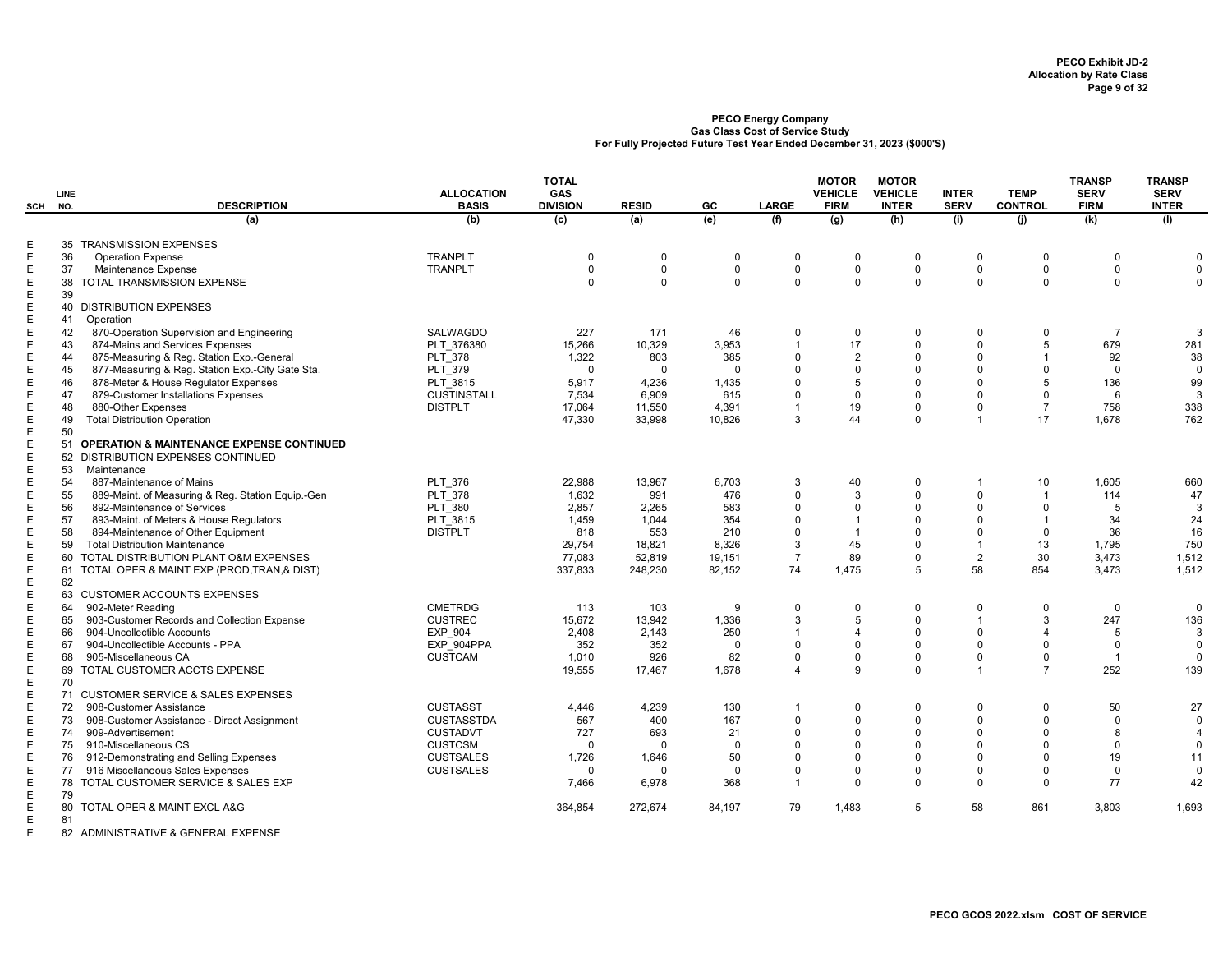| SCH         | LINE<br>NO. | <b>DESCRIPTION</b>                                | <b>ALLOCATION</b><br><b>BASIS</b> | <b>TOTAL</b><br>GAS<br><b>DIVISION</b> | <b>RESID</b> | GC          | <b>LARGE</b>   | <b>MOTOR</b><br><b>VEHICLE</b><br><b>FIRM</b> | <b>MOTOR</b><br><b>VEHICLE</b><br><b>INTER</b> | <b>INTER</b><br><b>SERV</b> | <b>TEMP</b><br><b>CONTROL</b> | <b>TRANSP</b><br><b>SERV</b><br><b>FIRM</b> | <b>TRANSP</b><br><b>SERV</b><br><b>INTER</b> |
|-------------|-------------|---------------------------------------------------|-----------------------------------|----------------------------------------|--------------|-------------|----------------|-----------------------------------------------|------------------------------------------------|-----------------------------|-------------------------------|---------------------------------------------|----------------------------------------------|
|             |             | (a)                                               | (b)                               | (c)                                    | (a)          | (e)         | (f)            | (g)                                           | (h)                                            | (i)                         | (i)                           | (k)                                         | (1)                                          |
| Ε           |             | 35 TRANSMISSION EXPENSES                          |                                   |                                        |              |             |                |                                               |                                                |                             |                               |                                             |                                              |
| Ε           | 36          | <b>Operation Expense</b>                          | <b>TRANPLT</b>                    | $\mathbf 0$                            | $\mathbf 0$  | 0           | $\mathbf 0$    | 0                                             | 0                                              | $\mathbf{0}$                | $\Omega$                      | $\mathbf 0$                                 | $\Omega$                                     |
| $\mathsf E$ | 37          | Maintenance Expense                               | <b>TRANPLT</b>                    | $\mathbf 0$                            | $\Omega$     | $\mathbf 0$ | $\mathbf 0$    | $\mathbf 0$                                   | $\Omega$                                       | $\mathbf 0$                 | $\Omega$                      | $\mathbf 0$                                 | $\mathsf 0$                                  |
| $\mathsf E$ |             | 38 TOTAL TRANSMISSION EXPENSE                     |                                   | $\Omega$                               | $\Omega$     | $\Omega$    | $\Omega$       | $\mathbf 0$                                   | $\mathbf 0$                                    | $\mathbf 0$                 | $\Omega$                      | $\Omega$                                    | $\mathbf 0$                                  |
| $\mathsf E$ | 39          |                                                   |                                   |                                        |              |             |                |                                               |                                                |                             |                               |                                             |                                              |
| $\mathsf E$ |             | 40 DISTRIBUTION EXPENSES                          |                                   |                                        |              |             |                |                                               |                                                |                             |                               |                                             |                                              |
| Ε           | 41          | Operation                                         |                                   |                                        |              |             |                |                                               |                                                |                             |                               |                                             |                                              |
| $\mathsf E$ | 42          | 870-Operation Supervision and Engineering         | SALWAGDO                          | 227                                    | 171          | 46          | $\Omega$       | $\mathbf 0$                                   | $\Omega$                                       | $\Omega$                    | $\Omega$                      | $\overline{7}$                              | 3                                            |
| Ε           | 43          | 874-Mains and Services Expenses                   | PLT 376380                        | 15,266                                 | 10,329       | 3,953       | $\overline{1}$ | 17                                            | $\mathbf 0$                                    | $\mathbf 0$                 | 5                             | 679                                         | 281                                          |
| Е           | 44          | 875-Measuring & Reg. Station Exp.-General         | <b>PLT 378</b>                    | 1,322                                  | 803          | 385         | $\Omega$       | $\overline{2}$                                | $\Omega$                                       | $\Omega$                    | $\overline{1}$                | 92                                          | 38                                           |
| $\mathsf E$ | 45          | 877-Measuring & Reg. Station Exp.-City Gate Sta.  | PLT 379                           | $\Omega$                               | $\Omega$     | $\Omega$    | $\Omega$       | 0                                             | $\mathbf 0$                                    | $\Omega$                    | $\Omega$                      | $\mathbf{0}$                                | $\overline{0}$                               |
| E           | 46          | 878-Meter & House Regulator Expenses              | PLT 3815                          | 5,917                                  | 4,236        | 1,435       | $\Omega$       | 5                                             | $\Omega$                                       | $\Omega$                    | 5                             | 136                                         | 99                                           |
| $\mathsf E$ | 47          | 879-Customer Installations Expenses               | <b>CUSTINSTALL</b>                | 7,534                                  | 6.909        | 615         | $\Omega$       | $\mathbf 0$                                   | $\Omega$                                       | $\Omega$                    | $\Omega$                      | 6                                           | 3                                            |
| Е           | 48          | 880-Other Expenses                                | <b>DISTPLT</b>                    | 17,064                                 | 11,550       | 4,391       | 1              | 19                                            | $\mathbf 0$                                    | $\mathbf{0}$                | $\overline{7}$                | 758                                         | 338                                          |
| $\mathsf E$ | 49          | <b>Total Distribution Operation</b>               |                                   | 47,330                                 | 33,998       | 10,826      | 3              | 44                                            | $\Omega$                                       | $\overline{1}$              | 17                            | 1,678                                       | 762                                          |
| Е           | 50          |                                                   |                                   |                                        |              |             |                |                                               |                                                |                             |                               |                                             |                                              |
| $\mathsf E$ |             | 51 OPERATION & MAINTENANCE EXPENSE CONTINUED      |                                   |                                        |              |             |                |                                               |                                                |                             |                               |                                             |                                              |
| $\mathsf E$ |             | 52 DISTRIBUTION EXPENSES CONTINUED                |                                   |                                        |              |             |                |                                               |                                                |                             |                               |                                             |                                              |
| Ε           | 53          | Maintenance                                       |                                   |                                        |              |             |                |                                               |                                                |                             |                               |                                             |                                              |
| $\mathsf E$ | 54          | 887-Maintenance of Mains                          | <b>PLT 376</b>                    | 22,988                                 | 13.967       | 6,703       | 3              | 40                                            | $\Omega$                                       | $\overline{1}$              | 10                            | 1,605                                       | 660                                          |
| E           | 55          | 889-Maint. of Measuring & Reg. Station Equip.-Gen | <b>PLT 378</b>                    | 1,632                                  | 991          | 476         | $\Omega$       | 3                                             | $\Omega$                                       | $\mathbf 0$                 | $\overline{\phantom{a}}$      | 114                                         | 47                                           |
| $\mathsf E$ | 56          | 892-Maintenance of Services                       | <b>PLT 380</b>                    | 2,857                                  | 2,265        | 583         | $\Omega$       | 0                                             | 0                                              | $\Omega$                    | $\Omega$                      | 5                                           | 3                                            |
| E           | 57          | 893-Maint. of Meters & House Regulators           | PLT 3815                          | 1,459                                  | 1.044        | 354         | $\Omega$       | $\overline{1}$                                | $\Omega$                                       | $\Omega$                    |                               | 34                                          | 24                                           |
| Е           | 58          | 894-Maintenance of Other Equipment                | <b>DISTPLT</b>                    | 818                                    | 553          | 210         | $\Omega$       | $\overline{1}$                                | $\Omega$                                       | $\Omega$                    | $\Omega$                      | 36                                          | 16                                           |
| $\mathsf E$ | 59          | <b>Total Distribution Maintenance</b>             |                                   | 29,754                                 | 18,821       | 8,326       | 3              | 45                                            | $\Omega$                                       | $\overline{1}$              | 13                            | 1,795                                       | 750                                          |
| Е           |             | 60 TOTAL DISTRIBUTION PLANT O&M EXPENSES          |                                   | 77,083                                 | 52,819       | 19,151      | $\overline{7}$ | 89                                            | $\Omega$                                       | $\overline{2}$              | 30                            | 3,473                                       | 1,512                                        |
| Е           |             | 61 TOTAL OPER & MAINT EXP (PROD, TRAN, & DIST)    |                                   | 337.833                                | 248,230      | 82,152      | 74             | 1.475                                         | 5                                              | 58                          | 854                           | 3.473                                       | 1.512                                        |
| $\mathsf E$ | 62          |                                                   |                                   |                                        |              |             |                |                                               |                                                |                             |                               |                                             |                                              |
| Ε           |             | 63 CUSTOMER ACCOUNTS EXPENSES                     |                                   |                                        |              |             |                |                                               |                                                |                             |                               |                                             |                                              |
| Е           | 64          | 902-Meter Reading                                 | <b>CMETRDG</b>                    | 113                                    | 103          | 9           | $\mathbf 0$    | $\Omega$                                      | $\mathbf 0$                                    | $\mathbf 0$                 | $\Omega$                      | $\mathbf 0$                                 | $\Omega$                                     |
| Е           | 65          | 903-Customer Records and Collection Expense       | <b>CUSTREC</b>                    | 15,672                                 | 13,942       | 1,336       | 3              | 5                                             | $\Omega$                                       | $\overline{1}$              | 3                             | 247                                         | 136                                          |
| $\mathsf E$ | 66          | 904-Uncollectible Accounts                        | <b>EXP 904</b>                    | 2,408                                  | 2,143        | 250         | 1              | 4                                             | $\mathbf 0$                                    | $\mathbf 0$                 | $\overline{\mathcal{A}}$      | 5                                           | 3                                            |
| $\mathsf E$ | 67          | 904-Uncollectible Accounts - PPA                  | EXP 904PPA                        | 352                                    | 352          | $\Omega$    | $\Omega$       | $\Omega$                                      | $\Omega$                                       | $\Omega$                    | $\Omega$                      | $\Omega$                                    | $\mathbf 0$                                  |
| $\mathsf E$ | 68          | 905-Miscellaneous CA                              | <b>CUSTCAM</b>                    | 1,010                                  | 926          | 82          | $\Omega$       | 0                                             | 0                                              | $\mathbf 0$                 | $\Omega$                      | $\overline{1}$                              | $\mathbf{0}$                                 |
| $\mathsf E$ |             | 69 TOTAL CUSTOMER ACCTS EXPENSE                   |                                   | 19,555                                 | 17,467       | 1,678       | $\Delta$       | 9                                             | $\Omega$                                       | $\overline{1}$              | $\overline{7}$                | 252                                         | 139                                          |
| Ε           | 70          |                                                   |                                   |                                        |              |             |                |                                               |                                                |                             |                               |                                             |                                              |
| $\mathsf E$ |             | 71 CUSTOMER SERVICE & SALES EXPENSES              |                                   |                                        |              |             |                |                                               |                                                |                             |                               |                                             |                                              |
| Ε           | 72          | 908-Customer Assistance                           | <b>CUSTASST</b>                   | 4,446                                  | 4,239        | 130         | $\overline{1}$ | 0                                             | $\mathbf 0$                                    | $\mathbf 0$                 | $\Omega$                      | 50                                          | 27                                           |
| $\mathsf E$ | 73          | 908-Customer Assistance - Direct Assignment       | <b>CUSTASSTDA</b>                 | 567                                    | 400          | 167         | $\Omega$       | 0                                             | 0                                              | $\mathbf 0$                 | $\Omega$                      | $\mathbf 0$                                 | $\mathbf 0$                                  |
| Е           | 74          | 909-Advertisement                                 | <b>CUSTADVT</b>                   | 727                                    | 693          | 21          | $\Omega$       | $\Omega$                                      | $\Omega$                                       | $\Omega$                    | $\Omega$                      | 8                                           | $\overline{4}$                               |
| Ε           | 75          | 910-Miscellaneous CS                              | <b>CUSTCSM</b>                    | $\Omega$                               | $\Omega$     | $\mathbf 0$ | $\Omega$       | 0                                             | 0                                              | $\mathbf 0$                 | $\Omega$                      | $\Omega$                                    | $\mathbf 0$                                  |
| $\mathsf E$ | 76          | 912-Demonstrating and Selling Expenses            | <b>CUSTSALES</b>                  | 1,726                                  | 1,646        | 50          | $\Omega$       | $\Omega$                                      | $\Omega$                                       | $\Omega$                    | $\Omega$                      | 19                                          | 11                                           |
| $\mathsf E$ | 77          | 916 Miscellaneous Sales Expenses                  | <b>CUSTSALES</b>                  | $\Omega$                               | $\Omega$     | $\mathbf 0$ | $\Omega$       | $\Omega$                                      | $\Omega$                                       | $\mathbf 0$                 | $\Omega$                      | $\Omega$                                    | $\mathbf 0$                                  |
| Ε           |             | 78 TOTAL CUSTOMER SERVICE & SALES EXP             |                                   | 7.466                                  | 6,978        | 368         | $\overline{1}$ | $\mathbf 0$                                   | $\mathbf 0$                                    | $\mathbf 0$                 | $\Omega$                      | 77                                          | 42                                           |
| $\mathsf E$ | 79          |                                                   |                                   |                                        |              |             |                |                                               |                                                |                             |                               |                                             |                                              |
| $\mathsf E$ |             | 80 TOTAL OPER & MAINT EXCL A&G                    |                                   | 364,854                                | 272,674      | 84,197      | 79             | 1,483                                         | 5                                              | 58                          | 861                           | 3,803                                       | 1,693                                        |
| E           | 81          |                                                   |                                   |                                        |              |             |                |                                               |                                                |                             |                               |                                             |                                              |
|             |             | HQTQTQTT                                          |                                   |                                        |              |             |                |                                               |                                                |                             |                               |                                             |                                              |

E 82 ADMINISTRATIVE & GENERAL EXPENSE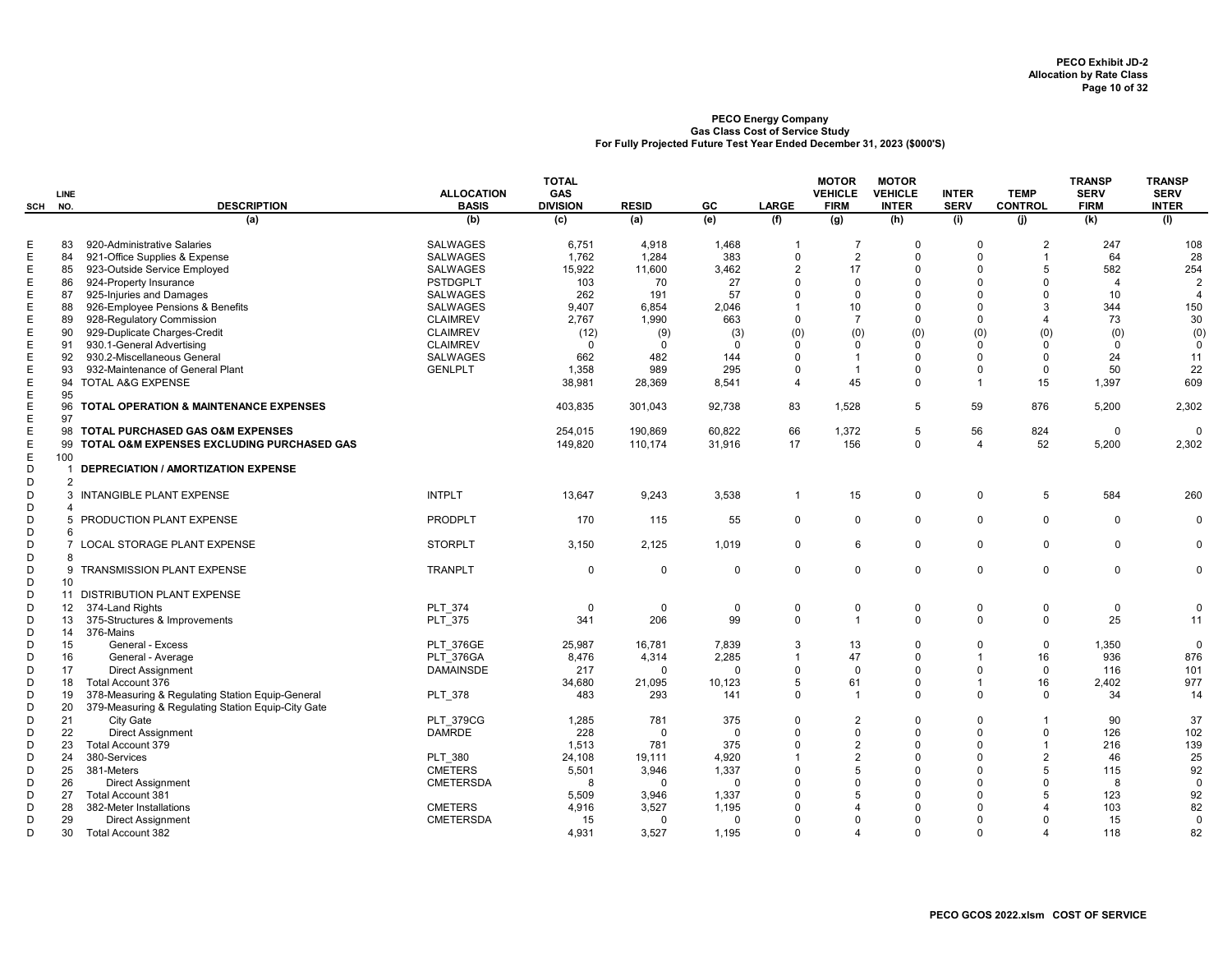|                  | LINE                           |                                                                                                        | <b>ALLOCATION</b> | <b>TOTAL</b><br>GAS |              |             |                | <b>MOTOR</b><br><b>VEHICLE</b> | <b>MOTOR</b><br><b>VEHICLE</b> | <b>INTER</b> | <b>TEMP</b>    | <b>TRANSP</b><br><b>SERV</b> | <b>TRANSP</b><br><b>SERV</b> |
|------------------|--------------------------------|--------------------------------------------------------------------------------------------------------|-------------------|---------------------|--------------|-------------|----------------|--------------------------------|--------------------------------|--------------|----------------|------------------------------|------------------------------|
| SCH              | NO.                            | <b>DESCRIPTION</b>                                                                                     | <b>BASIS</b>      | <b>DIVISION</b>     | <b>RESID</b> | GC          | <b>LARGE</b>   | <b>FIRM</b>                    | <b>INTER</b>                   | <b>SERV</b>  | <b>CONTROL</b> | <b>FIRM</b>                  | <b>INTER</b>                 |
|                  |                                | (a)                                                                                                    | (b)               | (c)                 | (a)          | (e)         | (f)            | (g)                            | (h)                            | (i)          | (i)            | (k)                          | (1)                          |
| Е                | 83                             | 920-Administrative Salaries                                                                            | <b>SALWAGES</b>   | 6,751               | 4,918        | 1,468       | -1             | $\overline{7}$                 | $\mathbf 0$                    | $\Omega$     | $\overline{2}$ | 247                          | 108                          |
| E                | 84                             | 921-Office Supplies & Expense                                                                          | <b>SALWAGES</b>   | 1,762               | 1,284        | 383         | $\mathbf 0$    | $\overline{2}$                 | $\mathbf 0$                    | $\Omega$     | $\overline{1}$ | 64                           | 28                           |
| Е                | 85                             | 923-Outside Service Employed                                                                           | SALWAGES          | 15,922              | 11,600       | 3,462       | $\overline{2}$ | 17                             | $\Omega$                       | $\Omega$     | 5              | 582                          | 254                          |
| E                | 86                             | 924-Property Insurance                                                                                 | <b>PSTDGPLT</b>   | 103                 | 70           | 27          | $\mathbf 0$    | $\mathbf 0$                    | $\mathbf 0$                    | $\Omega$     | $\Omega$       | $\overline{4}$               | 2                            |
| Ε                | 87                             | 925-Injuries and Damages                                                                               | <b>SALWAGES</b>   | 262                 | 191          | 57          | $\mathbf 0$    | $\Omega$                       | $\Omega$                       | $\Omega$     | $\Omega$       | 10                           | $\overline{4}$               |
| E                | 88                             | 926-Employee Pensions & Benefits                                                                       | <b>SALWAGES</b>   | 9.407               | 6.854        | 2,046       | $\overline{1}$ | 10                             | $\Omega$                       | $\Omega$     | 3              | 344                          | 150                          |
| E                | 89                             | 928-Regulatory Commission                                                                              | <b>CLAIMREV</b>   | 2.767               | 1,990        | 663         | $\mathbf 0$    | $\overline{7}$                 | $\mathbf 0$                    | $\Omega$     | $\overline{4}$ | 73                           | 30                           |
| Е                | 90                             | 929-Duplicate Charges-Credit                                                                           | <b>CLAIMREV</b>   | (12)                | (9)          | (3)         | (0)            | (0)                            | (0)                            | (0)          | (0)            | (0)                          | (0)                          |
| E                | 91                             | 930.1-General Advertising                                                                              | <b>CLAIMREV</b>   | $\mathbf{0}$        | $\Omega$     | $\Omega$    | $\Omega$       | 0                              | $\Omega$                       | $\Omega$     | $\Omega$       | $\Omega$                     | $\mathbf 0$                  |
| E                | 92                             | 930.2-Miscellaneous General                                                                            | <b>SALWAGES</b>   | 662                 | 482          | 144         | $\mathbf 0$    | $\overline{1}$                 | $\Omega$                       | $\Omega$     | $\mathbf 0$    | 24                           | 11                           |
| E                | 93                             | 932-Maintenance of General Plant                                                                       | <b>GENLPLT</b>    | 1,358               | 989          | 295         | $\mathbf 0$    | $\overline{1}$                 | $\Omega$                       | $\Omega$     | $\Omega$       | 50                           | 22                           |
| E<br>$\mathsf E$ | 95                             | 94 TOTAL A&G EXPENSE                                                                                   |                   | 38,981              | 28,369       | 8,541       | $\overline{4}$ | 45                             | $\mathbf 0$                    | $\mathbf{1}$ | 15             | 1,397                        | 609                          |
| $\mathsf E$      |                                | 96 TOTAL OPERATION & MAINTENANCE EXPENSES                                                              |                   | 403.835             | 301,043      | 92.738      | 83             | 1.528                          | 5                              | 59           | 876            | 5,200                        | 2.302                        |
| Ε                | 97                             |                                                                                                        |                   |                     |              |             |                |                                | 5                              |              |                |                              |                              |
| $\mathsf E$      |                                | 98 TOTAL PURCHASED GAS O&M EXPENSES                                                                    |                   | 254,015             | 190,869      | 60,822      | 66             | 1,372                          |                                | 56           | 824            | $\mathbf 0$                  | $\mathbf 0$<br>2,302         |
| $\mathsf E$<br>Ε | 100                            | 99 TOTAL O&M EXPENSES EXCLUDING PURCHASED GAS                                                          |                   | 149,820             | 110,174      | 31,916      | 17             | 156                            | $\mathbf 0$                    | 4            | 52             | 5,200                        |                              |
| D<br>D           | $\mathbf{1}$<br>$\overline{2}$ | <b>DEPRECIATION / AMORTIZATION EXPENSE</b>                                                             |                   |                     |              |             |                |                                |                                |              |                |                              |                              |
| D<br>D           | 3<br>$\boldsymbol{\Lambda}$    | INTANGIBLE PLANT EXPENSE                                                                               | <b>INTPLT</b>     | 13,647              | 9,243        | 3,538       | $\overline{1}$ | 15                             | $\mathsf 0$                    | $\Omega$     | 5              | 584                          | 260                          |
| D<br>D           | 6                              | 5 PRODUCTION PLANT EXPENSE                                                                             | <b>PRODPLT</b>    | 170                 | 115          | 55          | $\mathbf 0$    | $\mathbf 0$                    | $\mathsf 0$                    | $\Omega$     | $\mathbf 0$    | $\mathbf 0$                  | $\Omega$                     |
| D<br>D           | 8                              | 7 LOCAL STORAGE PLANT EXPENSE                                                                          | <b>STORPLT</b>    | 3,150               | 2,125        | 1,019       | $\mathbf 0$    | 6                              | $\mathbf 0$                    | $\mathbf 0$  | $\mathbf 0$    | $\mathbf 0$                  | $\Omega$                     |
| D<br>D           | 10                             | 9 TRANSMISSION PLANT EXPENSE                                                                           | <b>TRANPLT</b>    | $\mathbf 0$         | $\mathbf 0$  | $\mathbf 0$ | $\mathbf 0$    | $\mathbf 0$                    | $\mathbf 0$                    | $\Omega$     | $\mathsf 0$    | $\mathbf 0$                  | $\mathbf 0$                  |
| D                |                                | 11 DISTRIBUTION PLANT EXPENSE                                                                          |                   |                     |              |             |                |                                |                                |              |                |                              |                              |
| D                | 12                             | 374-Land Rights                                                                                        | <b>PLT 374</b>    | $\mathbf{0}$        | $\mathbf 0$  | $\mathbf 0$ | $\mathbf 0$    | $\mathbf 0$                    | $\mathbf 0$                    | $\mathbf 0$  | $\mathsf 0$    | $\mathbf 0$                  | $\mathbf 0$                  |
| D                | 13                             | 375-Structures & Improvements                                                                          | <b>PLT 375</b>    | 341                 | 206          | 99          | $\mathbf 0$    | $\overline{1}$                 | $\mathbf 0$                    | $\Omega$     | $\mathbf 0$    | 25                           | 11                           |
| D                | 14                             | 376-Mains                                                                                              |                   |                     |              |             |                |                                |                                |              |                |                              |                              |
| D                | 15                             | General - Excess                                                                                       | <b>PLT 376GE</b>  | 25,987              | 16,781       | 7,839       | 3              | 13                             | $\Omega$                       | $\Omega$     | $\mathbf 0$    | 1,350                        | $\mathbf 0$                  |
| D                | 16                             | General - Average                                                                                      | <b>PLT 376GA</b>  | 8,476               | 4,314        | 2,285       | $\overline{1}$ | 47                             | $\mathbf 0$                    | $\mathbf{1}$ | 16             | 936                          | 876                          |
| D                | 17                             | <b>Direct Assignment</b>                                                                               | <b>DAMAINSDE</b>  | 217                 | $\Omega$     | $\mathbf 0$ | $\mathbf 0$    | $\mathbf 0$                    | $\mathbf 0$                    | $\Omega$     | $\mathbf 0$    | 116                          | 101                          |
| D                | 18                             | <b>Total Account 376</b>                                                                               |                   | 34,680              | 21,095       | 10,123      | 5              | 61                             | $\mathbf 0$                    | $\mathbf{1}$ | 16             | 2,402                        | 977                          |
| D<br>D           | 19<br>20                       | 378-Measuring & Regulating Station Equip-General<br>379-Measuring & Regulating Station Equip-City Gate | <b>PLT 378</b>    | 483                 | 293          | 141         | $\Omega$       | $\overline{1}$                 | $\Omega$                       | $\Omega$     | $\Omega$       | 34                           | 14                           |
| D                | 21                             | City Gate                                                                                              | <b>PLT 379CG</b>  | 1,285               | 781          | 375         | $\mathbf 0$    | 2                              | $\Omega$                       | $\Omega$     | $\overline{1}$ | 90                           | 37                           |
| D                | 22                             | <b>Direct Assignment</b>                                                                               | <b>DAMRDE</b>     | 228                 | $\Omega$     | $\mathbf 0$ | $\mathbf 0$    | $\mathbf 0$                    | $\Omega$                       | $\Omega$     | $\Omega$       | 126                          | 102                          |
| D                | 23                             | <b>Total Account 379</b>                                                                               |                   | 1,513               | 781          | 375         | $\mathbf 0$    | $\overline{2}$                 | $\mathbf 0$                    | $\Omega$     | $\overline{1}$ | 216                          | 139                          |
| D                | 24                             | 380-Services                                                                                           | <b>PLT 380</b>    | 24,108              | 19,111       | 4,920       | $\overline{1}$ | $\overline{2}$                 | $\Omega$                       | $\Omega$     | $\overline{2}$ | 46                           | 25                           |
| D                | 25                             | 381-Meters                                                                                             | <b>CMETERS</b>    | 5,501               | 3,946        | 1,337       | $\mathbf 0$    | 5                              | $\mathbf 0$                    | $\Omega$     | 5              | 115                          | 92                           |
| D                | 26                             | <b>Direct Assignment</b>                                                                               | <b>CMETERSDA</b>  | 8                   | $\Omega$     | $\Omega$    | $\Omega$       | $\Omega$                       | $\Omega$                       | $\Omega$     | $\Omega$       | 8                            | $\overline{0}$               |
| D                | 27                             | <b>Total Account 381</b>                                                                               |                   | 5,509               | 3,946        | 1,337       | $\Omega$       | 5                              | $\Omega$                       | $\Omega$     | 5              | 123                          | 92                           |
| D                | 28                             | 382-Meter Installations                                                                                | <b>CMETERS</b>    | 4.916               | 3,527        | 1,195       | $\Omega$       |                                | $\Omega$                       | $\Omega$     |                | 103                          | 82                           |
| D                | 29                             | <b>Direct Assignment</b>                                                                               | <b>CMETERSDA</b>  | 15                  | $\Omega$     | $\Omega$    | $\Omega$       | ŋ                              | $\Omega$                       | $\Omega$     | $\Omega$       | 15                           | $\mathbf 0$                  |
| D                | 30                             | <b>Total Account 382</b>                                                                               |                   | 4,931               | 3,527        | 1,195       | $\Omega$       | Δ                              | $\Omega$                       | $\Omega$     | $\Delta$       | 118                          | 82                           |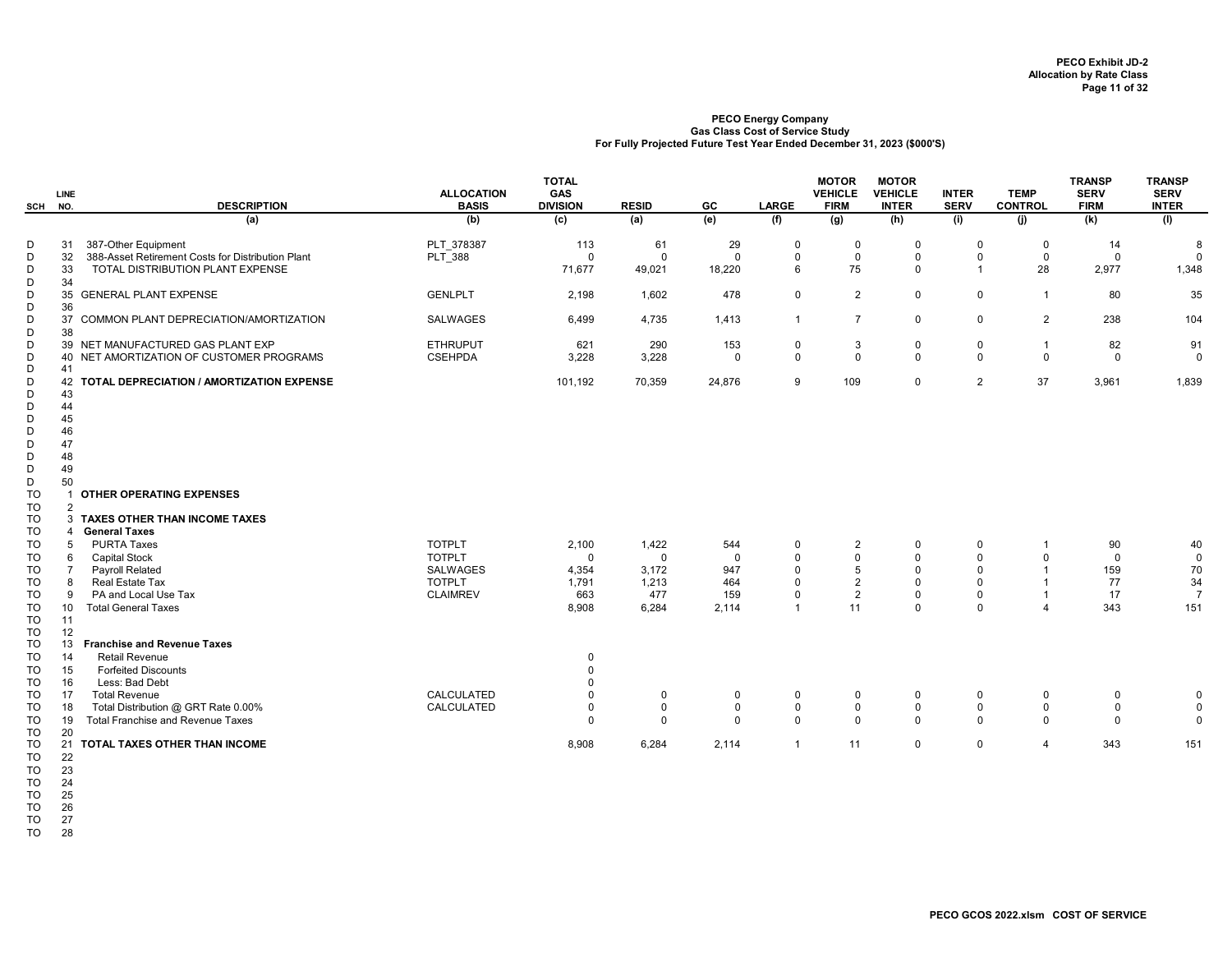|           | LINE           |                                                   | <b>ALLOCATION</b>                | <b>TOTAL</b><br>GAS |              |             |                      | <b>MOTOR</b><br><b>VEHICLE</b> | <b>MOTOR</b><br><b>VEHICLE</b> | <b>INTER</b>            | <b>TEMP</b>    | <b>TRANSP</b><br><b>SERV</b> | <b>TRANSP</b><br><b>SERV</b> |
|-----------|----------------|---------------------------------------------------|----------------------------------|---------------------|--------------|-------------|----------------------|--------------------------------|--------------------------------|-------------------------|----------------|------------------------------|------------------------------|
| SCH       | NO.            | <b>DESCRIPTION</b>                                | <b>BASIS</b>                     | <b>DIVISION</b>     | <b>RESID</b> | GC          | <b>LARGE</b>         | <b>FIRM</b>                    | <b>INTER</b>                   | <b>SERV</b>             | <b>CONTROL</b> | <b>FIRM</b>                  | <b>INTER</b>                 |
|           |                | (a)                                               | (b)                              | (c)                 | (a)          | (e)         | (f)                  | (g)                            | (h)                            | (i)                     | (i)            | (k)                          | (1)                          |
| D         | 31             | 387-Other Equipment                               | PLT 378387                       | 113                 | 61           | 29          | $\mathbf 0$          | 0                              | $\Omega$                       | $\mathbf 0$             | 0              | 14                           | 8                            |
| D         | 32             | 388-Asset Retirement Costs for Distribution Plant | PLT_388                          | $\Omega$            | $\Omega$     | $\Omega$    | 0                    | $\mathbf 0$                    | $\mathbf 0$                    | $\mathbf 0$             | $\mathbf 0$    | $\Omega$                     | $\Omega$                     |
| D<br>D    | 33<br>34       | TOTAL DISTRIBUTION PLANT EXPENSE                  |                                  | 71,677              | 49,021       | 18,220      | 6                    | 75                             | $\mathbf 0$                    | $\overline{1}$          | 28             | 2,977                        | 1,348                        |
| D         | 35             | <b>GENERAL PLANT EXPENSE</b>                      | <b>GENLPLT</b>                   | 2,198               | 1,602        | 478         | 0                    | $\overline{c}$                 | $\mathbf 0$                    | $\mathbf 0$             | $\mathbf{1}$   | 80                           | 35                           |
| D         | 36             |                                                   |                                  |                     |              |             |                      |                                |                                |                         |                |                              |                              |
| D         | 37             | COMMON PLANT DEPRECIATION/AMORTIZATION            | SALWAGES                         | 6,499               | 4,735        | 1,413       | $\overline{1}$       | $\overline{7}$                 | $\mathbf 0$                    | $\mathbf 0$             | $\overline{2}$ | 238                          | 104                          |
| D<br>D    | 38             | 39 NET MANUFACTURED GAS PLANT EXP                 | <b>ETHRUPUT</b>                  | 621                 | 290          | 153         | 0                    | 3                              | 0                              | $\mathbf 0$             | $\overline{1}$ | 82                           | 91                           |
| D         |                | 40 NET AMORTIZATION OF CUSTOMER PROGRAMS          | <b>CSEHPDA</b>                   | 3,228               | 3,228        | $\Omega$    | $\mathbf 0$          | $\mathbf 0$                    | $\mathbf 0$                    | $\mathbf 0$             | $\mathbf 0$    | $\mathbf{0}$                 | $\mathbf 0$                  |
| D         | 41             |                                                   |                                  |                     |              |             |                      |                                |                                |                         |                |                              |                              |
| D         | 42             | TOTAL DEPRECIATION / AMORTIZATION EXPENSE         |                                  | 101,192             | 70,359       | 24,876      | 9                    | 109                            | $\mathbf 0$                    | $\overline{2}$          | 37             | 3,961                        | 1,839                        |
| D         | 43             |                                                   |                                  |                     |              |             |                      |                                |                                |                         |                |                              |                              |
| D         | 44             |                                                   |                                  |                     |              |             |                      |                                |                                |                         |                |                              |                              |
| D         | 45             |                                                   |                                  |                     |              |             |                      |                                |                                |                         |                |                              |                              |
| D         | 46<br>47       |                                                   |                                  |                     |              |             |                      |                                |                                |                         |                |                              |                              |
| D<br>D    | 48             |                                                   |                                  |                     |              |             |                      |                                |                                |                         |                |                              |                              |
| D         | 49             |                                                   |                                  |                     |              |             |                      |                                |                                |                         |                |                              |                              |
| D         | 50             |                                                   |                                  |                     |              |             |                      |                                |                                |                         |                |                              |                              |
| <b>TO</b> | -1             | OTHER OPERATING EXPENSES                          |                                  |                     |              |             |                      |                                |                                |                         |                |                              |                              |
| <b>TO</b> | $\overline{2}$ |                                                   |                                  |                     |              |             |                      |                                |                                |                         |                |                              |                              |
| TO        |                | 3 TAXES OTHER THAN INCOME TAXES                   |                                  |                     |              |             |                      |                                |                                |                         |                |                              |                              |
| TO        | 4              | <b>General Taxes</b>                              |                                  |                     |              |             |                      |                                |                                |                         |                |                              |                              |
| TO        | 5              | <b>PURTA Taxes</b>                                | <b>TOTPLT</b>                    | 2,100               | 1,422        | 544         | $\mathbf 0$          | $\overline{c}$                 | 0                              | $\mathbf 0$             |                | 90                           | 40                           |
| <b>TO</b> | 6              | <b>Capital Stock</b>                              | <b>TOTPLT</b>                    | $\mathbf 0$         | $\mathbf 0$  | $\mathbf 0$ | 0                    | 0                              | $\mathbf 0$                    | $\mathbf 0$             | $\Omega$       | $\mathbf 0$                  | $\mathbf 0$                  |
| TO        | $\overline{7}$ | <b>Payroll Related</b>                            | SALWAGES                         | 4,354               | 3,172        | 947         | $\Omega$             | 5                              | $\Omega$                       | $\mathbf 0$             | $\mathbf 1$    | 159                          | 70                           |
| TO<br>TO  | 8<br>9         | Real Estate Tax<br>PA and Local Use Tax           | <b>TOTPLT</b><br><b>CLAIMREV</b> | 1,791<br>663        | 1,213<br>477 | 464<br>159  | $\Omega$<br>$\Omega$ | $\overline{2}$                 | $\Omega$<br>$\Omega$           | $\Omega$<br>$\mathbf 0$ |                | 77<br>17                     | 34<br>$\overline{7}$         |
| <b>TO</b> | 10             | <b>Total General Taxes</b>                        |                                  | 8,908               | 6,284        | 2,114       | $\overline{1}$       | $\overline{c}$<br>11           | $\mathbf 0$                    | $\pmb{0}$               | $\overline{4}$ | 343                          | 151                          |
| <b>TO</b> | 11             |                                                   |                                  |                     |              |             |                      |                                |                                |                         |                |                              |                              |
| <b>TO</b> | 12             |                                                   |                                  |                     |              |             |                      |                                |                                |                         |                |                              |                              |
| TO        | 13             | <b>Franchise and Revenue Taxes</b>                |                                  |                     |              |             |                      |                                |                                |                         |                |                              |                              |
| TO        | 14             | <b>Retail Revenue</b>                             |                                  | $\Omega$            |              |             |                      |                                |                                |                         |                |                              |                              |
| TO        | 15             | <b>Forfeited Discounts</b>                        |                                  | $\Omega$            |              |             |                      |                                |                                |                         |                |                              |                              |
| TO        | 16             | Less: Bad Debt                                    |                                  | $\Omega$            |              |             |                      |                                |                                |                         |                |                              |                              |
| TO        | 17             | <b>Total Revenue</b>                              | CALCULATED                       | $\Omega$            | $\mathbf 0$  | 0           | $\mathbf 0$          | 0                              | 0                              | $\mathbf 0$             | 0              | 0                            | 0                            |
| TO        | 18             | Total Distribution @ GRT Rate 0.00%               | CALCULATED                       | $\Omega$            | $\mathbf 0$  | $\mathbf 0$ | $\mathbf 0$          | 0                              | 0                              | $\mathbf 0$             | 0              | $\mathbf 0$                  | $\Omega$                     |
| <b>TO</b> | 19             | <b>Total Franchise and Revenue Taxes</b>          |                                  | $\Omega$            | $\mathbf 0$  | $\Omega$    | $\mathbf 0$          | $\mathsf 0$                    | $\mathbf 0$                    | $\mathbf 0$             | $\mathbf 0$    | $\Omega$                     | $\Omega$                     |
| TO<br>TO  | 20             | 21 TOTAL TAXES OTHER THAN INCOME                  |                                  | 8,908               | 6,284        | 2,114       | $\overline{1}$       | 11                             | 0                              | $\mathbf 0$             | $\overline{4}$ | 343                          | 151                          |
| <b>TO</b> | 22             |                                                   |                                  |                     |              |             |                      |                                |                                |                         |                |                              |                              |
| <b>TO</b> | 23             |                                                   |                                  |                     |              |             |                      |                                |                                |                         |                |                              |                              |

TO 24 TO 25

TO 26

TO 27

TO 28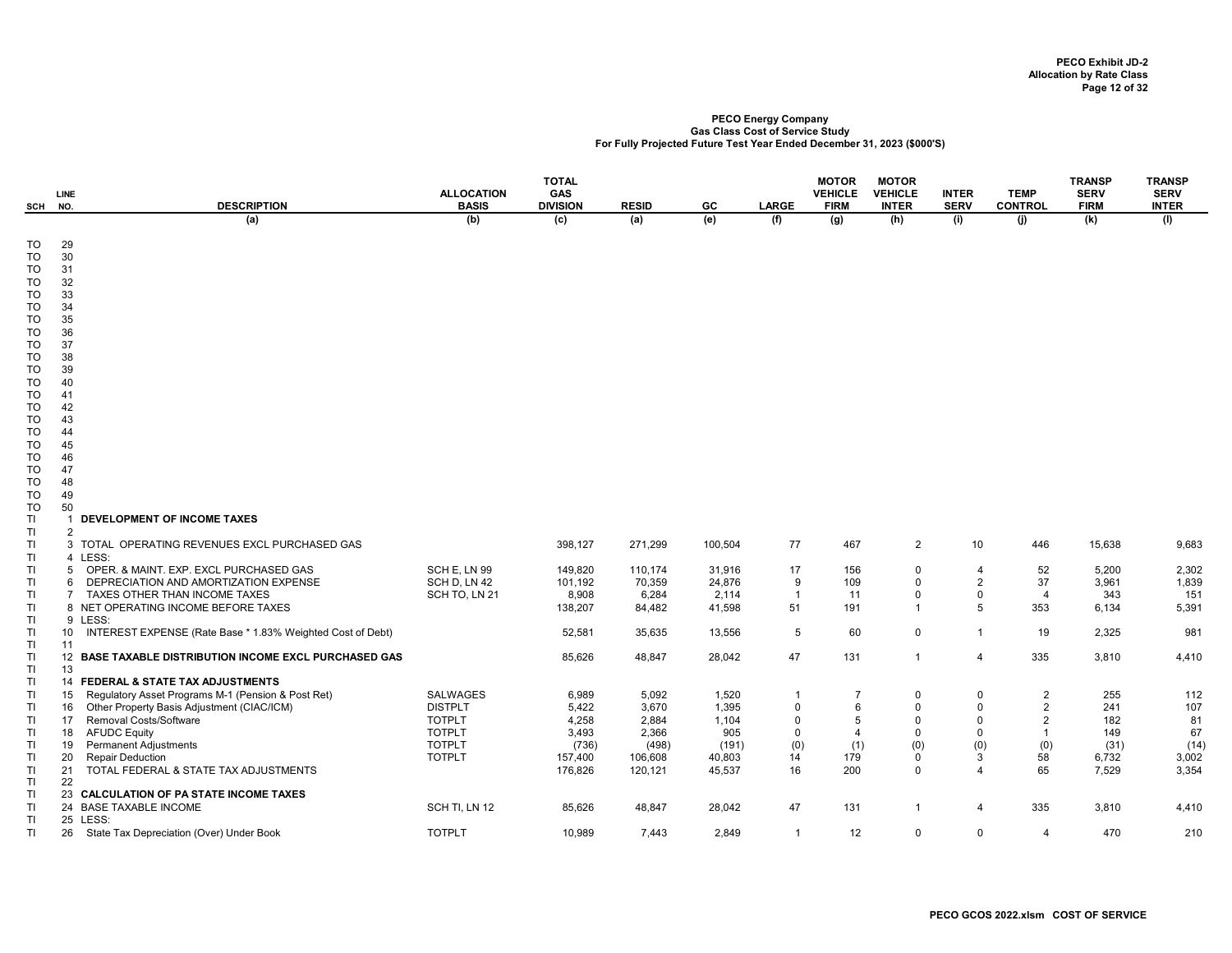| SCH                   | LINE<br>NO.           | <b>DESCRIPTION</b>                                                              | <b>ALLOCATION</b><br><b>BASIS</b> | TOTAL<br>GAS<br><b>DIVISION</b> | <b>RESID</b>    | GC              | LARGE               | <b>MOTOR</b><br><b>VEHICLE</b><br><b>FIRM</b> | <b>MOTOR</b><br><b>VEHICLE</b><br><b>INTER</b> | <b>INTER</b><br><b>SERV</b>   | <b>TEMP</b><br><b>CONTROL</b> | <b>TRANSP</b><br><b>SERV</b><br><b>FIRM</b> | <b>TRANSP</b><br><b>SERV</b><br><b>INTER</b> |
|-----------------------|-----------------------|---------------------------------------------------------------------------------|-----------------------------------|---------------------------------|-----------------|-----------------|---------------------|-----------------------------------------------|------------------------------------------------|-------------------------------|-------------------------------|---------------------------------------------|----------------------------------------------|
|                       |                       | (a)                                                                             | (b)                               | $\overline{c}$                  | (a)             | (e)             | (f)                 | (g)                                           | (h)                                            | (i)                           | (i)                           | (k)                                         | (1)                                          |
| TO<br>TO<br><b>TO</b> | 29<br>30<br>31        |                                                                                 |                                   |                                 |                 |                 |                     |                                               |                                                |                               |                               |                                             |                                              |
| TO<br>TO              | 32<br>33              |                                                                                 |                                   |                                 |                 |                 |                     |                                               |                                                |                               |                               |                                             |                                              |
| TO<br>TO              | 34<br>35              |                                                                                 |                                   |                                 |                 |                 |                     |                                               |                                                |                               |                               |                                             |                                              |
| TO<br>TO              | 36<br>37              |                                                                                 |                                   |                                 |                 |                 |                     |                                               |                                                |                               |                               |                                             |                                              |
| TO<br>TO<br>TO        | 38<br>39<br>40        |                                                                                 |                                   |                                 |                 |                 |                     |                                               |                                                |                               |                               |                                             |                                              |
| TO<br>TO              | 41<br>42              |                                                                                 |                                   |                                 |                 |                 |                     |                                               |                                                |                               |                               |                                             |                                              |
| TO<br>TO              | 43<br>44              |                                                                                 |                                   |                                 |                 |                 |                     |                                               |                                                |                               |                               |                                             |                                              |
| TO<br>TO              | 45<br>46              |                                                                                 |                                   |                                 |                 |                 |                     |                                               |                                                |                               |                               |                                             |                                              |
| TO<br>TO              | 47<br>48              |                                                                                 |                                   |                                 |                 |                 |                     |                                               |                                                |                               |                               |                                             |                                              |
| TO<br>TO              | 49<br>50              |                                                                                 |                                   |                                 |                 |                 |                     |                                               |                                                |                               |                               |                                             |                                              |
| TI                    | -1                    | DEVELOPMENT OF INCOME TAXES                                                     |                                   |                                 |                 |                 |                     |                                               |                                                |                               |                               |                                             |                                              |
| TI<br>TI              | $\overline{2}$        | 3 TOTAL OPERATING REVENUES EXCL PURCHASED GAS                                   |                                   | 398,127                         | 271,299         | 100,504         | 77                  | 467                                           | $\overline{2}$                                 | 10                            | 446                           | 15,638                                      | 9,683                                        |
| TI                    |                       | 4 LESS:                                                                         |                                   |                                 |                 |                 |                     |                                               |                                                |                               |                               |                                             |                                              |
| TI                    | $5^{\circ}$<br>6      | OPER. & MAINT. EXP. EXCL PURCHASED GAS<br>DEPRECIATION AND AMORTIZATION EXPENSE | SCH E, LN 99<br>SCH D, LN 42      | 149,820                         | 110,174         | 31,916          | 17                  | 156                                           | $\mathbf 0$<br>$\mathbf 0$                     | $\overline{4}$                | 52                            | 5,200                                       | 2,302                                        |
| TI<br>TI              | $\overline{7}$        | TAXES OTHER THAN INCOME TAXES                                                   | SCH TO, LN 21                     | 101,192<br>8,908                | 70,359<br>6,284 | 24,876<br>2,114 | 9<br>$\overline{1}$ | 109<br>11                                     | $\mathbf 0$                                    | $\overline{2}$<br>$\mathbf 0$ | 37<br>$\overline{4}$          | 3,961<br>343                                | 1,839<br>151                                 |
| TI<br>TI              |                       | 8 NET OPERATING INCOME BEFORE TAXES<br>9 LESS:                                  |                                   | 138,207                         | 84,482          | 41,598          | 51                  | 191                                           | $\overline{1}$                                 | 5                             | 353                           | 6,134                                       | 5,391                                        |
| TI<br>TI              | 10 <sup>1</sup><br>11 | INTEREST EXPENSE (Rate Base * 1.83% Weighted Cost of Debt)                      |                                   | 52,581                          | 35,635          | 13,556          | $5\phantom{.0}$     | 60                                            | $\mathbf 0$                                    | $\mathbf{1}$                  | 19                            | 2,325                                       | 981                                          |
| TI                    |                       | 12 BASE TAXABLE DISTRIBUTION INCOME EXCL PURCHASED GAS                          |                                   | 85,626                          | 48,847          | 28,042          | 47                  | 131                                           | $\overline{1}$                                 | 4                             | 335                           | 3,810                                       | 4,410                                        |
| TI<br>TI              | 13                    | 14 FEDERAL & STATE TAX ADJUSTMENTS                                              |                                   |                                 |                 |                 |                     |                                               |                                                |                               |                               |                                             |                                              |
| TI                    | 15                    | Regulatory Asset Programs M-1 (Pension & Post Ret)                              | <b>SALWAGES</b>                   | 6,989                           | 5,092           | 1,520           | -1                  | $\overline{7}$                                | $\mathbf 0$                                    | $\mathbf 0$                   | $\overline{2}$                | 255                                         | 112                                          |
| TI                    | 16                    | Other Property Basis Adjustment (CIAC/ICM)                                      | <b>DISTPLT</b>                    | 5,422                           | 3,670           | 1,395           | $\mathbf 0$         | 6                                             | $\mathbf{0}$                                   | $\mathbf 0$                   | $\overline{2}$                | 241                                         | 107                                          |
| TI                    | 17                    | Removal Costs/Software                                                          | <b>TOTPLT</b>                     | 4,258                           | 2,884           | 1,104           | $\Omega$            | 5                                             | $\Omega$                                       | $\Omega$                      | $\overline{2}$                | 182                                         | 81                                           |
| TI                    | 18                    | <b>AFUDC Equity</b>                                                             | <b>TOTPLT</b>                     | 3,493                           | 2,366           | 905             | $\mathbf 0$         | $\overline{4}$                                | $\overline{0}$                                 | $\mathbf 0$                   | $\overline{1}$                | 149                                         | 67                                           |
| TI                    | 19                    | <b>Permanent Adjustments</b>                                                    | <b>TOTPLT</b>                     | (736)                           | (498)           | (191)           | (0)                 | (1)                                           | (0)                                            | (0)                           | (0)                           | (31)                                        | (14)                                         |
| TI                    | 20<br>21              | <b>Repair Deduction</b>                                                         | <b>TOTPLT</b>                     | 157,400<br>176,826              | 106,608         | 40,803          | 14                  | 179                                           | 0<br>$\mathbf 0$                               | 3<br>$\overline{4}$           | 58<br>65                      | 6,732                                       | 3,002<br>3,354                               |
| TI<br>TI              | 22                    | TOTAL FEDERAL & STATE TAX ADJUSTMENTS                                           |                                   |                                 | 120,121         | 45,537          | 16                  | 200                                           |                                                |                               |                               | 7,529                                       |                                              |
| TI                    |                       | 23 CALCULATION OF PA STATE INCOME TAXES                                         |                                   |                                 |                 |                 |                     |                                               |                                                |                               |                               |                                             |                                              |
| TI<br>TI              |                       | 24 BASE TAXABLE INCOME<br>25 LESS:                                              | SCH TI, LN 12                     | 85,626                          | 48,847          | 28,042          | 47                  | 131                                           | $\overline{1}$                                 | 4                             | 335                           | 3,810                                       | 4,410                                        |
| TI                    | 26                    | State Tax Depreciation (Over) Under Book                                        | <b>TOTPLT</b>                     | 10,989                          | 7,443           | 2,849           | $\overline{1}$      | 12                                            | $\mathbf 0$                                    | 0                             | $\overline{4}$                | 470                                         | 210                                          |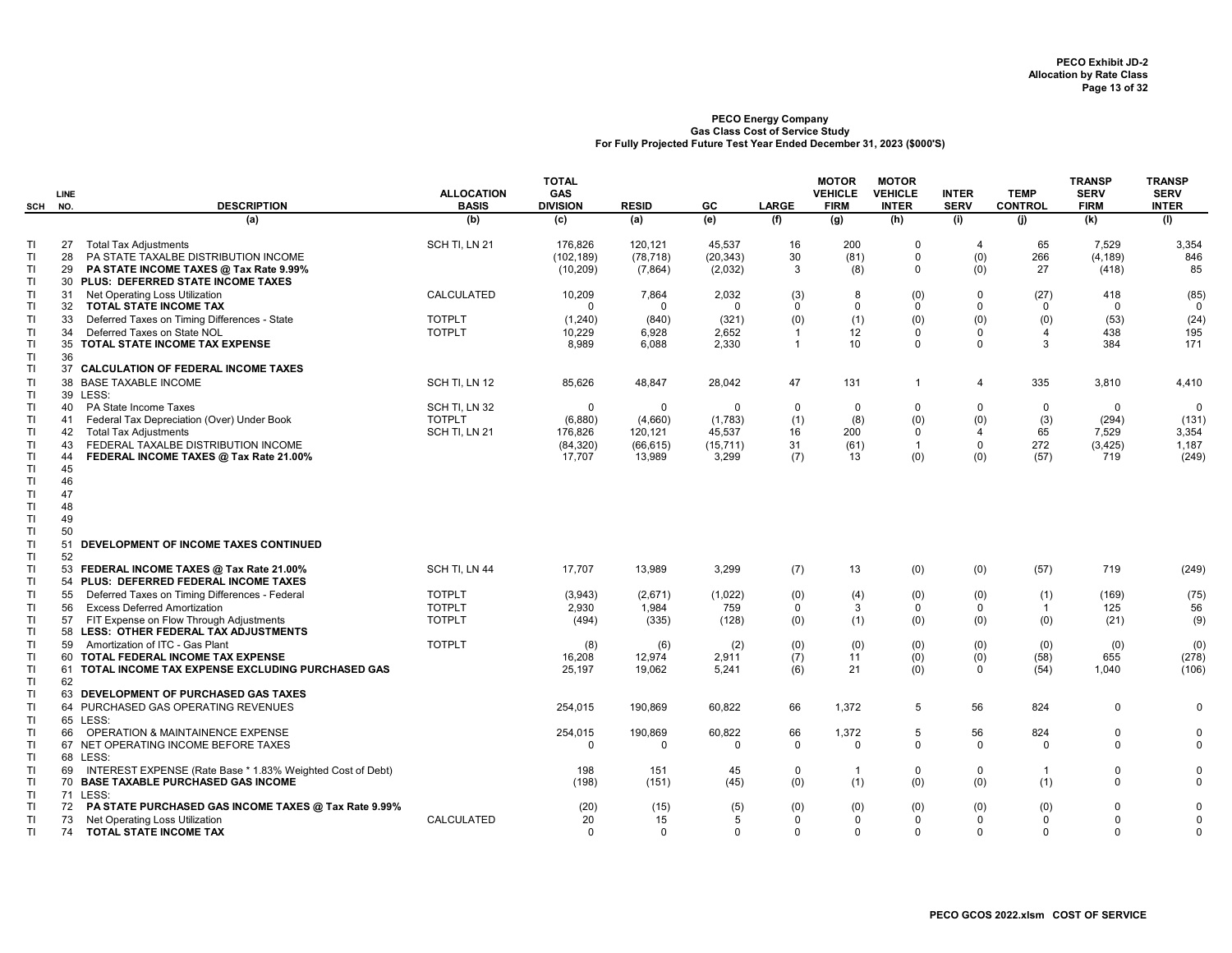|                                    | <b>LINE</b><br>SCH NO.     | <b>DESCRIPTION</b>                                                                                                                                                         | <b>ALLOCATION</b><br><b>BASIS</b>               | <b>TOTAL</b><br>GAS<br><b>DIVISION</b> | <b>RESID</b>                    | GC                             | <b>LARGE</b>                            | <b>MOTOR</b><br><b>VEHICLE</b><br><b>FIRM</b> | <b>MOTOR</b><br><b>VEHICLE</b><br><b>INTER</b> | <b>INTER</b><br><b>SERV</b> | <b>TEMP</b><br><b>CONTROL</b>      | <b>TRANSP</b><br><b>SERV</b><br><b>FIRM</b> | <b>TRANSP</b><br><b>SERV</b><br><b>INTER</b> |
|------------------------------------|----------------------------|----------------------------------------------------------------------------------------------------------------------------------------------------------------------------|-------------------------------------------------|----------------------------------------|---------------------------------|--------------------------------|-----------------------------------------|-----------------------------------------------|------------------------------------------------|-----------------------------|------------------------------------|---------------------------------------------|----------------------------------------------|
|                                    |                            | (a)                                                                                                                                                                        | (b)                                             | (c)                                    | (a)                             | (e)                            | (f)                                     | (g)                                           | (h)                                            | (i)                         | (i)                                | (k)                                         | (1)                                          |
| TI<br>TI<br>TI<br><b>TI</b>        | 27<br>28<br>29<br>30       | <b>Total Tax Adjustments</b><br>PA STATE TAXALBE DISTRIBUTION INCOME<br>PA STATE INCOME TAXES @ Tax Rate 9.99%<br>PLUS: DEFERRED STATE INCOME TAXES                        | SCH TI, LN 21                                   | 176,826<br>(102, 189)<br>(10, 209)     | 120,121<br>(78, 718)<br>(7,864) | 45,537<br>(20, 343)<br>(2,032) | 16<br>30<br>3                           | 200<br>(81)<br>(8)                            | $\Omega$<br>$\mathbf 0$<br>$\mathbf 0$         | 4<br>(0)<br>(0)             | 65<br>266<br>27                    | 7,529<br>(4, 189)<br>(418)                  | 3,354<br>846<br>85                           |
| TI<br><b>TI</b>                    | 31<br>32                   | Net Operating Loss Utilization<br>TOTAL STATE INCOME TAX                                                                                                                   | CALCULATED                                      | 10,209<br>$\Omega$                     | 7,864<br>$\Omega$               | 2,032<br>$\Omega$              | (3)<br>$\Omega$                         | 8<br>$\mathbf 0$                              | (0)<br>$\alpha$                                | $\mathbf 0$<br>$\Omega$     | (27)<br>$\mathbf 0$                | 418<br>$\mathbf 0$                          | (85)<br>$\mathbf 0$                          |
| TI<br>TI<br>TI<br><b>TI</b>        | 33<br>34<br>36             | Deferred Taxes on Timing Differences - State<br>Deferred Taxes on State NOL<br>35 TOTAL STATE INCOME TAX EXPENSE                                                           | <b>TOTPLT</b><br><b>TOTPLT</b>                  | (1,240)<br>10,229<br>8,989             | (840)<br>6,928<br>6,088         | (321)<br>2,652<br>2,330        | (0)<br>$\overline{1}$<br>$\overline{1}$ | (1)<br>12<br>10                               | (0)<br>$\mathbf 0$<br>$\mathbf 0$              | (0)<br>0<br>$\mathbf 0$     | (0)<br>$\overline{4}$<br>3         | (53)<br>438<br>384                          | (24)<br>195<br>171                           |
| TI<br>TI                           | 37                         | <b>CALCULATION OF FEDERAL INCOME TAXES</b><br>38 BASE TAXABLE INCOME                                                                                                       | SCH TI, LN 12                                   | 85,626                                 | 48,847                          | 28,042                         | 47                                      | 131                                           | $\mathbf{1}$                                   | 4                           | 335                                | 3,810                                       | 4,410                                        |
| <b>TI</b><br>TI<br>TI              | 40<br>41                   | 39 LESS:<br>PA State Income Taxes<br>Federal Tax Depreciation (Over) Under Book                                                                                            | SCH TI, LN 32<br><b>TOTPLT</b>                  | $\mathbf 0$<br>(6,880)                 | 0<br>(4,660)                    | $\Omega$<br>(1,783)            | 0<br>(1)                                | 0<br>(8)                                      | $\mathbf 0$<br>(0)                             | $\mathbf 0$<br>(0)          | 0<br>(3)                           | $\mathbf 0$<br>(294)                        | $\mathbf 0$<br>(131)                         |
| TI<br><b>TI</b><br><b>TI</b>       | 42<br>43<br>44             | <b>Total Tax Adjustments</b><br>FEDERAL TAXALBE DISTRIBUTION INCOME<br>FEDERAL INCOME TAXES @ Tax Rate 21.00%                                                              | SCH TI, LN 21                                   | 176,826<br>(84, 320)<br>17,707         | 120,121<br>(66, 615)<br>13,989  | 45,537<br>(15, 711)<br>3,299   | 16<br>31<br>(7)                         | 200<br>(61)<br>13                             | $\mathbf 0$<br>$\mathbf{1}$<br>(0)             | 4<br>$\mathbf 0$<br>(0)     | 65<br>272<br>(57)                  | 7,529<br>(3, 425)<br>719                    | 3,354<br>1,187<br>(249)                      |
| TI<br>TI<br>TI<br>TI<br>TI         | 45<br>46<br>47<br>48<br>49 |                                                                                                                                                                            |                                                 |                                        |                                 |                                |                                         |                                               |                                                |                             |                                    |                                             |                                              |
| <b>TI</b><br>TI<br>TI              | 50<br>51<br>52             | DEVELOPMENT OF INCOME TAXES CONTINUED                                                                                                                                      |                                                 |                                        |                                 |                                |                                         |                                               |                                                |                             |                                    |                                             |                                              |
| TI<br>TI                           |                            | 53 FEDERAL INCOME TAXES @ Tax Rate 21.00%<br>54 PLUS: DEFERRED FEDERAL INCOME TAXES                                                                                        | SCH TI, LN 44                                   | 17,707                                 | 13,989                          | 3,299                          | (7)                                     | 13                                            | (0)                                            | (0)                         | (57)                               | 719                                         | (249)                                        |
| TI<br><b>TI</b><br>TI<br><b>TI</b> | 55<br>56<br>57             | Deferred Taxes on Timing Differences - Federal<br><b>Excess Deferred Amortization</b><br>FIT Expense on Flow Through Adjustments<br>58 LESS: OTHER FEDERAL TAX ADJUSTMENTS | <b>TOTPLT</b><br><b>TOTPLT</b><br><b>TOTPLT</b> | (3,943)<br>2,930<br>(494)              | (2,671)<br>1.984<br>(335)       | (1,022)<br>759<br>(128)        | (0)<br>$\mathbf 0$<br>(0)               | (4)<br>3<br>(1)                               | (0)<br>$\mathbf 0$<br>(0)                      | (0)<br>$\mathbf 0$<br>(0)   | (1)<br>$\overline{1}$<br>(0)       | (169)<br>125<br>(21)                        | (75)<br>56<br>(9)                            |
| <b>TI</b><br>TI<br><b>TI</b>       | 59                         | Amortization of ITC - Gas Plant<br>60 TOTAL FEDERAL INCOME TAX EXPENSE<br>61 TOTAL INCOME TAX EXPENSE EXCLUDING PURCHASED GAS                                              | <b>TOTPLT</b>                                   | (8)<br>16,208<br>25,197                | (6)<br>12,974<br>19,062         | (2)<br>2,911<br>5,241          | (0)<br>(7)<br>(6)                       | (0)<br>11<br>21                               | (0)<br>(0)<br>(0)                              | (0)<br>(0)<br>$\mathbf 0$   | (0)<br>(58)<br>(54)                | (0)<br>655<br>1,040                         | (0)<br>(278)<br>(106)                        |
| TI<br>TI<br>TI<br><b>TI</b>        | 62                         | 63 DEVELOPMENT OF PURCHASED GAS TAXES<br>64 PURCHASED GAS OPERATING REVENUES<br>65 LESS:                                                                                   |                                                 | 254,015                                | 190,869                         | 60,822                         | 66                                      | 1,372                                         | 5                                              | 56                          | 824                                | $\mathbf 0$                                 | $\Omega$                                     |
| TI<br>TI<br>TI                     | 66                         | OPERATION & MAINTAINENCE EXPENSE<br>67 NET OPERATING INCOME BEFORE TAXES<br>68 LESS:                                                                                       |                                                 | 254,015<br>$\Omega$                    | 190,869<br>0                    | 60,822<br>0                    | 66<br>$\mathbf 0$                       | 1,372<br>$\Omega$                             | 5<br>$\mathbf 0$                               | 56<br>$\mathbf 0$           | 824<br>$\mathbf 0$                 | $\mathbf 0$<br>$\Omega$                     | $\mathbf 0$<br>$\Omega$                      |
| TI<br><b>TI</b><br><b>TI</b>       | 69                         | INTEREST EXPENSE (Rate Base * 1.83% Weighted Cost of Debt)<br>70 BASE TAXABLE PURCHASED GAS INCOME<br>71 LESS:                                                             |                                                 | 198<br>(198)                           | 151<br>(151)                    | 45<br>(45)                     | 0<br>(0)                                | $\mathbf 1$<br>(1)                            | $\mathbf 0$<br>(0)                             | $\mathbf 0$<br>(0)          | $\overline{1}$<br>(1)              | $\Omega$<br>$\Omega$                        | $\mathbf 0$<br>$\Omega$                      |
| <b>TI</b><br><b>TI</b><br>TI       | 72<br>73<br>74             | PA STATE PURCHASED GAS INCOME TAXES @ Tax Rate 9.99%<br>Net Operating Loss Utilization<br>TOTAL STATE INCOME TAX                                                           | <b>CALCULATED</b>                               | (20)<br>20<br>$\Omega$                 | (15)<br>15<br>$\Omega$          | (5)<br>5<br>$\Omega$           | (0)<br>$\Omega$<br>$\Omega$             | (0)<br>$\mathbf 0$<br>$\Omega$                | (0)<br>$\Omega$<br>$\mathbf 0$                 | (0)<br>$\Omega$<br>$\Omega$ | (0)<br>$\mathbf 0$<br>$\mathbf{0}$ | $\Omega$<br>$\Omega$<br>$\Omega$            | $\Omega$<br>$\Omega$<br>$\mathbf 0$          |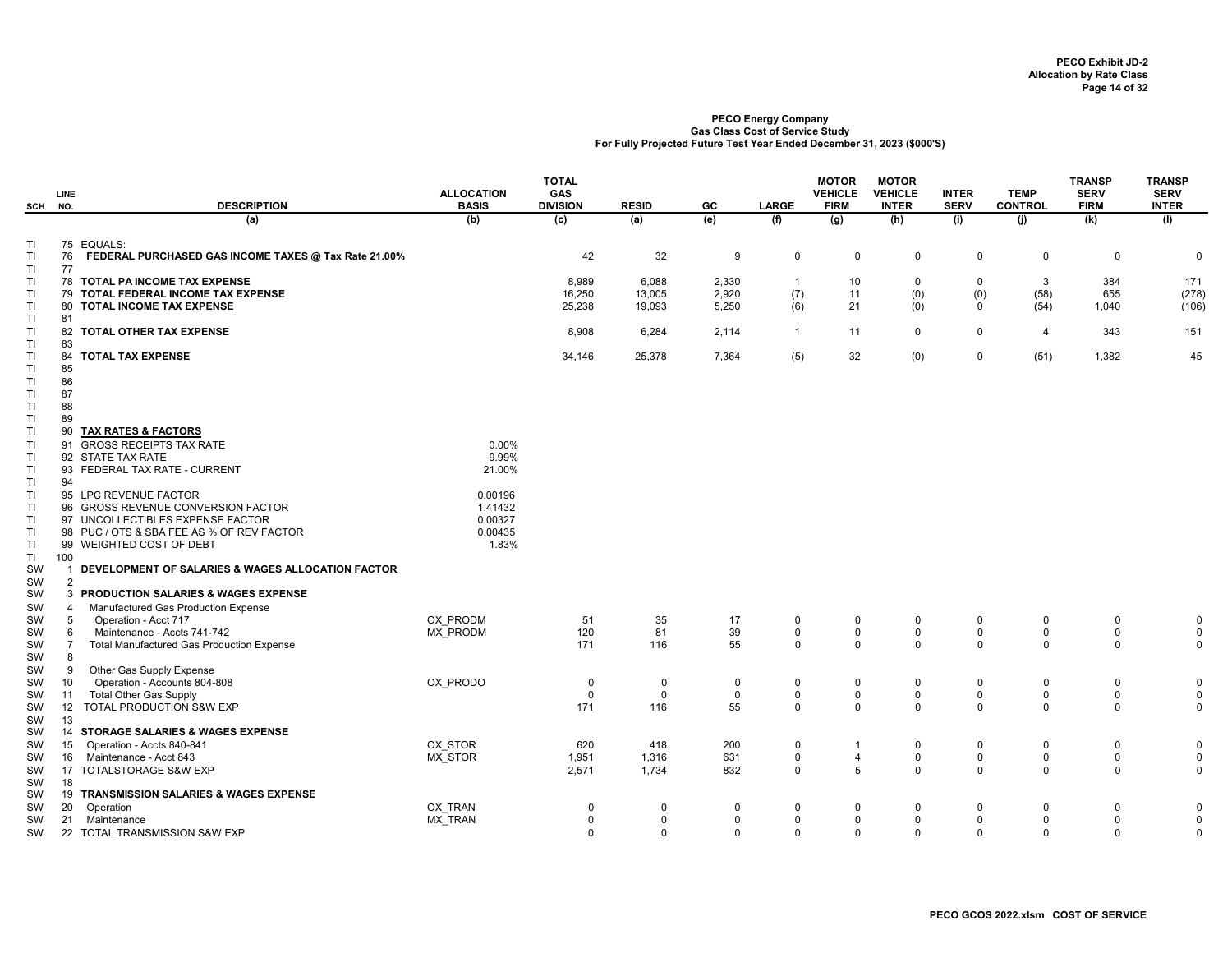| (b)<br>(e)<br>(a)<br>(c)<br>(a)<br>(f)<br>(g)<br>(h)<br>(i)<br>(i)<br>(k)<br>(1)<br>75 EQUALS:<br>TI<br>42<br>32<br>TI<br>76<br>FEDERAL PURCHASED GAS INCOME TAXES @ Tax Rate 21.00%<br>9<br>$\mathbf 0$<br>$\mathbf 0$<br>0<br>$\mathbf 0$<br>0<br>$\mathbf 0$<br>$\mathbf 0$<br>TI<br>77<br>TI<br>TOTAL PA INCOME TAX EXPENSE<br>8,989<br>6,088<br>2,330<br>10<br>0<br>$\mathbf 0$<br>3<br>384<br>171<br>78<br>$\mathbf{1}$<br>(0)<br>(278)<br>16,250<br>2,920<br>(7)<br>11<br>(0)<br>(58)<br>655<br>TI<br>79 TOTAL FEDERAL INCOME TAX EXPENSE<br>13,005<br>21<br>25,238<br>(6)<br>(0)<br>(54)<br>TI<br>TOTAL INCOME TAX EXPENSE<br>19,093<br>5,250<br>$\mathbf 0$<br>1,040<br>(106)<br>80<br><b>TI</b><br>81<br>$\mathbf 0$<br>$\mathsf 0$<br>151<br>TI<br>82 TOTAL OTHER TAX EXPENSE<br>8,908<br>6,284<br>2,114<br>$\overline{1}$<br>11<br>$\overline{4}$<br>343<br>83<br>TI<br>34,146<br>25,378<br>7,364<br>(5)<br>32<br>(0)<br>$\mathsf 0$<br>(51)<br>1,382<br>45<br>TI<br>84<br><b>TOTAL TAX EXPENSE</b><br>TI<br>85<br>86<br>TI<br>TI<br>87<br>88<br>TI<br>TI.<br>89<br>TI<br><b>TAX RATES &amp; FACTORS</b><br>90<br>0.00%<br>TI<br>91 GROSS RECEIPTS TAX RATE<br>9.99%<br>TI<br>92 STATE TAX RATE<br>21.00%<br>TI<br>93 FEDERAL TAX RATE - CURRENT<br>94<br>TI<br>TI<br>95 LPC REVENUE FACTOR<br>0.00196<br>TI<br>96 GROSS REVENUE CONVERSION FACTOR<br>1.41432<br>0.00327<br>TI<br>97 UNCOLLECTIBLES EXPENSE FACTOR<br><b>TI</b><br>0.00435<br>98 PUC / OTS & SBA FEE AS % OF REV FACTOR<br>1.83%<br>TI<br>99 WEIGHTED COST OF DEBT<br>TI.<br>100<br>SW<br>DEVELOPMENT OF SALARIES & WAGES ALLOCATION FACTOR<br>$\mathbf 1$<br>2<br>SW<br>SW<br>3 PRODUCTION SALARIES & WAGES EXPENSE<br>Manufactured Gas Production Expense<br>SW<br>4<br>OX PRODM<br>51<br>35<br>17<br>SW<br>5<br>Operation - Acct 717<br>$\mathbf 0$<br>0<br>$\mathbf 0$<br>$\mathbf 0$<br>0<br>0<br>$\mathbf 0$<br>120<br>81<br>39<br>$\mathbf 0$<br>$\mathsf 0$<br>$\mathsf 0$<br>$\pmb{0}$<br>$\mathsf 0$<br>$\mathsf 0$<br>$\mathbf 0$<br>Maintenance - Accts 741-742<br>MX PRODM<br>SW<br>6<br>Total Manufactured Gas Production Expense<br>171<br>55<br>$\mathbf 0$<br>$\mathsf{O}$<br>0<br>$\mathbf 0$<br>$\mathbf 0$<br>$\mathbf 0$<br>$\mathbf 0$<br>SW<br>$\overline{7}$<br>116<br>SW<br>8<br>Other Gas Supply Expense<br>SW<br>9<br>Operation - Accounts 804-808<br>OX PRODO<br>10<br>$\mathbf 0$<br>0<br>$\mathbf 0$<br>$\mathbf 0$<br>0<br>$\Omega$<br>$\mathbf 0$<br>$\mathbf 0$<br>0<br>0<br>SW<br>Total Other Gas Supply<br>$\mathbf 0$<br>$\pmb{0}$<br>$\mathbf{0}$<br>$\mathbf 0$<br>$\mathbf 0$<br>0<br>$\mathbf 0$<br>$\mathbf 0$<br>$\mathbf 0$<br>$\mathbf 0$<br>SW<br>11<br>TOTAL PRODUCTION S&W EXP<br>171<br>55<br>$\mathbf 0$<br>$\mathbf 0$<br>$\mathbf 0$<br>$\mathbf 0$<br>12<br>116<br>$\Omega$<br>$\mathbf 0$<br>$\mathbf 0$<br>SW<br>13<br>SW<br>14 STORAGE SALARIES & WAGES EXPENSE<br>SW<br>200<br>Operation - Accts 840-841<br>OX STOR<br>620<br>418<br>$\mathbf 0$<br>0<br>$\pmb{0}$<br>$\mathbf 0$<br>$\mathbf 0$<br>$\mathbf 0$<br>SW<br>15<br>$\overline{1}$<br>$\mathbf 0$<br>$\pmb{0}$<br>$\mathbf 0$<br>Maintenance - Acct 843<br>1,951<br>631<br>$\overline{4}$<br>$\mathbf 0$<br>$\mathbf 0$<br>$\mathbf 0$<br>MX STOR<br>1,316<br>SW<br>16<br>$\Omega$<br>5<br>$\mathbf 0$<br>17 TOTALSTORAGE S&W EXP<br>2,571<br>1,734<br>832<br>$\Omega$<br>$\Omega$<br>$\Omega$<br>$\Omega$<br>SW<br>SW<br>18<br>19 TRANSMISSION SALARIES & WAGES EXPENSE<br>SW<br>OX TRAN<br>Operation<br>$\mathbf 0$<br>$\mathbf 0$<br>0<br>$\mathbf 0$<br>$\Omega$<br>0<br>0<br>SW<br>20<br>$\Omega$<br>0<br>$\Omega$<br>MX_TRAN<br>$\pmb{0}$<br>$\mathbf 0$<br>$\mathbf 0$<br>$\mathbf 0$<br>$\mathbf 0$<br>0<br>$\Omega$<br>$\mathbf 0$<br>$\mathbf 0$<br>$\mathbf 0$<br>SW<br>21<br>Maintenance<br>22 TOTAL TRANSMISSION S&W EXP | SCH | <b>LINE</b><br>NO. | <b>DESCRIPTION</b> | <b>ALLOCATION</b><br><b>BASIS</b> | <b>TOTAL</b><br><b>GAS</b><br><b>DIVISION</b> | <b>RESID</b> | GC          | <b>LARGE</b> | <b>MOTOR</b><br><b>VEHICLE</b><br><b>FIRM</b> | <b>MOTOR</b><br><b>VEHICLE</b><br><b>INTER</b> | <b>INTER</b><br><b>SERV</b> | <b>TEMP</b><br><b>CONTROL</b> | <b>TRANSP</b><br><b>SERV</b><br><b>FIRM</b> | <b>TRANSP</b><br><b>SERV</b><br><b>INTER</b> |
|--------------------------------------------------------------------------------------------------------------------------------------------------------------------------------------------------------------------------------------------------------------------------------------------------------------------------------------------------------------------------------------------------------------------------------------------------------------------------------------------------------------------------------------------------------------------------------------------------------------------------------------------------------------------------------------------------------------------------------------------------------------------------------------------------------------------------------------------------------------------------------------------------------------------------------------------------------------------------------------------------------------------------------------------------------------------------------------------------------------------------------------------------------------------------------------------------------------------------------------------------------------------------------------------------------------------------------------------------------------------------------------------------------------------------------------------------------------------------------------------------------------------------------------------------------------------------------------------------------------------------------------------------------------------------------------------------------------------------------------------------------------------------------------------------------------------------------------------------------------------------------------------------------------------------------------------------------------------------------------------------------------------------------------------------------------------------------------------------------------------------------------------------------------------------------------------------------------------------------------------------------------------------------------------------------------------------------------------------------------------------------------------------------------------------------------------------------------------------------------------------------------------------------------------------------------------------------------------------------------------------------------------------------------------------------------------------------------------------------------------------------------------------------------------------------------------------------------------------------------------------------------------------------------------------------------------------------------------------------------------------------------------------------------------------------------------------------------------------------------------------------------------------------------------------------------------------------------------------------------------------------------------------------------------------------------------------------------------------------------------------------------------------------------------------------------------------------------------------------------------------------------------------------------------------------------------------------------------------------------------------------------------------------------------------------------------------------------------------------------------------------------------------------------------------------------------------------------|-----|--------------------|--------------------|-----------------------------------|-----------------------------------------------|--------------|-------------|--------------|-----------------------------------------------|------------------------------------------------|-----------------------------|-------------------------------|---------------------------------------------|----------------------------------------------|
|                                                                                                                                                                                                                                                                                                                                                                                                                                                                                                                                                                                                                                                                                                                                                                                                                                                                                                                                                                                                                                                                                                                                                                                                                                                                                                                                                                                                                                                                                                                                                                                                                                                                                                                                                                                                                                                                                                                                                                                                                                                                                                                                                                                                                                                                                                                                                                                                                                                                                                                                                                                                                                                                                                                                                                                                                                                                                                                                                                                                                                                                                                                                                                                                                                                                                                                                                                                                                                                                                                                                                                                                                                                                                                                                                                                                                                      |     |                    |                    |                                   |                                               |              |             |              |                                               |                                                |                             |                               |                                             |                                              |
|                                                                                                                                                                                                                                                                                                                                                                                                                                                                                                                                                                                                                                                                                                                                                                                                                                                                                                                                                                                                                                                                                                                                                                                                                                                                                                                                                                                                                                                                                                                                                                                                                                                                                                                                                                                                                                                                                                                                                                                                                                                                                                                                                                                                                                                                                                                                                                                                                                                                                                                                                                                                                                                                                                                                                                                                                                                                                                                                                                                                                                                                                                                                                                                                                                                                                                                                                                                                                                                                                                                                                                                                                                                                                                                                                                                                                                      |     |                    |                    |                                   |                                               |              |             |              |                                               |                                                |                             |                               |                                             |                                              |
|                                                                                                                                                                                                                                                                                                                                                                                                                                                                                                                                                                                                                                                                                                                                                                                                                                                                                                                                                                                                                                                                                                                                                                                                                                                                                                                                                                                                                                                                                                                                                                                                                                                                                                                                                                                                                                                                                                                                                                                                                                                                                                                                                                                                                                                                                                                                                                                                                                                                                                                                                                                                                                                                                                                                                                                                                                                                                                                                                                                                                                                                                                                                                                                                                                                                                                                                                                                                                                                                                                                                                                                                                                                                                                                                                                                                                                      |     |                    |                    |                                   |                                               |              |             |              |                                               |                                                |                             |                               |                                             |                                              |
|                                                                                                                                                                                                                                                                                                                                                                                                                                                                                                                                                                                                                                                                                                                                                                                                                                                                                                                                                                                                                                                                                                                                                                                                                                                                                                                                                                                                                                                                                                                                                                                                                                                                                                                                                                                                                                                                                                                                                                                                                                                                                                                                                                                                                                                                                                                                                                                                                                                                                                                                                                                                                                                                                                                                                                                                                                                                                                                                                                                                                                                                                                                                                                                                                                                                                                                                                                                                                                                                                                                                                                                                                                                                                                                                                                                                                                      |     |                    |                    |                                   |                                               |              |             |              |                                               |                                                |                             |                               |                                             |                                              |
|                                                                                                                                                                                                                                                                                                                                                                                                                                                                                                                                                                                                                                                                                                                                                                                                                                                                                                                                                                                                                                                                                                                                                                                                                                                                                                                                                                                                                                                                                                                                                                                                                                                                                                                                                                                                                                                                                                                                                                                                                                                                                                                                                                                                                                                                                                                                                                                                                                                                                                                                                                                                                                                                                                                                                                                                                                                                                                                                                                                                                                                                                                                                                                                                                                                                                                                                                                                                                                                                                                                                                                                                                                                                                                                                                                                                                                      |     |                    |                    |                                   |                                               |              |             |              |                                               |                                                |                             |                               |                                             |                                              |
|                                                                                                                                                                                                                                                                                                                                                                                                                                                                                                                                                                                                                                                                                                                                                                                                                                                                                                                                                                                                                                                                                                                                                                                                                                                                                                                                                                                                                                                                                                                                                                                                                                                                                                                                                                                                                                                                                                                                                                                                                                                                                                                                                                                                                                                                                                                                                                                                                                                                                                                                                                                                                                                                                                                                                                                                                                                                                                                                                                                                                                                                                                                                                                                                                                                                                                                                                                                                                                                                                                                                                                                                                                                                                                                                                                                                                                      |     |                    |                    |                                   |                                               |              |             |              |                                               |                                                |                             |                               |                                             |                                              |
|                                                                                                                                                                                                                                                                                                                                                                                                                                                                                                                                                                                                                                                                                                                                                                                                                                                                                                                                                                                                                                                                                                                                                                                                                                                                                                                                                                                                                                                                                                                                                                                                                                                                                                                                                                                                                                                                                                                                                                                                                                                                                                                                                                                                                                                                                                                                                                                                                                                                                                                                                                                                                                                                                                                                                                                                                                                                                                                                                                                                                                                                                                                                                                                                                                                                                                                                                                                                                                                                                                                                                                                                                                                                                                                                                                                                                                      |     |                    |                    |                                   |                                               |              |             |              |                                               |                                                |                             |                               |                                             |                                              |
|                                                                                                                                                                                                                                                                                                                                                                                                                                                                                                                                                                                                                                                                                                                                                                                                                                                                                                                                                                                                                                                                                                                                                                                                                                                                                                                                                                                                                                                                                                                                                                                                                                                                                                                                                                                                                                                                                                                                                                                                                                                                                                                                                                                                                                                                                                                                                                                                                                                                                                                                                                                                                                                                                                                                                                                                                                                                                                                                                                                                                                                                                                                                                                                                                                                                                                                                                                                                                                                                                                                                                                                                                                                                                                                                                                                                                                      |     |                    |                    |                                   |                                               |              |             |              |                                               |                                                |                             |                               |                                             |                                              |
|                                                                                                                                                                                                                                                                                                                                                                                                                                                                                                                                                                                                                                                                                                                                                                                                                                                                                                                                                                                                                                                                                                                                                                                                                                                                                                                                                                                                                                                                                                                                                                                                                                                                                                                                                                                                                                                                                                                                                                                                                                                                                                                                                                                                                                                                                                                                                                                                                                                                                                                                                                                                                                                                                                                                                                                                                                                                                                                                                                                                                                                                                                                                                                                                                                                                                                                                                                                                                                                                                                                                                                                                                                                                                                                                                                                                                                      |     |                    |                    |                                   |                                               |              |             |              |                                               |                                                |                             |                               |                                             |                                              |
|                                                                                                                                                                                                                                                                                                                                                                                                                                                                                                                                                                                                                                                                                                                                                                                                                                                                                                                                                                                                                                                                                                                                                                                                                                                                                                                                                                                                                                                                                                                                                                                                                                                                                                                                                                                                                                                                                                                                                                                                                                                                                                                                                                                                                                                                                                                                                                                                                                                                                                                                                                                                                                                                                                                                                                                                                                                                                                                                                                                                                                                                                                                                                                                                                                                                                                                                                                                                                                                                                                                                                                                                                                                                                                                                                                                                                                      |     |                    |                    |                                   |                                               |              |             |              |                                               |                                                |                             |                               |                                             |                                              |
|                                                                                                                                                                                                                                                                                                                                                                                                                                                                                                                                                                                                                                                                                                                                                                                                                                                                                                                                                                                                                                                                                                                                                                                                                                                                                                                                                                                                                                                                                                                                                                                                                                                                                                                                                                                                                                                                                                                                                                                                                                                                                                                                                                                                                                                                                                                                                                                                                                                                                                                                                                                                                                                                                                                                                                                                                                                                                                                                                                                                                                                                                                                                                                                                                                                                                                                                                                                                                                                                                                                                                                                                                                                                                                                                                                                                                                      |     |                    |                    |                                   |                                               |              |             |              |                                               |                                                |                             |                               |                                             |                                              |
|                                                                                                                                                                                                                                                                                                                                                                                                                                                                                                                                                                                                                                                                                                                                                                                                                                                                                                                                                                                                                                                                                                                                                                                                                                                                                                                                                                                                                                                                                                                                                                                                                                                                                                                                                                                                                                                                                                                                                                                                                                                                                                                                                                                                                                                                                                                                                                                                                                                                                                                                                                                                                                                                                                                                                                                                                                                                                                                                                                                                                                                                                                                                                                                                                                                                                                                                                                                                                                                                                                                                                                                                                                                                                                                                                                                                                                      |     |                    |                    |                                   |                                               |              |             |              |                                               |                                                |                             |                               |                                             |                                              |
|                                                                                                                                                                                                                                                                                                                                                                                                                                                                                                                                                                                                                                                                                                                                                                                                                                                                                                                                                                                                                                                                                                                                                                                                                                                                                                                                                                                                                                                                                                                                                                                                                                                                                                                                                                                                                                                                                                                                                                                                                                                                                                                                                                                                                                                                                                                                                                                                                                                                                                                                                                                                                                                                                                                                                                                                                                                                                                                                                                                                                                                                                                                                                                                                                                                                                                                                                                                                                                                                                                                                                                                                                                                                                                                                                                                                                                      |     |                    |                    |                                   |                                               |              |             |              |                                               |                                                |                             |                               |                                             |                                              |
|                                                                                                                                                                                                                                                                                                                                                                                                                                                                                                                                                                                                                                                                                                                                                                                                                                                                                                                                                                                                                                                                                                                                                                                                                                                                                                                                                                                                                                                                                                                                                                                                                                                                                                                                                                                                                                                                                                                                                                                                                                                                                                                                                                                                                                                                                                                                                                                                                                                                                                                                                                                                                                                                                                                                                                                                                                                                                                                                                                                                                                                                                                                                                                                                                                                                                                                                                                                                                                                                                                                                                                                                                                                                                                                                                                                                                                      |     |                    |                    |                                   |                                               |              |             |              |                                               |                                                |                             |                               |                                             |                                              |
|                                                                                                                                                                                                                                                                                                                                                                                                                                                                                                                                                                                                                                                                                                                                                                                                                                                                                                                                                                                                                                                                                                                                                                                                                                                                                                                                                                                                                                                                                                                                                                                                                                                                                                                                                                                                                                                                                                                                                                                                                                                                                                                                                                                                                                                                                                                                                                                                                                                                                                                                                                                                                                                                                                                                                                                                                                                                                                                                                                                                                                                                                                                                                                                                                                                                                                                                                                                                                                                                                                                                                                                                                                                                                                                                                                                                                                      |     |                    |                    |                                   |                                               |              |             |              |                                               |                                                |                             |                               |                                             |                                              |
|                                                                                                                                                                                                                                                                                                                                                                                                                                                                                                                                                                                                                                                                                                                                                                                                                                                                                                                                                                                                                                                                                                                                                                                                                                                                                                                                                                                                                                                                                                                                                                                                                                                                                                                                                                                                                                                                                                                                                                                                                                                                                                                                                                                                                                                                                                                                                                                                                                                                                                                                                                                                                                                                                                                                                                                                                                                                                                                                                                                                                                                                                                                                                                                                                                                                                                                                                                                                                                                                                                                                                                                                                                                                                                                                                                                                                                      |     |                    |                    |                                   |                                               |              |             |              |                                               |                                                |                             |                               |                                             |                                              |
|                                                                                                                                                                                                                                                                                                                                                                                                                                                                                                                                                                                                                                                                                                                                                                                                                                                                                                                                                                                                                                                                                                                                                                                                                                                                                                                                                                                                                                                                                                                                                                                                                                                                                                                                                                                                                                                                                                                                                                                                                                                                                                                                                                                                                                                                                                                                                                                                                                                                                                                                                                                                                                                                                                                                                                                                                                                                                                                                                                                                                                                                                                                                                                                                                                                                                                                                                                                                                                                                                                                                                                                                                                                                                                                                                                                                                                      |     |                    |                    |                                   |                                               |              |             |              |                                               |                                                |                             |                               |                                             |                                              |
|                                                                                                                                                                                                                                                                                                                                                                                                                                                                                                                                                                                                                                                                                                                                                                                                                                                                                                                                                                                                                                                                                                                                                                                                                                                                                                                                                                                                                                                                                                                                                                                                                                                                                                                                                                                                                                                                                                                                                                                                                                                                                                                                                                                                                                                                                                                                                                                                                                                                                                                                                                                                                                                                                                                                                                                                                                                                                                                                                                                                                                                                                                                                                                                                                                                                                                                                                                                                                                                                                                                                                                                                                                                                                                                                                                                                                                      |     |                    |                    |                                   |                                               |              |             |              |                                               |                                                |                             |                               |                                             |                                              |
|                                                                                                                                                                                                                                                                                                                                                                                                                                                                                                                                                                                                                                                                                                                                                                                                                                                                                                                                                                                                                                                                                                                                                                                                                                                                                                                                                                                                                                                                                                                                                                                                                                                                                                                                                                                                                                                                                                                                                                                                                                                                                                                                                                                                                                                                                                                                                                                                                                                                                                                                                                                                                                                                                                                                                                                                                                                                                                                                                                                                                                                                                                                                                                                                                                                                                                                                                                                                                                                                                                                                                                                                                                                                                                                                                                                                                                      |     |                    |                    |                                   |                                               |              |             |              |                                               |                                                |                             |                               |                                             |                                              |
|                                                                                                                                                                                                                                                                                                                                                                                                                                                                                                                                                                                                                                                                                                                                                                                                                                                                                                                                                                                                                                                                                                                                                                                                                                                                                                                                                                                                                                                                                                                                                                                                                                                                                                                                                                                                                                                                                                                                                                                                                                                                                                                                                                                                                                                                                                                                                                                                                                                                                                                                                                                                                                                                                                                                                                                                                                                                                                                                                                                                                                                                                                                                                                                                                                                                                                                                                                                                                                                                                                                                                                                                                                                                                                                                                                                                                                      |     |                    |                    |                                   |                                               |              |             |              |                                               |                                                |                             |                               |                                             |                                              |
|                                                                                                                                                                                                                                                                                                                                                                                                                                                                                                                                                                                                                                                                                                                                                                                                                                                                                                                                                                                                                                                                                                                                                                                                                                                                                                                                                                                                                                                                                                                                                                                                                                                                                                                                                                                                                                                                                                                                                                                                                                                                                                                                                                                                                                                                                                                                                                                                                                                                                                                                                                                                                                                                                                                                                                                                                                                                                                                                                                                                                                                                                                                                                                                                                                                                                                                                                                                                                                                                                                                                                                                                                                                                                                                                                                                                                                      |     |                    |                    |                                   |                                               |              |             |              |                                               |                                                |                             |                               |                                             |                                              |
|                                                                                                                                                                                                                                                                                                                                                                                                                                                                                                                                                                                                                                                                                                                                                                                                                                                                                                                                                                                                                                                                                                                                                                                                                                                                                                                                                                                                                                                                                                                                                                                                                                                                                                                                                                                                                                                                                                                                                                                                                                                                                                                                                                                                                                                                                                                                                                                                                                                                                                                                                                                                                                                                                                                                                                                                                                                                                                                                                                                                                                                                                                                                                                                                                                                                                                                                                                                                                                                                                                                                                                                                                                                                                                                                                                                                                                      |     |                    |                    |                                   |                                               |              |             |              |                                               |                                                |                             |                               |                                             |                                              |
|                                                                                                                                                                                                                                                                                                                                                                                                                                                                                                                                                                                                                                                                                                                                                                                                                                                                                                                                                                                                                                                                                                                                                                                                                                                                                                                                                                                                                                                                                                                                                                                                                                                                                                                                                                                                                                                                                                                                                                                                                                                                                                                                                                                                                                                                                                                                                                                                                                                                                                                                                                                                                                                                                                                                                                                                                                                                                                                                                                                                                                                                                                                                                                                                                                                                                                                                                                                                                                                                                                                                                                                                                                                                                                                                                                                                                                      |     |                    |                    |                                   |                                               |              |             |              |                                               |                                                |                             |                               |                                             |                                              |
|                                                                                                                                                                                                                                                                                                                                                                                                                                                                                                                                                                                                                                                                                                                                                                                                                                                                                                                                                                                                                                                                                                                                                                                                                                                                                                                                                                                                                                                                                                                                                                                                                                                                                                                                                                                                                                                                                                                                                                                                                                                                                                                                                                                                                                                                                                                                                                                                                                                                                                                                                                                                                                                                                                                                                                                                                                                                                                                                                                                                                                                                                                                                                                                                                                                                                                                                                                                                                                                                                                                                                                                                                                                                                                                                                                                                                                      |     |                    |                    |                                   |                                               |              |             |              |                                               |                                                |                             |                               |                                             |                                              |
|                                                                                                                                                                                                                                                                                                                                                                                                                                                                                                                                                                                                                                                                                                                                                                                                                                                                                                                                                                                                                                                                                                                                                                                                                                                                                                                                                                                                                                                                                                                                                                                                                                                                                                                                                                                                                                                                                                                                                                                                                                                                                                                                                                                                                                                                                                                                                                                                                                                                                                                                                                                                                                                                                                                                                                                                                                                                                                                                                                                                                                                                                                                                                                                                                                                                                                                                                                                                                                                                                                                                                                                                                                                                                                                                                                                                                                      |     |                    |                    |                                   |                                               |              |             |              |                                               |                                                |                             |                               |                                             |                                              |
|                                                                                                                                                                                                                                                                                                                                                                                                                                                                                                                                                                                                                                                                                                                                                                                                                                                                                                                                                                                                                                                                                                                                                                                                                                                                                                                                                                                                                                                                                                                                                                                                                                                                                                                                                                                                                                                                                                                                                                                                                                                                                                                                                                                                                                                                                                                                                                                                                                                                                                                                                                                                                                                                                                                                                                                                                                                                                                                                                                                                                                                                                                                                                                                                                                                                                                                                                                                                                                                                                                                                                                                                                                                                                                                                                                                                                                      |     |                    |                    |                                   |                                               |              |             |              |                                               |                                                |                             |                               |                                             |                                              |
|                                                                                                                                                                                                                                                                                                                                                                                                                                                                                                                                                                                                                                                                                                                                                                                                                                                                                                                                                                                                                                                                                                                                                                                                                                                                                                                                                                                                                                                                                                                                                                                                                                                                                                                                                                                                                                                                                                                                                                                                                                                                                                                                                                                                                                                                                                                                                                                                                                                                                                                                                                                                                                                                                                                                                                                                                                                                                                                                                                                                                                                                                                                                                                                                                                                                                                                                                                                                                                                                                                                                                                                                                                                                                                                                                                                                                                      |     |                    |                    |                                   |                                               |              |             |              |                                               |                                                |                             |                               |                                             |                                              |
|                                                                                                                                                                                                                                                                                                                                                                                                                                                                                                                                                                                                                                                                                                                                                                                                                                                                                                                                                                                                                                                                                                                                                                                                                                                                                                                                                                                                                                                                                                                                                                                                                                                                                                                                                                                                                                                                                                                                                                                                                                                                                                                                                                                                                                                                                                                                                                                                                                                                                                                                                                                                                                                                                                                                                                                                                                                                                                                                                                                                                                                                                                                                                                                                                                                                                                                                                                                                                                                                                                                                                                                                                                                                                                                                                                                                                                      |     |                    |                    |                                   |                                               |              |             |              |                                               |                                                |                             |                               |                                             |                                              |
|                                                                                                                                                                                                                                                                                                                                                                                                                                                                                                                                                                                                                                                                                                                                                                                                                                                                                                                                                                                                                                                                                                                                                                                                                                                                                                                                                                                                                                                                                                                                                                                                                                                                                                                                                                                                                                                                                                                                                                                                                                                                                                                                                                                                                                                                                                                                                                                                                                                                                                                                                                                                                                                                                                                                                                                                                                                                                                                                                                                                                                                                                                                                                                                                                                                                                                                                                                                                                                                                                                                                                                                                                                                                                                                                                                                                                                      |     |                    |                    |                                   |                                               |              |             |              |                                               |                                                |                             |                               |                                             |                                              |
|                                                                                                                                                                                                                                                                                                                                                                                                                                                                                                                                                                                                                                                                                                                                                                                                                                                                                                                                                                                                                                                                                                                                                                                                                                                                                                                                                                                                                                                                                                                                                                                                                                                                                                                                                                                                                                                                                                                                                                                                                                                                                                                                                                                                                                                                                                                                                                                                                                                                                                                                                                                                                                                                                                                                                                                                                                                                                                                                                                                                                                                                                                                                                                                                                                                                                                                                                                                                                                                                                                                                                                                                                                                                                                                                                                                                                                      |     |                    |                    |                                   |                                               |              |             |              |                                               |                                                |                             |                               |                                             |                                              |
|                                                                                                                                                                                                                                                                                                                                                                                                                                                                                                                                                                                                                                                                                                                                                                                                                                                                                                                                                                                                                                                                                                                                                                                                                                                                                                                                                                                                                                                                                                                                                                                                                                                                                                                                                                                                                                                                                                                                                                                                                                                                                                                                                                                                                                                                                                                                                                                                                                                                                                                                                                                                                                                                                                                                                                                                                                                                                                                                                                                                                                                                                                                                                                                                                                                                                                                                                                                                                                                                                                                                                                                                                                                                                                                                                                                                                                      |     |                    |                    |                                   |                                               |              |             |              |                                               |                                                |                             |                               |                                             |                                              |
|                                                                                                                                                                                                                                                                                                                                                                                                                                                                                                                                                                                                                                                                                                                                                                                                                                                                                                                                                                                                                                                                                                                                                                                                                                                                                                                                                                                                                                                                                                                                                                                                                                                                                                                                                                                                                                                                                                                                                                                                                                                                                                                                                                                                                                                                                                                                                                                                                                                                                                                                                                                                                                                                                                                                                                                                                                                                                                                                                                                                                                                                                                                                                                                                                                                                                                                                                                                                                                                                                                                                                                                                                                                                                                                                                                                                                                      |     |                    |                    |                                   |                                               |              |             |              |                                               |                                                |                             |                               |                                             |                                              |
|                                                                                                                                                                                                                                                                                                                                                                                                                                                                                                                                                                                                                                                                                                                                                                                                                                                                                                                                                                                                                                                                                                                                                                                                                                                                                                                                                                                                                                                                                                                                                                                                                                                                                                                                                                                                                                                                                                                                                                                                                                                                                                                                                                                                                                                                                                                                                                                                                                                                                                                                                                                                                                                                                                                                                                                                                                                                                                                                                                                                                                                                                                                                                                                                                                                                                                                                                                                                                                                                                                                                                                                                                                                                                                                                                                                                                                      |     |                    |                    |                                   |                                               |              |             |              |                                               |                                                |                             |                               |                                             |                                              |
|                                                                                                                                                                                                                                                                                                                                                                                                                                                                                                                                                                                                                                                                                                                                                                                                                                                                                                                                                                                                                                                                                                                                                                                                                                                                                                                                                                                                                                                                                                                                                                                                                                                                                                                                                                                                                                                                                                                                                                                                                                                                                                                                                                                                                                                                                                                                                                                                                                                                                                                                                                                                                                                                                                                                                                                                                                                                                                                                                                                                                                                                                                                                                                                                                                                                                                                                                                                                                                                                                                                                                                                                                                                                                                                                                                                                                                      |     |                    |                    |                                   |                                               |              |             |              |                                               |                                                |                             |                               |                                             |                                              |
|                                                                                                                                                                                                                                                                                                                                                                                                                                                                                                                                                                                                                                                                                                                                                                                                                                                                                                                                                                                                                                                                                                                                                                                                                                                                                                                                                                                                                                                                                                                                                                                                                                                                                                                                                                                                                                                                                                                                                                                                                                                                                                                                                                                                                                                                                                                                                                                                                                                                                                                                                                                                                                                                                                                                                                                                                                                                                                                                                                                                                                                                                                                                                                                                                                                                                                                                                                                                                                                                                                                                                                                                                                                                                                                                                                                                                                      |     |                    |                    |                                   |                                               |              |             |              |                                               |                                                |                             |                               |                                             |                                              |
|                                                                                                                                                                                                                                                                                                                                                                                                                                                                                                                                                                                                                                                                                                                                                                                                                                                                                                                                                                                                                                                                                                                                                                                                                                                                                                                                                                                                                                                                                                                                                                                                                                                                                                                                                                                                                                                                                                                                                                                                                                                                                                                                                                                                                                                                                                                                                                                                                                                                                                                                                                                                                                                                                                                                                                                                                                                                                                                                                                                                                                                                                                                                                                                                                                                                                                                                                                                                                                                                                                                                                                                                                                                                                                                                                                                                                                      |     |                    |                    |                                   |                                               |              |             |              |                                               |                                                |                             |                               |                                             |                                              |
|                                                                                                                                                                                                                                                                                                                                                                                                                                                                                                                                                                                                                                                                                                                                                                                                                                                                                                                                                                                                                                                                                                                                                                                                                                                                                                                                                                                                                                                                                                                                                                                                                                                                                                                                                                                                                                                                                                                                                                                                                                                                                                                                                                                                                                                                                                                                                                                                                                                                                                                                                                                                                                                                                                                                                                                                                                                                                                                                                                                                                                                                                                                                                                                                                                                                                                                                                                                                                                                                                                                                                                                                                                                                                                                                                                                                                                      |     |                    |                    |                                   |                                               |              |             |              |                                               |                                                |                             |                               |                                             |                                              |
|                                                                                                                                                                                                                                                                                                                                                                                                                                                                                                                                                                                                                                                                                                                                                                                                                                                                                                                                                                                                                                                                                                                                                                                                                                                                                                                                                                                                                                                                                                                                                                                                                                                                                                                                                                                                                                                                                                                                                                                                                                                                                                                                                                                                                                                                                                                                                                                                                                                                                                                                                                                                                                                                                                                                                                                                                                                                                                                                                                                                                                                                                                                                                                                                                                                                                                                                                                                                                                                                                                                                                                                                                                                                                                                                                                                                                                      | SW  |                    |                    |                                   | $\mathbf 0$                                   | $\mathbf 0$  | $\mathbf 0$ | $\mathbf 0$  | $\mathbf 0$                                   | $\mathbf 0$                                    | $\mathbf 0$                 | $\mathbf 0$                   | $\mathbf 0$                                 | $\mathbf 0$                                  |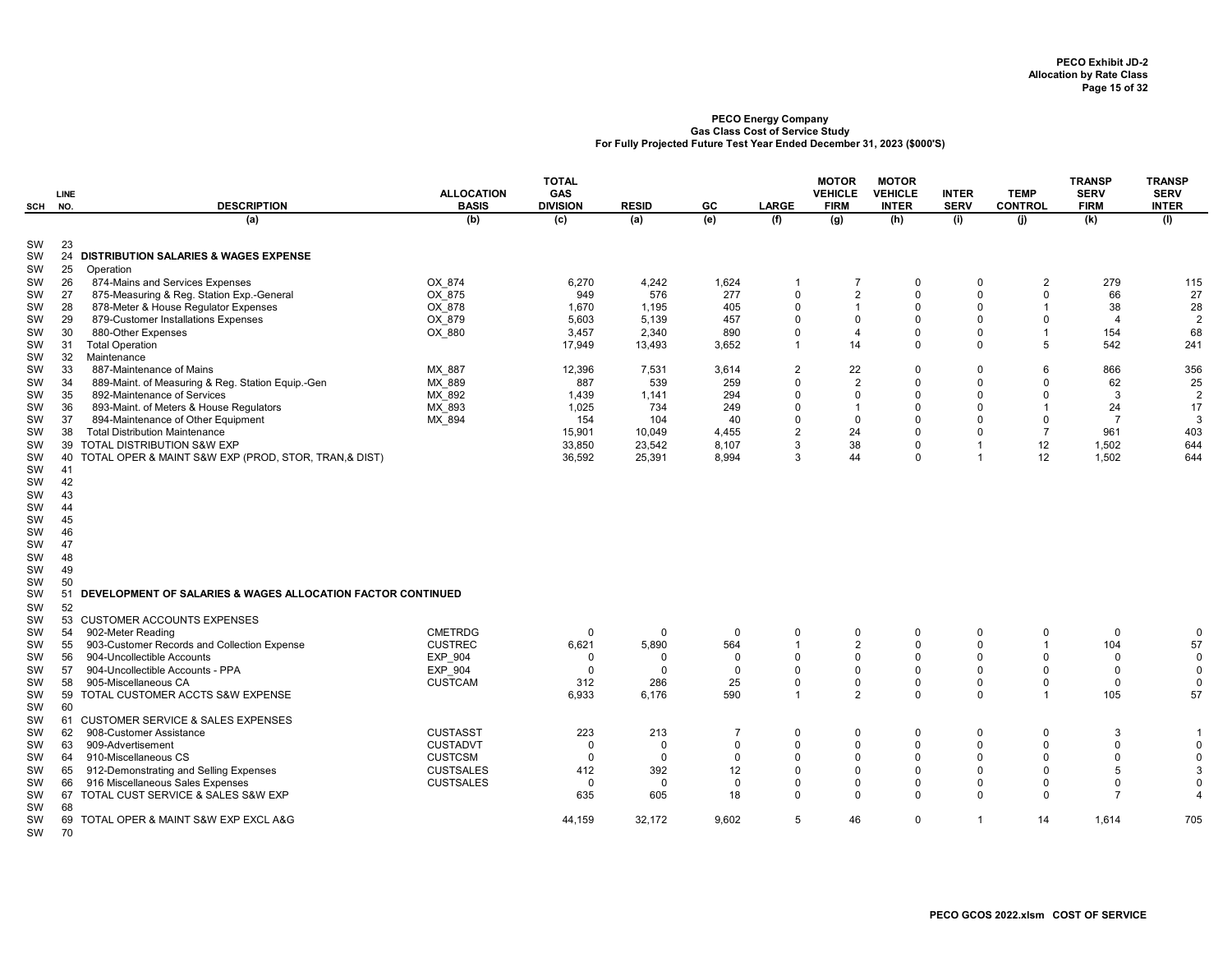| <b>SCH</b>      | LINE<br>NO. | <b>DESCRIPTION</b>                                          | <b>ALLOCATION</b><br><b>BASIS</b> | <b>TOTAL</b><br>GAS<br><b>DIVISION</b> | <b>RESID</b> | GC             | <b>LARGE</b>            | <b>MOTOR</b><br><b>VEHICLE</b><br><b>FIRM</b> | <b>MOTOR</b><br><b>VEHICLE</b><br><b>INTER</b> | <b>INTER</b><br><b>SERV</b> | <b>TEMP</b><br><b>CONTROL</b> | <b>TRANSP</b><br><b>SERV</b><br><b>FIRM</b> | <b>TRANSP</b><br><b>SERV</b><br><b>INTER</b> |
|-----------------|-------------|-------------------------------------------------------------|-----------------------------------|----------------------------------------|--------------|----------------|-------------------------|-----------------------------------------------|------------------------------------------------|-----------------------------|-------------------------------|---------------------------------------------|----------------------------------------------|
|                 |             | (a)                                                         | (b)                               | $\overline{c}$                         | (a)          | (e)            | (f)                     | (g)                                           | (h)                                            | (i)                         | (i)                           | (k)                                         | (1)                                          |
| SW<br>SW        | 23<br>24    | <b>DISTRIBUTION SALARIES &amp; WAGES EXPENSE</b>            |                                   |                                        |              |                |                         |                                               |                                                |                             |                               |                                             |                                              |
| SW              | 25          | Operation                                                   |                                   |                                        |              |                |                         |                                               |                                                |                             |                               |                                             |                                              |
| <b>SW</b>       | 26          | 874-Mains and Services Expenses                             | OX 874                            | 6,270                                  | 4,242        | 1,624          | -1                      | $\overline{7}$                                | $\Omega$                                       | $\Omega$                    | $\overline{2}$                | 279                                         | 115                                          |
| SW              | 27          | 875-Measuring & Reg. Station Exp.-General                   | OX 875                            | 949                                    | 576          | 277            | $\mathbf 0$             | $\overline{2}$                                | $\Omega$                                       | $\Omega$                    | $\mathbf 0$                   | 66                                          | 27                                           |
| SW              | 28          | 878-Meter & House Regulator Expenses                        | OX 878                            | 1,670                                  | 1,195        | 405            | $\Omega$                | $\mathbf{1}$                                  | $\Omega$                                       | $\Omega$                    | $\mathbf{1}$                  | 38                                          | 28                                           |
| SW              | 29          | 879-Customer Installations Expenses                         | OX 879                            | 5,603                                  | 5,139        | 457            | $\Omega$                | $\mathbf 0$                                   | $\Omega$                                       | $\Omega$                    | $\mathbf 0$                   | $\overline{4}$                              | $\overline{2}$                               |
| SW              | 30          | 880-Other Expenses                                          | OX_880                            | 3,457                                  | 2,340        | 890            | 0                       | 4                                             | $\Omega$                                       | $\Omega$                    | $\mathbf{1}$                  | 154                                         | 68                                           |
| SW              | 31          | <b>Total Operation</b>                                      |                                   | 17,949                                 | 13,493       | 3,652          | $\overline{1}$          | 14                                            | $\mathbf 0$                                    | 0                           | 5                             | 542                                         | 241                                          |
| SW              | 32          | Maintenance                                                 |                                   |                                        |              |                |                         |                                               |                                                |                             |                               |                                             |                                              |
| SW              | 33          | 887-Maintenance of Mains                                    | MX 887                            | 12,396                                 | 7.531        | 3,614          | $\overline{2}$          | 22                                            | $\Omega$                                       | $\mathbf 0$                 | 6                             | 866                                         | 356                                          |
| SW              | 34          | 889-Maint. of Measuring & Reg. Station Equip.-Gen           | MX 889                            | 887                                    | 539          | 259            | $\Omega$                | $\overline{2}$                                | $\Omega$                                       | $\Omega$                    | $\Omega$                      | 62                                          | 25                                           |
| SW              | 35          | 892-Maintenance of Services                                 | MX 892                            | 1,439                                  | 1,141        | 294            | $\Omega$                | $\Omega$                                      | $\Omega$                                       | $\Omega$                    | $\Omega$                      | 3                                           | $\overline{2}$                               |
| SW              | 36          | 893-Maint. of Meters & House Regulators                     | MX 893                            | 1,025                                  | 734          | 249            | $\Omega$                | $\mathbf{1}$                                  | $\mathbf 0$                                    | $\Omega$                    | $\mathbf{1}$                  | 24                                          | 17                                           |
| SW              | 37          | 894-Maintenance of Other Equipment                          | MX 894                            | 154                                    | 104          | 40             | $\Omega$                | $\mathbf 0$                                   | $\Omega$                                       | $\Omega$                    | $\mathbf 0$                   | $\overline{7}$                              | 3                                            |
| SW              | 38          | <b>Total Distribution Maintenance</b>                       |                                   | 15,901                                 | 10,049       | 4,455          | $\overline{2}$          | 24                                            | $\Omega$                                       | $\Omega$                    | $\overline{7}$                | 961                                         | 403                                          |
| SW              | 39          | TOTAL DISTRIBUTION S&W EXP                                  |                                   | 33,850                                 | 23,542       | 8,107          | 3                       | 38                                            | $\Omega$                                       | $\overline{1}$              | 12                            | 1,502                                       | 644                                          |
| SW              | 40          | TOTAL OPER & MAINT S&W EXP (PROD, STOR, TRAN,& DIST)        |                                   | 36,592                                 | 25,391       | 8,994          | 3                       | 44                                            | $\mathbf 0$                                    | $\overline{1}$              | 12                            | 1,502                                       | 644                                          |
| SW              | 41          |                                                             |                                   |                                        |              |                |                         |                                               |                                                |                             |                               |                                             |                                              |
| SW              | 42          |                                                             |                                   |                                        |              |                |                         |                                               |                                                |                             |                               |                                             |                                              |
| SW              | 43          |                                                             |                                   |                                        |              |                |                         |                                               |                                                |                             |                               |                                             |                                              |
| SW              | 44          |                                                             |                                   |                                        |              |                |                         |                                               |                                                |                             |                               |                                             |                                              |
| SW              | 45          |                                                             |                                   |                                        |              |                |                         |                                               |                                                |                             |                               |                                             |                                              |
| SW              | 46<br>47    |                                                             |                                   |                                        |              |                |                         |                                               |                                                |                             |                               |                                             |                                              |
| SW              | 48          |                                                             |                                   |                                        |              |                |                         |                                               |                                                |                             |                               |                                             |                                              |
| SW<br>SW        | 49          |                                                             |                                   |                                        |              |                |                         |                                               |                                                |                             |                               |                                             |                                              |
|                 | 50          |                                                             |                                   |                                        |              |                |                         |                                               |                                                |                             |                               |                                             |                                              |
| SW<br><b>SW</b> | 51          | DEVELOPMENT OF SALARIES & WAGES ALLOCATION FACTOR CONTINUED |                                   |                                        |              |                |                         |                                               |                                                |                             |                               |                                             |                                              |
| SW              | 52          |                                                             |                                   |                                        |              |                |                         |                                               |                                                |                             |                               |                                             |                                              |
| <b>SW</b>       |             | 53 CUSTOMER ACCOUNTS EXPENSES                               |                                   |                                        |              |                |                         |                                               |                                                |                             |                               |                                             |                                              |
| SW              | 54          | 902-Meter Reading                                           | <b>CMETRDG</b>                    | $\mathbf 0$                            | $\Omega$     | $\Omega$       | $\mathbf 0$             | $\mathbf 0$                                   | $\Omega$                                       | $\mathbf 0$                 | $\mathbf 0$                   | $\mathbf 0$                                 | 0                                            |
| SW              | 55          | 903-Customer Records and Collection Expense                 | <b>CUSTREC</b>                    | 6,621                                  | 5,890        | 564            | $\overline{1}$          | $\overline{2}$                                | $\mathbf 0$                                    | $\mathbf 0$                 | $\overline{1}$                | 104                                         | 57                                           |
| SW              | 56          | 904-Uncollectible Accounts                                  | <b>EXP 904</b>                    | $\mathbf 0$                            | $\Omega$     | $\Omega$       | $\Omega$                | $\mathbf 0$                                   | $\Omega$                                       | $\Omega$                    | $\Omega$                      | $\Omega$                                    | $\mathsf 0$                                  |
| SW              | 57          | 904-Uncollectible Accounts - PPA                            | EXP 904                           | $\mathbf 0$                            | $\Omega$     | $\Omega$       | $\Omega$                | $\Omega$                                      | $\Omega$                                       | $\Omega$                    | $\Omega$                      | $\Omega$                                    | $\mathbf 0$                                  |
| <b>SW</b>       | 58          | 905-Miscellaneous CA                                        | <b>CUSTCAM</b>                    | 312                                    | 286          | 25             | $\Omega$                | 0                                             | $\mathbf 0$                                    | 0                           | $\mathbf 0$                   | $\Omega$                                    | $\mathbf 0$                                  |
| SW              | 59          | TOTAL CUSTOMER ACCTS S&W EXPENSE                            |                                   | 6,933                                  | 6,176        | 590            | $\overline{\mathbf{1}}$ | $\overline{2}$                                | $\Omega$                                       | $\Omega$                    | $\overline{1}$                | 105                                         | 57                                           |
| SW              | 60          |                                                             |                                   |                                        |              |                |                         |                                               |                                                |                             |                               |                                             |                                              |
| <b>SW</b>       |             | 61 CUSTOMER SERVICE & SALES EXPENSES                        |                                   |                                        |              |                |                         |                                               |                                                |                             |                               |                                             |                                              |
| SW              | 62          | 908-Customer Assistance                                     | <b>CUSTASST</b>                   | 223                                    | 213          | $\overline{7}$ | $\mathbf 0$             | $\mathsf 0$                                   | $\Omega$                                       | $\mathbf 0$                 | $\mathbf 0$                   | 3                                           | -1                                           |
| SW              | 63          | 909-Advertisement                                           | <b>CUSTADVT</b>                   | $\mathbf 0$                            | $\Omega$     | $\Omega$       | $\Omega$                | $\mathsf 0$                                   | $\mathbf 0$                                    | $\Omega$                    | $\Omega$                      | $\Omega$                                    | $\mathsf 0$                                  |
| SW              | 64          | 910-Miscellaneous CS                                        | <b>CUSTCSM</b>                    | $\mathbf 0$                            | $\mathbf 0$  | $\mathbf 0$    | $\mathbf 0$             | $\mathbf 0$                                   | $\Omega$                                       | $\Omega$                    | $\mathbf 0$                   | $\mathbf 0$                                 | $\mathbf 0$                                  |
| <b>SW</b>       | 65          | 912-Demonstrating and Selling Expenses                      | <b>CUSTSALES</b>                  | 412                                    | 392          | 12             | $\Omega$                | $\Omega$                                      | $\Omega$                                       | $\Omega$                    | $\Omega$                      | 5                                           | 3                                            |
| SW              | 66          | 916 Miscellaneous Sales Expenses                            | <b>CUSTSALES</b>                  | $\mathbf 0$                            | $\Omega$     | $\Omega$       | $\Omega$                | $\Omega$                                      | $\Omega$                                       | $\Omega$                    | $\Omega$                      | $\Omega$                                    | $\mathbf 0$                                  |
| SW              | 67          | TOTAL CUST SERVICE & SALES S&W EXP                          |                                   | 635                                    | 605          | 18             | $\Omega$                | $\Omega$                                      | $\Omega$                                       | $\Omega$                    | $\Omega$                      | 7                                           | 4                                            |
| SW              | 68          |                                                             |                                   |                                        |              |                |                         |                                               |                                                |                             |                               |                                             |                                              |
| SW              | 69          | TOTAL OPER & MAINT S&W EXP EXCL A&G                         |                                   | 44,159                                 | 32,172       | 9,602          | 5                       | 46                                            | $\mathbf 0$                                    | $\overline{1}$              | 14                            | 1,614                                       | 705                                          |
| SW              | 70          |                                                             |                                   |                                        |              |                |                         |                                               |                                                |                             |                               |                                             |                                              |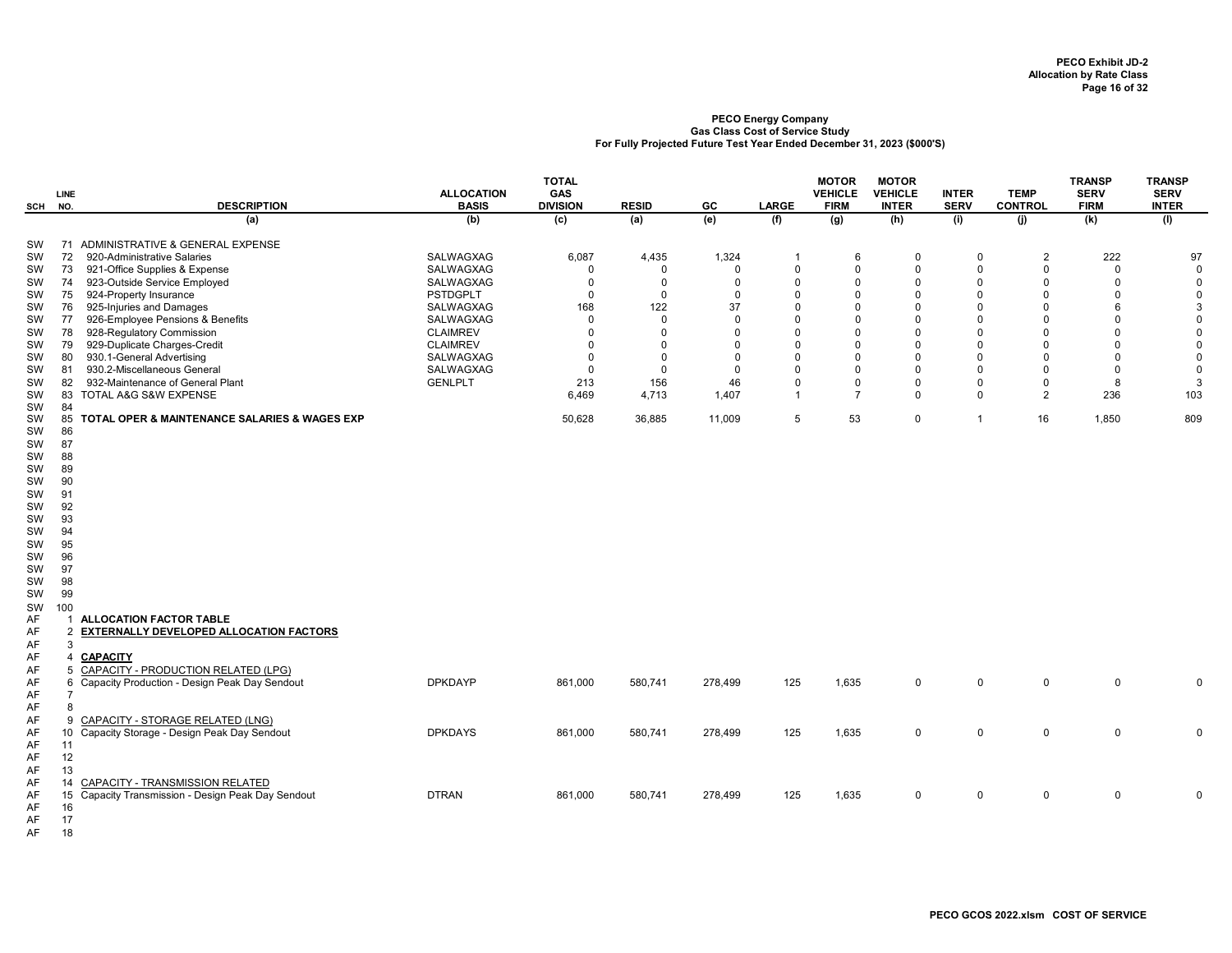| SCH                                                                                    | LINE<br>NO.                                                                                  | <b>DESCRIPTION</b>                                                                                                                                                                                                        | <b>ALLOCATION</b><br><b>BASIS</b>                                                           | <b>TOTAL</b><br>GAS<br><b>DIVISION</b>                                               | <b>RESID</b>                                                             | GC                                                                      | <b>LARGE</b>                                                                              | <b>MOTOR</b><br><b>VEHICLE</b><br><b>FIRM</b>                                             | <b>MOTOR</b><br><b>VEHICLE</b><br><b>INTER</b>                                                  | <b>INTER</b><br><b>SERV</b>                                                            | <b>TEMP</b><br><b>CONTROL</b>                                                                | <b>TRANSP</b><br><b>SERV</b><br><b>FIRM</b>                                      | <b>TRANSP</b><br><b>SERV</b><br><b>INTER</b>                                        |
|----------------------------------------------------------------------------------------|----------------------------------------------------------------------------------------------|---------------------------------------------------------------------------------------------------------------------------------------------------------------------------------------------------------------------------|---------------------------------------------------------------------------------------------|--------------------------------------------------------------------------------------|--------------------------------------------------------------------------|-------------------------------------------------------------------------|-------------------------------------------------------------------------------------------|-------------------------------------------------------------------------------------------|-------------------------------------------------------------------------------------------------|----------------------------------------------------------------------------------------|----------------------------------------------------------------------------------------------|----------------------------------------------------------------------------------|-------------------------------------------------------------------------------------|
|                                                                                        |                                                                                              | (a)                                                                                                                                                                                                                       | (b)                                                                                         | (c)                                                                                  | (a)                                                                      | (e)                                                                     | (f)                                                                                       | (g)                                                                                       | (h)                                                                                             | (i)                                                                                    | (j)                                                                                          | (k)                                                                              | (1)                                                                                 |
| SW<br>SW<br>SW<br>SW<br>SW<br>SW                                                       | 72<br>73<br>74<br>75<br>76                                                                   | 71 ADMINISTRATIVE & GENERAL EXPENSE<br>920-Administrative Salaries<br>921-Office Supplies & Expense<br>923-Outside Service Employed<br>924-Property Insurance<br>925-Injuries and Damages                                 | SALWAGXAG<br>SALWAGXAG<br>SALWAGXAG<br><b>PSTDGPLT</b><br>SALWAGXAG                         | 6,087<br>$\mathbf 0$<br>$\mathbf 0$<br>$\mathbf 0$<br>168                            | 4,435<br>$\Omega$<br>$\Omega$<br>$\mathbf 0$<br>122                      | 1,324<br>$\Omega$<br>$\Omega$<br>$\Omega$<br>37                         | $\mathbf{1}$<br>$\mathbf 0$<br>$\Omega$<br>$\Omega$<br>$\Omega$                           | 6<br>$\mathbf 0$<br>$\Omega$<br>$\Omega$<br>$\Omega$                                      | $\mathbf{0}$<br>$\mathbf 0$<br>$\mathbf 0$<br>$\mathbf 0$<br>$\mathbf 0$                        | $\Omega$<br>$\mathbf 0$<br>$\Omega$<br>$\mathbf 0$<br>$\Omega$                         | $\overline{2}$<br>$\mathsf 0$<br>$\mathbf 0$<br>$\Omega$<br>$\Omega$                         | 222<br>$\mathbf 0$<br>$\mathbf{0}$<br>$\mathbf 0$<br>6                           | 97<br>$\mathbf 0$<br>$\mathbf 0$<br>$\mathbf 0$<br>3                                |
| SW<br>sw<br>sw<br>SW<br>SW<br>SW<br>SW                                                 | 77<br>78<br>79<br>80<br>81<br>82                                                             | 926-Employee Pensions & Benefits<br>928-Regulatory Commission<br>929-Duplicate Charges-Credit<br>930.1-General Advertising<br>930.2-Miscellaneous General<br>932-Maintenance of General Plant<br>83 TOTAL A&G S&W EXPENSE | SALWAGXAG<br><b>CLAIMREV</b><br><b>CLAIMREV</b><br>SALWAGXAG<br>SALWAGXAG<br><b>GENLPLT</b> | $\mathbf 0$<br>$\Omega$<br>$\mathbf 0$<br>$\mathbf 0$<br>$\mathbf 0$<br>213<br>6.469 | $\Omega$<br>$\Omega$<br>$\Omega$<br>$\Omega$<br>$\Omega$<br>156<br>4,713 | $\Omega$<br>$\Omega$<br>$\Omega$<br>$\Omega$<br>$\Omega$<br>46<br>1,407 | $\Omega$<br>$\Omega$<br>$\Omega$<br>$\Omega$<br>$\Omega$<br>$\mathbf 0$<br>$\overline{1}$ | $\Omega$<br>$\Omega$<br>$\Omega$<br>$\Omega$<br>$\Omega$<br>$\mathsf 0$<br>$\overline{7}$ | $\mathbf 0$<br>$\Omega$<br>$\mathbf 0$<br>$\Omega$<br>$\mathbf 0$<br>$\mathbf 0$<br>$\mathbf 0$ | $\Omega$<br>$\Omega$<br>$\Omega$<br>$\Omega$<br>$\Omega$<br>$\mathsf 0$<br>$\mathbf 0$ | $\mathbf 0$<br>$\Omega$<br>$\Omega$<br>$\Omega$<br>$\Omega$<br>$\mathsf 0$<br>$\overline{2}$ | $\Omega$<br>$\Omega$<br>$\mathbf{0}$<br>$\mathbf{0}$<br>$\mathbf{0}$<br>8<br>236 | $\mathsf 0$<br>$\mathbf 0$<br>$\mathbf 0$<br>$\mathbf 0$<br>$\mathbf 0$<br>3<br>103 |
| SW<br>SW<br>SW<br>SW<br>SW<br>SW<br>SW<br>SW<br>SW<br>SW<br>SW<br>SW<br>SW<br>SW<br>SW | 84<br>85<br>86<br>87<br>88<br>89<br>90<br>91<br>92<br>93<br>94<br>95<br>96<br>97<br>98<br>99 | TOTAL OPER & MAINTENANCE SALARIES & WAGES EXP                                                                                                                                                                             |                                                                                             | 50,628                                                                               | 36,885                                                                   | 11,009                                                                  | 5                                                                                         | 53                                                                                        | $\mathbf 0$                                                                                     | $\mathbf{1}$                                                                           | 16                                                                                           | 1,850                                                                            | 809                                                                                 |
| SW<br>SW<br>AF<br>AF<br>AF<br>AF<br>AF<br>AF                                           | 100<br>$\mathbf{1}$<br>2<br>3<br>Δ<br>5                                                      | <b>ALLOCATION FACTOR TABLE</b><br>EXTERNALLY DEVELOPED ALLOCATION FACTORS<br><b>CAPACITY</b><br><b>CAPACITY - PRODUCTION RELATED (LPG)</b><br>6 Capacity Production - Design Peak Day Sendout                             | <b>DPKDAYP</b>                                                                              | 861,000                                                                              | 580,741                                                                  | 278,499                                                                 | 125                                                                                       | 1,635                                                                                     | $\mathbf 0$                                                                                     | $\mathbf 0$                                                                            | $\mathbf 0$                                                                                  | $\mathbf 0$                                                                      | $\mathbf 0$                                                                         |
| AF<br>AF<br>AF<br>AF<br>AF<br>AF                                                       | $\overline{7}$<br>8<br>9<br>10 <sup>1</sup><br>11<br>12                                      | CAPACITY - STORAGE RELATED (LNG)<br>Capacity Storage - Design Peak Day Sendout                                                                                                                                            | <b>DPKDAYS</b>                                                                              | 861,000                                                                              | 580,741                                                                  | 278,499                                                                 | 125                                                                                       | 1,635                                                                                     | $\mathbf 0$                                                                                     | $\mathbf 0$                                                                            | $\mathbf 0$                                                                                  | $\mathbf{0}$                                                                     | $\mathbf 0$                                                                         |
| AF<br>AF<br>AF<br>AF<br>AF                                                             | 13<br>14<br>16<br>17                                                                         | CAPACITY - TRANSMISSION RELATED<br>15 Capacity Transmission - Design Peak Day Sendout                                                                                                                                     | <b>DTRAN</b>                                                                                | 861,000                                                                              | 580,741                                                                  | 278,499                                                                 | 125                                                                                       | 1,635                                                                                     | $\mathbf 0$                                                                                     | $\mathbf 0$                                                                            | 0                                                                                            | $\mathbf 0$                                                                      | 0                                                                                   |

AF 18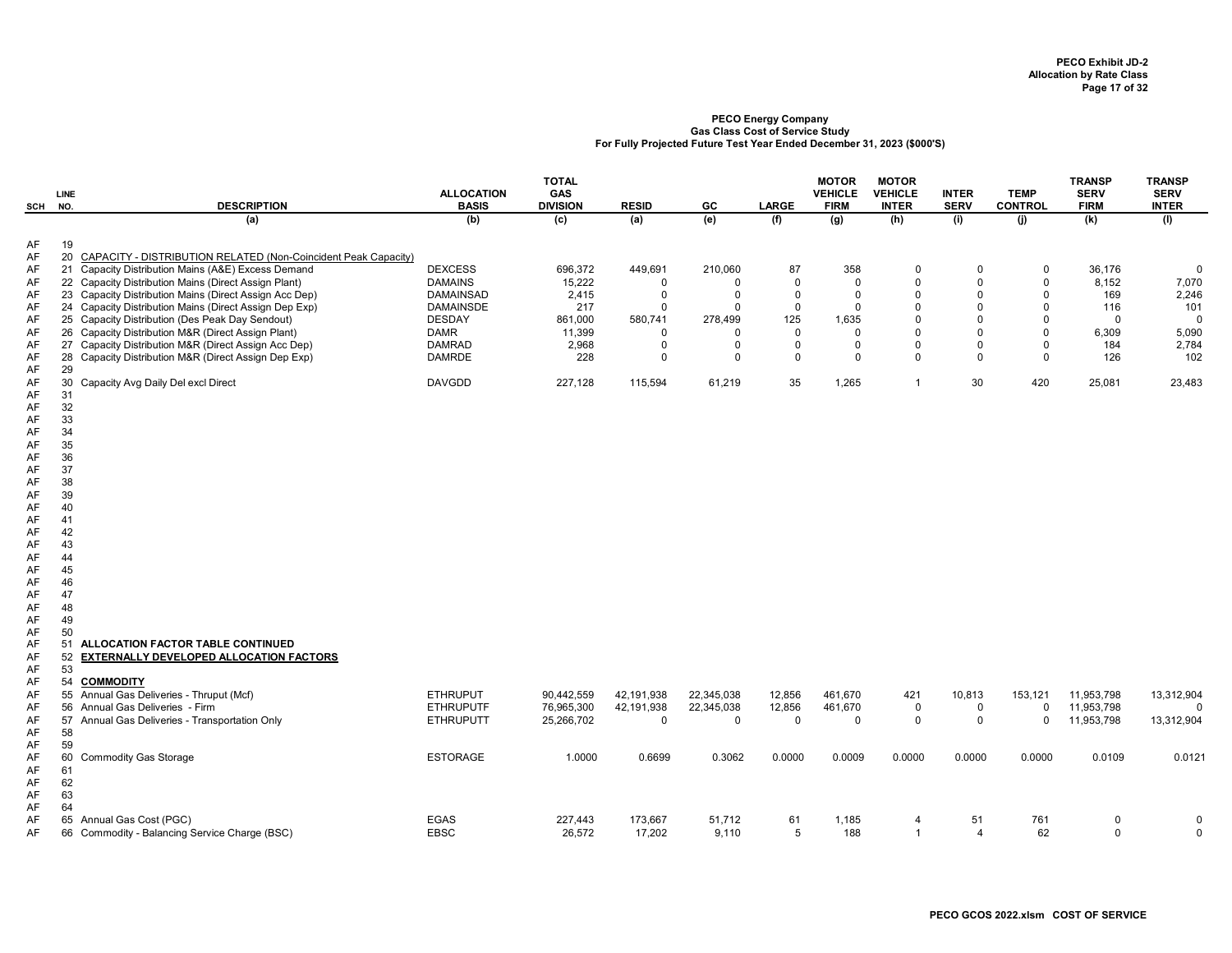| SCH                        | LINE<br>NO.                | <b>DESCRIPTION</b>                                                                                                                                                              | <b>ALLOCATION</b><br><b>BASIS</b>    | <b>TOTAL</b><br>GAS<br><b>DIVISION</b> | <b>RESID</b>               | GC                         | <b>LARGE</b>         | <b>MOTOR</b><br><b>VEHICLE</b><br><b>FIRM</b> | <b>MOTOR</b><br><b>VEHICLE</b><br><b>INTER</b> | <b>INTER</b><br><b>SERV</b> | <b>TEMP</b><br><b>CONTROL</b> | <b>TRANSP</b><br><b>SERV</b><br><b>FIRM</b> | <b>TRANSP</b><br><b>SERV</b><br><b>INTER</b> |
|----------------------------|----------------------------|---------------------------------------------------------------------------------------------------------------------------------------------------------------------------------|--------------------------------------|----------------------------------------|----------------------------|----------------------------|----------------------|-----------------------------------------------|------------------------------------------------|-----------------------------|-------------------------------|---------------------------------------------|----------------------------------------------|
|                            |                            | (a)                                                                                                                                                                             | (b)                                  | (c)                                    | (a)                        | (e)                        | (f)                  | (g)                                           | (h)                                            | (i)                         | (i)                           | (k)                                         | (1)                                          |
| AF<br>AF<br>AF<br>AF       | 19                         | 20 CAPACITY - DISTRIBUTION RELATED (Non-Coincident Peak Capacity)<br>21 Capacity Distribution Mains (A&E) Excess Demand<br>22 Capacity Distribution Mains (Direct Assign Plant) | <b>DEXCESS</b><br><b>DAMAINS</b>     | 696,372<br>15,222                      | 449,691<br>$\mathbf 0$     | 210,060<br>$\Omega$        | 87<br>$\Omega$       | 358<br>$\mathbf 0$                            | $\Omega$<br>$\mathbf 0$                        | $\Omega$<br>$\Omega$        | $\mathbf 0$<br>0              | 36,176<br>8,152                             | $\mathbf{0}$<br>7,070                        |
| AF<br>AF                   |                            | 23 Capacity Distribution Mains (Direct Assign Acc Dep)<br>24 Capacity Distribution Mains (Direct Assign Dep Exp)                                                                | <b>DAMAINSAD</b><br><b>DAMAINSDE</b> | 2.415<br>217                           | $\mathbf 0$<br>$\mathbf 0$ | $\mathbf 0$<br>$\mathbf 0$ | $\Omega$<br>$\Omega$ | $\mathbf 0$<br>$\mathbf 0$                    | $\Omega$<br>$\mathbf 0$                        | $\Omega$<br>$\mathbf 0$     | $\Omega$<br>$\mathbf 0$       | 169<br>116                                  | 2,246<br>101                                 |
| AF<br>AF                   |                            | 25 Capacity Distribution (Des Peak Day Sendout)<br>26 Capacity Distribution M&R (Direct Assign Plant)                                                                           | <b>DESDAY</b><br>DAMR                | 861,000<br>11,399                      | 580,741<br>$\mathbf 0$     | 278,499<br>$\Omega$        | 125<br>$\Omega$      | 1,635<br>$\Omega$                             | $\Omega$<br>0                                  | $\mathbf 0$<br>$\Omega$     | $\mathbf 0$<br>$\mathbf 0$    | $\mathbf 0$<br>6,309                        | $\mathbf{0}$<br>5,090                        |
| AF<br>AF<br>AF             | 29                         | 27 Capacity Distribution M&R (Direct Assign Acc Dep)<br>28 Capacity Distribution M&R (Direct Assign Dep Exp)                                                                    | <b>DAMRAD</b><br><b>DAMRDE</b>       | 2,968<br>228                           | $\mathbf 0$<br>$\Omega$    | 0<br>$\Omega$              | $\Omega$<br>$\Omega$ | $\mathbf 0$<br>$\Omega$                       | $\mathbf 0$<br>$\Omega$                        | $\mathbf 0$<br>$\Omega$     | $\mathbf 0$<br>$\mathbf 0$    | 184<br>126                                  | 2,784<br>102                                 |
| AF<br>AF                   | 30<br>31                   | Capacity Avg Daily Del excl Direct                                                                                                                                              | <b>DAVGDD</b>                        | 227,128                                | 115,594                    | 61,219                     | 35                   | 1,265                                         | $\overline{1}$                                 | 30                          | 420                           | 25,081                                      | 23,483                                       |
| AF<br>AF<br>AF<br>AF       | 32<br>33<br>34<br>35       |                                                                                                                                                                                 |                                      |                                        |                            |                            |                      |                                               |                                                |                             |                               |                                             |                                              |
| AF<br>AF                   | 36<br>37                   |                                                                                                                                                                                 |                                      |                                        |                            |                            |                      |                                               |                                                |                             |                               |                                             |                                              |
| AF<br>AF<br>AF             | 38<br>39<br>40             |                                                                                                                                                                                 |                                      |                                        |                            |                            |                      |                                               |                                                |                             |                               |                                             |                                              |
| AF<br>AF<br>AF             | 41<br>42<br>43             |                                                                                                                                                                                 |                                      |                                        |                            |                            |                      |                                               |                                                |                             |                               |                                             |                                              |
| AF<br>AF                   | 44<br>45                   |                                                                                                                                                                                 |                                      |                                        |                            |                            |                      |                                               |                                                |                             |                               |                                             |                                              |
| AF<br>AF<br>AF             | 46<br>47<br>48             |                                                                                                                                                                                 |                                      |                                        |                            |                            |                      |                                               |                                                |                             |                               |                                             |                                              |
| AF<br>AF<br>AF             | 49<br>50                   | 51 ALLOCATION FACTOR TABLE CONTINUED                                                                                                                                            |                                      |                                        |                            |                            |                      |                                               |                                                |                             |                               |                                             |                                              |
| AF<br>AF<br>AF             | 52<br>53                   | EXTERNALLY DEVELOPED ALLOCATION FACTORS<br>54 COMMODITY                                                                                                                         |                                      |                                        |                            |                            |                      |                                               |                                                |                             |                               |                                             |                                              |
| AF<br>AF                   |                            | 55 Annual Gas Deliveries - Thruput (Mcf)<br>56 Annual Gas Deliveries - Firm                                                                                                     | <b>ETHRUPUT</b><br><b>ETHRUPUTF</b>  | 90,442,559<br>76,965,300               | 42,191,938<br>42,191,938   | 22,345,038<br>22,345,038   | 12,856<br>12,856     | 461,670<br>461,670                            | 421<br>$\mathbf 0$                             | 10,813<br>0                 | 153,121<br>0                  | 11,953,798<br>11,953,798                    | 13,312,904<br>$\Omega$                       |
| AF<br>AF<br>AF             | 58<br>59                   | 57 Annual Gas Deliveries - Transportation Only                                                                                                                                  | <b>ETHRUPUTT</b>                     | 25,266,702                             | $\mathbf 0$                | $\mathbf 0$                | $\mathbf 0$          | $\Omega$                                      | $\mathbf 0$                                    | $\mathbf 0$                 | 0                             | 11,953,798                                  | 13,312,904                                   |
| AF<br>AF<br>AF<br>AF<br>AF | 60<br>61<br>62<br>63<br>64 | <b>Commodity Gas Storage</b>                                                                                                                                                    | <b>ESTORAGE</b>                      | 1.0000                                 | 0.6699                     | 0.3062                     | 0.0000               | 0.0009                                        | 0.0000                                         | 0.0000                      | 0.0000                        | 0.0109                                      | 0.0121                                       |
| AF<br>AF                   |                            | 65 Annual Gas Cost (PGC)<br>66 Commodity - Balancing Service Charge (BSC)                                                                                                       | <b>EGAS</b><br><b>EBSC</b>           | 227,443<br>26,572                      | 173,667<br>17,202          | 51,712<br>9,110            | 61<br>5              | 1,185<br>188                                  | 4<br>$\mathbf{1}$                              | 51<br>$\overline{4}$        | 761<br>62                     | $\mathbf 0$<br>$\Omega$                     | 0<br>$\mathbf 0$                             |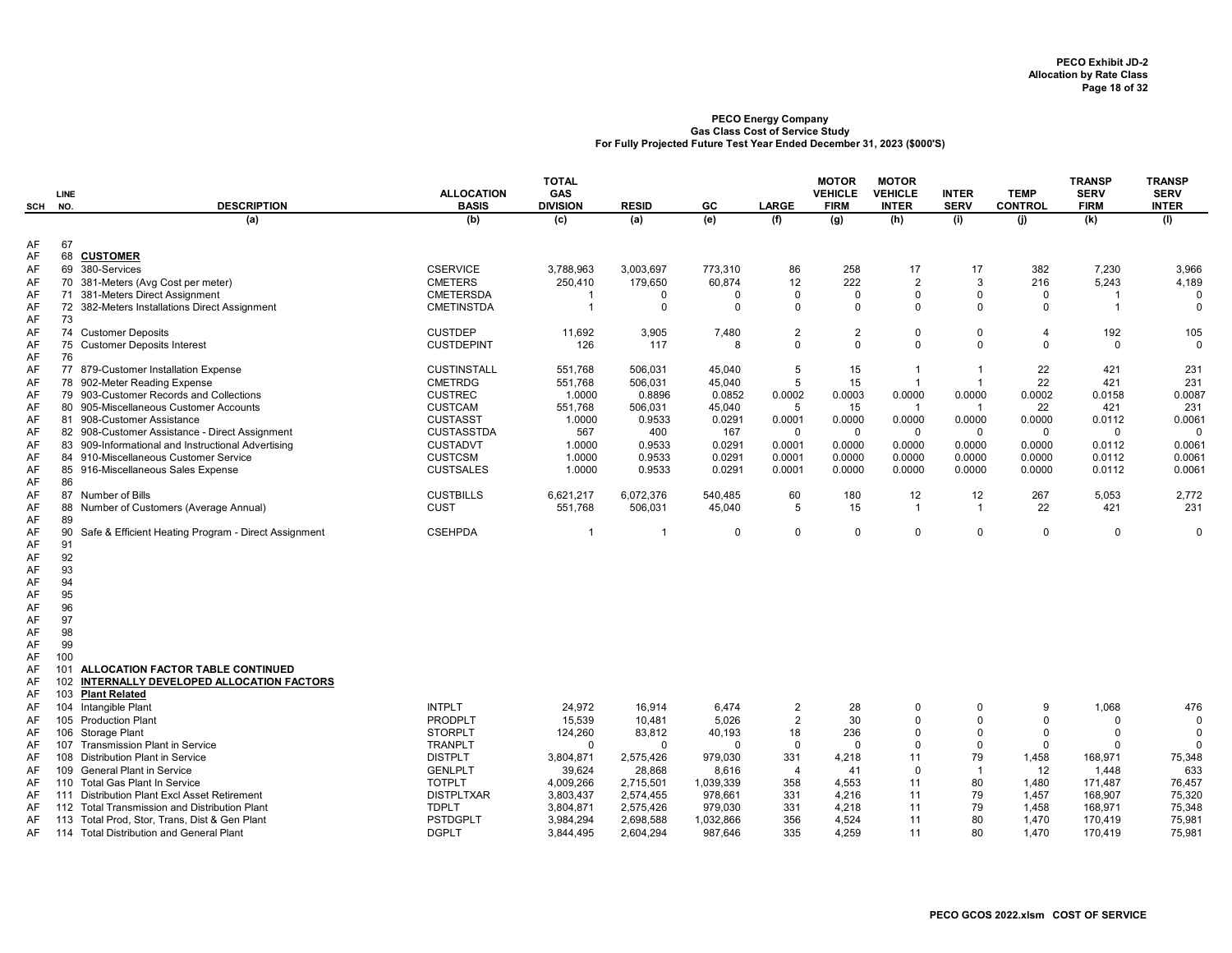| SCH      | <b>LINE</b><br>NO. | <b>DESCRIPTION</b>                                                               | <b>ALLOCATION</b><br><b>BASIS</b>  | <b>TOTAL</b><br><b>GAS</b><br><b>DIVISION</b> | <b>RESID</b>  | GC                 | LARGE          | <b>MOTOR</b><br><b>VEHICLE</b><br><b>FIRM</b> | <b>MOTOR</b><br><b>VEHICLE</b><br><b>INTER</b> | <b>INTER</b><br><b>SERV</b> | <b>TEMP</b><br><b>CONTROL</b> | <b>TRANSP</b><br><b>SERV</b><br><b>FIRM</b> | <b>TRANSP</b><br><b>SERV</b><br><b>INTER</b> |
|----------|--------------------|----------------------------------------------------------------------------------|------------------------------------|-----------------------------------------------|---------------|--------------------|----------------|-----------------------------------------------|------------------------------------------------|-----------------------------|-------------------------------|---------------------------------------------|----------------------------------------------|
|          |                    | (a)                                                                              | (b)                                | (c)                                           | (a)           | (e)                | (f)            | (g)                                           | (h)                                            | (i)                         | (i)                           | (k)                                         | (1)                                          |
| AF       | 67                 |                                                                                  |                                    |                                               |               |                    |                |                                               |                                                |                             |                               |                                             |                                              |
| AF       | 68                 | <b>CUSTOMER</b>                                                                  |                                    |                                               |               |                    |                |                                               |                                                |                             |                               |                                             |                                              |
| AF       |                    | 69 380-Services                                                                  | <b>CSERVICE</b>                    | 3,788,963                                     | 3,003,697     | 773,310            | 86             | 258                                           | 17                                             | 17<br>3                     | 382                           | 7,230                                       | 3,966                                        |
| AF<br>AF |                    | 70 381-Meters (Avg Cost per meter)                                               | <b>CMETERS</b><br><b>CMETERSDA</b> | 250,410<br>-1                                 | 179,650       | 60,874<br>$\Omega$ | 12<br>$\Omega$ | 222<br>$\Omega$                               | $\overline{2}$<br>$\Omega$                     | $\Omega$                    | 216<br>$\Omega$               | 5,243<br>-1                                 | 4,189<br>$\Omega$                            |
| AF       |                    | 71 381-Meters Direct Assignment<br>72 382-Meters Installations Direct Assignment | <b>CMETINSTDA</b>                  | $\overline{1}$                                | 0<br>$\Omega$ | $\Omega$           | $\Omega$       | $\Omega$                                      | $\Omega$                                       | $\Omega$                    | $\Omega$                      | $\overline{1}$                              | $\Omega$                                     |
| AF       | 73                 |                                                                                  |                                    |                                               |               |                    |                |                                               |                                                |                             |                               |                                             |                                              |
| AF       |                    | 74 Customer Deposits                                                             | <b>CUSTDEP</b>                     | 11,692                                        | 3,905         | 7,480              | $\overline{2}$ | $\overline{2}$                                | $\mathbf 0$                                    | $\Omega$                    | $\overline{4}$                | 192                                         | 105                                          |
| AF       | 75                 | <b>Customer Deposits Interest</b>                                                | <b>CUSTDEPINT</b>                  | 126                                           | 117           | 8                  | $\Omega$       | $\Omega$                                      | $\Omega$                                       | $\Omega$                    | $\Omega$                      | $\Omega$                                    | $\Omega$                                     |
| AF       | 76                 |                                                                                  |                                    |                                               |               |                    |                |                                               |                                                |                             |                               |                                             |                                              |
| AF       |                    | 77 879-Customer Installation Expense                                             | <b>CUSTINSTALL</b>                 | 551,768                                       | 506,031       | 45,040             | 5              | 15                                            |                                                | $\overline{\mathbf{1}}$     | 22                            | 421                                         | 231                                          |
| AF       |                    | 78 902-Meter Reading Expense                                                     | <b>CMETRDG</b>                     | 551,768                                       | 506,031       | 45,040             | 5              | 15                                            |                                                | $\overline{1}$              | 22                            | 421                                         | 231                                          |
| AF       |                    | 79 903-Customer Records and Collections                                          | <b>CUSTREC</b>                     | 1.0000                                        | 0.8896        | 0.0852             | 0.0002         | 0.0003                                        | 0.0000                                         | 0.0000                      | 0.0002                        | 0.0158                                      | 0.0087                                       |
| AF       |                    | 80 905-Miscellaneous Customer Accounts                                           | <b>CUSTCAM</b>                     | 551,768                                       | 506,031       | 45,040             | 5              | 15                                            | $\overline{\mathbf{1}}$                        | $\mathbf{1}$                | 22                            | 421                                         | 231                                          |
| AF       |                    | 81 908-Customer Assistance                                                       | <b>CUSTASST</b>                    | 1.0000                                        | 0.9533        | 0.0291             | 0.0001         | 0.0000                                        | 0.0000                                         | 0.0000                      | 0.0000                        | 0.0112                                      | 0.0061                                       |
| AF       |                    | 82 908-Customer Assistance - Direct Assignment                                   | <b>CUSTASSTDA</b>                  | 567                                           | 400           | 167                | $\Omega$       | $\mathbf 0$                                   | $\mathbf 0$                                    | $\mathbf 0$                 | $\mathbf 0$                   | $\Omega$                                    | $\Omega$                                     |
| AF       |                    | 83 909-Informational and Instructional Advertising                               | <b>CUSTADVT</b>                    | 1.0000                                        | 0.9533        | 0.0291             | 0.0001         | 0.0000                                        | 0.0000                                         | 0.0000                      | 0.0000                        | 0.0112                                      | 0.0061                                       |
| AF       |                    | 84 910-Miscellaneous Customer Service                                            | <b>CUSTCSM</b>                     | 1.0000                                        | 0.9533        | 0.0291             | 0.0001         | 0.0000                                        | 0.0000                                         | 0.0000                      | 0.0000                        | 0.0112                                      | 0.0061                                       |
| AF       |                    | 85 916-Miscellaneous Sales Expense                                               | <b>CUSTSALES</b>                   | 1.0000                                        | 0.9533        | 0.0291             | 0.0001         | 0.0000                                        | 0.0000                                         | 0.0000                      | 0.0000                        | 0.0112                                      | 0.0061                                       |
| AF       | 86                 |                                                                                  |                                    |                                               |               |                    |                |                                               |                                                |                             |                               |                                             |                                              |
| AF       |                    | 87 Number of Bills                                                               | <b>CUSTBILLS</b>                   | 6,621,217                                     | 6,072,376     | 540,485            | 60             | 180                                           | 12                                             | 12                          | 267                           | 5,053                                       | 2,772                                        |
| AF       |                    | 88 Number of Customers (Average Annual)                                          | <b>CUST</b>                        | 551,768                                       | 506,031       | 45,040             | 5              | 15                                            | $\overline{1}$                                 | -1                          | 22                            | 421                                         | 231                                          |
| AF       | 89                 |                                                                                  |                                    |                                               |               |                    |                |                                               |                                                |                             |                               |                                             |                                              |
| AF       | 90                 | Safe & Efficient Heating Program - Direct Assignment                             | <b>CSEHPDA</b>                     | $\overline{\mathbf{1}}$                       |               | $\Omega$           | $\Omega$       | $\Omega$                                      | $\mathbf 0$                                    | $\Omega$                    | $\mathbf 0$                   | $\Omega$                                    | $\Omega$                                     |
| AF       | 91                 |                                                                                  |                                    |                                               |               |                    |                |                                               |                                                |                             |                               |                                             |                                              |
| AF       | 92                 |                                                                                  |                                    |                                               |               |                    |                |                                               |                                                |                             |                               |                                             |                                              |
| AF       | 93                 |                                                                                  |                                    |                                               |               |                    |                |                                               |                                                |                             |                               |                                             |                                              |
| AF       | 94                 |                                                                                  |                                    |                                               |               |                    |                |                                               |                                                |                             |                               |                                             |                                              |
| AF       | 95                 |                                                                                  |                                    |                                               |               |                    |                |                                               |                                                |                             |                               |                                             |                                              |
| AF       | 96                 |                                                                                  |                                    |                                               |               |                    |                |                                               |                                                |                             |                               |                                             |                                              |
| AF       | 97                 |                                                                                  |                                    |                                               |               |                    |                |                                               |                                                |                             |                               |                                             |                                              |
| AF       | 98<br>99           |                                                                                  |                                    |                                               |               |                    |                |                                               |                                                |                             |                               |                                             |                                              |
| AF<br>AF | 100                |                                                                                  |                                    |                                               |               |                    |                |                                               |                                                |                             |                               |                                             |                                              |
| AF       | 101                | ALLOCATION FACTOR TABLE CONTINUED                                                |                                    |                                               |               |                    |                |                                               |                                                |                             |                               |                                             |                                              |
| AF       | 102                | INTERNALLY DEVELOPED ALLOCATION FACTORS                                          |                                    |                                               |               |                    |                |                                               |                                                |                             |                               |                                             |                                              |
| AF       | 103                | <b>Plant Related</b>                                                             |                                    |                                               |               |                    |                |                                               |                                                |                             |                               |                                             |                                              |
| AF       | 104                | Intangible Plant                                                                 | <b>INTPLT</b>                      | 24,972                                        | 16,914        | 6,474              | $\overline{2}$ | 28                                            | $\Omega$                                       | $\Omega$                    | 9                             | 1,068                                       | 476                                          |
| AF       | 105                | <b>Production Plant</b>                                                          | <b>PRODPLT</b>                     | 15,539                                        | 10,481        | 5,026              | $\overline{2}$ | 30                                            | $\mathbf 0$                                    | $\Omega$                    | $\Omega$                      | $\Omega$                                    | $\Omega$                                     |
| AF       | 106                | <b>Storage Plant</b>                                                             | <b>STORPLT</b>                     | 124,260                                       | 83,812        | 40,193             | 18             | 236                                           | $\Omega$                                       | $\Omega$                    | $\Omega$                      | $\Omega$                                    | $\Omega$                                     |
| AF       | 107                | <b>Transmission Plant in Service</b>                                             | <b>TRANPLT</b>                     | $\Omega$                                      | $\Omega$      | $\Omega$           | 0              | $\Omega$                                      | $\mathbf 0$                                    | $\Omega$                    | $\Omega$                      | $\Omega$                                    |                                              |
| AF       | 108                | <b>Distribution Plant in Service</b>                                             | <b>DISTPLT</b>                     | 3,804,871                                     | 2,575,426     | 979,030            | 331            | 4,218                                         | 11                                             | 79                          | 1,458                         | 168,971                                     | 75,348                                       |
| AF       | 109                | <b>General Plant in Service</b>                                                  | <b>GENLPLT</b>                     | 39,624                                        | 28,868        | 8,616              | $\overline{4}$ | 41                                            | $\mathbf{0}$                                   | $\overline{1}$              | 12                            | 1,448                                       | 633                                          |
| AF       | 110                | <b>Total Gas Plant In Service</b>                                                | <b>TOTPLT</b>                      | 4,009,266                                     | 2,715,501     | 1,039,339          | 358            | 4,553                                         | 11                                             | 80                          | 1,480                         | 171,487                                     | 76,457                                       |
| AF       | 111                | Distribution Plant Excl Asset Retirement                                         | <b>DISTPLTXAR</b>                  | 3,803,437                                     | 2,574,455     | 978,661            | 331            | 4,216                                         | 11                                             | 79                          | 1,457                         | 168,907                                     | 75,320                                       |
| AF       | 112                | Total Transmission and Distribution Plant                                        | <b>TDPLT</b>                       | 3,804,871                                     | 2,575,426     | 979,030            | 331            | 4,218                                         | 11                                             | 79                          | 1,458                         | 168,971                                     | 75,348                                       |
| AF       | 113                | Total Prod, Stor, Trans, Dist & Gen Plant                                        | <b>PSTDGPLT</b>                    | 3,984,294                                     | 2,698,588     | 1,032,866          | 356            | 4,524                                         | 11                                             | 80                          | 1,470                         | 170,419                                     | 75,981                                       |
| AF       |                    | 114 Total Distribution and General Plant                                         | <b>DGPLT</b>                       | 3,844,495                                     | 2,604,294     | 987,646            | 335            | 4,259                                         | 11                                             | 80                          | 1,470                         | 170,419                                     | 75,981                                       |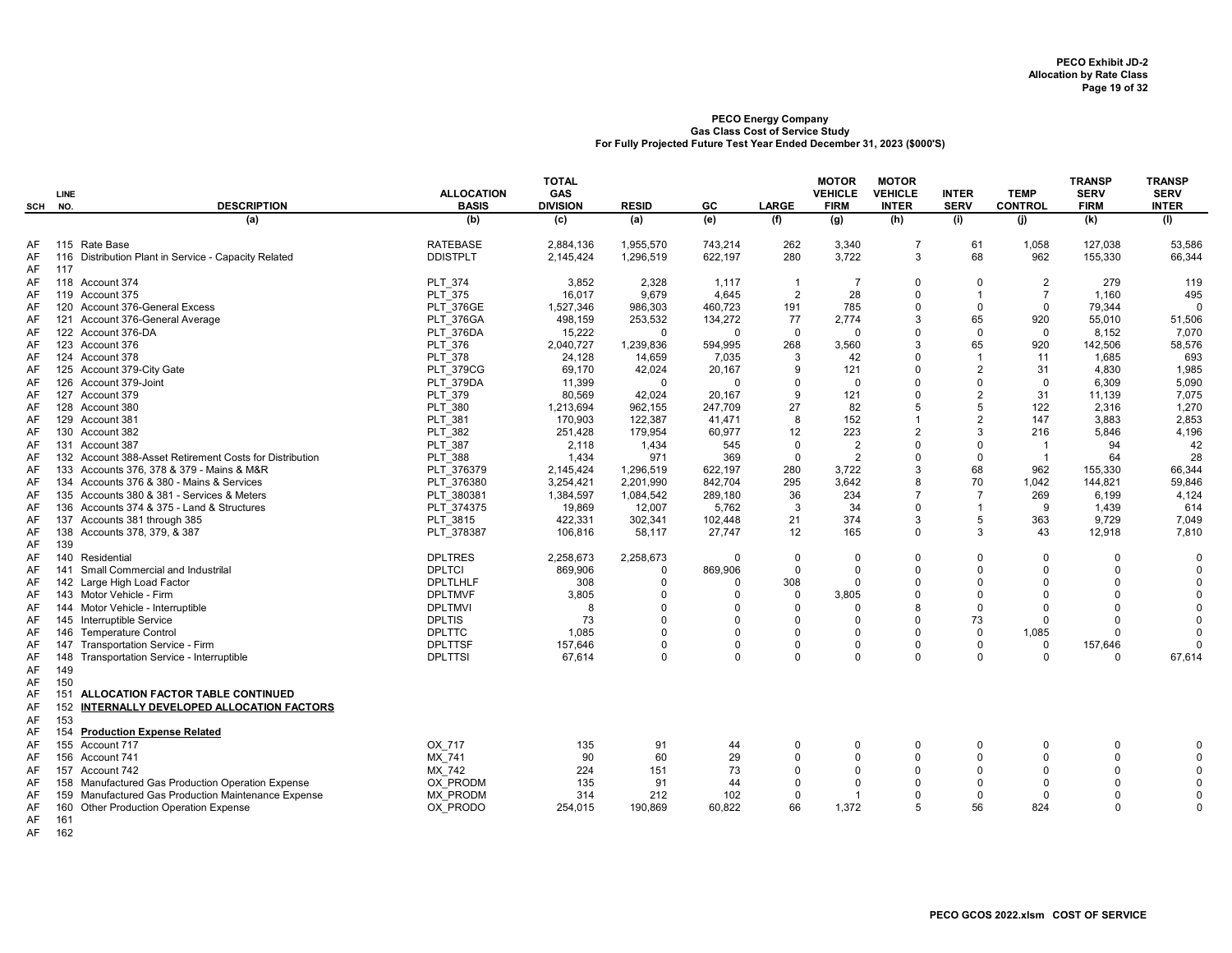| SCH      | LINE<br>NO. | <b>DESCRIPTION</b>                                      | <b>ALLOCATION</b><br><b>BASIS</b> | <b>TOTAL</b><br>GAS<br><b>DIVISION</b> | <b>RESID</b> | GC       | <b>LARGE</b>   | <b>MOTOR</b><br><b>VEHICLE</b><br><b>FIRM</b> | <b>MOTOR</b><br><b>VEHICLE</b><br><b>INTER</b> | <b>INTER</b><br><b>SERV</b> | <b>TEMP</b><br><b>CONTROL</b> | <b>TRANSP</b><br><b>SERV</b><br><b>FIRM</b> | <b>TRANSP</b><br><b>SERV</b><br><b>INTER</b> |
|----------|-------------|---------------------------------------------------------|-----------------------------------|----------------------------------------|--------------|----------|----------------|-----------------------------------------------|------------------------------------------------|-----------------------------|-------------------------------|---------------------------------------------|----------------------------------------------|
|          |             | (a)                                                     | (b)                               | (c)                                    | (a)          | (e)      | (f)            | (g)                                           | (h)                                            | (i)                         | (i)                           | (k)                                         | (1)                                          |
| AF       | 115         | Rate Base                                               | <b>RATEBASE</b>                   | 2,884,136                              | 1,955,570    | 743,214  | 262            | 3,340                                         | $\overline{7}$                                 | 61                          | 1,058                         | 127,038                                     | 53,586                                       |
| AF       | 116         | Distribution Plant in Service - Capacity Related        | <b>DDISTPLT</b>                   | 2,145,424                              | 1,296,519    | 622.197  | 280            | 3.722                                         | 3                                              | 68                          | 962                           | 155,330                                     | 66,344                                       |
| AF<br>AF | 117         | 118 Account 374                                         | <b>PLT 374</b>                    | 3,852                                  | 2,328        | 1,117    | $\overline{1}$ | $\overline{7}$                                | $\Omega$                                       | $\Omega$                    | $\overline{2}$                | 279                                         | 119                                          |
| AF       |             | 119 Account 375                                         | <b>PLT 375</b>                    | 16,017                                 | 9,679        | 4,645    | 2              | 28                                            | $\Omega$                                       | $\overline{1}$              | $\overline{7}$                | 1,160                                       | 495                                          |
| AF       |             | 120 Account 376-General Excess                          | <b>PLT 376GE</b>                  | 1,527,346                              | 986,303      | 460,723  | 191            | 785                                           | $\Omega$                                       | $\mathbf 0$                 | $\mathbf 0$                   | 79,344                                      | $\Omega$                                     |
| AF       |             | 121 Account 376-General Average                         | PLT 376GA                         | 498.159                                | 253,532      | 134,272  | 77             | 2,774                                         | 3                                              | 65                          | 920                           | 55,010                                      | 51,506                                       |
| AF       |             | 122 Account 376-DA                                      | PLT 376DA                         | 15,222                                 | $\Omega$     | $\Omega$ | $\mathbf 0$    | $\mathbf 0$                                   | $\Omega$                                       | $\mathbf 0$                 | $\mathbf 0$                   | 8,152                                       | 7,070                                        |
| AF       |             | 123 Account 376                                         | PLT 376                           | 2,040,727                              | 1,239,836    | 594,995  | 268            | 3,560                                         | 3                                              | 65                          | 920                           | 142,506                                     | 58,576                                       |
| AF       |             | 124 Account 378                                         | PLT 378                           | 24,128                                 | 14,659       | 7,035    | 3              | 42                                            | $\Omega$                                       | $\overline{1}$              | 11                            | 1.685                                       | 693                                          |
| AF       |             | 125 Account 379-City Gate                               | <b>PLT 379CG</b>                  | 69,170                                 | 42,024       | 20,167   | 9              | 121                                           | $\Omega$                                       | 2                           | 31                            | 4,830                                       | 1,985                                        |
| AF       |             | 126 Account 379-Joint                                   | PLT 379DA                         | 11,399                                 | $\Omega$     | $\Omega$ | $\Omega$       | $\mathbf 0$                                   |                                                | $\Omega$                    | $\mathbf 0$                   | 6,309                                       | 5,090                                        |
| AF       |             | 127 Account 379                                         | PLT 379                           | 80,569                                 | 42,024       | 20,167   | 9              | 121                                           | $\Omega$                                       | $\overline{2}$              | 31                            | 11,139                                      | 7,075                                        |
| AF       |             | 128 Account 380                                         | <b>PLT 380</b>                    | 1,213,694                              | 962,155      | 247,709  | 27             | 82                                            |                                                | 5                           | 122                           | 2,316                                       | 1,270                                        |
| AF       |             | 129 Account 381                                         | <b>PLT 381</b>                    | 170.903                                | 122,387      | 41.471   | 8              | 152                                           |                                                | $\overline{2}$              | 147                           | 3.883                                       | 2,853                                        |
| AF       |             | 130 Account 382                                         | <b>PLT 382</b>                    | 251,428                                | 179,954      | 60,977   | 12             | 223                                           | $\overline{2}$                                 | 3                           | 216                           | 5,846                                       | 4,196                                        |
| AF       |             | 131 Account 387                                         | PLT 387                           | 2,118                                  | 1,434        | 545      | $\Omega$       | $\overline{2}$                                | $\Omega$                                       | $\Omega$                    | $\overline{1}$                | 94                                          | 42                                           |
| AF       |             | 132 Account 388-Asset Retirement Costs for Distribution | <b>PLT 388</b>                    | 1,434                                  | 971          | 369      | $\mathbf 0$    | $\overline{2}$                                | $\mathbf 0$                                    | $\Omega$                    | $\overline{1}$                | 64                                          | 28                                           |
| AF       |             | 133 Accounts 376, 378 & 379 - Mains & M&R               | PLT 376379                        | 2,145,424                              | 1,296,519    | 622,197  | 280            | 3,722                                         | 3                                              | 68                          | 962                           | 155,330                                     | 66,344                                       |
| AF       |             | 134 Accounts 376 & 380 - Mains & Services               | PLT 376380                        | 3,254,421                              | 2,201,990    | 842,704  | 295            | 3.642                                         | 8                                              | 70                          | 1,042                         | 144,821                                     | 59,846                                       |
| AF       |             | 135 Accounts 380 & 381 - Services & Meters              | PLT 380381                        | 1,384,597                              | 1,084,542    | 289,180  | 36             | 234                                           | $\overline{7}$                                 | $\overline{7}$              | 269                           | 6,199                                       | 4,124                                        |
| AF       |             | 136 Accounts 374 & 375 - Land & Structures              | PLT 374375                        | 19,869                                 | 12,007       | 5,762    | 3              | 34                                            | $\Omega$                                       | $\overline{1}$              | 9                             | 1,439                                       | 614                                          |
| AF       |             | 137 Accounts 381 through 385                            | PLT 3815                          | 422.331                                | 302.341      | 102.448  | 21             | 374                                           | 3                                              | 5                           | 363                           | 9.729                                       | 7.049                                        |
| AF       | 138         | Accounts 378, 379, & 387                                | PLT 378387                        | 106,816                                | 58,117       | 27,747   | 12             | 165                                           | $\Omega$                                       | 3                           | 43                            | 12,918                                      | 7,810                                        |
| AF       | 139         |                                                         |                                   |                                        |              |          |                |                                               |                                                |                             |                               |                                             |                                              |
| AF       | 140         | Residential                                             | <b>DPLTRES</b>                    | 2,258,673                              | 2,258,673    | $\Omega$ | $\Omega$       | $\Omega$                                      | $\Omega$                                       | $\Omega$                    | $\Omega$                      | $\Omega$                                    | $\Omega$                                     |
| AF       | 141         | Small Commercial and Industrilal                        | <b>DPLTCI</b>                     | 869,906                                | $\Omega$     | 869.906  | $\Omega$       | $\mathbf 0$                                   | $\Omega$                                       | $\Omega$                    | $\Omega$                      | $\Omega$                                    | $\Omega$                                     |
| AF       |             | 142 Large High Load Factor                              | <b>DPLTLHLF</b>                   | 308                                    | $\Omega$     | 0        | 308            | $\Omega$                                      | $\Omega$                                       | $\Omega$                    | $\Omega$                      | $\Omega$                                    | $\Omega$                                     |
| AF       |             | 143 Motor Vehicle - Firm                                | <b>DPLTMVF</b>                    | 3,805                                  | $\Omega$     | 0        | $\Omega$       | 3,805                                         | $\Omega$                                       | $\Omega$                    | $\Omega$                      | $\Omega$                                    | $\Omega$                                     |
| AF       |             | 144 Motor Vehicle - Interruptible                       | <b>DPLTMVI</b>                    | 8                                      | $\Omega$     | $\Omega$ | $\Omega$       | $\Omega$                                      | 8                                              | $\Omega$                    | $\Omega$                      | $\Omega$                                    | $\Omega$                                     |
| AF       |             | 145 Interruptible Service                               | <b>DPLTIS</b>                     | 73                                     | $\Omega$     | $\Omega$ | $\Omega$       | $\mathbf 0$                                   | $\Omega$                                       | 73                          | $\Omega$                      | $\Omega$                                    | $\Omega$                                     |
| AF       |             | 146 Temperature Control                                 | <b>DPLTTC</b>                     | 1.085                                  | $\Omega$     | $\Omega$ | $\Omega$       | $\Omega$                                      | $\Omega$                                       | $\mathbf 0$                 | 1,085                         | $\Omega$                                    | $\Omega$                                     |
| AF       | 147         | Transportation Service - Firm                           | <b>DPLTTSF</b>                    | 157,646                                | $\Omega$     | 0        | $\Omega$       | $\Omega$                                      | $\Omega$                                       | $\mathbf 0$                 | $\mathbf 0$                   | 157,646                                     | $\Omega$                                     |
| AF       | 148         | Transportation Service - Interruptible                  | <b>DPLTTSI</b>                    | 67,614                                 | $\mathbf 0$  | $\Omega$ | $\Omega$       | $\Omega$                                      | $\Omega$                                       | $\Omega$                    | $\Omega$                      | $\Omega$                                    | 67,614                                       |
| AF       | 149         |                                                         |                                   |                                        |              |          |                |                                               |                                                |                             |                               |                                             |                                              |
| AF       | 150         |                                                         |                                   |                                        |              |          |                |                                               |                                                |                             |                               |                                             |                                              |
| AF       | 151         | ALLOCATION FACTOR TABLE CONTINUED                       |                                   |                                        |              |          |                |                                               |                                                |                             |                               |                                             |                                              |
| AF       | 152         | INTERNALLY DEVELOPED ALLOCATION FACTORS                 |                                   |                                        |              |          |                |                                               |                                                |                             |                               |                                             |                                              |
| AF       | 153         |                                                         |                                   |                                        |              |          |                |                                               |                                                |                             |                               |                                             |                                              |
| AF       | 154         | <b>Production Expense Related</b>                       |                                   |                                        |              |          |                |                                               |                                                |                             |                               |                                             |                                              |
| AF       |             | 155 Account 717                                         | OX 717                            | 135                                    | 91           | 44       | $\Omega$       | $\mathbf 0$                                   | $\Omega$                                       | $\Omega$                    | $\mathbf 0$                   | $\mathbf 0$                                 | $\mathbf 0$                                  |
| AF       |             | 156 Account 741                                         | MX 741                            | 90                                     | 60           | 29       | $\Omega$       | $\Omega$                                      | $\Omega$                                       | $\Omega$                    | $\Omega$                      | $\Omega$                                    | $\Omega$                                     |
| AF       |             | 157 Account 742                                         | MX 742                            | 224                                    | 151          | 73       | $\Omega$       | $\Omega$                                      | $\Omega$                                       | $\Omega$                    | $\Omega$                      | $\Omega$                                    | $\Omega$                                     |
| AF       |             | 158 Manufactured Gas Production Operation Expense       | OX PRODM                          | 135                                    | 91           | 44       | $\Omega$       | $\Omega$                                      | $\Omega$                                       | $\Omega$                    | $\Omega$                      | $\Omega$                                    | $\Omega$                                     |
| AF       |             | 159 Manufactured Gas Production Maintenance Expense     | <b>MX PRODM</b>                   | 314                                    | 212          | 102      | $\Omega$       | $\mathbf{1}$                                  | $\Omega$                                       | $\Omega$                    | $\Omega$                      | 0                                           | $\Omega$                                     |
| AF       | 160         | Other Production Operation Expense                      | OX PRODO                          | 254,015                                | 190,869      | 60,822   | 66             | 1,372                                         | 5                                              | 56                          | 824                           | $\Omega$                                    | $\Omega$                                     |
| AF       | 161         |                                                         |                                   |                                        |              |          |                |                                               |                                                |                             |                               |                                             |                                              |

AF 162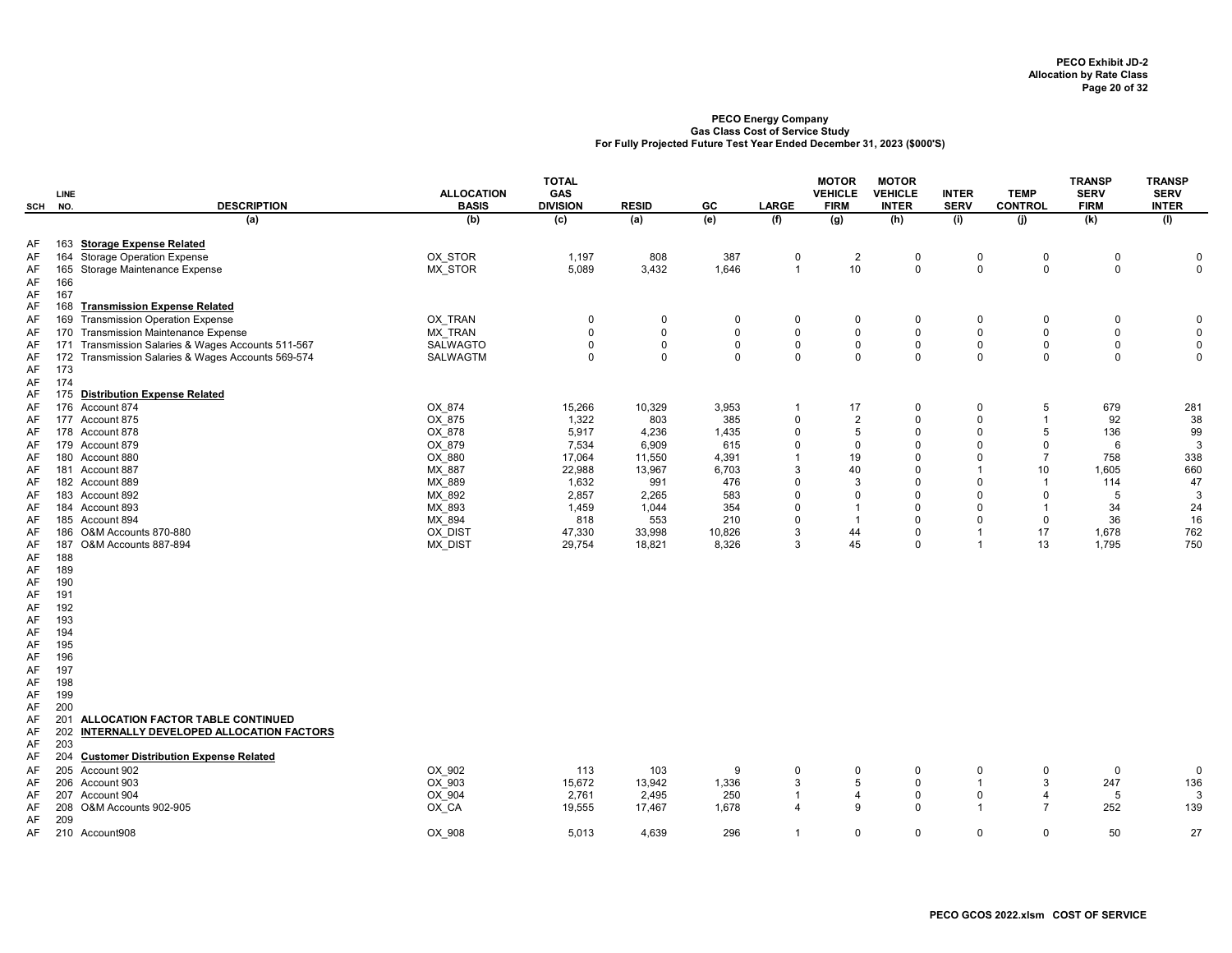| SCH      | LINE<br>NO. | <b>DESCRIPTION</b>                             | <b>ALLOCATION</b><br><b>BASIS</b> | <b>TOTAL</b><br>GAS<br><b>DIVISION</b> | <b>RESID</b>   | GC           | <b>LARGE</b>   | <b>MOTOR</b><br><b>VEHICLE</b><br><b>FIRM</b> | <b>MOTOR</b><br><b>VEHICLE</b><br><b>INTER</b> | <b>INTER</b><br><b>SERV</b> | <b>TEMP</b><br><b>CONTROL</b> | <b>TRANSP</b><br><b>SERV</b><br><b>FIRM</b> | <b>TRANSP</b><br><b>SERV</b><br><b>INTER</b> |
|----------|-------------|------------------------------------------------|-----------------------------------|----------------------------------------|----------------|--------------|----------------|-----------------------------------------------|------------------------------------------------|-----------------------------|-------------------------------|---------------------------------------------|----------------------------------------------|
|          |             | (a)                                            | (b)                               | $\overline{c}$                         | (a)            | (e)          | (f)            | $\overline{g}$                                | (h)                                            | (i)                         | (i)                           | (k)                                         | (1)                                          |
| AF       | 163         | <b>Storage Expense Related</b>                 |                                   |                                        |                |              |                |                                               |                                                |                             |                               |                                             |                                              |
| AF       | 164         | <b>Storage Operation Expense</b>               | OX STOR                           | 1,197                                  | 808            | 387          | 0              | $\overline{c}$                                | $\mathbf 0$                                    | 0                           | 0                             | $\mathbf 0$                                 | 0                                            |
| AF       | 165         | Storage Maintenance Expense                    | MX STOR                           | 5,089                                  | 3,432          | 1,646        | $\overline{1}$ | 10                                            | $\mathbf 0$                                    | $\mathbf 0$                 | $\mathsf 0$                   | $\mathbf 0$                                 | $\mathbf 0$                                  |
| AF       | 166         |                                                |                                   |                                        |                |              |                |                                               |                                                |                             |                               |                                             |                                              |
| AF       | 167         |                                                |                                   |                                        |                |              |                |                                               |                                                |                             |                               |                                             |                                              |
| AF       | 168         | <b>Transmission Expense Related</b>            |                                   |                                        |                |              |                |                                               |                                                |                             |                               |                                             |                                              |
| AF       | 169         | <b>Transmission Operation Expense</b>          | OX TRAN                           | 0                                      | 0              | $\Omega$     | 0              | 0                                             | 0                                              | $\mathbf 0$                 | $\mathbf 0$                   | $\mathbf 0$                                 | 0                                            |
| AF       | 170         | <b>Transmission Maintenance Expense</b>        | <b>MX TRAN</b>                    | $\mathbf 0$                            | 0              | $\mathbf 0$  | $\mathbf 0$    | $\mathsf 0$                                   | 0                                              | 0                           | $\mathbf 0$                   | $\mathbf 0$                                 | $\mathsf 0$                                  |
| AF       | 171         | Transmission Salaries & Wages Accounts 511-567 | SALWAGTO                          | 0                                      | 0              | $\mathbf 0$  | 0              | 0                                             | 0                                              | 0                           | 0                             | 0                                           | $\mathsf 0$                                  |
| AF       | 172         | Transmission Salaries & Wages Accounts 569-574 | SALWAGTM                          | $\mathbf 0$                            | $\mathbf 0$    | $\Omega$     | $\mathbf 0$    | $\mathbf 0$                                   | $\mathbf 0$                                    | 0                           | $\mathbf 0$                   | $\mathbf 0$                                 | $\pmb{0}$                                    |
| AF       | 173         |                                                |                                   |                                        |                |              |                |                                               |                                                |                             |                               |                                             |                                              |
| AF       | 174         |                                                |                                   |                                        |                |              |                |                                               |                                                |                             |                               |                                             |                                              |
| AF       | 175         | <b>Distribution Expense Related</b>            |                                   |                                        |                |              |                |                                               |                                                |                             |                               |                                             |                                              |
| AF       | 176         | Account 874                                    | OX 874                            | 15,266                                 | 10,329         | 3,953        | $\overline{1}$ | 17                                            | 0                                              | 0                           | 5                             | 679                                         | 281                                          |
| AF       |             | 177 Account 875                                | OX 875                            | 1,322                                  | 803            | 385          | $\mathbf 0$    | $\overline{2}$                                | $\mathbf 0$                                    | $\mathbf 0$                 | $\mathbf{1}$                  | 92                                          | 38                                           |
| AF       | 178         | Account 878                                    | OX 878                            | 5,917                                  | 4,236          | 1,435        | $\Omega$       | 5                                             | $\Omega$                                       | $\Omega$<br>$\Omega$        | 5                             | 136                                         | 99                                           |
| AF       |             | 179 Account 879                                | OX 879                            | 7,534                                  | 6,909          | 615          | $\Omega$<br>-1 | $\Omega$                                      | $\Omega$<br>$\Omega$                           | $\Omega$                    | $\mathbf 0$<br>$\overline{7}$ | 6                                           | $\mathbf{3}$                                 |
| AF       | 180         | Account 880                                    | OX_880                            | 17,064                                 | 11,550         | 4,391        |                | 19                                            |                                                | $\overline{1}$              |                               | 758                                         | 338                                          |
| AF       |             | 181 Account 887<br>182 Account 889             | MX 887<br>MX 889                  | 22,988                                 | 13,967         | 6,703<br>476 | 3<br>$\Omega$  | 40                                            | $\Omega$<br>$\Omega$                           | $\Omega$                    | 10<br>$\overline{1}$          | 1,605                                       | 660                                          |
| AF       |             | 183 Account 892                                |                                   | 1,632                                  | 991            | 583          | $\Omega$       | 3<br>$\mathbf 0$                              | $\Omega$                                       | $\Omega$                    | $\Omega$                      | 114<br>5                                    | 47<br>3                                      |
| AF<br>AF |             | 184 Account 893                                | MX 892<br>MX 893                  | 2,857<br>1,459                         | 2,265<br>1,044 | 354          | $\Omega$       | $\overline{1}$                                | $\Omega$                                       | $\Omega$                    | $\overline{1}$                | 34                                          | 24                                           |
| AF       | 185         | Account 894                                    | MX 894                            | 818                                    | 553            | 210          | $\Omega$       | $\overline{1}$                                | $\Omega$                                       | $\Omega$                    | $\Omega$                      | 36                                          | 16                                           |
| AF       | 186         | O&M Accounts 870-880                           | OX DIST                           | 47,330                                 | 33,998         | 10,826       | 3              | 44                                            | 0                                              | $\overline{1}$              | 17                            | 1,678                                       | 762                                          |
| AF       | 187         | O&M Accounts 887-894                           | <b>MX DIST</b>                    | 29,754                                 | 18,821         | 8,326        | 3              | 45                                            | $\mathbf 0$                                    | $\overline{1}$              | 13                            | 1,795                                       | 750                                          |
| AF       | 188         |                                                |                                   |                                        |                |              |                |                                               |                                                |                             |                               |                                             |                                              |
| AF       | 189         |                                                |                                   |                                        |                |              |                |                                               |                                                |                             |                               |                                             |                                              |
| AF       | 190         |                                                |                                   |                                        |                |              |                |                                               |                                                |                             |                               |                                             |                                              |
| AF       | 191         |                                                |                                   |                                        |                |              |                |                                               |                                                |                             |                               |                                             |                                              |
| AF       | 192         |                                                |                                   |                                        |                |              |                |                                               |                                                |                             |                               |                                             |                                              |
| AF       | 193         |                                                |                                   |                                        |                |              |                |                                               |                                                |                             |                               |                                             |                                              |
| AF       | 194         |                                                |                                   |                                        |                |              |                |                                               |                                                |                             |                               |                                             |                                              |
| AF       | 195         |                                                |                                   |                                        |                |              |                |                                               |                                                |                             |                               |                                             |                                              |
| AF       | 196         |                                                |                                   |                                        |                |              |                |                                               |                                                |                             |                               |                                             |                                              |
| AF       | 197         |                                                |                                   |                                        |                |              |                |                                               |                                                |                             |                               |                                             |                                              |
| AF       | 198         |                                                |                                   |                                        |                |              |                |                                               |                                                |                             |                               |                                             |                                              |
| AF       | 199         |                                                |                                   |                                        |                |              |                |                                               |                                                |                             |                               |                                             |                                              |
| AF       | 200         |                                                |                                   |                                        |                |              |                |                                               |                                                |                             |                               |                                             |                                              |
| AF       | 201         | ALLOCATION FACTOR TABLE CONTINUED              |                                   |                                        |                |              |                |                                               |                                                |                             |                               |                                             |                                              |
| AF       | 202         | INTERNALLY DEVELOPED ALLOCATION FACTORS        |                                   |                                        |                |              |                |                                               |                                                |                             |                               |                                             |                                              |
| AF       | 203         |                                                |                                   |                                        |                |              |                |                                               |                                                |                             |                               |                                             |                                              |
| AF       | 204         | <b>Customer Distribution Expense Related</b>   |                                   |                                        |                |              |                |                                               |                                                |                             |                               |                                             |                                              |
| AF       | 205         | Account 902                                    | OX 902                            | 113                                    | 103            | 9            | $\mathbf 0$    | $\mathsf 0$                                   | $\Omega$                                       | $\mathbf 0$                 | $\mathbf 0$                   | $\mathbf 0$                                 | 0                                            |
| AF       |             | 206 Account 903                                | OX 903                            | 15,672                                 | 13,942         | 1,336        | 3              | 5                                             | $\mathbf 0$                                    | $\overline{1}$              | 3                             | 247                                         | 136                                          |
| AF       |             | 207 Account 904                                | OX 904                            | 2,761                                  | 2,495          | 250          | $\overline{1}$ | 4                                             | 0                                              | 0                           | 4                             | 5                                           | 3                                            |
| AF       |             | 208 O&M Accounts 902-905                       | OX CA                             | 19,555                                 | 17,467         | 1,678        | $\overline{4}$ | 9                                             | $\mathbf 0$                                    | $\overline{1}$              | $\overline{7}$                | 252                                         | 139                                          |
| AF       | 209         |                                                |                                   |                                        |                |              |                |                                               |                                                |                             |                               |                                             |                                              |
| AF       |             | 210 Account908                                 | OX 908                            | 5,013                                  | 4,639          | 296          | -1             | $\mathbf 0$                                   | $\mathbf 0$                                    | 0                           | $\Omega$                      | 50                                          | 27                                           |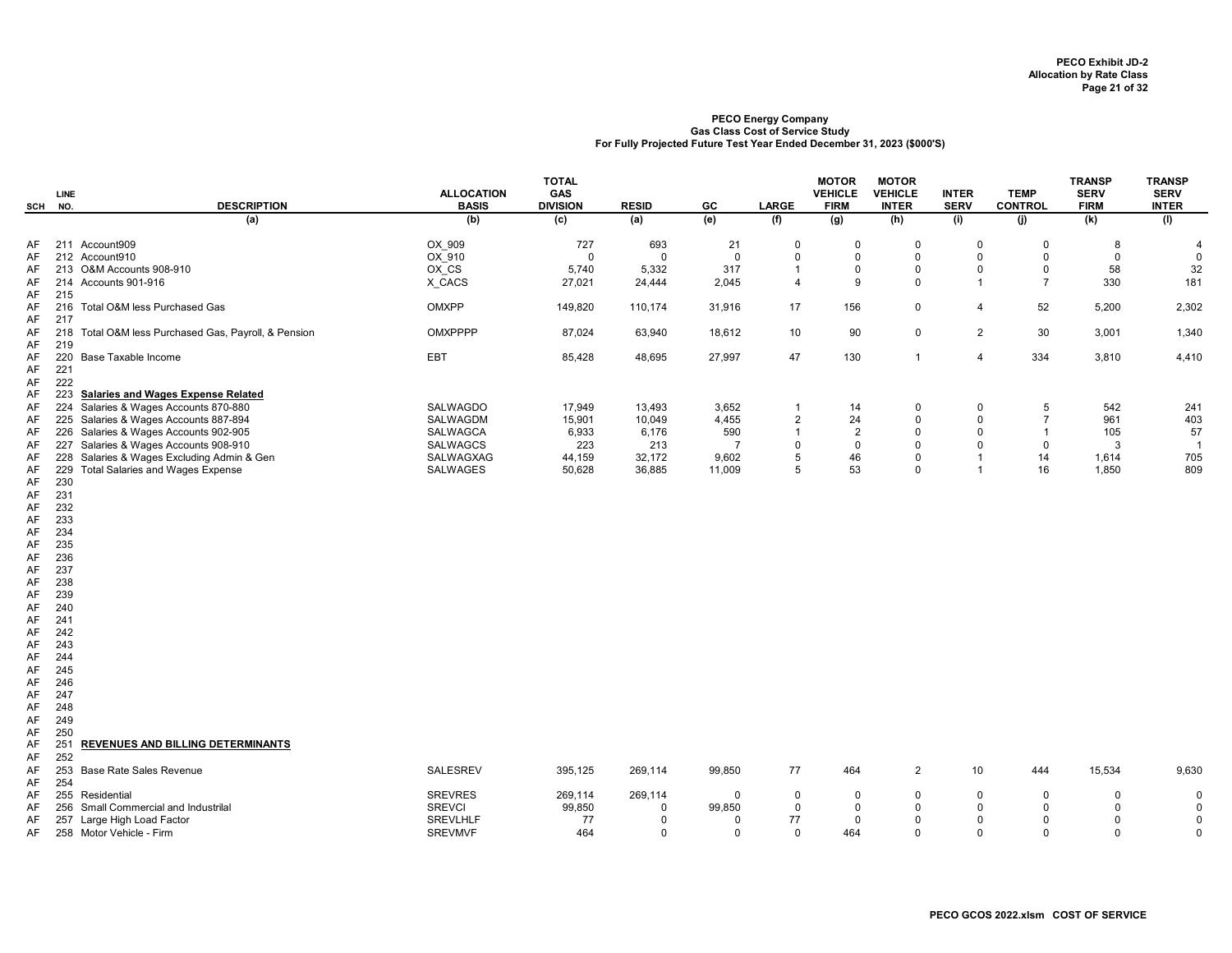| (b)<br>(e)<br>(f)<br>(a)<br>(c)<br>(a)<br>(g)<br>(h)<br>(i)<br>(i)<br>(k)<br>(1)<br>211 Account909<br>OX 909<br>727<br>21<br>693<br>$\overline{0}$<br>$\mathbf 0$<br>0<br>$\mathbf 0$<br>$\mathbf 0$<br>AF<br>8<br>4<br>212 Account910<br>OX 910<br>$\mathbf 0$<br>$\mathbf 0$<br>$\mathbf 0$<br>$\mathbf 0$<br>$\Omega$<br>$\Omega$<br>AF<br>$\Omega$<br>$\mathbf 0$<br>$\Omega$<br>OX CS<br>213 O&M Accounts 908-910<br>5,740<br>317<br>0<br>$\mathbf 0$<br>58<br>5,332<br>0<br>$\mathbf 0$<br>AF<br>$\overline{1}$<br>X_CACS<br>27,021<br>2,045<br>9<br>$\mathbf 0$<br>$\overline{7}$<br>330<br>181<br>214 Accounts 901-916<br>$\overline{4}$<br>$\overline{1}$<br>24,444<br>AF<br>215<br>AF<br>OMXPP<br>17<br>156<br>$\mathbf 0$<br>52<br>5,200<br>2,302<br>216 Total O&M less Purchased Gas<br>149,820<br>110,174<br>31,916<br>$\overline{4}$<br>AF<br>217<br>AF<br><b>OMXPPPP</b><br>87,024<br>63,940<br>10<br>90<br>$\mathbf 0$<br>$\overline{2}$<br>30<br>3,001<br>1,340<br>218<br>Total O&M less Purchased Gas, Payroll, & Pension<br>18,612<br>AF<br>AF<br>219<br>220<br>EBT<br>27,997<br>47<br>130<br>$\overline{4}$<br>334<br>3,810<br>4,410<br>Base Taxable Income<br>85,428<br>48,695<br>$\mathbf{1}$<br>AF<br>221<br>AF<br>222<br>AF<br><b>Salaries and Wages Expense Related</b><br>223<br>AF<br>Salaries & Wages Accounts 870-880<br><b>SALWAGDO</b><br>542<br>224<br>17,949<br>13,493<br>3,652<br>14<br>0<br>241<br>AF<br>$\mathbf 0$<br>5<br>$\overline{1}$<br>Salaries & Wages Accounts 887-894<br>$\overline{2}$<br>24<br>$\mathbf 0$<br>$\overline{7}$<br>403<br>SALWAGDM<br>15,901<br>10,049<br>4,455<br>$\mathbf 0$<br>961<br>AF<br>225<br>Salaries & Wages Accounts 902-905<br>2<br>$\mathbf 0$<br>57<br><b>SALWAGCA</b><br>6,933<br>6,176<br>590<br>$\overline{1}$<br>$\Omega$<br>105<br>226<br>$\overline{1}$<br>AF<br>227 Salaries & Wages Accounts 908-910<br><b>SALWAGCS</b><br>223<br>$\mathbf 0$<br>$\mathbf 0$<br>$\mathbf{0}$<br>213<br>$\overline{7}$<br>$\mathbf 0$<br>$\mathbf 0$<br>3<br>$\overline{1}$<br>AF<br>44,159<br>5<br>46<br>14<br>705<br>Salaries & Wages Excluding Admin & Gen<br>SALWAGXAG<br>32,172<br>9,602<br>0<br>$\overline{1}$<br>AF<br>228<br>1,614<br>Total Salaries and Wages Expense<br>5<br>53<br>$\mathbf 0$<br>$\overline{1}$<br>16<br>1,850<br>809<br>229<br>SALWAGES<br>50,628<br>36,885<br>11,009<br>AF<br>230<br>AF<br>231<br>AF<br>232<br>AF<br>233<br>AF<br>234<br>AF<br>235<br>AF<br>236<br>AF<br>237<br>AF<br>238<br>AF<br>AF<br>239<br>240<br>AF<br>241<br>AF<br>AF<br>242<br>243<br>AF<br>AF<br>244<br>245<br>AF<br>246<br>AF<br>247<br>AF<br>AF<br>248<br>249<br>AF<br>250<br>AF<br>251<br>REVENUES AND BILLING DETERMINANTS<br>AF<br>252<br>AF<br><b>SALESREV</b><br>15,534<br>253<br><b>Base Rate Sales Revenue</b><br>395,125<br>269,114<br>99,850<br>77<br>464<br>$\overline{2}$<br>10<br>444<br>9,630<br>AF<br>254<br>AF<br><b>SREVRES</b><br>$\mathbf 0$<br>255<br>269,114<br>269,114<br>$\mathbf 0$<br>$\Omega$<br>$\mathbf 0$<br>AF<br>Residential<br>$\Omega$<br>$\Omega$<br>$\Omega$<br>$\Omega$ | SCH | LINE<br>NO. | <b>DESCRIPTION</b> | <b>ALLOCATION</b><br><b>BASIS</b> | <b>TOTAL</b><br>GAS<br><b>DIVISION</b> | <b>RESID</b> | GC | LARGE | <b>MOTOR</b><br><b>VEHICLE</b><br><b>FIRM</b> | <b>MOTOR</b><br><b>VEHICLE</b><br><b>INTER</b> | <b>INTER</b><br><b>SERV</b> | <b>TEMP</b><br><b>CONTROL</b> | <b>TRANSP</b><br><b>SERV</b><br><b>FIRM</b> | <b>TRANSP</b><br><b>SERV</b><br><b>INTER</b> |
|--------------------------------------------------------------------------------------------------------------------------------------------------------------------------------------------------------------------------------------------------------------------------------------------------------------------------------------------------------------------------------------------------------------------------------------------------------------------------------------------------------------------------------------------------------------------------------------------------------------------------------------------------------------------------------------------------------------------------------------------------------------------------------------------------------------------------------------------------------------------------------------------------------------------------------------------------------------------------------------------------------------------------------------------------------------------------------------------------------------------------------------------------------------------------------------------------------------------------------------------------------------------------------------------------------------------------------------------------------------------------------------------------------------------------------------------------------------------------------------------------------------------------------------------------------------------------------------------------------------------------------------------------------------------------------------------------------------------------------------------------------------------------------------------------------------------------------------------------------------------------------------------------------------------------------------------------------------------------------------------------------------------------------------------------------------------------------------------------------------------------------------------------------------------------------------------------------------------------------------------------------------------------------------------------------------------------------------------------------------------------------------------------------------------------------------------------------------------------------------------------------------------------------------------------------------------------------------------------------------------------------------------------------------------------------------------------------------------------------------------------------------------------------------------------------------------------------------------------------------------------------------------------------------------------------------------------------------------------------------------------------------------------------------------------------------------------------------|-----|-------------|--------------------|-----------------------------------|----------------------------------------|--------------|----|-------|-----------------------------------------------|------------------------------------------------|-----------------------------|-------------------------------|---------------------------------------------|----------------------------------------------|
|                                                                                                                                                                                                                                                                                                                                                                                                                                                                                                                                                                                                                                                                                                                                                                                                                                                                                                                                                                                                                                                                                                                                                                                                                                                                                                                                                                                                                                                                                                                                                                                                                                                                                                                                                                                                                                                                                                                                                                                                                                                                                                                                                                                                                                                                                                                                                                                                                                                                                                                                                                                                                                                                                                                                                                                                                                                                                                                                                                                                                                                                                      |     |             |                    |                                   |                                        |              |    |       |                                               |                                                |                             |                               |                                             |                                              |
|                                                                                                                                                                                                                                                                                                                                                                                                                                                                                                                                                                                                                                                                                                                                                                                                                                                                                                                                                                                                                                                                                                                                                                                                                                                                                                                                                                                                                                                                                                                                                                                                                                                                                                                                                                                                                                                                                                                                                                                                                                                                                                                                                                                                                                                                                                                                                                                                                                                                                                                                                                                                                                                                                                                                                                                                                                                                                                                                                                                                                                                                                      |     |             |                    |                                   |                                        |              |    |       |                                               |                                                |                             |                               |                                             |                                              |
|                                                                                                                                                                                                                                                                                                                                                                                                                                                                                                                                                                                                                                                                                                                                                                                                                                                                                                                                                                                                                                                                                                                                                                                                                                                                                                                                                                                                                                                                                                                                                                                                                                                                                                                                                                                                                                                                                                                                                                                                                                                                                                                                                                                                                                                                                                                                                                                                                                                                                                                                                                                                                                                                                                                                                                                                                                                                                                                                                                                                                                                                                      |     |             |                    |                                   |                                        |              |    |       |                                               |                                                |                             |                               |                                             | $\mathbf 0$                                  |
|                                                                                                                                                                                                                                                                                                                                                                                                                                                                                                                                                                                                                                                                                                                                                                                                                                                                                                                                                                                                                                                                                                                                                                                                                                                                                                                                                                                                                                                                                                                                                                                                                                                                                                                                                                                                                                                                                                                                                                                                                                                                                                                                                                                                                                                                                                                                                                                                                                                                                                                                                                                                                                                                                                                                                                                                                                                                                                                                                                                                                                                                                      |     |             |                    |                                   |                                        |              |    |       |                                               |                                                |                             |                               |                                             | 32                                           |
|                                                                                                                                                                                                                                                                                                                                                                                                                                                                                                                                                                                                                                                                                                                                                                                                                                                                                                                                                                                                                                                                                                                                                                                                                                                                                                                                                                                                                                                                                                                                                                                                                                                                                                                                                                                                                                                                                                                                                                                                                                                                                                                                                                                                                                                                                                                                                                                                                                                                                                                                                                                                                                                                                                                                                                                                                                                                                                                                                                                                                                                                                      |     |             |                    |                                   |                                        |              |    |       |                                               |                                                |                             |                               |                                             |                                              |
|                                                                                                                                                                                                                                                                                                                                                                                                                                                                                                                                                                                                                                                                                                                                                                                                                                                                                                                                                                                                                                                                                                                                                                                                                                                                                                                                                                                                                                                                                                                                                                                                                                                                                                                                                                                                                                                                                                                                                                                                                                                                                                                                                                                                                                                                                                                                                                                                                                                                                                                                                                                                                                                                                                                                                                                                                                                                                                                                                                                                                                                                                      |     |             |                    |                                   |                                        |              |    |       |                                               |                                                |                             |                               |                                             |                                              |
|                                                                                                                                                                                                                                                                                                                                                                                                                                                                                                                                                                                                                                                                                                                                                                                                                                                                                                                                                                                                                                                                                                                                                                                                                                                                                                                                                                                                                                                                                                                                                                                                                                                                                                                                                                                                                                                                                                                                                                                                                                                                                                                                                                                                                                                                                                                                                                                                                                                                                                                                                                                                                                                                                                                                                                                                                                                                                                                                                                                                                                                                                      |     |             |                    |                                   |                                        |              |    |       |                                               |                                                |                             |                               |                                             |                                              |
|                                                                                                                                                                                                                                                                                                                                                                                                                                                                                                                                                                                                                                                                                                                                                                                                                                                                                                                                                                                                                                                                                                                                                                                                                                                                                                                                                                                                                                                                                                                                                                                                                                                                                                                                                                                                                                                                                                                                                                                                                                                                                                                                                                                                                                                                                                                                                                                                                                                                                                                                                                                                                                                                                                                                                                                                                                                                                                                                                                                                                                                                                      |     |             |                    |                                   |                                        |              |    |       |                                               |                                                |                             |                               |                                             |                                              |
|                                                                                                                                                                                                                                                                                                                                                                                                                                                                                                                                                                                                                                                                                                                                                                                                                                                                                                                                                                                                                                                                                                                                                                                                                                                                                                                                                                                                                                                                                                                                                                                                                                                                                                                                                                                                                                                                                                                                                                                                                                                                                                                                                                                                                                                                                                                                                                                                                                                                                                                                                                                                                                                                                                                                                                                                                                                                                                                                                                                                                                                                                      |     |             |                    |                                   |                                        |              |    |       |                                               |                                                |                             |                               |                                             |                                              |
|                                                                                                                                                                                                                                                                                                                                                                                                                                                                                                                                                                                                                                                                                                                                                                                                                                                                                                                                                                                                                                                                                                                                                                                                                                                                                                                                                                                                                                                                                                                                                                                                                                                                                                                                                                                                                                                                                                                                                                                                                                                                                                                                                                                                                                                                                                                                                                                                                                                                                                                                                                                                                                                                                                                                                                                                                                                                                                                                                                                                                                                                                      |     |             |                    |                                   |                                        |              |    |       |                                               |                                                |                             |                               |                                             |                                              |
|                                                                                                                                                                                                                                                                                                                                                                                                                                                                                                                                                                                                                                                                                                                                                                                                                                                                                                                                                                                                                                                                                                                                                                                                                                                                                                                                                                                                                                                                                                                                                                                                                                                                                                                                                                                                                                                                                                                                                                                                                                                                                                                                                                                                                                                                                                                                                                                                                                                                                                                                                                                                                                                                                                                                                                                                                                                                                                                                                                                                                                                                                      |     |             |                    |                                   |                                        |              |    |       |                                               |                                                |                             |                               |                                             |                                              |
|                                                                                                                                                                                                                                                                                                                                                                                                                                                                                                                                                                                                                                                                                                                                                                                                                                                                                                                                                                                                                                                                                                                                                                                                                                                                                                                                                                                                                                                                                                                                                                                                                                                                                                                                                                                                                                                                                                                                                                                                                                                                                                                                                                                                                                                                                                                                                                                                                                                                                                                                                                                                                                                                                                                                                                                                                                                                                                                                                                                                                                                                                      |     |             |                    |                                   |                                        |              |    |       |                                               |                                                |                             |                               |                                             |                                              |
|                                                                                                                                                                                                                                                                                                                                                                                                                                                                                                                                                                                                                                                                                                                                                                                                                                                                                                                                                                                                                                                                                                                                                                                                                                                                                                                                                                                                                                                                                                                                                                                                                                                                                                                                                                                                                                                                                                                                                                                                                                                                                                                                                                                                                                                                                                                                                                                                                                                                                                                                                                                                                                                                                                                                                                                                                                                                                                                                                                                                                                                                                      |     |             |                    |                                   |                                        |              |    |       |                                               |                                                |                             |                               |                                             |                                              |
|                                                                                                                                                                                                                                                                                                                                                                                                                                                                                                                                                                                                                                                                                                                                                                                                                                                                                                                                                                                                                                                                                                                                                                                                                                                                                                                                                                                                                                                                                                                                                                                                                                                                                                                                                                                                                                                                                                                                                                                                                                                                                                                                                                                                                                                                                                                                                                                                                                                                                                                                                                                                                                                                                                                                                                                                                                                                                                                                                                                                                                                                                      |     |             |                    |                                   |                                        |              |    |       |                                               |                                                |                             |                               |                                             |                                              |
|                                                                                                                                                                                                                                                                                                                                                                                                                                                                                                                                                                                                                                                                                                                                                                                                                                                                                                                                                                                                                                                                                                                                                                                                                                                                                                                                                                                                                                                                                                                                                                                                                                                                                                                                                                                                                                                                                                                                                                                                                                                                                                                                                                                                                                                                                                                                                                                                                                                                                                                                                                                                                                                                                                                                                                                                                                                                                                                                                                                                                                                                                      |     |             |                    |                                   |                                        |              |    |       |                                               |                                                |                             |                               |                                             |                                              |
|                                                                                                                                                                                                                                                                                                                                                                                                                                                                                                                                                                                                                                                                                                                                                                                                                                                                                                                                                                                                                                                                                                                                                                                                                                                                                                                                                                                                                                                                                                                                                                                                                                                                                                                                                                                                                                                                                                                                                                                                                                                                                                                                                                                                                                                                                                                                                                                                                                                                                                                                                                                                                                                                                                                                                                                                                                                                                                                                                                                                                                                                                      |     |             |                    |                                   |                                        |              |    |       |                                               |                                                |                             |                               |                                             |                                              |
|                                                                                                                                                                                                                                                                                                                                                                                                                                                                                                                                                                                                                                                                                                                                                                                                                                                                                                                                                                                                                                                                                                                                                                                                                                                                                                                                                                                                                                                                                                                                                                                                                                                                                                                                                                                                                                                                                                                                                                                                                                                                                                                                                                                                                                                                                                                                                                                                                                                                                                                                                                                                                                                                                                                                                                                                                                                                                                                                                                                                                                                                                      |     |             |                    |                                   |                                        |              |    |       |                                               |                                                |                             |                               |                                             |                                              |
|                                                                                                                                                                                                                                                                                                                                                                                                                                                                                                                                                                                                                                                                                                                                                                                                                                                                                                                                                                                                                                                                                                                                                                                                                                                                                                                                                                                                                                                                                                                                                                                                                                                                                                                                                                                                                                                                                                                                                                                                                                                                                                                                                                                                                                                                                                                                                                                                                                                                                                                                                                                                                                                                                                                                                                                                                                                                                                                                                                                                                                                                                      |     |             |                    |                                   |                                        |              |    |       |                                               |                                                |                             |                               |                                             |                                              |
|                                                                                                                                                                                                                                                                                                                                                                                                                                                                                                                                                                                                                                                                                                                                                                                                                                                                                                                                                                                                                                                                                                                                                                                                                                                                                                                                                                                                                                                                                                                                                                                                                                                                                                                                                                                                                                                                                                                                                                                                                                                                                                                                                                                                                                                                                                                                                                                                                                                                                                                                                                                                                                                                                                                                                                                                                                                                                                                                                                                                                                                                                      |     |             |                    |                                   |                                        |              |    |       |                                               |                                                |                             |                               |                                             |                                              |
|                                                                                                                                                                                                                                                                                                                                                                                                                                                                                                                                                                                                                                                                                                                                                                                                                                                                                                                                                                                                                                                                                                                                                                                                                                                                                                                                                                                                                                                                                                                                                                                                                                                                                                                                                                                                                                                                                                                                                                                                                                                                                                                                                                                                                                                                                                                                                                                                                                                                                                                                                                                                                                                                                                                                                                                                                                                                                                                                                                                                                                                                                      |     |             |                    |                                   |                                        |              |    |       |                                               |                                                |                             |                               |                                             |                                              |
|                                                                                                                                                                                                                                                                                                                                                                                                                                                                                                                                                                                                                                                                                                                                                                                                                                                                                                                                                                                                                                                                                                                                                                                                                                                                                                                                                                                                                                                                                                                                                                                                                                                                                                                                                                                                                                                                                                                                                                                                                                                                                                                                                                                                                                                                                                                                                                                                                                                                                                                                                                                                                                                                                                                                                                                                                                                                                                                                                                                                                                                                                      |     |             |                    |                                   |                                        |              |    |       |                                               |                                                |                             |                               |                                             |                                              |
|                                                                                                                                                                                                                                                                                                                                                                                                                                                                                                                                                                                                                                                                                                                                                                                                                                                                                                                                                                                                                                                                                                                                                                                                                                                                                                                                                                                                                                                                                                                                                                                                                                                                                                                                                                                                                                                                                                                                                                                                                                                                                                                                                                                                                                                                                                                                                                                                                                                                                                                                                                                                                                                                                                                                                                                                                                                                                                                                                                                                                                                                                      |     |             |                    |                                   |                                        |              |    |       |                                               |                                                |                             |                               |                                             |                                              |
|                                                                                                                                                                                                                                                                                                                                                                                                                                                                                                                                                                                                                                                                                                                                                                                                                                                                                                                                                                                                                                                                                                                                                                                                                                                                                                                                                                                                                                                                                                                                                                                                                                                                                                                                                                                                                                                                                                                                                                                                                                                                                                                                                                                                                                                                                                                                                                                                                                                                                                                                                                                                                                                                                                                                                                                                                                                                                                                                                                                                                                                                                      |     |             |                    |                                   |                                        |              |    |       |                                               |                                                |                             |                               |                                             |                                              |
|                                                                                                                                                                                                                                                                                                                                                                                                                                                                                                                                                                                                                                                                                                                                                                                                                                                                                                                                                                                                                                                                                                                                                                                                                                                                                                                                                                                                                                                                                                                                                                                                                                                                                                                                                                                                                                                                                                                                                                                                                                                                                                                                                                                                                                                                                                                                                                                                                                                                                                                                                                                                                                                                                                                                                                                                                                                                                                                                                                                                                                                                                      |     |             |                    |                                   |                                        |              |    |       |                                               |                                                |                             |                               |                                             |                                              |
|                                                                                                                                                                                                                                                                                                                                                                                                                                                                                                                                                                                                                                                                                                                                                                                                                                                                                                                                                                                                                                                                                                                                                                                                                                                                                                                                                                                                                                                                                                                                                                                                                                                                                                                                                                                                                                                                                                                                                                                                                                                                                                                                                                                                                                                                                                                                                                                                                                                                                                                                                                                                                                                                                                                                                                                                                                                                                                                                                                                                                                                                                      |     |             |                    |                                   |                                        |              |    |       |                                               |                                                |                             |                               |                                             |                                              |
|                                                                                                                                                                                                                                                                                                                                                                                                                                                                                                                                                                                                                                                                                                                                                                                                                                                                                                                                                                                                                                                                                                                                                                                                                                                                                                                                                                                                                                                                                                                                                                                                                                                                                                                                                                                                                                                                                                                                                                                                                                                                                                                                                                                                                                                                                                                                                                                                                                                                                                                                                                                                                                                                                                                                                                                                                                                                                                                                                                                                                                                                                      |     |             |                    |                                   |                                        |              |    |       |                                               |                                                |                             |                               |                                             |                                              |
|                                                                                                                                                                                                                                                                                                                                                                                                                                                                                                                                                                                                                                                                                                                                                                                                                                                                                                                                                                                                                                                                                                                                                                                                                                                                                                                                                                                                                                                                                                                                                                                                                                                                                                                                                                                                                                                                                                                                                                                                                                                                                                                                                                                                                                                                                                                                                                                                                                                                                                                                                                                                                                                                                                                                                                                                                                                                                                                                                                                                                                                                                      |     |             |                    |                                   |                                        |              |    |       |                                               |                                                |                             |                               |                                             |                                              |
|                                                                                                                                                                                                                                                                                                                                                                                                                                                                                                                                                                                                                                                                                                                                                                                                                                                                                                                                                                                                                                                                                                                                                                                                                                                                                                                                                                                                                                                                                                                                                                                                                                                                                                                                                                                                                                                                                                                                                                                                                                                                                                                                                                                                                                                                                                                                                                                                                                                                                                                                                                                                                                                                                                                                                                                                                                                                                                                                                                                                                                                                                      |     |             |                    |                                   |                                        |              |    |       |                                               |                                                |                             |                               |                                             |                                              |
|                                                                                                                                                                                                                                                                                                                                                                                                                                                                                                                                                                                                                                                                                                                                                                                                                                                                                                                                                                                                                                                                                                                                                                                                                                                                                                                                                                                                                                                                                                                                                                                                                                                                                                                                                                                                                                                                                                                                                                                                                                                                                                                                                                                                                                                                                                                                                                                                                                                                                                                                                                                                                                                                                                                                                                                                                                                                                                                                                                                                                                                                                      |     |             |                    |                                   |                                        |              |    |       |                                               |                                                |                             |                               |                                             |                                              |
|                                                                                                                                                                                                                                                                                                                                                                                                                                                                                                                                                                                                                                                                                                                                                                                                                                                                                                                                                                                                                                                                                                                                                                                                                                                                                                                                                                                                                                                                                                                                                                                                                                                                                                                                                                                                                                                                                                                                                                                                                                                                                                                                                                                                                                                                                                                                                                                                                                                                                                                                                                                                                                                                                                                                                                                                                                                                                                                                                                                                                                                                                      |     |             |                    |                                   |                                        |              |    |       |                                               |                                                |                             |                               |                                             |                                              |
|                                                                                                                                                                                                                                                                                                                                                                                                                                                                                                                                                                                                                                                                                                                                                                                                                                                                                                                                                                                                                                                                                                                                                                                                                                                                                                                                                                                                                                                                                                                                                                                                                                                                                                                                                                                                                                                                                                                                                                                                                                                                                                                                                                                                                                                                                                                                                                                                                                                                                                                                                                                                                                                                                                                                                                                                                                                                                                                                                                                                                                                                                      |     |             |                    |                                   |                                        |              |    |       |                                               |                                                |                             |                               |                                             |                                              |
|                                                                                                                                                                                                                                                                                                                                                                                                                                                                                                                                                                                                                                                                                                                                                                                                                                                                                                                                                                                                                                                                                                                                                                                                                                                                                                                                                                                                                                                                                                                                                                                                                                                                                                                                                                                                                                                                                                                                                                                                                                                                                                                                                                                                                                                                                                                                                                                                                                                                                                                                                                                                                                                                                                                                                                                                                                                                                                                                                                                                                                                                                      |     |             |                    |                                   |                                        |              |    |       |                                               |                                                |                             |                               |                                             |                                              |
|                                                                                                                                                                                                                                                                                                                                                                                                                                                                                                                                                                                                                                                                                                                                                                                                                                                                                                                                                                                                                                                                                                                                                                                                                                                                                                                                                                                                                                                                                                                                                                                                                                                                                                                                                                                                                                                                                                                                                                                                                                                                                                                                                                                                                                                                                                                                                                                                                                                                                                                                                                                                                                                                                                                                                                                                                                                                                                                                                                                                                                                                                      |     |             |                    |                                   |                                        |              |    |       |                                               |                                                |                             |                               |                                             |                                              |
|                                                                                                                                                                                                                                                                                                                                                                                                                                                                                                                                                                                                                                                                                                                                                                                                                                                                                                                                                                                                                                                                                                                                                                                                                                                                                                                                                                                                                                                                                                                                                                                                                                                                                                                                                                                                                                                                                                                                                                                                                                                                                                                                                                                                                                                                                                                                                                                                                                                                                                                                                                                                                                                                                                                                                                                                                                                                                                                                                                                                                                                                                      |     |             |                    |                                   |                                        |              |    |       |                                               |                                                |                             |                               |                                             |                                              |
|                                                                                                                                                                                                                                                                                                                                                                                                                                                                                                                                                                                                                                                                                                                                                                                                                                                                                                                                                                                                                                                                                                                                                                                                                                                                                                                                                                                                                                                                                                                                                                                                                                                                                                                                                                                                                                                                                                                                                                                                                                                                                                                                                                                                                                                                                                                                                                                                                                                                                                                                                                                                                                                                                                                                                                                                                                                                                                                                                                                                                                                                                      |     |             |                    |                                   |                                        |              |    |       |                                               |                                                |                             |                               |                                             |                                              |
|                                                                                                                                                                                                                                                                                                                                                                                                                                                                                                                                                                                                                                                                                                                                                                                                                                                                                                                                                                                                                                                                                                                                                                                                                                                                                                                                                                                                                                                                                                                                                                                                                                                                                                                                                                                                                                                                                                                                                                                                                                                                                                                                                                                                                                                                                                                                                                                                                                                                                                                                                                                                                                                                                                                                                                                                                                                                                                                                                                                                                                                                                      |     |             |                    |                                   |                                        |              |    |       |                                               |                                                |                             |                               |                                             |                                              |
|                                                                                                                                                                                                                                                                                                                                                                                                                                                                                                                                                                                                                                                                                                                                                                                                                                                                                                                                                                                                                                                                                                                                                                                                                                                                                                                                                                                                                                                                                                                                                                                                                                                                                                                                                                                                                                                                                                                                                                                                                                                                                                                                                                                                                                                                                                                                                                                                                                                                                                                                                                                                                                                                                                                                                                                                                                                                                                                                                                                                                                                                                      |     |             |                    |                                   |                                        |              |    |       |                                               |                                                |                             |                               |                                             |                                              |
|                                                                                                                                                                                                                                                                                                                                                                                                                                                                                                                                                                                                                                                                                                                                                                                                                                                                                                                                                                                                                                                                                                                                                                                                                                                                                                                                                                                                                                                                                                                                                                                                                                                                                                                                                                                                                                                                                                                                                                                                                                                                                                                                                                                                                                                                                                                                                                                                                                                                                                                                                                                                                                                                                                                                                                                                                                                                                                                                                                                                                                                                                      |     |             |                    |                                   |                                        |              |    |       |                                               |                                                |                             |                               |                                             |                                              |
|                                                                                                                                                                                                                                                                                                                                                                                                                                                                                                                                                                                                                                                                                                                                                                                                                                                                                                                                                                                                                                                                                                                                                                                                                                                                                                                                                                                                                                                                                                                                                                                                                                                                                                                                                                                                                                                                                                                                                                                                                                                                                                                                                                                                                                                                                                                                                                                                                                                                                                                                                                                                                                                                                                                                                                                                                                                                                                                                                                                                                                                                                      |     |             |                    |                                   |                                        |              |    |       |                                               |                                                |                             |                               |                                             |                                              |
|                                                                                                                                                                                                                                                                                                                                                                                                                                                                                                                                                                                                                                                                                                                                                                                                                                                                                                                                                                                                                                                                                                                                                                                                                                                                                                                                                                                                                                                                                                                                                                                                                                                                                                                                                                                                                                                                                                                                                                                                                                                                                                                                                                                                                                                                                                                                                                                                                                                                                                                                                                                                                                                                                                                                                                                                                                                                                                                                                                                                                                                                                      |     |             |                    |                                   |                                        |              |    |       |                                               |                                                |                             |                               |                                             |                                              |
|                                                                                                                                                                                                                                                                                                                                                                                                                                                                                                                                                                                                                                                                                                                                                                                                                                                                                                                                                                                                                                                                                                                                                                                                                                                                                                                                                                                                                                                                                                                                                                                                                                                                                                                                                                                                                                                                                                                                                                                                                                                                                                                                                                                                                                                                                                                                                                                                                                                                                                                                                                                                                                                                                                                                                                                                                                                                                                                                                                                                                                                                                      |     |             |                    |                                   |                                        |              |    |       |                                               |                                                |                             |                               |                                             |                                              |
|                                                                                                                                                                                                                                                                                                                                                                                                                                                                                                                                                                                                                                                                                                                                                                                                                                                                                                                                                                                                                                                                                                                                                                                                                                                                                                                                                                                                                                                                                                                                                                                                                                                                                                                                                                                                                                                                                                                                                                                                                                                                                                                                                                                                                                                                                                                                                                                                                                                                                                                                                                                                                                                                                                                                                                                                                                                                                                                                                                                                                                                                                      |     |             |                    |                                   |                                        |              |    |       |                                               |                                                |                             |                               |                                             |                                              |
|                                                                                                                                                                                                                                                                                                                                                                                                                                                                                                                                                                                                                                                                                                                                                                                                                                                                                                                                                                                                                                                                                                                                                                                                                                                                                                                                                                                                                                                                                                                                                                                                                                                                                                                                                                                                                                                                                                                                                                                                                                                                                                                                                                                                                                                                                                                                                                                                                                                                                                                                                                                                                                                                                                                                                                                                                                                                                                                                                                                                                                                                                      |     |             |                    |                                   |                                        |              |    |       |                                               |                                                |                             |                               |                                             |                                              |
|                                                                                                                                                                                                                                                                                                                                                                                                                                                                                                                                                                                                                                                                                                                                                                                                                                                                                                                                                                                                                                                                                                                                                                                                                                                                                                                                                                                                                                                                                                                                                                                                                                                                                                                                                                                                                                                                                                                                                                                                                                                                                                                                                                                                                                                                                                                                                                                                                                                                                                                                                                                                                                                                                                                                                                                                                                                                                                                                                                                                                                                                                      |     |             |                    |                                   |                                        |              |    |       |                                               |                                                |                             |                               |                                             |                                              |
| <b>SREVCI</b><br>99,850<br>99,850<br>$\mathbf 0$<br>$\Omega$<br>$\mathbf 0$<br>256 Small Commercial and Industrilal<br>$\Omega$<br>$\mathbf 0$<br>$\Omega$<br>$\Omega$<br>AF                                                                                                                                                                                                                                                                                                                                                                                                                                                                                                                                                                                                                                                                                                                                                                                                                                                                                                                                                                                                                                                                                                                                                                                                                                                                                                                                                                                                                                                                                                                                                                                                                                                                                                                                                                                                                                                                                                                                                                                                                                                                                                                                                                                                                                                                                                                                                                                                                                                                                                                                                                                                                                                                                                                                                                                                                                                                                                         |     |             |                    |                                   |                                        |              |    |       |                                               |                                                |                             |                               |                                             | $\mathbf 0$                                  |
| Large High Load Factor<br><b>SREVLHLF</b><br>77<br>77<br>$\mathbf 0$<br>$\Omega$<br>$\mathbf 0$<br>$\mathbf 0$<br>$\mathbf 0$<br>AF<br>257<br>$\Omega$<br>$\mathbf 0$                                                                                                                                                                                                                                                                                                                                                                                                                                                                                                                                                                                                                                                                                                                                                                                                                                                                                                                                                                                                                                                                                                                                                                                                                                                                                                                                                                                                                                                                                                                                                                                                                                                                                                                                                                                                                                                                                                                                                                                                                                                                                                                                                                                                                                                                                                                                                                                                                                                                                                                                                                                                                                                                                                                                                                                                                                                                                                                |     |             |                    |                                   |                                        |              |    |       |                                               |                                                |                             |                               |                                             | 0                                            |
| 464<br>$\Omega$<br>258 Motor Vehicle - Firm<br><b>SREVMVF</b><br>$\Omega$<br>$\mathbf 0$<br>464<br>$\mathbf 0$<br>$\Omega$<br>$\Omega$<br>AF<br>$\Omega$                                                                                                                                                                                                                                                                                                                                                                                                                                                                                                                                                                                                                                                                                                                                                                                                                                                                                                                                                                                                                                                                                                                                                                                                                                                                                                                                                                                                                                                                                                                                                                                                                                                                                                                                                                                                                                                                                                                                                                                                                                                                                                                                                                                                                                                                                                                                                                                                                                                                                                                                                                                                                                                                                                                                                                                                                                                                                                                             |     |             |                    |                                   |                                        |              |    |       |                                               |                                                |                             |                               |                                             | $\mathbf 0$                                  |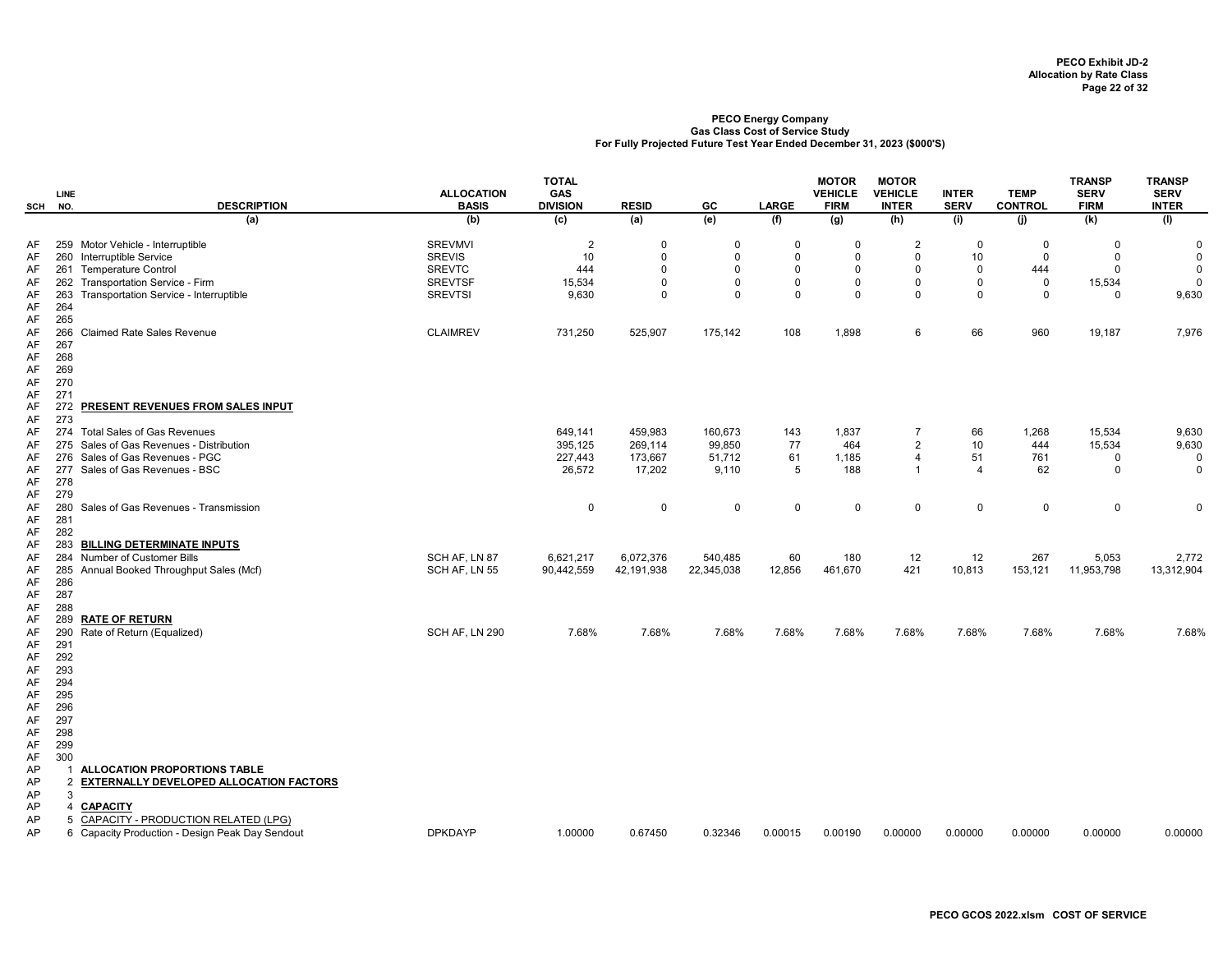|          | <b>LINE</b>    |                                         | <b>ALLOCATION</b> | <b>TOTAL</b><br><b>GAS</b> |              |             |              | <b>MOTOR</b><br><b>VEHICLE</b> | <b>MOTOR</b><br><b>VEHICLE</b> | <b>INTER</b>   | <b>TEMP</b>    | <b>TRANSP</b><br><b>SERV</b> | <b>TRANSP</b><br><b>SERV</b> |
|----------|----------------|-----------------------------------------|-------------------|----------------------------|--------------|-------------|--------------|--------------------------------|--------------------------------|----------------|----------------|------------------------------|------------------------------|
| SCH      | NO.            | <b>DESCRIPTION</b>                      | <b>BASIS</b>      | <b>DIVISION</b>            | <b>RESID</b> | GC          | <b>LARGE</b> | <b>FIRM</b>                    | <b>INTER</b>                   | <b>SERV</b>    | <b>CONTROL</b> | <b>FIRM</b>                  | <b>INTER</b>                 |
|          |                | (a)                                     | (b)               | (c)                        | (a)          | (e)         | (f)          | (g)                            | (h)                            | (i)            | (i)            | (k)                          | (1)                          |
| AF       |                | 259 Motor Vehicle - Interruptible       | <b>SREVMVI</b>    | $\overline{2}$             | $\mathbf 0$  | 0           | 0            | 0                              | $\overline{2}$                 | 0              | 0              | $\mathbf 0$                  | 0                            |
| AF       |                | 260 Interruptible Service               | <b>SREVIS</b>     | 10                         | $\Omega$     | $\Omega$    | $\mathbf 0$  | $\mathbf 0$                    | $\Omega$                       | 10             | $\Omega$       | $\mathbf 0$                  | $\mathbf 0$                  |
| AF       |                | 261 Temperature Control                 | <b>SREVTC</b>     | 444                        | $\mathbf 0$  | $\mathbf 0$ | $\mathbf 0$  | 0                              | $\Omega$                       | $\mathbf 0$    | 444            | $\mathbf 0$                  | $\mathbf 0$                  |
| AF       |                | 262 Transportation Service - Firm       | <b>SREVTSF</b>    | 15,534                     | $\Omega$     | $\Omega$    | $\mathbf 0$  | $\mathsf 0$                    | $\mathbf 0$                    | $\mathbf 0$    | $\mathbf 0$    | 15,534                       | $\mathbf 0$                  |
| AF<br>AF | 263<br>264     | Transportation Service - Interruptible  | <b>SREVTSI</b>    | 9,630                      | $\mathsf 0$  | $\mathbf 0$ | $\mathbf 0$  | $\mathbf 0$                    | $\mathbf 0$                    | $\mathbf 0$    | $\mathsf 0$    | $\Omega$                     | 9,630                        |
| AF       | 265            |                                         |                   |                            |              |             |              |                                |                                |                |                |                              |                              |
| AF       | 266            | <b>Claimed Rate Sales Revenue</b>       | <b>CLAIMREV</b>   | 731,250                    | 525,907      | 175,142     | 108          | 1,898                          | 6                              | 66             | 960            | 19,187                       | 7,976                        |
| AF       | 267            |                                         |                   |                            |              |             |              |                                |                                |                |                |                              |                              |
| AF       | 268            |                                         |                   |                            |              |             |              |                                |                                |                |                |                              |                              |
| AF       | 269            |                                         |                   |                            |              |             |              |                                |                                |                |                |                              |                              |
| AF       | 270            |                                         |                   |                            |              |             |              |                                |                                |                |                |                              |                              |
| AF       | 271            |                                         |                   |                            |              |             |              |                                |                                |                |                |                              |                              |
| AF       | 272            | PRESENT REVENUES FROM SALES INPUT       |                   |                            |              |             |              |                                |                                |                |                |                              |                              |
| AF       | 273            |                                         |                   |                            |              |             |              |                                |                                |                |                |                              |                              |
| AF       | 274            | <b>Total Sales of Gas Revenues</b>      |                   | 649,141                    | 459,983      | 160,673     | 143          | 1,837                          | $\overline{7}$                 | 66             | 1,268          | 15,534                       | 9,630                        |
| AF       | 275            | Sales of Gas Revenues - Distribution    |                   | 395,125                    | 269,114      | 99,850      | 77           | 464                            | $\overline{2}$                 | 10             | 444            | 15,534                       | 9,630                        |
| AF       | 276            | Sales of Gas Revenues - PGC             |                   | 227,443                    | 173,667      | 51,712      | 61           | 1,185                          | $\overline{4}$                 | 51             | 761            | $\mathbf 0$                  | 0                            |
| AF<br>AF | 277<br>278     | Sales of Gas Revenues - BSC             |                   | 26,572                     | 17,202       | 9,110       | 5            | 188                            | $\overline{1}$                 | $\overline{4}$ | 62             | $\Omega$                     | $\mathbf 0$                  |
| AF       | 279            |                                         |                   |                            |              |             |              |                                |                                |                |                |                              |                              |
| AF       | 280            | Sales of Gas Revenues - Transmission    |                   | 0                          | $\mathsf 0$  | 0           | 0            | $\mathsf 0$                    | $\mathbf 0$                    | $\mathbf 0$    | $\pmb{0}$      | 0                            | $\mathbf 0$                  |
| AF       | 281            |                                         |                   |                            |              |             |              |                                |                                |                |                |                              |                              |
| AF       | 282            |                                         |                   |                            |              |             |              |                                |                                |                |                |                              |                              |
| AF       | 283            | <b>BILLING DETERMINATE INPUTS</b>       |                   |                            |              |             |              |                                |                                |                |                |                              |                              |
| AF       | 284            | Number of Customer Bills                | SCH AF, LN 87     | 6,621,217                  | 6,072,376    | 540,485     | 60           | 180                            | 12                             | 12             | 267            | 5,053                        | 2,772                        |
| AF       | 285            | Annual Booked Throughput Sales (Mcf)    | SCH AF, LN 55     | 90,442,559                 | 42,191,938   | 22,345,038  | 12,856       | 461,670                        | 421                            | 10,813         | 153,121        | 11,953,798                   | 13,312,904                   |
| AF       | 286            |                                         |                   |                            |              |             |              |                                |                                |                |                |                              |                              |
| AF       | 287<br>288     |                                         |                   |                            |              |             |              |                                |                                |                |                |                              |                              |
| AF<br>AF | 289            | <b>RATE OF RETURN</b>                   |                   |                            |              |             |              |                                |                                |                |                |                              |                              |
| AF       | 290            | Rate of Return (Equalized)              | SCH AF, LN 290    | 7.68%                      | 7.68%        | 7.68%       | 7.68%        | 7.68%                          | 7.68%                          | 7.68%          | 7.68%          | 7.68%                        | 7.68%                        |
| AF       | 291            |                                         |                   |                            |              |             |              |                                |                                |                |                |                              |                              |
| AF       | 292            |                                         |                   |                            |              |             |              |                                |                                |                |                |                              |                              |
| AF       | 293            |                                         |                   |                            |              |             |              |                                |                                |                |                |                              |                              |
| AF       | 294            |                                         |                   |                            |              |             |              |                                |                                |                |                |                              |                              |
| AF       | 295            |                                         |                   |                            |              |             |              |                                |                                |                |                |                              |                              |
| AF       | 296            |                                         |                   |                            |              |             |              |                                |                                |                |                |                              |                              |
| AF       | 297            |                                         |                   |                            |              |             |              |                                |                                |                |                |                              |                              |
| AF       | 298<br>299     |                                         |                   |                            |              |             |              |                                |                                |                |                |                              |                              |
| AF<br>AF | 300            |                                         |                   |                            |              |             |              |                                |                                |                |                |                              |                              |
| AP       | -1             | ALLOCATION PROPORTIONS TABLE            |                   |                            |              |             |              |                                |                                |                |                |                              |                              |
| AP       | $\overline{2}$ | EXTERNALLY DEVELOPED ALLOCATION FACTORS |                   |                            |              |             |              |                                |                                |                |                |                              |                              |
| AP       | 3              |                                         |                   |                            |              |             |              |                                |                                |                |                |                              |                              |
| AP       | Δ              | <b>CAPACITY</b>                         |                   |                            |              |             |              |                                |                                |                |                |                              |                              |
| AP       | 5              | CAPACITY - PRODUCTION RELATED (LPG)     |                   |                            |              |             |              |                                |                                |                |                |                              |                              |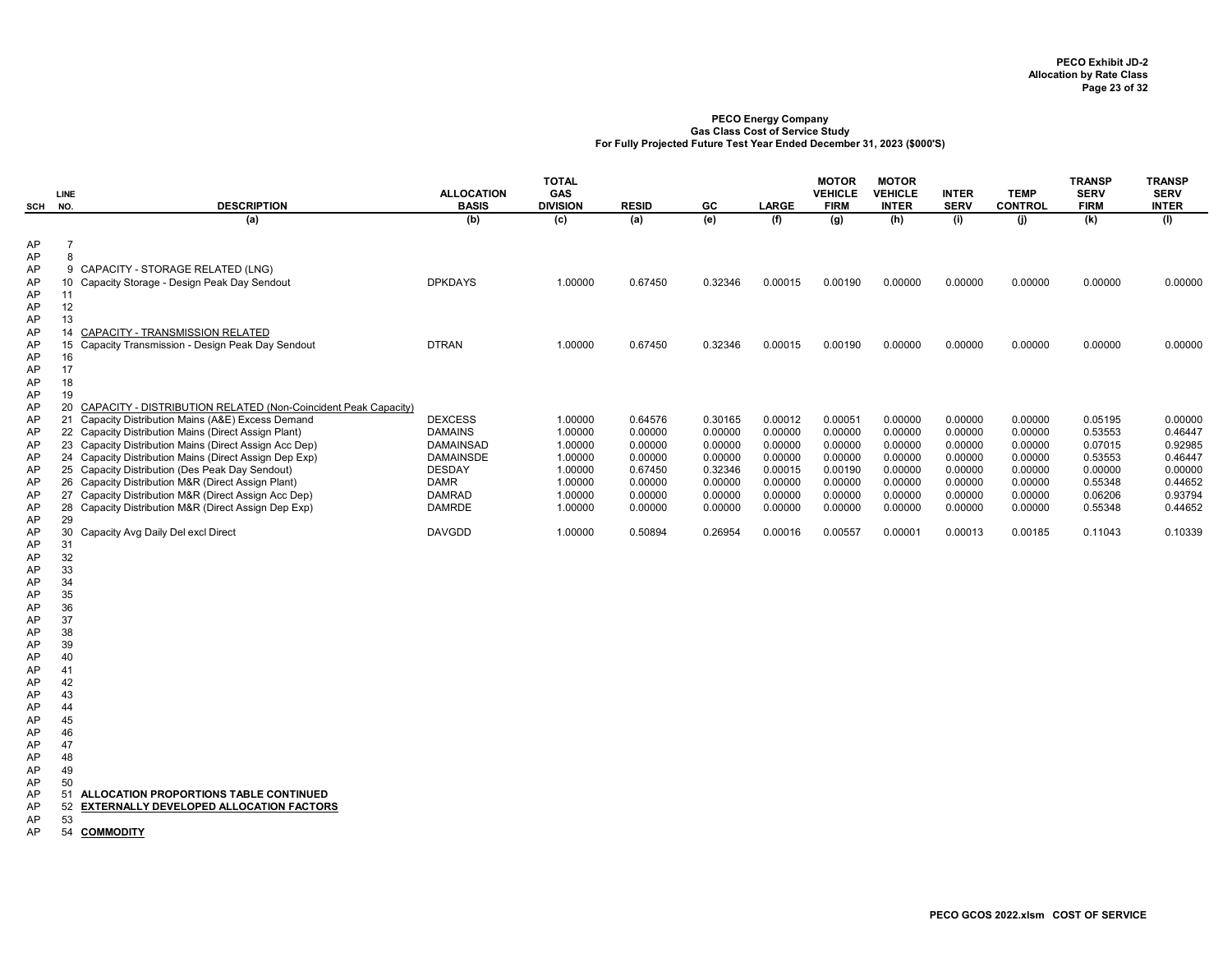| SCH                                                                              | <b>LINE</b><br>NO.                                                         | <b>DESCRIPTION</b>                                                                                                                                                                                                                                                                                                                                                                                                                                                                                                     | <b>ALLOCATION</b><br><b>BASIS</b>                                                                                            | <b>TOTAL</b><br><b>GAS</b><br><b>DIVISION</b>                                        | <b>RESID</b>                                                                         | GC                                                                                   | <b>LARGE</b>                                                                         | <b>MOTOR</b><br><b>VEHICLE</b><br><b>FIRM</b>                                        | <b>MOTOR</b><br><b>VEHICLE</b><br><b>INTER</b>                                       | <b>INTER</b><br><b>SERV</b>                                                          | <b>TEMP</b><br><b>CONTROL</b>                                                        | <b>TRANSP</b><br><b>SERV</b><br><b>FIRM</b>                                          | <b>TRANSP</b><br><b>SERV</b><br><b>INTER</b>                                         |
|----------------------------------------------------------------------------------|----------------------------------------------------------------------------|------------------------------------------------------------------------------------------------------------------------------------------------------------------------------------------------------------------------------------------------------------------------------------------------------------------------------------------------------------------------------------------------------------------------------------------------------------------------------------------------------------------------|------------------------------------------------------------------------------------------------------------------------------|--------------------------------------------------------------------------------------|--------------------------------------------------------------------------------------|--------------------------------------------------------------------------------------|--------------------------------------------------------------------------------------|--------------------------------------------------------------------------------------|--------------------------------------------------------------------------------------|--------------------------------------------------------------------------------------|--------------------------------------------------------------------------------------|--------------------------------------------------------------------------------------|--------------------------------------------------------------------------------------|
|                                                                                  |                                                                            | (a)                                                                                                                                                                                                                                                                                                                                                                                                                                                                                                                    | (b)                                                                                                                          | (c)                                                                                  | (a)                                                                                  | (e)                                                                                  | (f)                                                                                  | (g)                                                                                  | (h)                                                                                  | (i)                                                                                  | (i)                                                                                  | (k)                                                                                  | (1)                                                                                  |
| AP<br>AP<br>AP<br>AP<br>AP<br>AP                                                 | $\overline{7}$<br>8<br>11<br>12                                            | 9 CAPACITY - STORAGE RELATED (LNG)<br>10 Capacity Storage - Design Peak Day Sendout                                                                                                                                                                                                                                                                                                                                                                                                                                    | <b>DPKDAYS</b>                                                                                                               | 1.00000                                                                              | 0.67450                                                                              | 0.32346                                                                              | 0.00015                                                                              | 0.00190                                                                              | 0.00000                                                                              | 0.00000                                                                              | 0.00000                                                                              | 0.00000                                                                              | 0.00000                                                                              |
| AP<br>AP<br>AP<br>AP<br>AP<br>AP<br>AP                                           | 13<br>14<br>15<br>16<br>17<br>18<br>19                                     | CAPACITY - TRANSMISSION RELATED<br>Capacity Transmission - Design Peak Day Sendout                                                                                                                                                                                                                                                                                                                                                                                                                                     | <b>DTRAN</b>                                                                                                                 | 1.00000                                                                              | 0.67450                                                                              | 0.32346                                                                              | 0.00015                                                                              | 0.00190                                                                              | 0.00000                                                                              | 0.00000                                                                              | 0.00000                                                                              | 0.00000                                                                              | 0.00000                                                                              |
| AP<br>AP<br>AP<br>AP<br>AP<br>AP<br>AP<br>AP<br>AP                               | 20<br>21                                                                   | CAPACITY - DISTRIBUTION RELATED (Non-Coincident Peak Capacity)<br>Capacity Distribution Mains (A&E) Excess Demand<br>22 Capacity Distribution Mains (Direct Assign Plant)<br>23 Capacity Distribution Mains (Direct Assign Acc Dep)<br>24 Capacity Distribution Mains (Direct Assign Dep Exp)<br>25 Capacity Distribution (Des Peak Day Sendout)<br>26 Capacity Distribution M&R (Direct Assign Plant)<br>27 Capacity Distribution M&R (Direct Assign Acc Dep)<br>28 Capacity Distribution M&R (Direct Assign Dep Exp) | <b>DEXCESS</b><br><b>DAMAINS</b><br>DAMAINSAD<br><b>DAMAINSDE</b><br><b>DESDAY</b><br>DAMR<br><b>DAMRAD</b><br><b>DAMRDE</b> | 1.00000<br>1.00000<br>1.00000<br>1.00000<br>1.00000<br>1.00000<br>1.00000<br>1.00000 | 0.64576<br>0.00000<br>0.00000<br>0.00000<br>0.67450<br>0.00000<br>0.00000<br>0.00000 | 0.30165<br>0.00000<br>0.00000<br>0.00000<br>0.32346<br>0.00000<br>0.00000<br>0.00000 | 0.00012<br>0.00000<br>0.00000<br>0.00000<br>0.00015<br>0.00000<br>0.00000<br>0.00000 | 0.00051<br>0.00000<br>0.00000<br>0.00000<br>0.00190<br>0.00000<br>0.00000<br>0.00000 | 0.00000<br>0.00000<br>0.00000<br>0.00000<br>0.00000<br>0.00000<br>0.00000<br>0.00000 | 0.00000<br>0.00000<br>0.00000<br>0.00000<br>0.00000<br>0.00000<br>0.00000<br>0.00000 | 0.00000<br>0.00000<br>0.00000<br>0.00000<br>0.00000<br>0.00000<br>0.00000<br>0.00000 | 0.05195<br>0.53553<br>0.07015<br>0.53553<br>0.00000<br>0.55348<br>0.06206<br>0.55348 | 0.00000<br>0.46447<br>0.92985<br>0.46447<br>0.00000<br>0.44652<br>0.93794<br>0.44652 |
| AP<br>AP<br>AP<br>AP<br>AP<br>AP<br>AP<br>AP<br>AP<br>AP<br>AP<br>AP<br>AP<br>AP | 29<br>31<br>32<br>33<br>34<br>35<br>36<br>37<br>38<br>39<br>40<br>41<br>42 | 30 Capacity Avg Daily Del excl Direct                                                                                                                                                                                                                                                                                                                                                                                                                                                                                  | <b>DAVGDD</b>                                                                                                                | 1.00000                                                                              | 0.50894                                                                              | 0.26954                                                                              | 0.00016                                                                              | 0.00557                                                                              | 0.00001                                                                              | 0.00013                                                                              | 0.00185                                                                              | 0.11043                                                                              | 0.10339                                                                              |
| AP<br>AP<br>AP<br>AP<br>AP<br>AP<br>AP<br>AP<br>AP<br>AP<br>AP<br>AP             | 43<br>44<br>45<br>46<br>47<br>48<br>49<br>50<br>51<br>52<br>53<br>54       | ALLOCATION PROPORTIONS TABLE CONTINUED<br><b>EXTERNALLY DEVELOPED ALLOCATION FACTORS</b><br><b>COMMODITY</b>                                                                                                                                                                                                                                                                                                                                                                                                           |                                                                                                                              |                                                                                      |                                                                                      |                                                                                      |                                                                                      |                                                                                      |                                                                                      |                                                                                      |                                                                                      |                                                                                      |                                                                                      |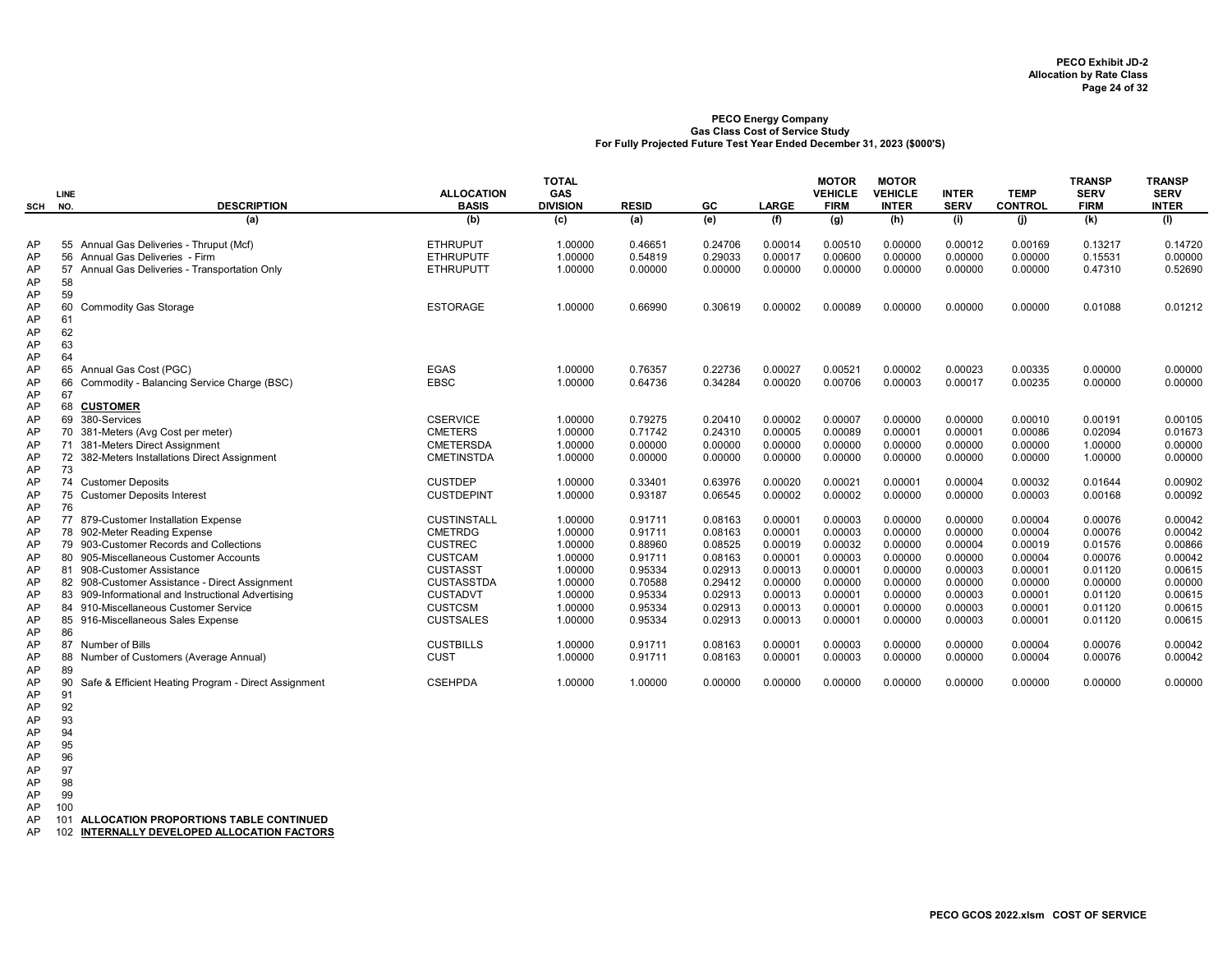|          |                                                                       |                                   | <b>TOTAL</b>                  |              |         |              | <b>MOTOR</b>                  | <b>MOTOR</b>                   |                             |                               | <b>TRANSP</b>              | <b>TRANSP</b>               |
|----------|-----------------------------------------------------------------------|-----------------------------------|-------------------------------|--------------|---------|--------------|-------------------------------|--------------------------------|-----------------------------|-------------------------------|----------------------------|-----------------------------|
| SCH      | <b>LINE</b><br><b>DESCRIPTION</b><br>NO.                              | <b>ALLOCATION</b><br><b>BASIS</b> | <b>GAS</b><br><b>DIVISION</b> | <b>RESID</b> | GC      | <b>LARGE</b> | <b>VEHICLE</b><br><b>FIRM</b> | <b>VEHICLE</b><br><b>INTER</b> | <b>INTER</b><br><b>SERV</b> | <b>TEMP</b><br><b>CONTROL</b> | <b>SERV</b><br><b>FIRM</b> | <b>SERV</b><br><b>INTER</b> |
|          | (a)                                                                   | (b)                               | (c)                           | (a)          | (e)     | (f)          | (g)                           | (h)                            | (i)                         | (i)                           | (k)                        | (1)                         |
| AP       | 55 Annual Gas Deliveries - Thruput (Mcf)                              | <b>ETHRUPUT</b>                   | 1.00000                       | 0.46651      | 0.24706 | 0.00014      | 0.00510                       | 0.00000                        | 0.00012                     | 0.00169                       | 0.13217                    | 0.14720                     |
| AP       | 56 Annual Gas Deliveries - Firm                                       | <b>ETHRUPUTF</b>                  | 1.00000                       | 0.54819      | 0.29033 | 0.00017      | 0.00600                       | 0.00000                        | 0.00000                     | 0.00000                       | 0.15531                    | 0.00000                     |
| AP       | 57 Annual Gas Deliveries - Transportation Only                        | <b>ETHRUPUTT</b>                  | 1.00000                       | 0.00000      | 0.00000 | 0.00000      | 0.00000                       | 0.00000                        | 0.00000                     | 0.00000                       | 0.47310                    | 0.52690                     |
| AP       | 58                                                                    |                                   |                               |              |         |              |                               |                                |                             |                               |                            |                             |
| AP       | 59                                                                    |                                   |                               |              |         |              |                               |                                |                             |                               |                            |                             |
| AP       | 60<br><b>Commodity Gas Storage</b>                                    | <b>ESTORAGE</b>                   | 1.00000                       | 0.66990      | 0.30619 | 0.00002      | 0.00089                       | 0.00000                        | 0.00000                     | 0.00000                       | 0.01088                    | 0.01212                     |
| AP       | 61                                                                    |                                   |                               |              |         |              |                               |                                |                             |                               |                            |                             |
| AP       | 62                                                                    |                                   |                               |              |         |              |                               |                                |                             |                               |                            |                             |
| AP       | 63                                                                    |                                   |                               |              |         |              |                               |                                |                             |                               |                            |                             |
| AP       | 64                                                                    |                                   |                               |              |         |              |                               |                                |                             |                               |                            |                             |
| AP       | 65 Annual Gas Cost (PGC)                                              | <b>EGAS</b>                       | 1.00000                       | 0.76357      | 0.22736 | 0.00027      | 0.00521                       | 0.00002                        | 0.00023                     | 0.00335                       | 0.00000                    | 0.00000                     |
| AP       | 66<br>Commodity - Balancing Service Charge (BSC)                      | <b>EBSC</b>                       | 1.00000                       | 0.64736      | 0.34284 | 0.00020      | 0.00706                       | 0.00003                        | 0.00017                     | 0.00235                       | 0.00000                    | 0.00000                     |
| AP<br>AP | 67<br>68<br><b>CUSTOMER</b>                                           |                                   |                               |              |         |              |                               |                                |                             |                               |                            |                             |
|          | 69<br>380-Services                                                    | <b>CSERVICE</b>                   |                               | 0.79275      | 0.20410 | 0.00002      | 0.00007                       |                                |                             |                               |                            |                             |
| AP       |                                                                       | <b>CMETERS</b>                    | 1.00000<br>1.00000            | 0.71742      | 0.24310 | 0.00005      | 0.00089                       | 0.00000<br>0.00001             | 0.00000<br>0.00001          | 0.00010<br>0.00086            | 0.00191<br>0.02094         | 0.00105<br>0.01673          |
| AP<br>AP | 70 381-Meters (Avg Cost per meter)<br>71 381-Meters Direct Assignment | <b>CMETERSDA</b>                  | 1.00000                       | 0.00000      | 0.00000 | 0.00000      | 0.00000                       | 0.00000                        | 0.00000                     | 0.00000                       | 1.00000                    | 0.00000                     |
| AP       | 72 382-Meters Installations Direct Assignment                         | <b>CMETINSTDA</b>                 | 1.00000                       | 0.00000      | 0.00000 | 0.00000      | 0.00000                       | 0.00000                        | 0.00000                     | 0.00000                       | 1.00000                    | 0.00000                     |
| AP       | 73                                                                    |                                   |                               |              |         |              |                               |                                |                             |                               |                            |                             |
| AP       | 74 Customer Deposits                                                  | <b>CUSTDEP</b>                    | 1.00000                       | 0.33401      | 0.63976 | 0.00020      | 0.00021                       | 0.00001                        | 0.00004                     | 0.00032                       | 0.01644                    | 0.00902                     |
| AP       | 75<br><b>Customer Deposits Interest</b>                               | <b>CUSTDEPINT</b>                 | 1.00000                       | 0.93187      | 0.06545 | 0.00002      | 0.00002                       | 0.00000                        | 0.00000                     | 0.00003                       | 0.00168                    | 0.00092                     |
| AP       | 76                                                                    |                                   |                               |              |         |              |                               |                                |                             |                               |                            |                             |
| AP       | 77<br>879-Customer Installation Expense                               | <b>CUSTINSTALL</b>                | 1.00000                       | 0.91711      | 0.08163 | 0.00001      | 0.00003                       | 0.00000                        | 0.00000                     | 0.00004                       | 0.00076                    | 0.00042                     |
| AP       | 78 902-Meter Reading Expense                                          | <b>CMETRDG</b>                    | 1.00000                       | 0.91711      | 0.08163 | 0.00001      | 0.00003                       | 0.00000                        | 0.00000                     | 0.00004                       | 0.00076                    | 0.00042                     |
| AP       | 79 903-Customer Records and Collections                               | <b>CUSTREC</b>                    | 1.00000                       | 0.88960      | 0.08525 | 0.00019      | 0.00032                       | 0.00000                        | 0.00004                     | 0.00019                       | 0.01576                    | 0.00866                     |
| AP       | 80 905-Miscellaneous Customer Accounts                                | <b>CUSTCAM</b>                    | 1.00000                       | 0.91711      | 0.08163 | 0.00001      | 0.00003                       | 0.00000                        | 0.00000                     | 0.00004                       | 0.00076                    | 0.00042                     |
| AP       | 81 908-Customer Assistance                                            | <b>CUSTASST</b>                   | 1.00000                       | 0.95334      | 0.02913 | 0.00013      | 0.00001                       | 0.00000                        | 0.00003                     | 0.00001                       | 0.01120                    | 0.00615                     |
| AP       | 82 908-Customer Assistance - Direct Assignment                        | <b>CUSTASSTDA</b>                 | 1.00000                       | 0.70588      | 0.29412 | 0.00000      | 0.00000                       | 0.00000                        | 0.00000                     | 0.00000                       | 0.00000                    | 0.00000                     |
| AP       | 83 909-Informational and Instructional Advertising                    | <b>CUSTADVT</b>                   | 1.00000                       | 0.95334      | 0.02913 | 0.00013      | 0.00001                       | 0.00000                        | 0.00003                     | 0.00001                       | 0.01120                    | 0.00615                     |
| AP       | 84 910-Miscellaneous Customer Service                                 | <b>CUSTCSM</b>                    | 1.00000                       | 0.95334      | 0.02913 | 0.00013      | 0.00001                       | 0.00000                        | 0.00003                     | 0.00001                       | 0.01120                    | 0.00615                     |
| AP       | 85 916-Miscellaneous Sales Expense                                    | <b>CUSTSALES</b>                  | 1.00000                       | 0.95334      | 0.02913 | 0.00013      | 0.00001                       | 0.00000                        | 0.00003                     | 0.00001                       | 0.01120                    | 0.00615                     |
| AP       | 86                                                                    |                                   |                               |              |         |              |                               |                                |                             |                               |                            |                             |
| AP       | 87 Number of Bills                                                    | <b>CUSTBILLS</b>                  | 1.00000                       | 0.91711      | 0.08163 | 0.00001      | 0.00003                       | 0.00000                        | 0.00000                     | 0.00004                       | 0.00076                    | 0.00042                     |
| AP       | Number of Customers (Average Annual)<br>88                            | <b>CUST</b>                       | 1.00000                       | 0.91711      | 0.08163 | 0.00001      | 0.00003                       | 0.00000                        | 0.00000                     | 0.00004                       | 0.00076                    | 0.00042                     |
| AP       | 89                                                                    |                                   |                               |              |         |              |                               |                                |                             |                               |                            |                             |
| AP       | 90<br>Safe & Efficient Heating Program - Direct Assignment            | <b>CSEHPDA</b>                    | 1.00000                       | 1.00000      | 0.00000 | 0.00000      | 0.00000                       | 0.00000                        | 0.00000                     | 0.00000                       | 0.00000                    | 0.00000                     |
| AP       | 91                                                                    |                                   |                               |              |         |              |                               |                                |                             |                               |                            |                             |

- AP 92
- AP 93
- AP 94 AP 95
- AP 96

AP 97

AP 98<br>AP 99 AP 99

AP 100

AP 101 ALLOCATION PROPORTIONS TABLE CONTINUED

AP 102 INTERNALLY DEVELOPED ALLOCATION FACTORS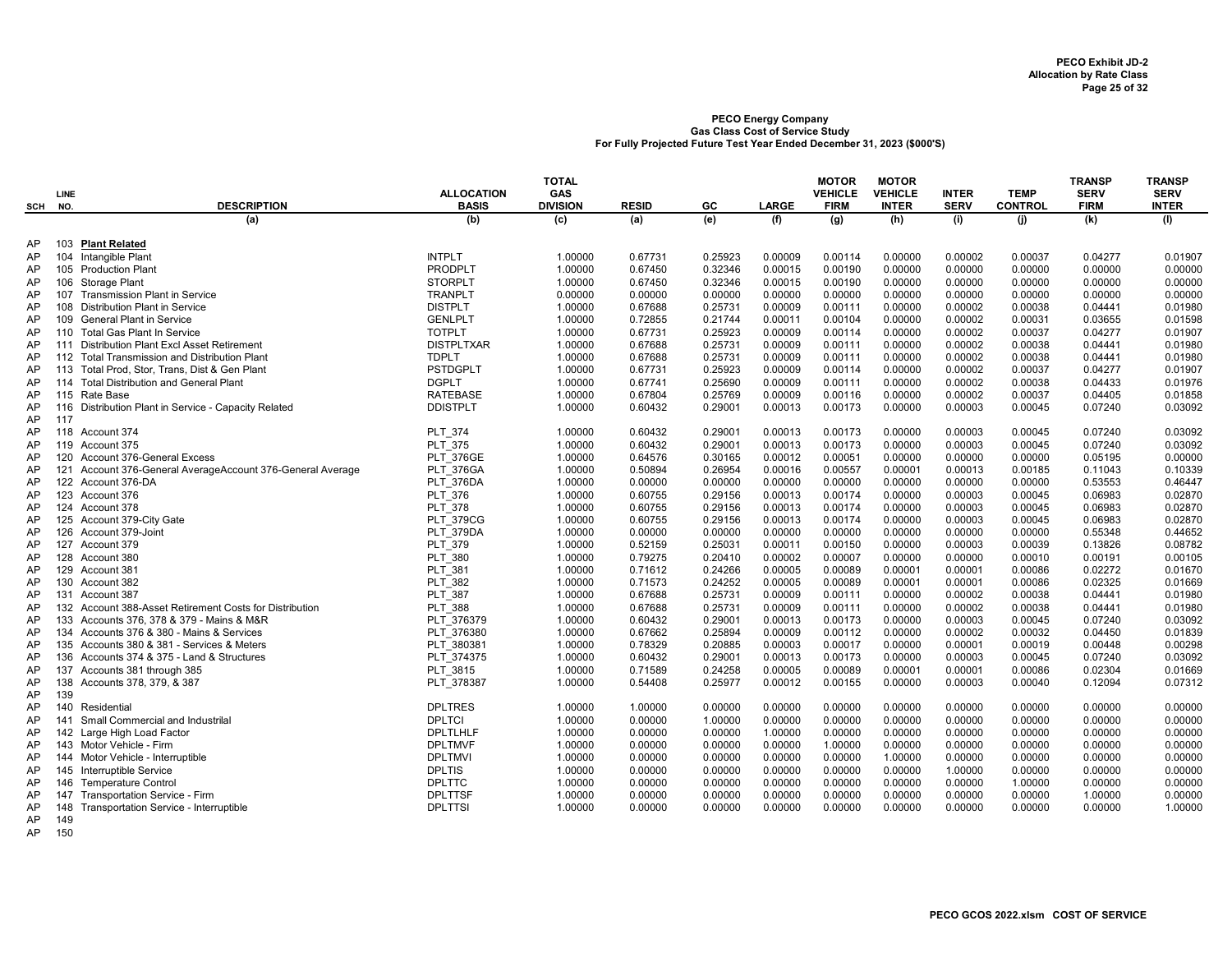|     |      |                                                         |                   | <b>TOTAL</b>    |              |         |              | <b>MOTOR</b>   | <b>MOTOR</b>   |              |                | <b>TRANSP</b> | <b>TRANSP</b> |
|-----|------|---------------------------------------------------------|-------------------|-----------------|--------------|---------|--------------|----------------|----------------|--------------|----------------|---------------|---------------|
|     | LINE |                                                         | <b>ALLOCATION</b> | GAS             |              |         |              | <b>VEHICLE</b> | <b>VEHICLE</b> | <b>INTER</b> | <b>TEMP</b>    | <b>SERV</b>   | <b>SERV</b>   |
| SCH | NO.  | <b>DESCRIPTION</b>                                      | <b>BASIS</b>      | <b>DIVISION</b> | <b>RESID</b> | GC      | <b>LARGE</b> | <b>FIRM</b>    | <b>INTER</b>   | <b>SERV</b>  | <b>CONTROL</b> | <b>FIRM</b>   | <b>INTER</b>  |
|     |      | (a)                                                     | (b)               | (c)             | (a)          | (e)     | (f)          | (q)            | (h)            | (i)          | (i)            | (k)           | (1)           |
| AP  | 103  | <b>Plant Related</b>                                    |                   |                 |              |         |              |                |                |              |                |               |               |
| AP  |      | 104 Intangible Plant                                    | <b>INTPLT</b>     | 1.00000         | 0.67731      | 0.25923 | 0.00009      | 0.00114        | 0.00000        | 0.00002      | 0.00037        | 0.04277       | 0.01907       |
| AP  |      | 105 Production Plant                                    | <b>PRODPLT</b>    | 1.00000         | 0.67450      | 0.32346 | 0.00015      | 0.00190        | 0.00000        | 0.00000      | 0.00000        | 0.00000       | 0.00000       |
| AP  |      | 106 Storage Plant                                       | <b>STORPLT</b>    | 1.00000         | 0.67450      | 0.32346 | 0.00015      | 0.00190        | 0.00000        | 0.00000      | 0.00000        | 0.00000       | 0.00000       |
| AP  |      | 107 Transmission Plant in Service                       | <b>TRANPLT</b>    | 0.00000         | 0.00000      | 0.00000 | 0.00000      | 0.00000        | 0.00000        | 0.00000      | 0.00000        | 0.00000       | 0.00000       |
| AP  | 108  | <b>Distribution Plant in Service</b>                    | <b>DISTPLT</b>    | 1.00000         | 0.67688      | 0.25731 | 0.00009      | 0.00111        | 0.00000        | 0.00002      | 0.00038        | 0.04441       | 0.01980       |
| AP  |      | 109 General Plant in Service                            | <b>GENLPLT</b>    | 1.00000         | 0.72855      | 0.21744 | 0.00011      | 0.00104        | 0.00000        | 0.00002      | 0.00031        | 0.03655       | 0.01598       |
| AP  |      | 110 Total Gas Plant In Service                          | <b>TOTPLT</b>     | 1.00000         | 0.67731      | 0.25923 | 0.00009      | 0.00114        | 0.00000        | 0.00002      | 0.00037        | 0.04277       | 0.01907       |
| AP  |      | 111 Distribution Plant Excl Asset Retirement            | <b>DISTPLTXAR</b> | 1.00000         | 0.67688      | 0.25731 | 0.00009      | 0.00111        | 0.00000        | 0.00002      | 0.00038        | 0.04441       | 0.01980       |
| AP  | 112  | <b>Total Transmission and Distribution Plant</b>        | <b>TDPLT</b>      | 1.00000         | 0.67688      | 0.25731 | 0.00009      | 0.00111        | 0.00000        | 0.00002      | 0.00038        | 0.04441       | 0.01980       |
| AP  | 113  | Total Prod, Stor, Trans, Dist & Gen Plant               | <b>PSTDGPLT</b>   | 1.00000         | 0.67731      | 0.25923 | 0.00009      | 0.00114        | 0.00000        | 0.00002      | 0.00037        | 0.04277       | 0.01907       |
| AP  | 114  | <b>Total Distribution and General Plant</b>             | <b>DGPLT</b>      | 1.00000         | 0.67741      | 0.25690 | 0.00009      | 0.00111        | 0.00000        | 0.00002      | 0.00038        | 0.04433       | 0.01976       |
| AP  |      | 115 Rate Base                                           | <b>RATEBASE</b>   | 1.00000         | 0.67804      | 0.25769 | 0.00009      | 0.00116        | 0.00000        | 0.00002      | 0.00037        | 0.04405       | 0.01858       |
| AP  | 116  | Distribution Plant in Service - Capacity Related        | <b>DDISTPLT</b>   | 1.00000         | 0.60432      | 0.29001 | 0.00013      | 0.00173        | 0.00000        | 0.00003      | 0.00045        | 0.07240       | 0.03092       |
| AP  | 117  |                                                         |                   |                 |              |         |              |                |                |              |                |               |               |
| AP  |      | 118 Account 374                                         | <b>PLT 374</b>    | 1.00000         | 0.60432      | 0.29001 | 0.00013      | 0.00173        | 0.00000        | 0.00003      | 0.00045        | 0.07240       | 0.03092       |
| AP  |      | 119 Account 375                                         | <b>PLT 375</b>    | 1.00000         | 0.60432      | 0.29001 | 0.00013      | 0.00173        | 0.00000        | 0.00003      | 0.00045        | 0.07240       | 0.03092       |
| AP  |      | 120 Account 376-General Excess                          | <b>PLT 376GE</b>  | 1.00000         | 0.64576      | 0.30165 | 0.00012      | 0.00051        | 0.00000        | 0.00000      | 0.00000        | 0.05195       | 0.00000       |
| AP  | 121  | Account 376-General AverageAccount 376-General Average  | <b>PLT 376GA</b>  | 1.00000         | 0.50894      | 0.26954 | 0.00016      | 0.00557        | 0.00001        | 0.00013      | 0.00185        | 0.11043       | 0.10339       |
| AP  |      | 122 Account 376-DA                                      | PLT 376DA         | 1.00000         | 0.00000      | 0.00000 | 0.00000      | 0.00000        | 0.00000        | 0.00000      | 0.00000        | 0.53553       | 0.46447       |
| AP  |      | 123 Account 376                                         | PLT 376           | 1.00000         | 0.60755      | 0.29156 | 0.00013      | 0.00174        | 0.00000        | 0.00003      | 0.00045        | 0.06983       | 0.02870       |
| AP  |      | 124 Account 378                                         | <b>PLT 378</b>    | 1.00000         | 0.60755      | 0.29156 | 0.00013      | 0.00174        | 0.00000        | 0.00003      | 0.00045        | 0.06983       | 0.02870       |
| AP  |      | 125 Account 379-City Gate                               | <b>PLT 379CG</b>  | 1.00000         | 0.60755      | 0.29156 | 0.00013      | 0.00174        | 0.00000        | 0.00003      | 0.00045        | 0.06983       | 0.02870       |
| AP  |      | 126 Account 379-Joint                                   | PLT 379DA         | 1.00000         | 0.00000      | 0.00000 | 0.00000      | 0.00000        | 0.00000        | 0.00000      | 0.00000        | 0.55348       | 0.44652       |
| AP  |      | 127 Account 379                                         | PLT 379           | 1.00000         | 0.52159      | 0.25031 | 0.00011      | 0.00150        | 0.00000        | 0.00003      | 0.00039        | 0.13826       | 0.08782       |
| AP  | 128  | Account 380                                             | <b>PLT 380</b>    | 1.00000         | 0.79275      | 0.20410 | 0.00002      | 0.00007        | 0.00000        | 0.00000      | 0.00010        | 0.00191       | 0.00105       |
| AP  |      | 129 Account 381                                         | <b>PLT 381</b>    | 1.00000         | 0.71612      | 0.24266 | 0.00005      | 0.00089        | 0.00001        | 0.00001      | 0.00086        | 0.02272       | 0.01670       |
| AP  |      | 130 Account 382                                         | <b>PLT 382</b>    | 1.00000         | 0.71573      | 0.24252 | 0.00005      | 0.00089        | 0.00001        | 0.00001      | 0.00086        | 0.02325       | 0.01669       |
| AP  |      | 131 Account 387                                         | <b>PLT 387</b>    | 1.00000         | 0.67688      | 0.25731 | 0.00009      | 0.00111        | 0.00000        | 0.00002      | 0.00038        | 0.04441       | 0.01980       |
| AP  |      | 132 Account 388-Asset Retirement Costs for Distribution | <b>PLT 388</b>    | 1.00000         | 0.67688      | 0.25731 | 0.00009      | 0.00111        | 0.00000        | 0.00002      | 0.00038        | 0.04441       | 0.01980       |
| AP  | 133  | Accounts 376, 378 & 379 - Mains & M&R                   | PLT 376379        | 1.00000         | 0.60432      | 0.29001 | 0.00013      | 0.00173        | 0.00000        | 0.00003      | 0.00045        | 0.07240       | 0.03092       |
| AP  |      | 134 Accounts 376 & 380 - Mains & Services               | PLT 376380        | 1.00000         | 0.67662      | 0.25894 | 0.00009      | 0.00112        | 0.00000        | 0.00002      | 0.00032        | 0.04450       | 0.01839       |
| AP  |      | 135 Accounts 380 & 381 - Services & Meters              | PLT 380381        | 1.00000         | 0.78329      | 0.20885 | 0.00003      | 0.00017        | 0.00000        | 0.00001      | 0.00019        | 0.00448       | 0.00298       |
| AP  |      | 136 Accounts 374 & 375 - Land & Structures              | PLT 374375        | 1.00000         | 0.60432      | 0.29001 | 0.00013      | 0.00173        | 0.00000        | 0.00003      | 0.00045        | 0.07240       | 0.03092       |
| AP  | 137  | Accounts 381 through 385                                | PLT 3815          | 1.00000         | 0.71589      | 0.24258 | 0.00005      | 0.00089        | 0.00001        | 0.00001      | 0.00086        | 0.02304       | 0.01669       |
| AP  | 138  | Accounts 378, 379, & 387                                | PLT 378387        | 1.00000         | 0.54408      | 0.25977 | 0.00012      | 0.00155        | 0.00000        | 0.00003      | 0.00040        | 0.12094       | 0.07312       |
| AP  | 139  |                                                         |                   |                 |              |         |              |                |                |              |                |               |               |
| AP  |      | 140 Residential                                         | <b>DPLTRES</b>    | 1.00000         | 1.00000      | 0.00000 | 0.00000      | 0.00000        | 0.00000        | 0.00000      | 0.00000        | 0.00000       | 0.00000       |
| AP  |      | 141 Small Commercial and Industrilal                    | <b>DPLTCI</b>     | 1.00000         | 0.00000      | 1.00000 | 0.00000      | 0.00000        | 0.00000        | 0.00000      | 0.00000        | 0.00000       | 0.00000       |
| AP  |      | 142 Large High Load Factor                              | <b>DPLTLHLF</b>   | 1.00000         | 0.00000      | 0.00000 | 1.00000      | 0.00000        | 0.00000        | 0.00000      | 0.00000        | 0.00000       | 0.00000       |
| AP  |      | 143 Motor Vehicle - Firm                                | <b>DPLTMVF</b>    | 1.00000         | 0.00000      | 0.00000 | 0.00000      | 1.00000        | 0.00000        | 0.00000      | 0.00000        | 0.00000       | 0.00000       |
| AP  |      | 144 Motor Vehicle - Interruptible                       | <b>DPLTMVI</b>    | 1.00000         | 0.00000      | 0.00000 | 0.00000      | 0.00000        | 1.00000        | 0.00000      | 0.00000        | 0.00000       | 0.00000       |
| AP  |      | 145 Interruptible Service                               | <b>DPLTIS</b>     | 1.00000         | 0.00000      | 0.00000 | 0.00000      | 0.00000        | 0.00000        | 1.00000      | 0.00000        | 0.00000       | 0.00000       |
| AP  | 146  | <b>Temperature Control</b>                              | <b>DPLTTC</b>     | 1.00000         | 0.00000      | 0.00000 | 0.00000      | 0.00000        | 0.00000        | 0.00000      | 1.00000        | 0.00000       | 0.00000       |
| AP  | 147  | Transportation Service - Firm                           | <b>DPLTTSF</b>    | 1.00000         | 0.00000      | 0.00000 | 0.00000      | 0.00000        | 0.00000        | 0.00000      | 0.00000        | 1.00000       | 0.00000       |
| AP  | 148  | Transportation Service - Interruptible                  | <b>DPLTTSI</b>    | 1.00000         | 0.00000      | 0.00000 | 0.00000      | 0.00000        | 0.00000        | 0.00000      | 0.00000        | 0.00000       | 1.00000       |
| AP  | 149  |                                                         |                   |                 |              |         |              |                |                |              |                |               |               |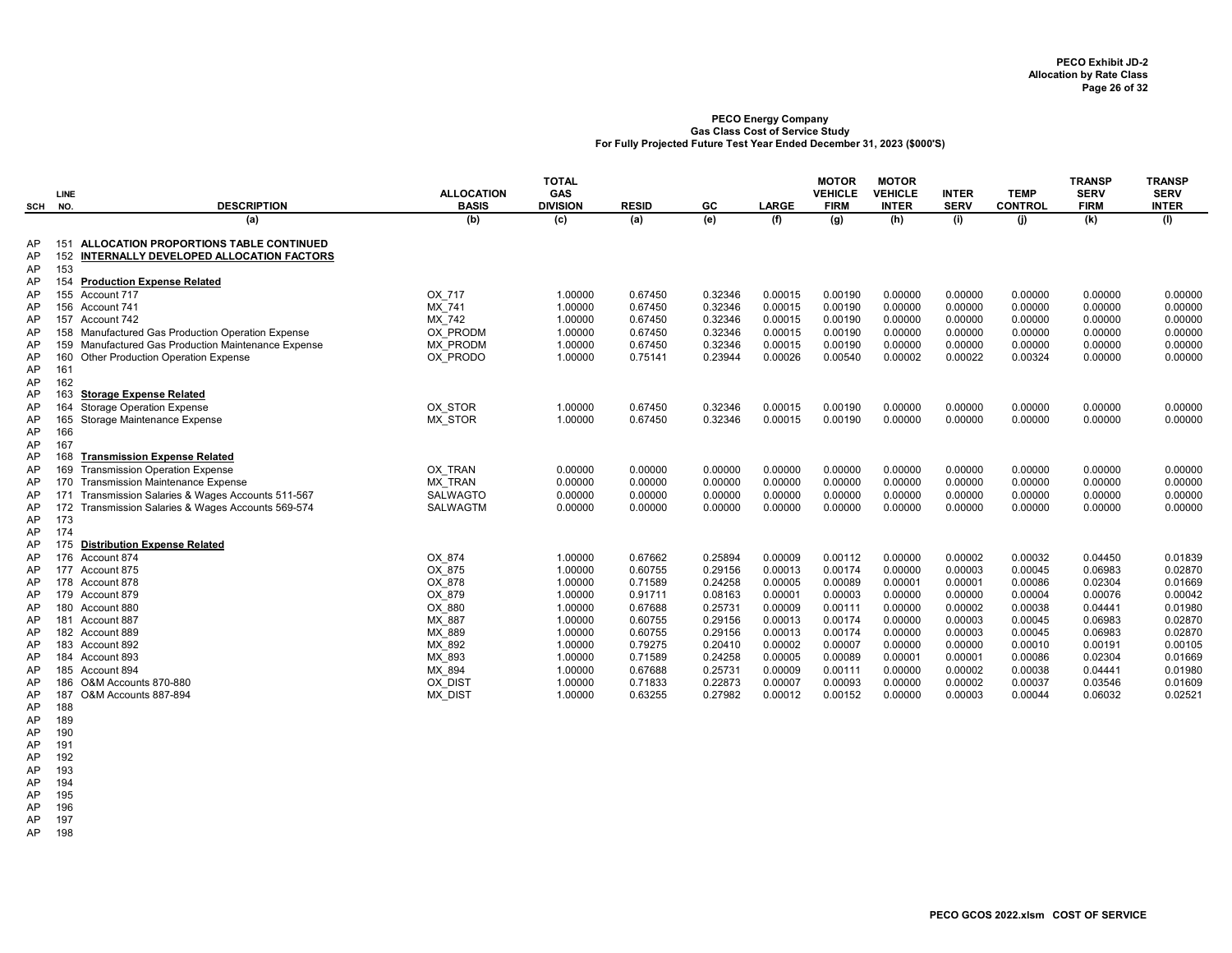| SCH                        | LINE<br>NO.                     | <b>DESCRIPTION</b>                                                                                                                                                                   | <b>ALLOCATION</b><br><b>BASIS</b>                        | <b>TOTAL</b><br>GAS<br><b>DIVISION</b>   | <b>RESID</b>                             | GC                                       | <b>LARGE</b>                             | <b>MOTOR</b><br><b>VEHICLE</b><br><b>FIRM</b> | <b>MOTOR</b><br><b>VEHICLE</b><br><b>INTER</b> | <b>INTER</b><br><b>SERV</b>              | <b>TEMP</b><br><b>CONTROL</b>            | <b>TRANSP</b><br><b>SERV</b><br><b>FIRM</b> | <b>TRANSP</b><br><b>SERV</b><br><b>INTER</b> |
|----------------------------|---------------------------------|--------------------------------------------------------------------------------------------------------------------------------------------------------------------------------------|----------------------------------------------------------|------------------------------------------|------------------------------------------|------------------------------------------|------------------------------------------|-----------------------------------------------|------------------------------------------------|------------------------------------------|------------------------------------------|---------------------------------------------|----------------------------------------------|
|                            |                                 | (a)                                                                                                                                                                                  | (b)                                                      | (c)                                      | (a)                                      | (e)                                      | (f)                                      | (q)                                           | (h)                                            | (i)                                      | (i)                                      | (k)                                         | (1)                                          |
| AP<br>AP<br>AP             | 151<br>152<br>153               | ALLOCATION PROPORTIONS TABLE CONTINUED<br>INTERNALLY DEVELOPED ALLOCATION FACTORS                                                                                                    |                                                          |                                          |                                          |                                          |                                          |                                               |                                                |                                          |                                          |                                             |                                              |
| AP<br>AP<br>AP<br>AP       | 154                             | <b>Production Expense Related</b><br>155 Account 717<br>156 Account 741<br>157 Account 742                                                                                           | OX 717<br>MX 741<br>MX 742                               | 1.00000<br>1.00000<br>1.00000            | 0.67450<br>0.67450<br>0.67450            | 0.32346<br>0.32346<br>0.32346            | 0.00015<br>0.00015<br>0.00015            | 0.00190<br>0.00190<br>0.00190                 | 0.00000<br>0.00000<br>0.00000                  | 0.00000<br>0.00000<br>0.00000            | 0.00000<br>0.00000<br>0.00000            | 0.00000<br>0.00000<br>0.00000               | 0.00000<br>0.00000<br>0.00000                |
| AP<br>AP<br>AP             | 159<br>160                      | 158 Manufactured Gas Production Operation Expense<br>Manufactured Gas Production Maintenance Expense<br>Other Production Operation Expense                                           | OX PRODM<br>MX PRODM<br>OX PRODO                         | 1.00000<br>1.00000<br>1.00000            | 0.67450<br>0.67450<br>0.75141            | 0.32346<br>0.32346<br>0.23944            | 0.00015<br>0.00015<br>0.00026            | 0.00190<br>0.00190<br>0.00540                 | 0.00000<br>0.00000<br>0.00002                  | 0.00000<br>0.00000<br>0.00022            | 0.00000<br>0.00000<br>0.00324            | 0.00000<br>0.00000<br>0.00000               | 0.00000<br>0.00000<br>0.00000                |
| AP<br>AP<br>AP<br>AP       | 161<br>162<br>163<br>164        | <b>Storage Expense Related</b><br><b>Storage Operation Expense</b>                                                                                                                   | OX STOR                                                  | 1.00000                                  | 0.67450                                  | 0.32346                                  | 0.00015                                  | 0.00190                                       | 0.00000                                        | 0.00000                                  | 0.00000                                  | 0.00000                                     | 0.00000                                      |
| AP<br>AP<br>AP<br>AP       | 165<br>166<br>167<br>168        | Storage Maintenance Expense<br><b>Transmission Expense Related</b>                                                                                                                   | <b>MX STOR</b>                                           | 1.00000                                  | 0.67450                                  | 0.32346                                  | 0.00015                                  | 0.00190                                       | 0.00000                                        | 0.00000                                  | 0.00000                                  | 0.00000                                     | 0.00000                                      |
| AP<br>AP<br>AP<br>AP<br>AP | 169<br>170<br>171<br>172<br>173 | <b>Transmission Operation Expense</b><br><b>Transmission Maintenance Expense</b><br>Transmission Salaries & Wages Accounts 511-567<br>Transmission Salaries & Wages Accounts 569-574 | OX TRAN<br><b>MX TRAN</b><br><b>SALWAGTO</b><br>SALWAGTM | 0.00000<br>0.00000<br>0.00000<br>0.00000 | 0.00000<br>0.00000<br>0.00000<br>0.00000 | 0.00000<br>0.00000<br>0.00000<br>0.00000 | 0.00000<br>0.00000<br>0.00000<br>0.00000 | 0.00000<br>0.00000<br>0.00000<br>0.00000      | 0.00000<br>0.00000<br>0.00000<br>0.00000       | 0.00000<br>0.00000<br>0.00000<br>0.00000 | 0.00000<br>0.00000<br>0.00000<br>0.00000 | 0.00000<br>0.00000<br>0.00000<br>0.00000    | 0.00000<br>0.00000<br>0.00000<br>0.00000     |
| AP<br>AP<br>AP             | 174<br>175<br>176               | <b>Distribution Expense Related</b><br>Account 874                                                                                                                                   | OX 874                                                   | 1.00000                                  | 0.67662                                  | 0.25894                                  | 0.00009                                  | 0.00112                                       | 0.00000                                        | 0.00002                                  | 0.00032                                  | 0.04450                                     | 0.01839                                      |
| AP<br>AP<br>AP<br>AP       | 177                             | Account 875<br>178 Account 878<br>179 Account 879<br>180 Account 880                                                                                                                 | OX 875<br>OX 878<br>OX 879<br>OX 880                     | 1.00000<br>1.00000<br>1.00000<br>1.00000 | 0.60755<br>0.71589<br>0.91711<br>0.67688 | 0.29156<br>0.24258<br>0.08163<br>0.25731 | 0.00013<br>0.00005<br>0.00001<br>0.00009 | 0.00174<br>0.00089<br>0.00003<br>0.00111      | 0.00000<br>0.00001<br>0.00000<br>0.00000       | 0.00003<br>0.00001<br>0.00000<br>0.00002 | 0.00045<br>0.00086<br>0.00004<br>0.00038 | 0.06983<br>0.02304<br>0.00076<br>0.04441    | 0.02870<br>0.01669<br>0.00042<br>0.01980     |
| AP<br>AP<br>AP<br>AP       | 181<br>184                      | Account 887<br>182 Account 889<br>183 Account 892<br>Account 893                                                                                                                     | MX 887<br>MX 889<br>MX 892<br>MX_893                     | 1.00000<br>1.00000<br>1.00000<br>1.00000 | 0.60755<br>0.60755<br>0.79275<br>0.71589 | 0.29156<br>0.29156<br>0.20410<br>0.24258 | 0.00013<br>0.00013<br>0.00002<br>0.00005 | 0.00174<br>0.00174<br>0.00007<br>0.00089      | 0.00000<br>0.00000<br>0.00000<br>0.00001       | 0.00003<br>0.00003<br>0.00000<br>0.00001 | 0.00045<br>0.00045<br>0.00010<br>0.00086 | 0.06983<br>0.06983<br>0.00191<br>0.02304    | 0.02870<br>0.02870<br>0.00105<br>0.01669     |
| AP<br>AP<br>AP<br>AP       | 186<br>187<br>188               | 185 Account 894<br>O&M Accounts 870-880<br>O&M Accounts 887-894                                                                                                                      | MX 894<br>OX_DIST<br>MX DIST                             | 1.00000<br>1.00000<br>1.00000            | 0.67688<br>0.71833<br>0.63255            | 0.25731<br>0.22873<br>0.27982            | 0.00009<br>0.00007<br>0.00012            | 0.00111<br>0.00093<br>0.00152                 | 0.00000<br>0.00000<br>0.00000                  | 0.00002<br>0.00002<br>0.00003            | 0.00038<br>0.00037<br>0.00044            | 0.04441<br>0.03546<br>0.06032               | 0.01980<br>0.01609<br>0.02521                |

AP 189

AP 190

AP 191 AP 192

AP 193

AP 194

AP 195 AP 196

AP 197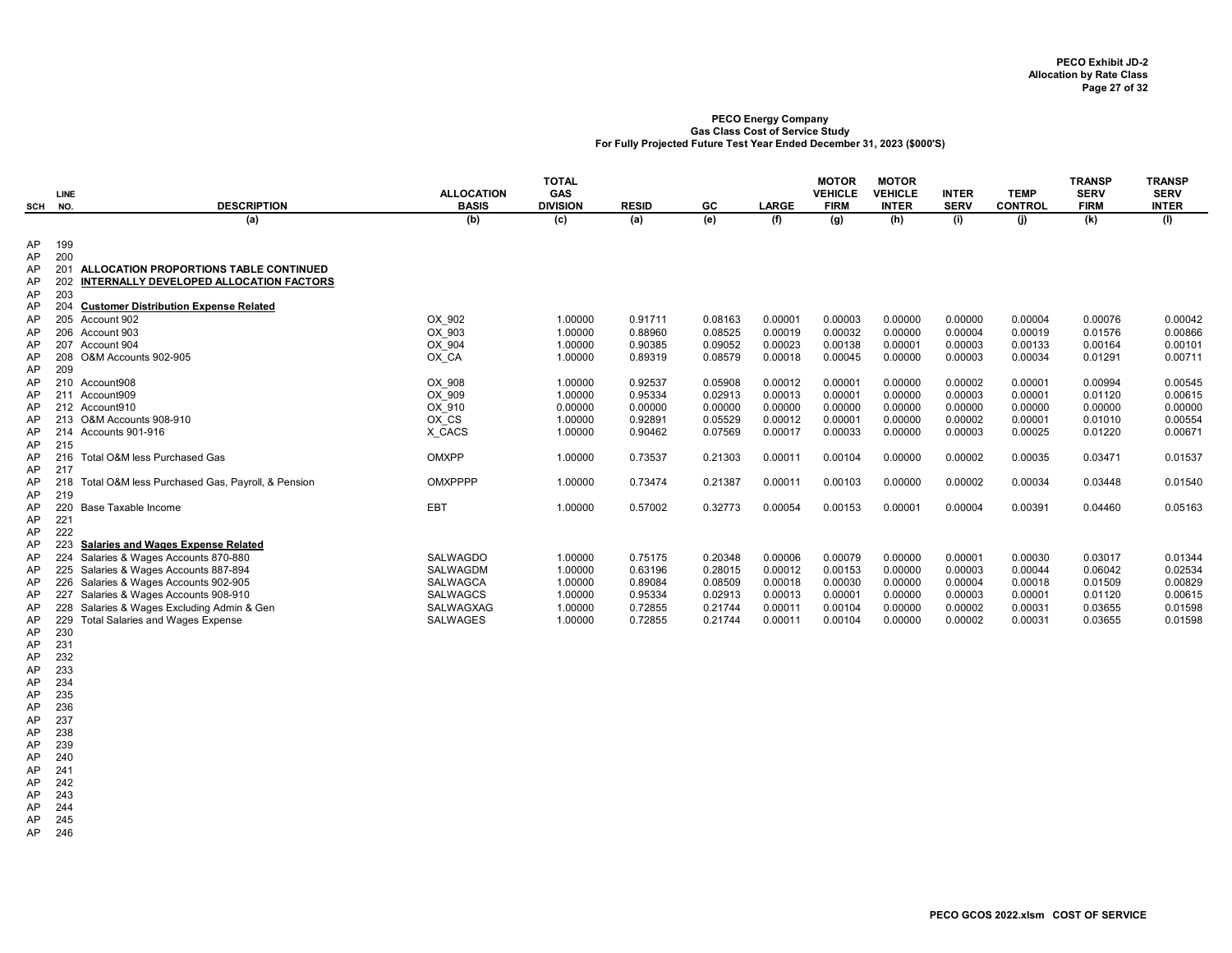|     | <b>LINE</b> |                                                  | <b>ALLOCATION</b> | <b>TOTAL</b><br>GAS |              |         |              | <b>MOTOR</b><br><b>VEHICLE</b> | <b>MOTOR</b><br><b>VEHICLE</b> | <b>INTER</b> | <b>TEMP</b>    | <b>TRANSP</b><br><b>SERV</b> | <b>TRANSP</b><br><b>SERV</b> |
|-----|-------------|--------------------------------------------------|-------------------|---------------------|--------------|---------|--------------|--------------------------------|--------------------------------|--------------|----------------|------------------------------|------------------------------|
| SCH | NO.         | <b>DESCRIPTION</b>                               | <b>BASIS</b>      | <b>DIVISION</b>     | <b>RESID</b> | GC      | <b>LARGE</b> | <b>FIRM</b>                    | <b>INTER</b>                   | <b>SERV</b>  | <b>CONTROL</b> | <b>FIRM</b>                  | <b>INTER</b>                 |
|     |             | (a)                                              | (b)               | (c)                 | (a)          | (e)     | (f)          | $\overline{g}$                 | (h)                            | (i)          | (j)            | (k)                          | (1)                          |
| AP  | 199         |                                                  |                   |                     |              |         |              |                                |                                |              |                |                              |                              |
| AP  | 200         |                                                  |                   |                     |              |         |              |                                |                                |              |                |                              |                              |
| AP  | 201         | ALLOCATION PROPORTIONS TABLE CONTINUED           |                   |                     |              |         |              |                                |                                |              |                |                              |                              |
| AP  |             | INTERNALLY DEVELOPED ALLOCATION FACTORS          |                   |                     |              |         |              |                                |                                |              |                |                              |                              |
| AP  | 203         |                                                  |                   |                     |              |         |              |                                |                                |              |                |                              |                              |
| AP  | 204         | <b>Customer Distribution Expense Related</b>     |                   |                     |              |         |              |                                |                                |              |                |                              |                              |
| AP  |             | 205 Account 902                                  | OX 902            | 1.00000             | 0.91711      | 0.08163 | 0.00001      | 0.00003                        | 0.00000                        | 0.00000      | 0.00004        | 0.00076                      | 0.00042                      |
| AP  |             | 206 Account 903                                  | OX 903            | 1.00000             | 0.88960      | 0.08525 | 0.00019      | 0.00032                        | 0.00000                        | 0.00004      | 0.00019        | 0.01576                      | 0.00866                      |
| AP  |             | 207 Account 904                                  | OX 904            | 1.00000             | 0.90385      | 0.09052 | 0.00023      | 0.00138                        | 0.00001                        | 0.00003      | 0.00133        | 0.00164                      | 0.00101                      |
| AP  |             | 208 O&M Accounts 902-905                         | OX CA             | 1.00000             | 0.89319      | 0.08579 | 0.00018      | 0.00045                        | 0.00000                        | 0.00003      | 0.00034        | 0.01291                      | 0.00711                      |
| AP  | 209         |                                                  |                   |                     |              |         |              |                                |                                |              |                |                              |                              |
| AP  |             | 210 Account908                                   | OX 908            | 1.00000             | 0.92537      | 0.05908 | 0.00012      | 0.00001                        | 0.00000                        | 0.00002      | 0.00001        | 0.00994                      | 0.00545                      |
| AP  |             | 211 Account909                                   | OX 909            | 1.00000             | 0.95334      | 0.02913 | 0.00013      | 0.00001                        | 0.00000                        | 0.00003      | 0.00001        | 0.01120                      | 0.00615                      |
| AP  |             | 212 Account910                                   | OX 910            | 0.00000             | 0.00000      | 0.00000 | 0.00000      | 0.00000                        | 0.00000                        | 0.00000      | 0.00000        | 0.00000                      | 0.00000                      |
| AP  |             | 213 O&M Accounts 908-910                         | OX CS             | 1.00000             | 0.92891      | 0.05529 | 0.00012      | 0.00001                        | 0.00000                        | 0.00002      | 0.00001        | 0.01010                      | 0.00554                      |
| AP  |             | 214 Accounts 901-916                             | X CACS            | 1.00000             | 0.90462      | 0.07569 | 0.00017      | 0.00033                        | 0.00000                        | 0.00003      | 0.00025        | 0.01220                      | 0.00671                      |
| AP  | 215         |                                                  |                   |                     |              |         |              |                                |                                |              |                |                              |                              |
| AP  | 216         | Total O&M less Purchased Gas                     | OMXPP             | 1.00000             | 0.73537      | 0.21303 | 0.00011      | 0.00104                        | 0.00000                        | 0.00002      | 0.00035        | 0.03471                      | 0.01537                      |
| AP  | 217         |                                                  |                   |                     |              |         |              |                                |                                |              |                |                              |                              |
| AP  | 218         | Total O&M less Purchased Gas, Payroll, & Pension | <b>OMXPPPP</b>    | 1.00000             | 0.73474      | 0.21387 | 0.00011      | 0.00103                        | 0.00000                        | 0.00002      | 0.00034        | 0.03448                      | 0.01540                      |
| AP  | 219         |                                                  |                   |                     |              |         |              |                                |                                |              |                |                              |                              |
| AP  | 220         | Base Taxable Income                              | <b>EBT</b>        | 1.00000             | 0.57002      | 0.32773 | 0.00054      | 0.00153                        | 0.00001                        | 0.00004      | 0.00391        | 0.04460                      | 0.05163                      |
| AP  | 221         |                                                  |                   |                     |              |         |              |                                |                                |              |                |                              |                              |
| AP  | 222         |                                                  |                   |                     |              |         |              |                                |                                |              |                |                              |                              |
| AP  | 223         | <b>Salaries and Wages Expense Related</b>        |                   |                     |              |         |              |                                |                                |              |                |                              |                              |
| AP  |             | Salaries & Wages Accounts 870-880                | SALWAGDO          | 1.00000             | 0.75175      | 0.20348 | 0.00006      | 0.00079                        | 0.00000                        | 0.00001      | 0.00030        | 0.03017                      | 0.01344                      |
| AP  |             | 225 Salaries & Wages Accounts 887-894            | SALWAGDM          | 1.00000             | 0.63196      | 0.28015 | 0.00012      | 0.00153                        | 0.00000                        | 0.00003      | 0.00044        | 0.06042                      | 0.02534                      |
| AP  |             | 226 Salaries & Wages Accounts 902-905            | <b>SALWAGCA</b>   | 1.00000             | 0.89084      | 0.08509 | 0.00018      | 0.00030                        | 0.00000                        | 0.00004      | 0.00018        | 0.01509                      | 0.00829                      |
| AP  | 227         | Salaries & Wages Accounts 908-910                | <b>SALWAGCS</b>   | 1.00000             | 0.95334      | 0.02913 | 0.00013      | 0.00001                        | 0.00000                        | 0.00003      | 0.00001        | 0.01120                      | 0.00615                      |
| AP  | 228         | Salaries & Wages Excluding Admin & Gen           | SALWAGXAG         | 1.00000             | 0.72855      | 0.21744 | 0.00011      | 0.00104                        | 0.00000                        | 0.00002      | 0.00031        | 0.03655                      | 0.01598                      |
| AP  | 229         | <b>Total Salaries and Wages Expense</b>          | <b>SALWAGES</b>   | 1.00000             | 0.72855      | 0.21744 | 0.00011      | 0.00104                        | 0.00000                        | 0.00002      | 0.00031        | 0.03655                      | 0.01598                      |
| AP  | 230         |                                                  |                   |                     |              |         |              |                                |                                |              |                |                              |                              |
| AP  | 231         |                                                  |                   |                     |              |         |              |                                |                                |              |                |                              |                              |

AP 232

AP 233 AP 234

AP 235

AP 236 AP 237

AP 238

AP 239 AP 240

AP 241 AP 242

AP 243

AP 244

AP 245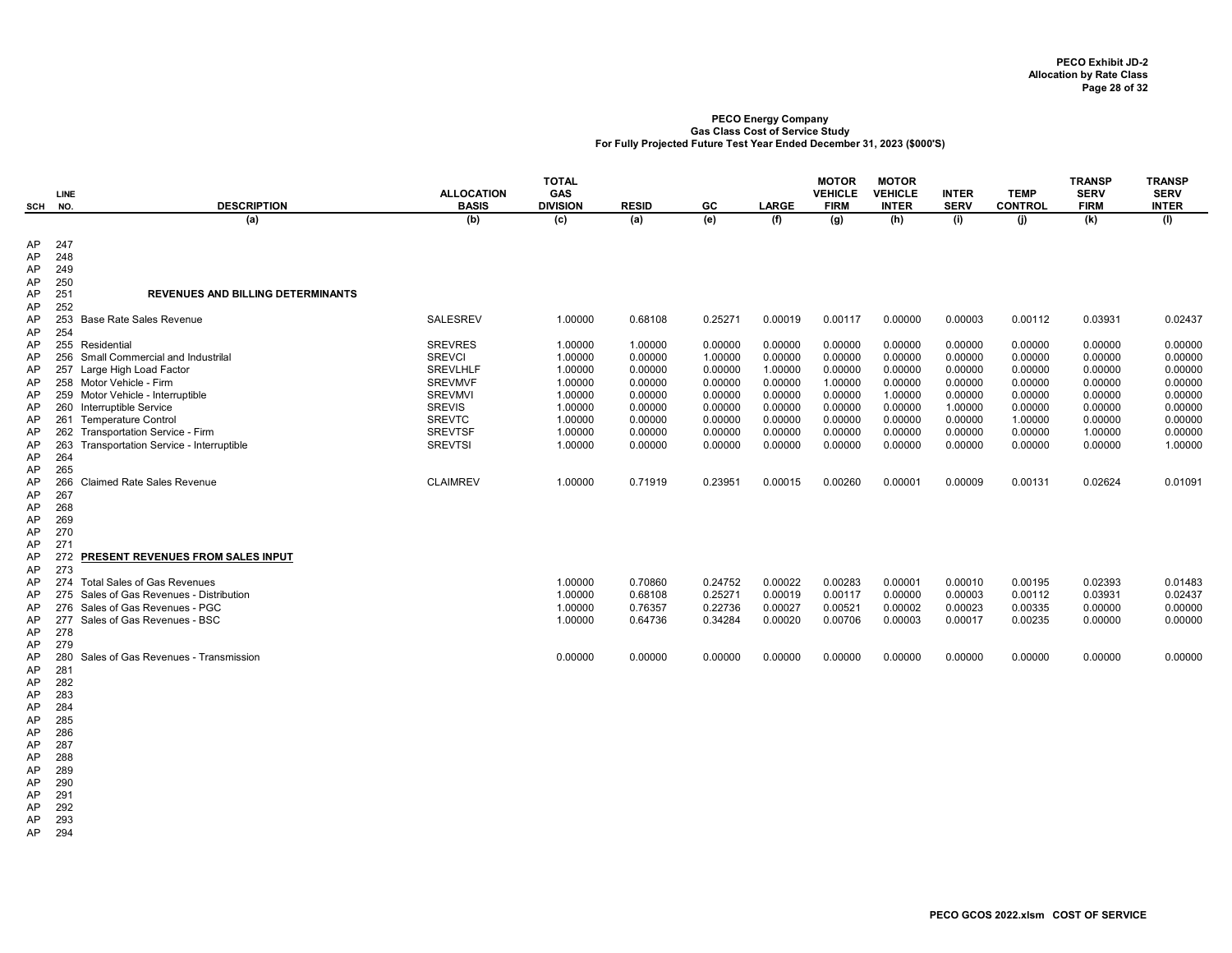| SCH NO.  | LINE       | <b>DESCRIPTION</b>                                                          | <b>ALLOCATION</b><br><b>BASIS</b> | <b>TOTAL</b><br><b>GAS</b><br><b>DIVISION</b> | <b>RESID</b>       | GC                 | <b>LARGE</b>       | <b>MOTOR</b><br><b>VEHICLE</b><br><b>FIRM</b> | <b>MOTOR</b><br><b>VEHICLE</b><br><b>INTER</b> | <b>INTER</b><br><b>SERV</b> | <b>TEMP</b><br><b>CONTROL</b> | <b>TRANSP</b><br><b>SERV</b><br><b>FIRM</b> | <b>TRANSP</b><br><b>SERV</b><br><b>INTER</b> |
|----------|------------|-----------------------------------------------------------------------------|-----------------------------------|-----------------------------------------------|--------------------|--------------------|--------------------|-----------------------------------------------|------------------------------------------------|-----------------------------|-------------------------------|---------------------------------------------|----------------------------------------------|
|          |            | (a)                                                                         | (b)                               | (c)                                           | (a)                | (e)                | (f)                | (g)                                           | (h)                                            | (i)                         | (i)                           | (k)                                         | (1)                                          |
| AP<br>AP | 247<br>248 |                                                                             |                                   |                                               |                    |                    |                    |                                               |                                                |                             |                               |                                             |                                              |
| AP       | 249        |                                                                             |                                   |                                               |                    |                    |                    |                                               |                                                |                             |                               |                                             |                                              |
| AP       | 250        |                                                                             |                                   |                                               |                    |                    |                    |                                               |                                                |                             |                               |                                             |                                              |
| AP       | 251        | <b>REVENUES AND BILLING DETERMINANTS</b>                                    |                                   |                                               |                    |                    |                    |                                               |                                                |                             |                               |                                             |                                              |
| AP       | 252        |                                                                             |                                   |                                               |                    |                    |                    |                                               |                                                |                             |                               |                                             |                                              |
| AP<br>AP | 254        | 253 Base Rate Sales Revenue                                                 | <b>SALESREV</b>                   | 1.00000                                       | 0.68108            | 0.25271            | 0.00019            | 0.00117                                       | 0.00000                                        | 0.00003                     | 0.00112                       | 0.03931                                     | 0.02437                                      |
| AP       |            | 255 Residential                                                             | <b>SREVRES</b>                    | 1.00000                                       | 1.00000            | 0.00000            | 0.00000            | 0.00000                                       | 0.00000                                        | 0.00000                     | 0.00000                       | 0.00000                                     | 0.00000                                      |
| AP       |            | 256 Small Commercial and Industrilal                                        | <b>SREVCI</b>                     | 1.00000                                       | 0.00000            | 1.00000            | 0.00000            | 0.00000                                       | 0.00000                                        | 0.00000                     | 0.00000                       | 0.00000                                     | 0.00000                                      |
| AP       |            | 257 Large High Load Factor                                                  | <b>SREVLHLF</b>                   | 1.00000                                       | 0.00000            | 0.00000            | 1.00000            | 0.00000                                       | 0.00000                                        | 0.00000                     | 0.00000                       | 0.00000                                     | 0.00000                                      |
| AP       |            | 258 Motor Vehicle - Firm                                                    | <b>SREVMVF</b>                    | 1.00000                                       | 0.00000            | 0.00000            | 0.00000            | 1.00000                                       | 0.00000                                        | 0.00000                     | 0.00000                       | 0.00000                                     | 0.00000                                      |
| AP       |            | 259 Motor Vehicle - Interruptible                                           | <b>SREVMVI</b>                    | 1.00000                                       | 0.00000            | 0.00000            | 0.00000            | 0.00000                                       | 1.00000                                        | 0.00000                     | 0.00000                       | 0.00000                                     | 0.00000                                      |
| AP       |            | 260 Interruptible Service                                                   | <b>SREVIS</b>                     | 1.00000                                       | 0.00000            | 0.00000            | 0.00000            | 0.00000                                       | 0.00000                                        | 1.00000                     | 0.00000                       | 0.00000                                     | 0.00000                                      |
| AP       |            | 261 Temperature Control                                                     | <b>SREVTC</b>                     | 1.00000                                       | 0.00000            | 0.00000            | 0.00000            | 0.00000                                       | 0.00000                                        | 0.00000                     | 1.00000                       | 0.00000                                     | 0.00000                                      |
| AP<br>AP | 263        | 262 Transportation Service - Firm<br>Transportation Service - Interruptible | <b>SREVTSF</b><br><b>SREVTSI</b>  | 1.00000<br>1.00000                            | 0.00000<br>0.00000 | 0.00000<br>0.00000 | 0.00000<br>0.00000 | 0.00000<br>0.00000                            | 0.00000<br>0.00000                             | 0.00000<br>0.00000          | 0.00000<br>0.00000            | 1.00000<br>0.00000                          | 0.00000<br>1.00000                           |
| AP       | 264        |                                                                             |                                   |                                               |                    |                    |                    |                                               |                                                |                             |                               |                                             |                                              |
| AP       | 265        |                                                                             |                                   |                                               |                    |                    |                    |                                               |                                                |                             |                               |                                             |                                              |
| AP       | 266        | <b>Claimed Rate Sales Revenue</b>                                           | <b>CLAIMREV</b>                   | 1.00000                                       | 0.71919            | 0.23951            | 0.00015            | 0.00260                                       | 0.00001                                        | 0.00009                     | 0.00131                       | 0.02624                                     | 0.01091                                      |
| AP       | 267        |                                                                             |                                   |                                               |                    |                    |                    |                                               |                                                |                             |                               |                                             |                                              |
| AP       | 268        |                                                                             |                                   |                                               |                    |                    |                    |                                               |                                                |                             |                               |                                             |                                              |
| AP       | 269        |                                                                             |                                   |                                               |                    |                    |                    |                                               |                                                |                             |                               |                                             |                                              |
| AP<br>AP | 270<br>271 |                                                                             |                                   |                                               |                    |                    |                    |                                               |                                                |                             |                               |                                             |                                              |
| AP       | 272        | PRESENT REVENUES FROM SALES INPUT                                           |                                   |                                               |                    |                    |                    |                                               |                                                |                             |                               |                                             |                                              |
| AP       | 273        |                                                                             |                                   |                                               |                    |                    |                    |                                               |                                                |                             |                               |                                             |                                              |
| AP       | 274        | <b>Total Sales of Gas Revenues</b>                                          |                                   | 1.00000                                       | 0.70860            | 0.24752            | 0.00022            | 0.00283                                       | 0.00001                                        | 0.00010                     | 0.00195                       | 0.02393                                     | 0.01483                                      |
| AP       |            | 275 Sales of Gas Revenues - Distribution                                    |                                   | 1.00000                                       | 0.68108            | 0.25271            | 0.00019            | 0.00117                                       | 0.00000                                        | 0.00003                     | 0.00112                       | 0.03931                                     | 0.02437                                      |
| AP       |            | 276 Sales of Gas Revenues - PGC                                             |                                   | 1.00000                                       | 0.76357            | 0.22736            | 0.00027            | 0.00521                                       | 0.00002                                        | 0.00023                     | 0.00335                       | 0.00000                                     | 0.00000                                      |
| AP       | 278        | 277 Sales of Gas Revenues - BSC                                             |                                   | 1.00000                                       | 0.64736            | 0.34284            | 0.00020            | 0.00706                                       | 0.00003                                        | 0.00017                     | 0.00235                       | 0.00000                                     | 0.00000                                      |
| AP<br>AP | 279        |                                                                             |                                   |                                               |                    |                    |                    |                                               |                                                |                             |                               |                                             |                                              |
| AP       | 280        | Sales of Gas Revenues - Transmission                                        |                                   | 0.00000                                       | 0.00000            | 0.00000            | 0.00000            | 0.00000                                       | 0.00000                                        | 0.00000                     | 0.00000                       | 0.00000                                     | 0.00000                                      |
| AP       | 281        |                                                                             |                                   |                                               |                    |                    |                    |                                               |                                                |                             |                               |                                             |                                              |
| AP       | 282        |                                                                             |                                   |                                               |                    |                    |                    |                                               |                                                |                             |                               |                                             |                                              |
| AP       | 283        |                                                                             |                                   |                                               |                    |                    |                    |                                               |                                                |                             |                               |                                             |                                              |
| AP       | 284        |                                                                             |                                   |                                               |                    |                    |                    |                                               |                                                |                             |                               |                                             |                                              |
| AP       | 285        |                                                                             |                                   |                                               |                    |                    |                    |                                               |                                                |                             |                               |                                             |                                              |
| AP<br>AP | 286<br>287 |                                                                             |                                   |                                               |                    |                    |                    |                                               |                                                |                             |                               |                                             |                                              |
| AP       | 288        |                                                                             |                                   |                                               |                    |                    |                    |                                               |                                                |                             |                               |                                             |                                              |
| AP       | 289        |                                                                             |                                   |                                               |                    |                    |                    |                                               |                                                |                             |                               |                                             |                                              |
| AP       | 290        |                                                                             |                                   |                                               |                    |                    |                    |                                               |                                                |                             |                               |                                             |                                              |
| AP       | 291        |                                                                             |                                   |                                               |                    |                    |                    |                                               |                                                |                             |                               |                                             |                                              |
| AP       | 292        |                                                                             |                                   |                                               |                    |                    |                    |                                               |                                                |                             |                               |                                             |                                              |

AP 293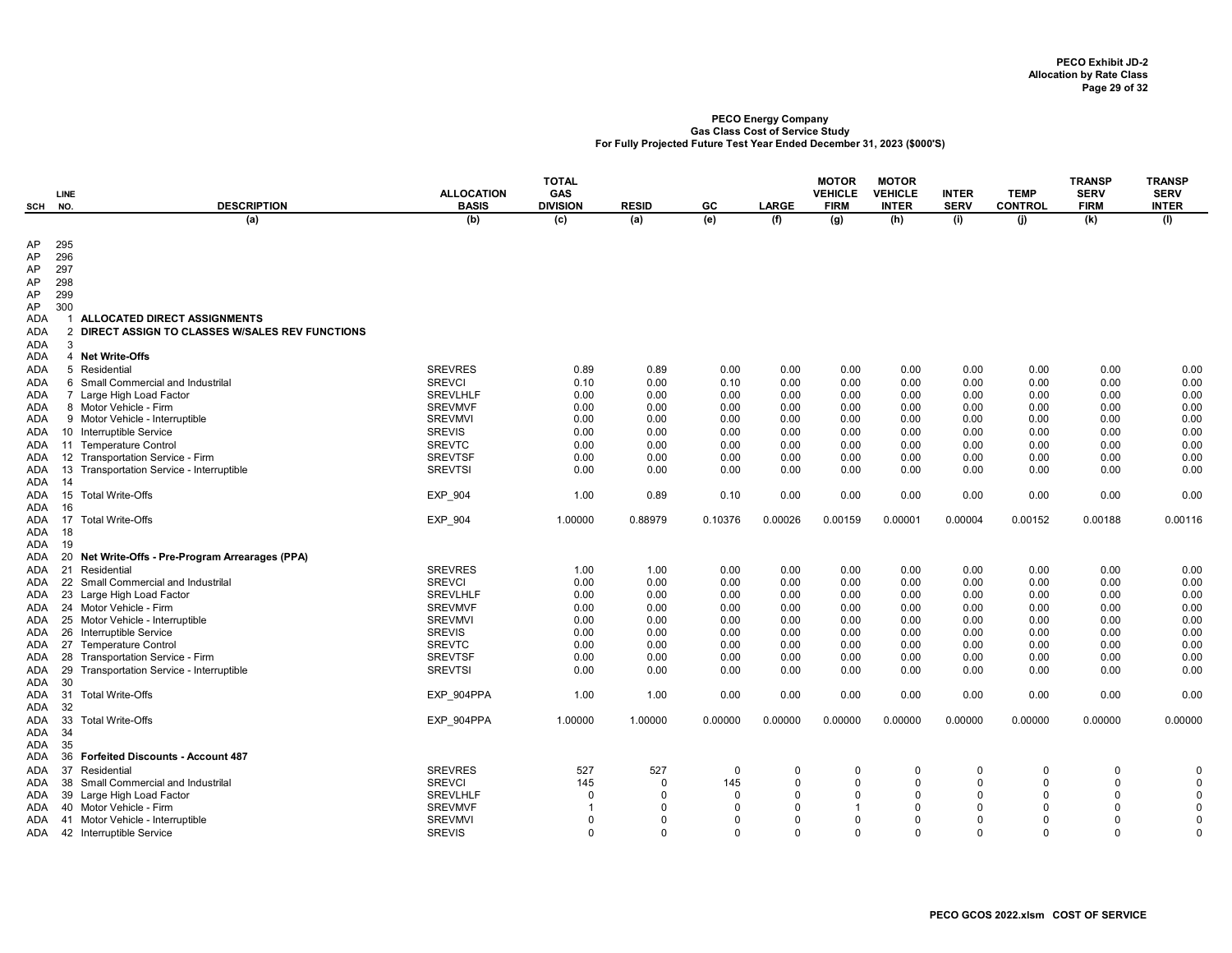| <b>SCH</b>        | <b>LINE</b><br>NO. | <b>DESCRIPTION</b>                                   | <b>ALLOCATION</b><br><b>BASIS</b> | <b>TOTAL</b><br>GAS<br><b>DIVISION</b> | <b>RESID</b>            | GC              | <b>LARGE</b>         | <b>MOTOR</b><br><b>VEHICLE</b><br><b>FIRM</b> | <b>MOTOR</b><br><b>VEHICLE</b><br><b>INTER</b> | <b>INTER</b><br><b>SERV</b> | <b>TEMP</b><br><b>CONTROL</b> | <b>TRANSP</b><br><b>SERV</b><br><b>FIRM</b> | <b>TRANSP</b><br><b>SERV</b><br><b>INTER</b> |
|-------------------|--------------------|------------------------------------------------------|-----------------------------------|----------------------------------------|-------------------------|-----------------|----------------------|-----------------------------------------------|------------------------------------------------|-----------------------------|-------------------------------|---------------------------------------------|----------------------------------------------|
|                   |                    | (a)                                                  | (b)                               | (c)                                    | (a)                     | (e)             | (f)                  | (g)                                           | (h)                                            | (i)                         | (i)                           | (k)                                         | (1)                                          |
|                   |                    |                                                      |                                   |                                        |                         |                 |                      |                                               |                                                |                             |                               |                                             |                                              |
| AP                | 295                |                                                      |                                   |                                        |                         |                 |                      |                                               |                                                |                             |                               |                                             |                                              |
| AP                | 296                |                                                      |                                   |                                        |                         |                 |                      |                                               |                                                |                             |                               |                                             |                                              |
| AP                | 297                |                                                      |                                   |                                        |                         |                 |                      |                                               |                                                |                             |                               |                                             |                                              |
| AP                | 298                |                                                      |                                   |                                        |                         |                 |                      |                                               |                                                |                             |                               |                                             |                                              |
| AP                | 299<br>300         |                                                      |                                   |                                        |                         |                 |                      |                                               |                                                |                             |                               |                                             |                                              |
| AP<br><b>ADA</b>  |                    | ALLOCATED DIRECT ASSIGNMENTS                         |                                   |                                        |                         |                 |                      |                                               |                                                |                             |                               |                                             |                                              |
| ADA               | $\overline{2}$     | DIRECT ASSIGN TO CLASSES W/SALES REV FUNCTIONS       |                                   |                                        |                         |                 |                      |                                               |                                                |                             |                               |                                             |                                              |
| ADA               | 3                  |                                                      |                                   |                                        |                         |                 |                      |                                               |                                                |                             |                               |                                             |                                              |
| ADA               |                    | 4 Net Write-Offs                                     |                                   |                                        |                         |                 |                      |                                               |                                                |                             |                               |                                             |                                              |
| ADA               |                    | 5 Residential                                        | <b>SREVRES</b>                    | 0.89                                   | 0.89                    | 0.00            | 0.00                 | 0.00                                          | 0.00                                           | 0.00                        | 0.00                          | 0.00                                        | 0.00                                         |
| <b>ADA</b>        |                    | 6 Small Commercial and Industrilal                   | <b>SREVCI</b>                     | 0.10                                   | 0.00                    | 0.10            | 0.00                 | 0.00                                          | 0.00                                           | 0.00                        | 0.00                          | 0.00                                        | 0.00                                         |
| ADA               |                    | 7 Large High Load Factor                             | <b>SREVLHLF</b>                   | 0.00                                   | 0.00                    | 0.00            | 0.00                 | 0.00                                          | 0.00                                           | 0.00                        | 0.00                          | 0.00                                        | 0.00                                         |
| ADA               |                    | 8 Motor Vehicle - Firm                               | <b>SREVMVF</b>                    | 0.00                                   | 0.00                    | 0.00            | 0.00                 | 0.00                                          | 0.00                                           | 0.00                        | 0.00                          | 0.00                                        | 0.00                                         |
| ADA               |                    | 9 Motor Vehicle - Interruptible                      | <b>SREVMVI</b>                    | 0.00                                   | 0.00                    | 0.00            | 0.00                 | 0.00                                          | 0.00                                           | 0.00                        | 0.00                          | 0.00                                        | 0.00                                         |
| ADA               |                    | 10 Interruptible Service                             | <b>SREVIS</b>                     | 0.00                                   | 0.00                    | 0.00            | 0.00                 | 0.00                                          | 0.00                                           | 0.00                        | 0.00                          | 0.00                                        | 0.00                                         |
| ADA               |                    | 11 Temperature Control                               | <b>SREVTC</b>                     | 0.00                                   | 0.00                    | 0.00            | 0.00                 | 0.00                                          | 0.00                                           | 0.00                        | 0.00                          | 0.00                                        | 0.00                                         |
| ADA               |                    | 12 Transportation Service - Firm                     | <b>SREVTSF</b>                    | 0.00                                   | 0.00                    | 0.00            | 0.00                 | 0.00                                          | 0.00                                           | 0.00                        | 0.00                          | 0.00                                        | 0.00                                         |
| ADA               | 13                 | Transportation Service - Interruptible               | <b>SREVTSI</b>                    | 0.00                                   | 0.00                    | 0.00            | 0.00                 | 0.00                                          | 0.00                                           | 0.00                        | 0.00                          | 0.00                                        | 0.00                                         |
| ADA               | 14                 |                                                      |                                   |                                        |                         |                 |                      |                                               |                                                |                             |                               |                                             |                                              |
| ADA               | 15                 | <b>Total Write-Offs</b>                              | EXP_904                           | 1.00                                   | 0.89                    | 0.10            | 0.00                 | 0.00                                          | 0.00                                           | 0.00                        | 0.00                          | 0.00                                        | 0.00                                         |
| ADA               | -16                |                                                      |                                   |                                        |                         |                 |                      |                                               |                                                |                             |                               |                                             |                                              |
| ADA               | - 17               | <b>Total Write-Offs</b>                              | EXP_904                           | 1.00000                                | 0.88979                 | 0.10376         | 0.00026              | 0.00159                                       | 0.00001                                        | 0.00004                     | 0.00152                       | 0.00188                                     | 0.00116                                      |
| ADA               | -18<br>19          |                                                      |                                   |                                        |                         |                 |                      |                                               |                                                |                             |                               |                                             |                                              |
| ADA<br>ADA        |                    | 20 Net Write-Offs - Pre-Program Arrearages (PPA)     |                                   |                                        |                         |                 |                      |                                               |                                                |                             |                               |                                             |                                              |
| ADA               | 21                 | Residential                                          | <b>SREVRES</b>                    | 1.00                                   | 1.00                    | 0.00            | 0.00                 | 0.00                                          | 0.00                                           | 0.00                        | 0.00                          | 0.00                                        | 0.00                                         |
| ADA               |                    | 22 Small Commercial and Industrilal                  | <b>SREVCI</b>                     | 0.00                                   | 0.00                    | 0.00            | 0.00                 | 0.00                                          | 0.00                                           | 0.00                        | 0.00                          | 0.00                                        | 0.00                                         |
| ADA               |                    | 23 Large High Load Factor                            | <b>SREVLHLF</b>                   | 0.00                                   | 0.00                    | 0.00            | 0.00                 | 0.00                                          | 0.00                                           | 0.00                        | 0.00                          | 0.00                                        | 0.00                                         |
| ADA               |                    | 24 Motor Vehicle - Firm                              | <b>SREVMVF</b>                    | 0.00                                   | 0.00                    | 0.00            | 0.00                 | 0.00                                          | 0.00                                           | 0.00                        | 0.00                          | 0.00                                        | 0.00                                         |
| ADA               |                    | 25 Motor Vehicle - Interruptible                     | <b>SREVMVI</b>                    | 0.00                                   | 0.00                    | 0.00            | 0.00                 | 0.00                                          | 0.00                                           | 0.00                        | 0.00                          | 0.00                                        | 0.00                                         |
| ADA               |                    | 26 Interruptible Service                             | <b>SREVIS</b>                     | 0.00                                   | 0.00                    | 0.00            | 0.00                 | 0.00                                          | 0.00                                           | 0.00                        | 0.00                          | 0.00                                        | 0.00                                         |
| ADA               |                    | 27 Temperature Control                               | <b>SREVTC</b>                     | 0.00                                   | 0.00                    | 0.00            | 0.00                 | 0.00                                          | 0.00                                           | 0.00                        | 0.00                          | 0.00                                        | 0.00                                         |
| ADA               |                    | 28 Transportation Service - Firm                     | <b>SREVTSF</b>                    | 0.00                                   | 0.00                    | 0.00            | 0.00                 | 0.00                                          | 0.00                                           | 0.00                        | 0.00                          | 0.00                                        | 0.00                                         |
| ADA               | 29                 | Transportation Service - Interruptible               | <b>SREVTSI</b>                    | 0.00                                   | 0.00                    | 0.00            | 0.00                 | 0.00                                          | 0.00                                           | 0.00                        | 0.00                          | 0.00                                        | 0.00                                         |
| ADA               | 30                 |                                                      |                                   |                                        |                         |                 |                      |                                               |                                                |                             |                               |                                             |                                              |
| ADA               | 31                 | <b>Total Write-Offs</b>                              | EXP 904PPA                        | 1.00                                   | 1.00                    | 0.00            | 0.00                 | 0.00                                          | 0.00                                           | 0.00                        | 0.00                          | 0.00                                        | 0.00                                         |
| ADA               | 32                 |                                                      |                                   |                                        |                         |                 |                      |                                               |                                                |                             |                               |                                             |                                              |
| ADA               | 33                 | <b>Total Write-Offs</b>                              | EXP_904PPA                        | 1.00000                                | 1.00000                 | 0.00000         | 0.00000              | 0.00000                                       | 0.00000                                        | 0.00000                     | 0.00000                       | 0.00000                                     | 0.00000                                      |
| ADA               | 34                 |                                                      |                                   |                                        |                         |                 |                      |                                               |                                                |                             |                               |                                             |                                              |
| ADA               | 35                 |                                                      |                                   |                                        |                         |                 |                      |                                               |                                                |                             |                               |                                             |                                              |
| ADA               | 36                 | <b>Forfeited Discounts - Account 487</b>             |                                   |                                        |                         |                 |                      |                                               |                                                |                             |                               |                                             |                                              |
| <b>ADA</b>        |                    | 37 Residential                                       | <b>SREVRES</b>                    | 527                                    | 527                     | 0               | 0                    | $\Omega$                                      | 0                                              | $\Omega$                    | 0                             | 0                                           | $\mathbf 0$                                  |
| <b>ADA</b>        |                    | 38 Small Commercial and Industrilal                  | <b>SREVCI</b>                     | 145<br>$\Omega$                        | $\Omega$                | 145<br>$\Omega$ | $\Omega$<br>$\Omega$ | $\Omega$<br>$\Omega$                          | $\Omega$<br>$\Omega$                           | $\Omega$<br>$\Omega$        | $\Omega$<br>$\Omega$          | $\Omega$<br>$\Omega$                        | $\Omega$<br>$\Omega$                         |
| ADA               |                    | 39 Large High Load Factor<br>40 Motor Vehicle - Firm | <b>SREVLHLF</b><br><b>SREVMVF</b> |                                        | $\mathbf 0$<br>$\Omega$ | $\Omega$        | $\Omega$             |                                               | $\Omega$                                       | $\Omega$                    | $\Omega$                      | 0                                           | $\Omega$                                     |
| <b>ADA</b><br>ADA |                    | 41 Motor Vehicle - Interruptible                     | <b>SREVMVI</b>                    | $\Omega$                               | $\Omega$                | $\Omega$        | $\Omega$             | $\Omega$                                      | $\Omega$                                       | $\Omega$                    | $\Omega$                      | O                                           | $\Omega$                                     |
|                   |                    | ADA 42 Interruptible Service                         | <b>SREVIS</b>                     | $\Omega$                               | $\Omega$                | $\Omega$        | $\Omega$             | $\Omega$                                      | $\Omega$                                       | $\Omega$                    | $\Omega$                      | $\Omega$                                    | $\Omega$                                     |
|                   |                    |                                                      |                                   |                                        |                         |                 |                      |                                               |                                                |                             |                               |                                             |                                              |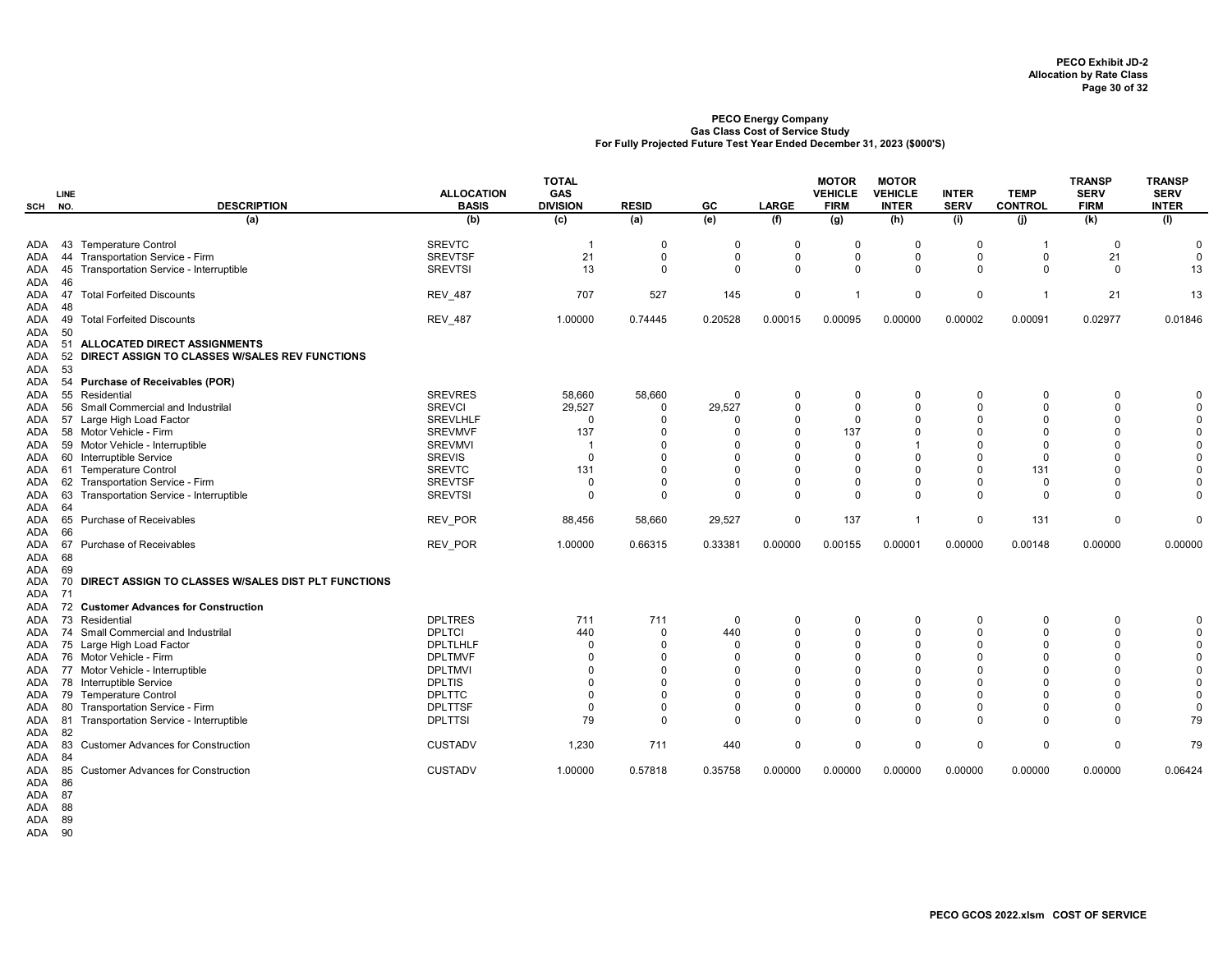|               | LINE     |                                                     | <b>ALLOCATION</b> | <b>TOTAL</b><br>GAS |              |             |              | <b>MOTOR</b><br><b>VEHICLE</b> | <b>MOTOR</b><br><b>VEHICLE</b> | <b>INTER</b> | <b>TEMP</b>    | <b>TRANSP</b><br><b>SERV</b> | <b>TRANSP</b><br><b>SERV</b> |
|---------------|----------|-----------------------------------------------------|-------------------|---------------------|--------------|-------------|--------------|--------------------------------|--------------------------------|--------------|----------------|------------------------------|------------------------------|
| SCH           | NO.      | <b>DESCRIPTION</b>                                  | <b>BASIS</b>      | <b>DIVISION</b>     | <b>RESID</b> | GC          | <b>LARGE</b> | <b>FIRM</b>                    | <b>INTER</b>                   | <b>SERV</b>  | <b>CONTROL</b> | <b>FIRM</b>                  | <b>INTER</b>                 |
|               |          | (a)                                                 | (b)               | (c)                 | (a)          | (e)         | (f)          | (g)                            | (h)                            | (i)          | (j)            | (k)                          | (1)                          |
| ADA           |          | 43 Temperature Control                              | <b>SREVTC</b>     | - 1                 | $\Omega$     | 0           | $\Omega$     | $\Omega$                       | $\Omega$                       | $\Omega$     |                | $\Omega$                     | $\Omega$                     |
| ADA           |          | 44 Transportation Service - Firm                    | <b>SREVTSF</b>    | 21                  | $\Omega$     | $\Omega$    | $\mathbf 0$  | 0                              | $\Omega$                       | $\mathbf 0$  | 0              | 21                           | $\mathbf 0$                  |
| ADA<br>ADA    | 45<br>46 | Transportation Service - Interruptible              | <b>SREVTSI</b>    | 13                  | $\Omega$     | $\Omega$    | $\Omega$     | $\Omega$                       | $\Omega$                       | $\Omega$     | $\mathbf 0$    | $\mathbf 0$                  | 13                           |
| ADA<br>ADA    | 47<br>48 | <b>Total Forfeited Discounts</b>                    | <b>REV_487</b>    | 707                 | 527          | 145         | $\mathbf 0$  | -1                             | $\mathbf 0$                    | 0            | -1             | 21                           | 13                           |
| ADA<br>ADA    | 49<br>50 | <b>Total Forfeited Discounts</b>                    | <b>REV_487</b>    | 1.00000             | 0.74445      | 0.20528     | 0.00015      | 0.00095                        | 0.00000                        | 0.00002      | 0.00091        | 0.02977                      | 0.01846                      |
| ADA           | -51      | <b>ALLOCATED DIRECT ASSIGNMENTS</b>                 |                   |                     |              |             |              |                                |                                |              |                |                              |                              |
| ADA           | 52       | DIRECT ASSIGN TO CLASSES W/SALES REV FUNCTIONS      |                   |                     |              |             |              |                                |                                |              |                |                              |                              |
| ADA<br>ADA    | 53<br>54 | <b>Purchase of Receivables (POR)</b>                |                   |                     |              |             |              |                                |                                |              |                |                              |                              |
| ADA           | 55       | Residential                                         | <b>SREVRES</b>    | 58,660              | 58,660       | 0           | 0            | $\mathbf 0$                    | $\Omega$                       | $\Omega$     | $\Omega$       | $\mathbf 0$                  | $\Omega$                     |
| ADA           |          | 56 Small Commercial and Industrilal                 | <b>SREVCI</b>     | 29,527              | $\Omega$     | 29,527      | $\Omega$     | $\mathbf 0$                    | $\Omega$                       | $\Omega$     | $\Omega$       | $\Omega$                     | $\Omega$                     |
| ADA           |          | 57 Large High Load Factor                           | <b>SREVLHLF</b>   | $\Omega$            | $\Omega$     | O           | $\Omega$     | $\mathbf 0$                    | $\Omega$                       | $\Omega$     | O              | 0                            | $\Omega$                     |
| ADA           |          | 58 Motor Vehicle - Firm                             | <b>SREVMVF</b>    | 137                 | $\Omega$     | O           | $\Omega$     | 137                            | $\Omega$                       | $\Omega$     | $\Omega$       | $\Omega$                     | $\Omega$                     |
| ADA           |          | 59 Motor Vehicle - Interruptible                    | <b>SREVMVI</b>    | -1                  | $\Omega$     | O           | $\Omega$     | $\mathbf 0$                    |                                | $\Omega$     | $\Omega$       | $\Omega$                     | $\Omega$                     |
| ADA           |          | 60 Interruptible Service                            | <b>SREVIS</b>     | $\Omega$            | $\Omega$     | $\Omega$    | $\Omega$     | $\Omega$                       | $\Omega$                       | $\Omega$     | $\Omega$       | $\Omega$                     | $\Omega$                     |
| ADA           |          | 61 Temperature Control                              | <b>SREVTC</b>     | 131                 | $\Omega$     | $\Omega$    | $\Omega$     | $\Omega$                       | $\Omega$                       | $\Omega$     | 131            | $\Omega$                     | $\Omega$                     |
| ADA           |          | 62 Transportation Service - Firm                    | <b>SREVTSF</b>    | $\mathbf 0$         | $\Omega$     | $\Omega$    | $\Omega$     | $\Omega$                       | $\mathbf 0$                    | $\Omega$     | $\Omega$       | $\Omega$                     | $\Omega$                     |
| ADA<br>ADA    | 63<br>64 | Transportation Service - Interruptible              | <b>SREVTSI</b>    | $\Omega$            | $\Omega$     | O           | $\Omega$     | $\Omega$                       | $\Omega$                       | $\mathbf 0$  | $\Omega$       | $\Omega$                     | $\Omega$                     |
| ADA<br>ADA    | 65<br>66 | Purchase of Receivables                             | REV_POR           | 88,456              | 58,660       | 29,527      | $\mathbf 0$  | 137                            | $\overline{1}$                 | $\mathbf 0$  | 131            | $\Omega$                     |                              |
| ADA<br>ADA    | 67<br>68 | Purchase of Receivables                             | <b>REV POR</b>    | 1.00000             | 0.66315      | 0.33381     | 0.00000      | 0.00155                        | 0.00001                        | 0.00000      | 0.00148        | 0.00000                      | 0.00000                      |
| ADA           | 69       |                                                     |                   |                     |              |             |              |                                |                                |              |                |                              |                              |
| ADA<br>ADA    | 70<br>71 | DIRECT ASSIGN TO CLASSES W/SALES DIST PLT FUNCTIONS |                   |                     |              |             |              |                                |                                |              |                |                              |                              |
| ADA           | 72       | <b>Customer Advances for Construction</b>           |                   |                     |              |             |              |                                |                                |              |                |                              |                              |
| ADA           | 73       | Residential                                         | <b>DPLTRES</b>    | 711                 | 711          | $\mathbf 0$ | 0            | 0                              | $\Omega$                       | $\mathbf 0$  | 0              | $\mathbf 0$                  | $\mathbf 0$                  |
| ADA           | 74       | Small Commercial and Industrilal                    | <b>DPLTCI</b>     | 440                 | $\Omega$     | 440         | $\Omega$     | $\mathbf 0$                    | $\Omega$                       | $\Omega$     | $\mathbf 0$    | $\mathbf 0$                  | $\mathbf 0$                  |
| ADA           |          | 75 Large High Load Factor                           | DPLTLHLF          | $\Omega$            | $\Omega$     | $\Omega$    | $\Omega$     | $\mathbf 0$                    | $\Omega$                       | $\Omega$     | $\mathbf 0$    | $\Omega$                     | $\mathbf 0$                  |
| ADA           |          | 76 Motor Vehicle - Firm                             | <b>DPLTMVF</b>    | $\Omega$            | $\Omega$     | O           | $\Omega$     | $\Omega$                       | $\Omega$                       | $\Omega$     | $\Omega$       | $\Omega$                     | $\Omega$                     |
| ADA           |          | 77 Motor Vehicle - Interruptible                    | <b>DPLTMVI</b>    | $\Omega$            | $\Omega$     | O           | $\Omega$     | $\Omega$                       |                                | $\Omega$     | $\Omega$       | $\Omega$                     | $\Omega$                     |
| ADA           |          | 78 Interruptible Service                            | <b>DPLTIS</b>     | $\Omega$            | $\Omega$     | $\Omega$    | $\Omega$     | $\Omega$                       |                                | $\Omega$     | $\Omega$       | $\Omega$                     | $\Omega$                     |
| ADA           | 79       | <b>Temperature Control</b>                          | <b>DPLTTC</b>     | $\Omega$            | $\Omega$     | 0           | $\Omega$     | $\mathbf 0$                    | $\Omega$                       | $\Omega$     | $\mathbf 0$    | $\Omega$                     | $\mathbf 0$                  |
| ADA           | 80       | <b>Transportation Service - Firm</b>                | <b>DPLTTSF</b>    | $\mathbf 0$         | $\Omega$     | 0           | $\Omega$     | $\mathbf 0$                    | $\Omega$                       | $\Omega$     | $\Omega$       | $\Omega$                     | $\mathbf 0$                  |
| ADA<br>ADA    | 81<br>82 | Transportation Service - Interruptible              | <b>DPLTTSI</b>    | 79                  | $\mathbf 0$  | $\Omega$    | $\Omega$     | $\Omega$                       | $\Omega$                       | $\Omega$     | $\mathbf 0$    | $\Omega$                     | 79                           |
| ADA<br>ADA    | 83<br>84 | <b>Customer Advances for Construction</b>           | <b>CUSTADV</b>    | 1,230               | 711          | 440         | $\Omega$     | $\mathbf{0}$                   | $\Omega$                       | $\Omega$     | $\Omega$       | $\Omega$                     | 79                           |
| ADA<br>ADA 86 | 85       | <b>Customer Advances for Construction</b>           | <b>CUSTADV</b>    | 1.00000             | 0.57818      | 0.35758     | 0.00000      | 0.00000                        | 0.00000                        | 0.00000      | 0.00000        | 0.00000                      | 0.06424                      |

ADA 87

ADA 88

ADA 89

ADA 90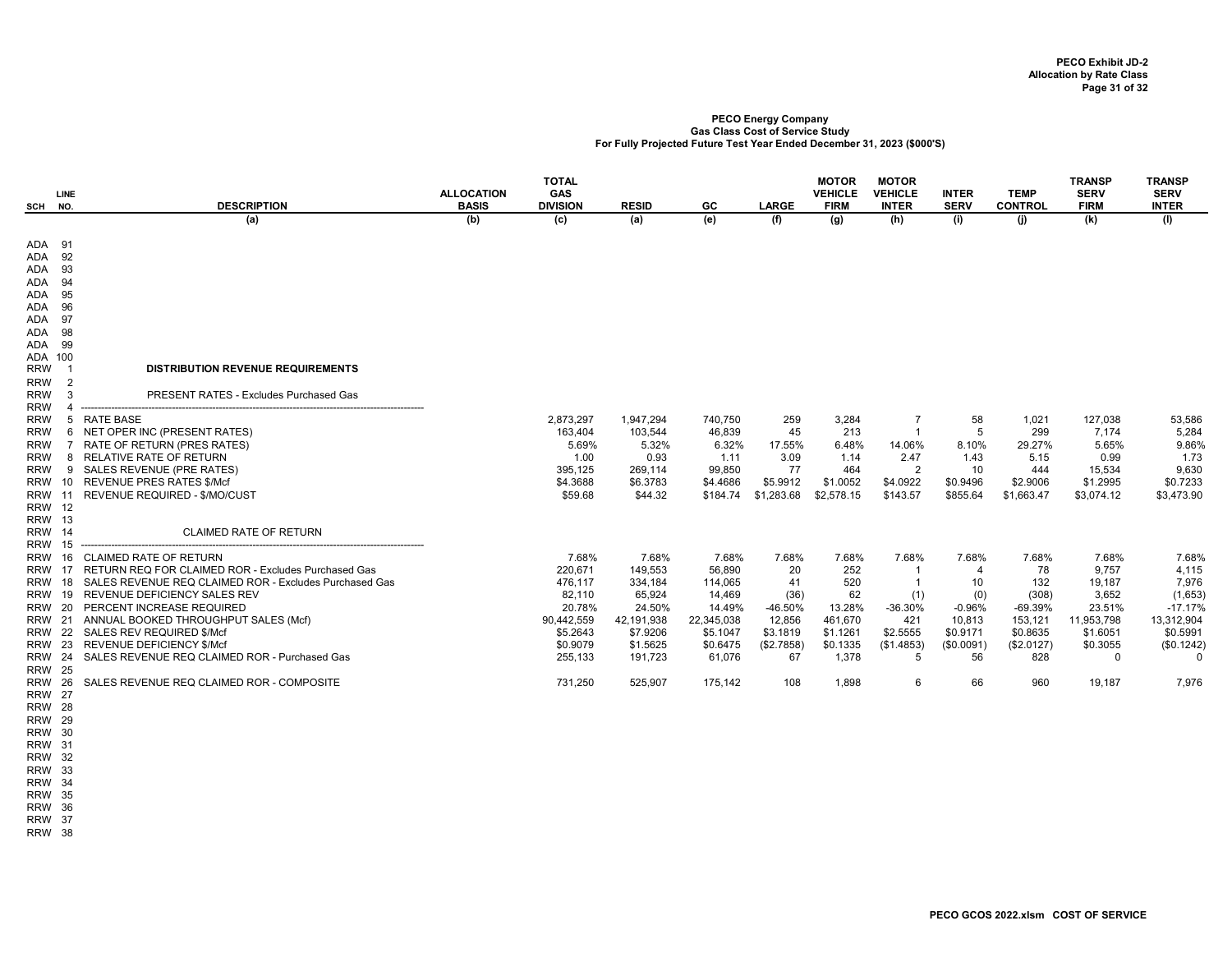| SCH                                                                                                               | <b>LINE</b><br>NO.                                     | <b>DESCRIPTION</b>                                                                                                                                                                                                                                                                                                                                                                                                                                | <b>ALLOCATION</b><br><b>BASIS</b> | <b>TOTAL</b><br>GAS<br><b>DIVISION</b>                                                                      | <b>RESID</b>                                                                                                | GC                                                                                                        | <b>LARGE</b>                                                                          | <b>MOTOR</b><br><b>VEHICLE</b><br><b>FIRM</b>                                            | <b>MOTOR</b><br><b>VEHICLE</b><br><b>INTER</b>                                                         | <b>INTER</b><br><b>SERV</b>                                                         | <b>TEMP</b><br><b>CONTROL</b>                                                               | <b>TRANSP</b><br><b>SERV</b><br><b>FIRM</b>                                                             | TRANSP<br><b>SERV</b><br><b>INTER</b>                                                                            |
|-------------------------------------------------------------------------------------------------------------------|--------------------------------------------------------|---------------------------------------------------------------------------------------------------------------------------------------------------------------------------------------------------------------------------------------------------------------------------------------------------------------------------------------------------------------------------------------------------------------------------------------------------|-----------------------------------|-------------------------------------------------------------------------------------------------------------|-------------------------------------------------------------------------------------------------------------|-----------------------------------------------------------------------------------------------------------|---------------------------------------------------------------------------------------|------------------------------------------------------------------------------------------|--------------------------------------------------------------------------------------------------------|-------------------------------------------------------------------------------------|---------------------------------------------------------------------------------------------|---------------------------------------------------------------------------------------------------------|------------------------------------------------------------------------------------------------------------------|
|                                                                                                                   |                                                        | (a)                                                                                                                                                                                                                                                                                                                                                                                                                                               | (b)                               | (c)                                                                                                         | (a)                                                                                                         | (e)                                                                                                       | (f)                                                                                   | (g)                                                                                      | (h)                                                                                                    | (i)                                                                                 | (i)                                                                                         | (k)                                                                                                     | (1)                                                                                                              |
| ADA<br>ADA<br>ADA<br>ADA<br>ADA<br>ADA<br>ADA<br>ADA                                                              | ADA 91<br>92<br>93<br>94<br>95<br>96<br>97<br>98<br>99 |                                                                                                                                                                                                                                                                                                                                                                                                                                                   |                                   |                                                                                                             |                                                                                                             |                                                                                                           |                                                                                       |                                                                                          |                                                                                                        |                                                                                     |                                                                                             |                                                                                                         |                                                                                                                  |
| <b>RRW</b><br><b>RRW</b>                                                                                          | ADA 100<br>$\overline{\mathbf{1}}$<br>2                | <b>DISTRIBUTION REVENUE REQUIREMENTS</b>                                                                                                                                                                                                                                                                                                                                                                                                          |                                   |                                                                                                             |                                                                                                             |                                                                                                           |                                                                                       |                                                                                          |                                                                                                        |                                                                                     |                                                                                             |                                                                                                         |                                                                                                                  |
| <b>RRW</b>                                                                                                        | 3                                                      | <b>PRESENT RATES - Excludes Purchased Gas</b>                                                                                                                                                                                                                                                                                                                                                                                                     |                                   |                                                                                                             |                                                                                                             |                                                                                                           |                                                                                       |                                                                                          |                                                                                                        |                                                                                     |                                                                                             |                                                                                                         |                                                                                                                  |
| <b>RRW</b><br><b>RRW</b><br><b>RRW</b><br><b>RRW</b><br><b>RRW</b><br><b>RRW</b><br><b>RRW 12</b>                 | <b>RRW 13</b>                                          | 5 RATE BASE<br>6 NET OPER INC (PRESENT RATES)<br>7 RATE OF RETURN (PRES RATES)<br>8 RELATIVE RATE OF RETURN<br>9 SALES REVENUE (PRE RATES)<br>RRW 10 REVENUE PRES RATES \$/Mcf<br>RRW 11 REVENUE REQUIRED - \$/MO/CUST                                                                                                                                                                                                                            |                                   | 2,873,297<br>163.404<br>5.69%<br>1.00<br>395,125<br>\$4.3688<br>\$59.68                                     | 1,947,294<br>103,544<br>5.32%<br>0.93<br>269,114<br>\$6.3783<br>\$44.32                                     | 740,750<br>46.839<br>6.32%<br>1.11<br>99,850<br>\$4.4686<br>\$184.74                                      | 259<br>45<br>17.55%<br>3.09<br>77<br>\$5.9912<br>\$1,283.68                           | 3,284<br>213<br>6.48%<br>1.14<br>464<br>\$1.0052<br>\$2,578.15                           | 7<br>14.06%<br>2.47<br>$\overline{2}$<br>\$4.0922<br>\$143.57                                          | 58<br>5<br>8.10%<br>1.43<br>10<br>\$0.9496<br>\$855.64                              | 1,021<br>299<br>29.27%<br>5.15<br>444<br>\$2.9006<br>\$1,663.47                             | 127,038<br>7.174<br>5.65%<br>0.99<br>15,534<br>\$1.2995<br>\$3,074.12                                   | 53,586<br>5,284<br>9.86%<br>1.73<br>9,630<br>\$0.7233<br>\$3,473.90                                              |
|                                                                                                                   | <b>RRW 14</b>                                          | <b>CLAIMED RATE OF RETURN</b><br>---------------------------------                                                                                                                                                                                                                                                                                                                                                                                |                                   |                                                                                                             |                                                                                                             |                                                                                                           |                                                                                       |                                                                                          |                                                                                                        |                                                                                     |                                                                                             |                                                                                                         |                                                                                                                  |
| <b>RRW</b><br><b>RRW 16</b><br>RRW<br><b>RRW</b><br><b>RRW</b><br><b>RRW 23</b><br><b>RRW 25</b><br><b>RRW 26</b> | 18<br>20                                               | <b>CLAIMED RATE OF RETURN</b><br>17 RETURN REQ FOR CLAIMED ROR - Excludes Purchased Gas<br>SALES REVENUE REQ CLAIMED ROR - Excludes Purchased Gas<br>RRW 19 REVENUE DEFICIENCY SALES REV<br>PERCENT INCREASE REQUIRED<br>RRW 21 ANNUAL BOOKED THROUGHPUT SALES (Mcf)<br>RRW 22 SALES REV REQUIRED \$/Mcf<br><b>REVENUE DEFICIENCY \$/Mcf</b><br>RRW 24 SALES REVENUE REQ CLAIMED ROR - Purchased Gas<br>SALES REVENUE REQ CLAIMED ROR - COMPOSITE |                                   | 7.68%<br>220,671<br>476,117<br>82,110<br>20.78%<br>90,442,559<br>\$5,2643<br>\$0.9079<br>255,133<br>731,250 | 7.68%<br>149,553<br>334,184<br>65,924<br>24.50%<br>42,191,938<br>\$7.9206<br>\$1.5625<br>191,723<br>525,907 | 7.68%<br>56,890<br>114,065<br>14,469<br>14.49%<br>22,345,038<br>\$5.1047<br>\$0.6475<br>61,076<br>175,142 | 7.68%<br>20<br>41<br>(36)<br>-46.50%<br>12,856<br>\$3.1819<br>(\$2.7858)<br>67<br>108 | 7.68%<br>252<br>520<br>62<br>13.28%<br>461,670<br>\$1.1261<br>\$0.1335<br>1,378<br>1,898 | 7.68%<br>$\mathbf{1}$<br>$\overline{1}$<br>(1)<br>$-36.30%$<br>421<br>\$2.5555<br>(\$1.4853)<br>5<br>6 | 7.68%<br>4<br>10<br>(0)<br>$-0.96%$<br>10,813<br>\$0.9171<br>(\$0.0091)<br>56<br>66 | 7.68%<br>78<br>132<br>(308)<br>$-69.39%$<br>153,121<br>\$0.8635<br>(\$2.0127)<br>828<br>960 | 7.68%<br>9,757<br>19,187<br>3,652<br>23.51%<br>11,953,798<br>\$1,6051<br>\$0.3055<br>$\Omega$<br>19,187 | 7.68%<br>4,115<br>7,976<br>(1,653)<br>$-17.17%$<br>13,312,904<br>\$0.5991<br>(\$0.1242)<br>$\mathbf{0}$<br>7,976 |
|                                                                                                                   | <b>RRW 27</b><br><b>RRW 28</b><br><b>RRW 29</b>        |                                                                                                                                                                                                                                                                                                                                                                                                                                                   |                                   |                                                                                                             |                                                                                                             |                                                                                                           |                                                                                       |                                                                                          |                                                                                                        |                                                                                     |                                                                                             |                                                                                                         |                                                                                                                  |

- 
- RRW 30 RRW 31
- RRW 32
- RRW 33
- RRW 34 RRW 35

RRW 36

RRW 37

RRW 38